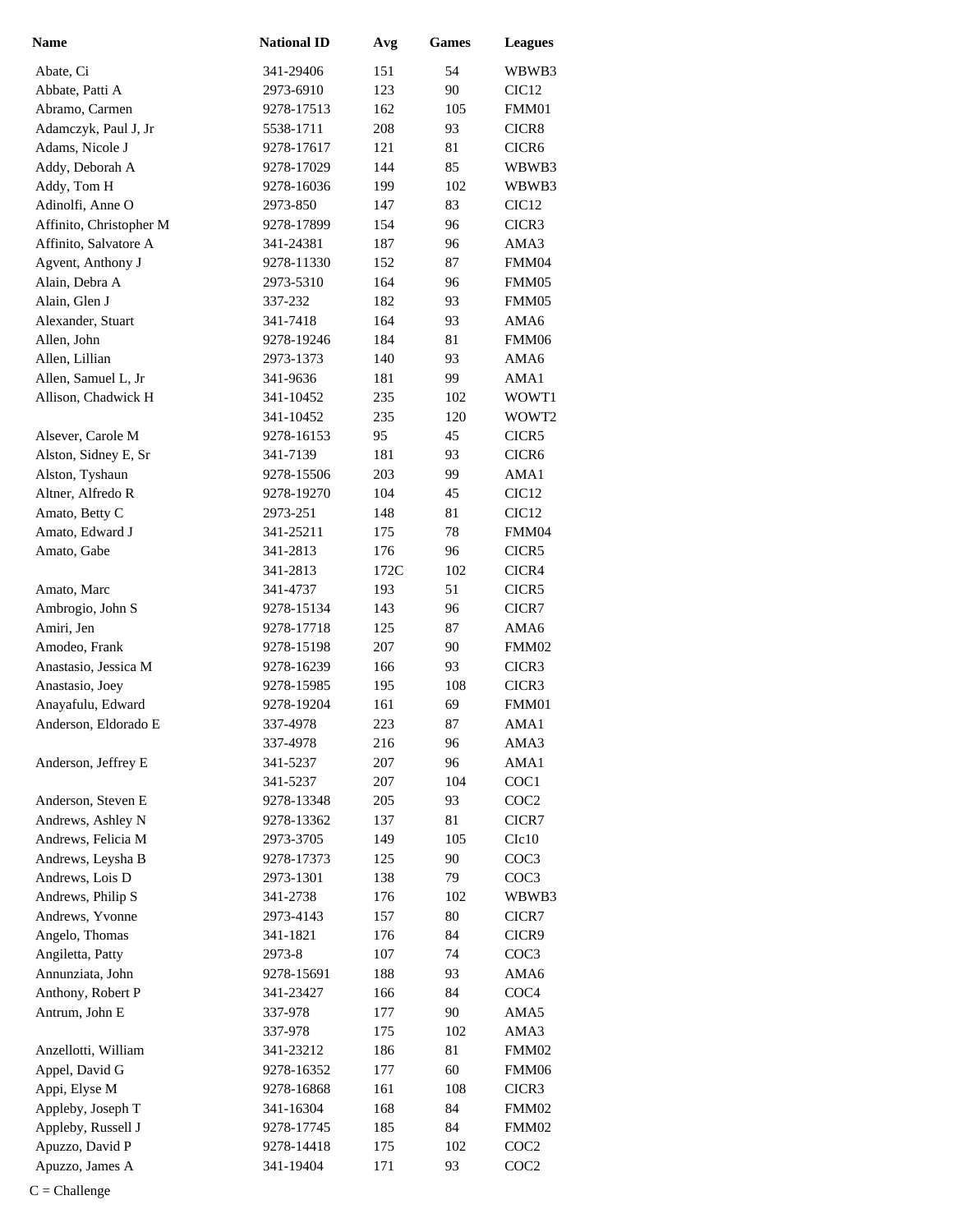| <b>Name</b>             | <b>National ID</b> | Avg  | <b>Games</b> | <b>Leagues</b>    |
|-------------------------|--------------------|------|--------------|-------------------|
| Abate, Ci               | 341-29406          | 151  | 54           | WBWB3             |
| Abbate, Patti A         | 2973-6910          | 123  | 90           | CIC <sub>12</sub> |
| Abramo, Carmen          | 9278-17513         | 162  | 105          | FMM01             |
| Adamczyk, Paul J, Jr    | 5538-1711          | 208  | 93           | CICR8             |
| Adams, Nicole J         | 9278-17617         | 121  | 81           | CICR <sub>6</sub> |
| Addy, Deborah A         | 9278-17029         | 144  | 85           | WBWB3             |
| Addy, Tom H             | 9278-16036         | 199  | 102          | WBWB3             |
| Adinolfi, Anne O        | 2973-850           | 147  | 83           | CIC <sub>12</sub> |
| Affinito, Christopher M | 9278-17899         | 154  | 96           | CICR3             |
| Affinito, Salvatore A   | 341-24381          | 187  | 96           | AMA3              |
| Agvent, Anthony J       | 9278-11330         | 152  | 87           | FMM04             |
| Alain, Debra A          | 2973-5310          | 164  | 96           | FMM05             |
| Alain, Glen J           | 337-232            | 182  | 93           | FMM05             |
| Alexander, Stuart       | 341-7418           | 164  | 93           | AMA6              |
| Allen, John             | 9278-19246         | 184  | 81           | FMM06             |
| Allen, Lillian          | 2973-1373          | 140  | 93           | AMA6              |
| Allen, Samuel L, Jr     | 341-9636           | 181  | 99           | AMA1              |
| Allison, Chadwick H     | 341-10452          | 235  | 102          | WOWT1             |
|                         | 341-10452          | 235  | 120          | WOWT <sub>2</sub> |
| Alsever, Carole M       | 9278-16153         | 95   | 45           | CICR <sub>5</sub> |
| Alston, Sidney E, Sr    | 341-7139           | 181  | 93           | CICR <sub>6</sub> |
| Alston, Tyshaun         | 9278-15506         | 203  | 99           | AMA1              |
| Altner, Alfredo R       | 9278-19270         | 104  | 45           | CIC <sub>12</sub> |
| Amato, Betty C          | 2973-251           | 148  | 81           | CIC <sub>12</sub> |
| Amato, Edward J         | 341-25211          | 175  | 78           | FMM04             |
| Amato, Gabe             | 341-2813           | 176  | 96           | CICR5             |
|                         | 341-2813           | 172C | 102          | CICR4             |
| Amato, Marc             | 341-4737           | 193  | 51           | CICR5             |
| Ambrogio, John S        | 9278-15134         | 143  | 96           | CICR7             |
| Amiri, Jen              | 9278-17718         | 125  | 87           | AMA6              |
| Amodeo, Frank           | 9278-15198         | 207  | 90           | FMM02             |
| Anastasio, Jessica M    | 9278-16239         | 166  | 93           | CICR3             |
| Anastasio, Joey         | 9278-15985         | 195  | 108          | CICR3             |
| Anayafulu, Edward       | 9278-19204         | 161  | 69           | FMM01             |
| Anderson, Eldorado E    | 337-4978           | 223  | 87           | AMA1              |
|                         | 337-4978           | 216  | 96           | AMA3              |
| Anderson, Jeffrey E     | 341-5237           | 207  | 96           | AMA1              |
|                         | 341-5237           | 207  | 104          | COC1              |
| Anderson, Steven E      | 9278-13348         | 205  | 93           | COC <sub>2</sub>  |
| Andrews, Ashley N       | 9278-13362         | 137  | 81           | CICR7             |
| Andrews, Felicia M      | 2973-3705          | 149  | 105          | C1c10             |
| Andrews, Leysha B       | 9278-17373         | 125  | 90           | COC3              |
| Andrews, Lois D         | 2973-1301          | 138  | 79           | COC3              |
| Andrews, Philip S       | 341-2738           | 176  | 102          | WBWB3             |
| Andrews, Yvonne         | 2973-4143          | 157  | 80           | CICR7             |
| Angelo, Thomas          | 341-1821           | 176  | 84           | CICR <sub>9</sub> |
| Angiletta, Patty        | 2973-8             | 107  | 74           | COC3              |
| Annunziata, John        | 9278-15691         | 188  | 93           | AMA6              |
| Anthony, Robert P       | 341-23427          | 166  | 84           | COC <sub>4</sub>  |
| Antrum, John E          | 337-978            | 177  | 90           | AMA5              |
|                         | 337-978            | 175  | 102          | AMA3              |
| Anzellotti, William     | 341-23212          | 186  | 81           | FMM02             |
| Appel, David G          | 9278-16352         | 177  | 60           | FMM06             |
|                         |                    |      |              |                   |
| Appi, Elyse M           | 9278-16868         | 161  | 108          | CICR3             |
| Appleby, Joseph T       | 341-16304          | 168  | 84           | FMM02             |
| Appleby, Russell J      | 9278-17745         | 185  | 84           | FMM02             |
| Apuzzo, David P         | 9278-14418         | 175  | 102          | COC <sub>2</sub>  |
| Apuzzo, James A         | 341-19404          | 171  | 93           | COC <sub>2</sub>  |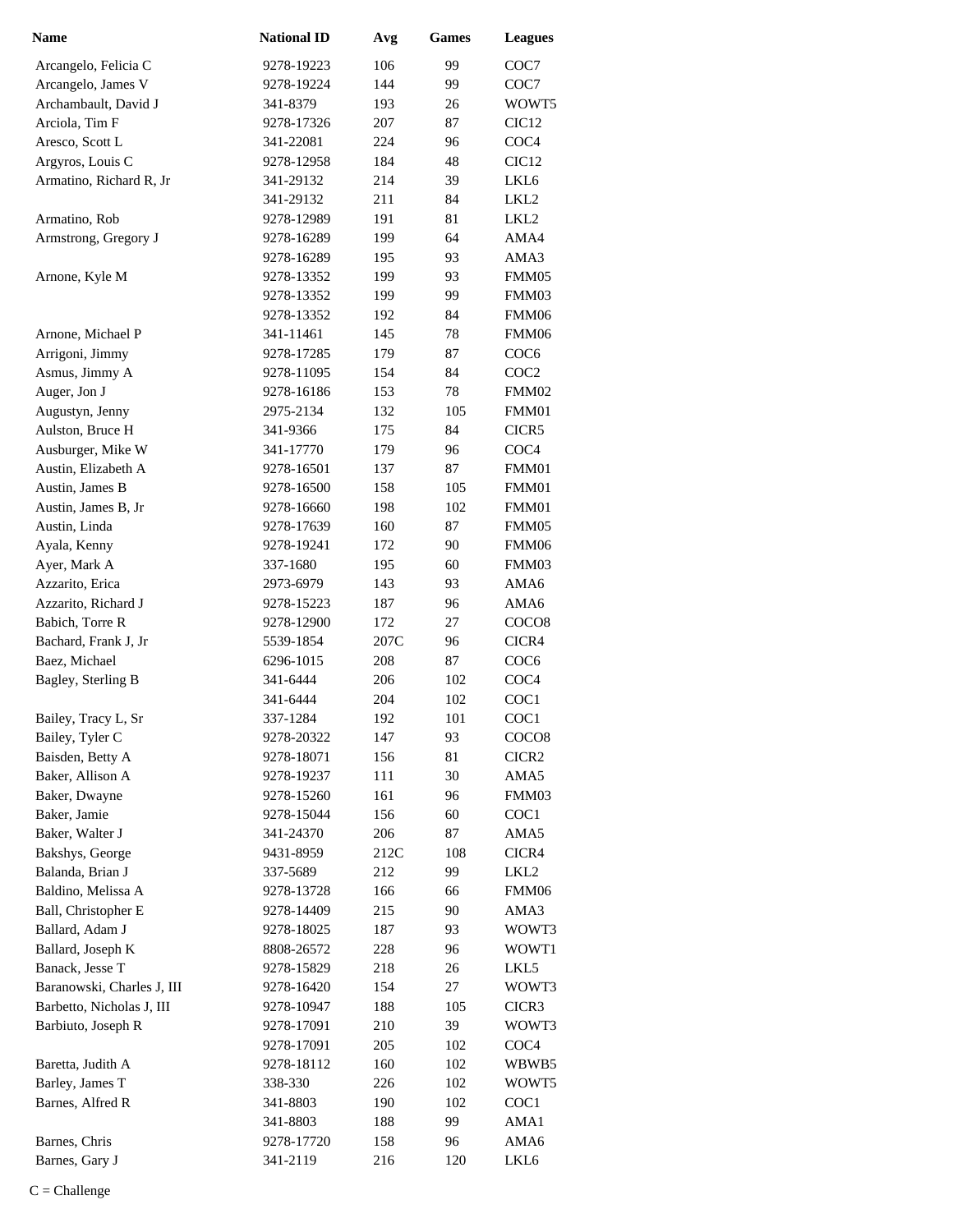| <b>Name</b>                | <b>National ID</b> | Avg  | <b>Games</b> | <b>Leagues</b>    |
|----------------------------|--------------------|------|--------------|-------------------|
| Arcangelo, Felicia C       | 9278-19223         | 106  | 99           | COC7              |
| Arcangelo, James V         | 9278-19224         | 144  | 99           | COC7              |
| Archambault, David J       | 341-8379           | 193  | 26           | WOWT5             |
| Arciola, Tim F             | 9278-17326         | 207  | 87           | CIC <sub>12</sub> |
| Aresco, Scott L            | 341-22081          | 224  | 96           | COC <sub>4</sub>  |
| Argyros, Louis C           | 9278-12958         | 184  | 48           | CIC <sub>12</sub> |
| Armatino, Richard R, Jr    | 341-29132          | 214  | 39           | LKL6              |
|                            | 341-29132          | 211  | 84           | LKL <sub>2</sub>  |
| Armatino, Rob              | 9278-12989         | 191  | 81           | LKL <sub>2</sub>  |
| Armstrong, Gregory J       | 9278-16289         | 199  | 64           | AMA4              |
|                            | 9278-16289         | 195  | 93           | AMA3              |
| Arnone, Kyle M             | 9278-13352         | 199  | 93           | FMM05             |
|                            | 9278-13352         | 199  | 99           | FMM03             |
|                            | 9278-13352         | 192  | 84           | FMM06             |
| Arnone, Michael P          | 341-11461          | 145  | 78           | FMM06             |
| Arrigoni, Jimmy            | 9278-17285         | 179  | 87           | COC <sub>6</sub>  |
| Asmus, Jimmy A             | 9278-11095         | 154  | 84           | COC <sub>2</sub>  |
| Auger, Jon J               | 9278-16186         | 153  | 78           | FMM02             |
| Augustyn, Jenny            | 2975-2134          | 132  | 105          | FMM01             |
| Aulston, Bruce H           | 341-9366           | 175  | 84           | CICR5             |
| Ausburger, Mike W          | 341-17770          | 179  | 96           | COC <sub>4</sub>  |
| Austin, Elizabeth A        | 9278-16501         | 137  | 87           | FMM01             |
| Austin, James B            | 9278-16500         | 158  | 105          | FMM01             |
| Austin, James B, Jr        | 9278-16660         | 198  | 102          | FMM01             |
| Austin, Linda              | 9278-17639         | 160  | 87           | FMM05             |
| Ayala, Kenny               | 9278-19241         | 172  | 90           | FMM06             |
| Ayer, Mark A               | 337-1680           | 195  | 60           | FMM03             |
| Azzarito, Erica            | 2973-6979          | 143  | 93           | AMA6              |
| Azzarito, Richard J        | 9278-15223         | 187  | 96           | AMA6              |
| Babich, Torre R            | 9278-12900         | 172  | 27           | COCO <sub>8</sub> |
| Bachard, Frank J, Jr       | 5539-1854          | 207C | 96           | CICR4             |
| Baez, Michael              | 6296-1015          | 208  | 87           | COC <sub>6</sub>  |
| Bagley, Sterling B         | 341-6444           | 206  | 102          | COC <sub>4</sub>  |
|                            | 341-6444           | 204  | 102          | COC1              |
| Bailey, Tracy L, Sr        | 337-1284           | 192  | 101          | COC1              |
| Bailey, Tyler C            | 9278-20322         | 147  | 93           | COCO <sub>8</sub> |
| Baisden, Betty A           | 9278-18071         | 156  | 81           | CICR <sub>2</sub> |
| Baker, Allison A           | 9278-19237         | 111  | 30           | AMA5              |
| Baker, Dwayne              | 9278-15260         | 161  | 96           | FMM03             |
| Baker, Jamie               | 9278-15044         | 156  | 60           | COC <sub>1</sub>  |
| Baker, Walter J            | 341-24370          | 206  | 87           | AMA5              |
| Bakshys, George            | 9431-8959          | 212C | 108          | CICR4             |
| Balanda, Brian J           | 337-5689           | 212  | 99           | LKL2              |
| Baldino, Melissa A         | 9278-13728         | 166  | 66           | FMM06             |
| Ball, Christopher E        | 9278-14409         | 215  | 90           | AMA3              |
| Ballard, Adam J            | 9278-18025         | 187  | 93           | WOWT3             |
| Ballard, Joseph K          | 8808-26572         | 228  | 96           | WOWT1             |
| Banack, Jesse T            | 9278-15829         | 218  | 26           | LKL5              |
| Baranowski, Charles J, III | 9278-16420         | 154  | 27           | WOWT3             |
| Barbetto, Nicholas J, III  | 9278-10947         | 188  | 105          | CICR3             |
| Barbiuto, Joseph R         | 9278-17091         | 210  | 39           | WOWT3             |
|                            | 9278-17091         | 205  | 102          | COC <sub>4</sub>  |
| Baretta, Judith A          | 9278-18112         | 160  | 102          | WBWB5             |
| Barley, James T            | 338-330            | 226  | 102          | WOWT5             |
| Barnes, Alfred R           | 341-8803           | 190  | 102          | COC <sub>1</sub>  |
|                            | 341-8803           | 188  | 99           | AMA1              |
| Barnes, Chris              | 9278-17720         | 158  | 96           | AMA6              |
| Barnes, Gary J             | 341-2119           | 216  | 120          | LKL6              |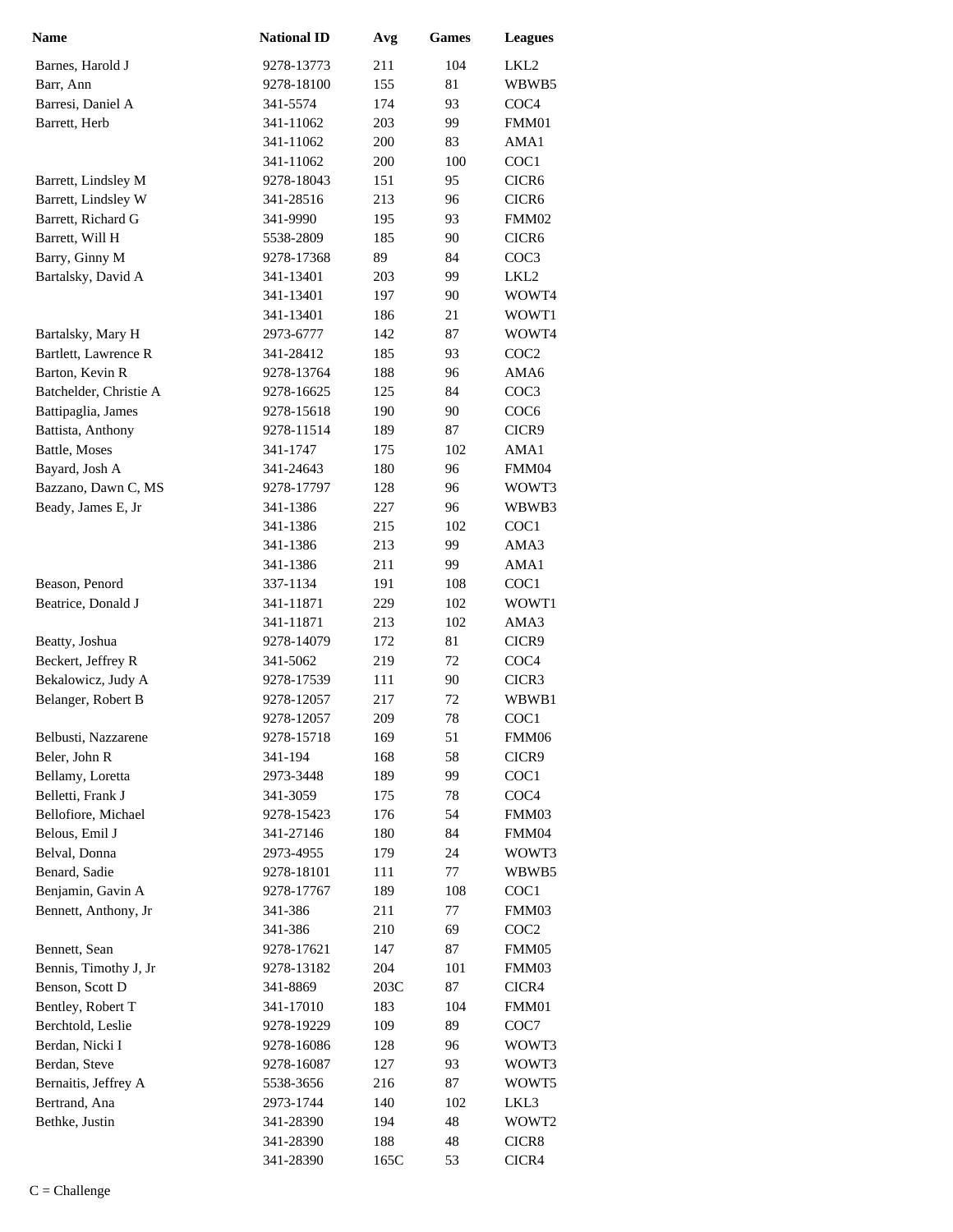| <b>Name</b>                              | <b>National ID</b>     | Avg         | <b>Games</b> | <b>Leagues</b>    |
|------------------------------------------|------------------------|-------------|--------------|-------------------|
| Barnes, Harold J                         | 9278-13773             | 211         | 104          | LKL2              |
| Barr, Ann                                | 9278-18100             | 155         | 81           | WBWB5             |
| Barresi, Daniel A                        | 341-5574               | 174         | 93           | COC <sub>4</sub>  |
| Barrett, Herb                            | 341-11062              | 203         | 99           | FMM01             |
|                                          | 341-11062              | 200         | 83           | AMA1              |
|                                          | 341-11062              | 200         | 100          | COC1              |
| Barrett, Lindsley M                      | 9278-18043             | 151         | 95           | CICR <sub>6</sub> |
| Barrett, Lindsley W                      | 341-28516              | 213         | 96           | CICR <sub>6</sub> |
| Barrett, Richard G                       | 341-9990               | 195         | 93           | FMM02             |
| Barrett, Will H                          | 5538-2809              | 185         | 90           | CICR6             |
| Barry, Ginny M                           | 9278-17368             | 89          | 84           | COC3              |
| Bartalsky, David A                       | 341-13401              | 203         | 99           | LKL <sub>2</sub>  |
|                                          | 341-13401              | 197         | 90           | WOWT4             |
|                                          | 341-13401              | 186         | 21           | WOWT1             |
| Bartalsky, Mary H                        | 2973-6777              | 142         | 87           | WOWT4             |
| Bartlett, Lawrence R                     | 341-28412              | 185         | 93           | COC <sub>2</sub>  |
| Barton, Kevin R                          | 9278-13764             | 188         | 96           | AMA6              |
| Batchelder, Christie A                   | 9278-16625             | 125         | 84           | COC <sub>3</sub>  |
| Battipaglia, James                       | 9278-15618             | 190         | 90           | COC <sub>6</sub>  |
| Battista, Anthony                        | 9278-11514             | 189         | 87           | CICR9             |
| Battle, Moses                            | 341-1747               | 175         | 102          | AMA1              |
| Bayard, Josh A                           | 341-24643              | 180         | 96           | FMM04             |
| Bazzano, Dawn C, MS                      | 9278-17797             | 128         | 96           | WOWT3             |
| Beady, James E, Jr                       | 341-1386               | 227         | 96           | WBWB3             |
|                                          | 341-1386               | 215         | 102          | COC1              |
|                                          | 341-1386               | 213         | 99           | AMA3              |
|                                          | 341-1386               | 211         | 99           | AMA1              |
| Beason, Penord                           | 337-1134               | 191         | 108          | COC1              |
| Beatrice, Donald J                       | 341-11871              | 229         | 102          | WOWT1             |
|                                          | 341-11871              | 213         | 102          | AMA3              |
| Beatty, Joshua                           | 9278-14079             | 172         | 81           | CICR9             |
| Beckert, Jeffrey R                       | 341-5062               | 219         | 72           | COC <sub>4</sub>  |
| Bekalowicz, Judy A                       | 9278-17539             | 111         | 90           | CICR3             |
| Belanger, Robert B                       | 9278-12057             | 217         | 72           | WBWB1             |
|                                          | 9278-12057             | 209         | 78           | COC1              |
| Belbusti, Nazzarene                      | 9278-15718             | 169         | 51           | FMM06             |
| Beler, John R                            | 341-194                | 168         | 58           | CICR9             |
| Bellamy, Loretta                         | 2973-3448              | 189         | 99           | COC1              |
| Belletti, Frank J                        | 341-3059               | 175         | 78           | COC <sub>4</sub>  |
| Bellofiore, Michael                      | 9278-15423             | 176         | 54           | FMM03             |
| Belous, Emil J                           | 341-27146              | 180         | 84           | FMM04             |
| Belval, Donna                            | 2973-4955              | 179         | 24           | WOWT3             |
| Benard, Sadie                            | 9278-18101             | 111         | 77           | WBWB5             |
| Benjamin, Gavin A                        | 9278-17767             | 189         | 108          | COC1              |
| Bennett, Anthony, Jr                     | 341-386                | 211         | 77           | FMM03             |
|                                          | 341-386                | 210         | 69           | COC <sub>2</sub>  |
| Bennett, Sean                            | 9278-17621             | 147         | 87           | FMM05             |
| Bennis, Timothy J, Jr<br>Benson, Scott D | 9278-13182<br>341-8869 | 204<br>203C | 101<br>87    | FMM03<br>CICR4    |
| Bentley, Robert T                        | 341-17010              | 183         | 104          | FMM01             |
| Berchtold, Leslie                        | 9278-19229             | 109         | 89           |                   |
| Berdan, Nicki I                          | 9278-16086             | 128         | 96           | COC7<br>WOWT3     |
| Berdan, Steve                            | 9278-16087             | 127         | 93           | WOWT3             |
| Bernaitis, Jeffrey A                     | 5538-3656              | 216         | 87           | WOWT5             |
| Bertrand, Ana                            | 2973-1744              | 140         | 102          | LKL3              |
| Bethke, Justin                           | 341-28390              | 194         | 48           | WOWT2             |
|                                          | 341-28390              | 188         | 48           | CICR8             |
|                                          | 341-28390              | 165C        | 53           | CICR4             |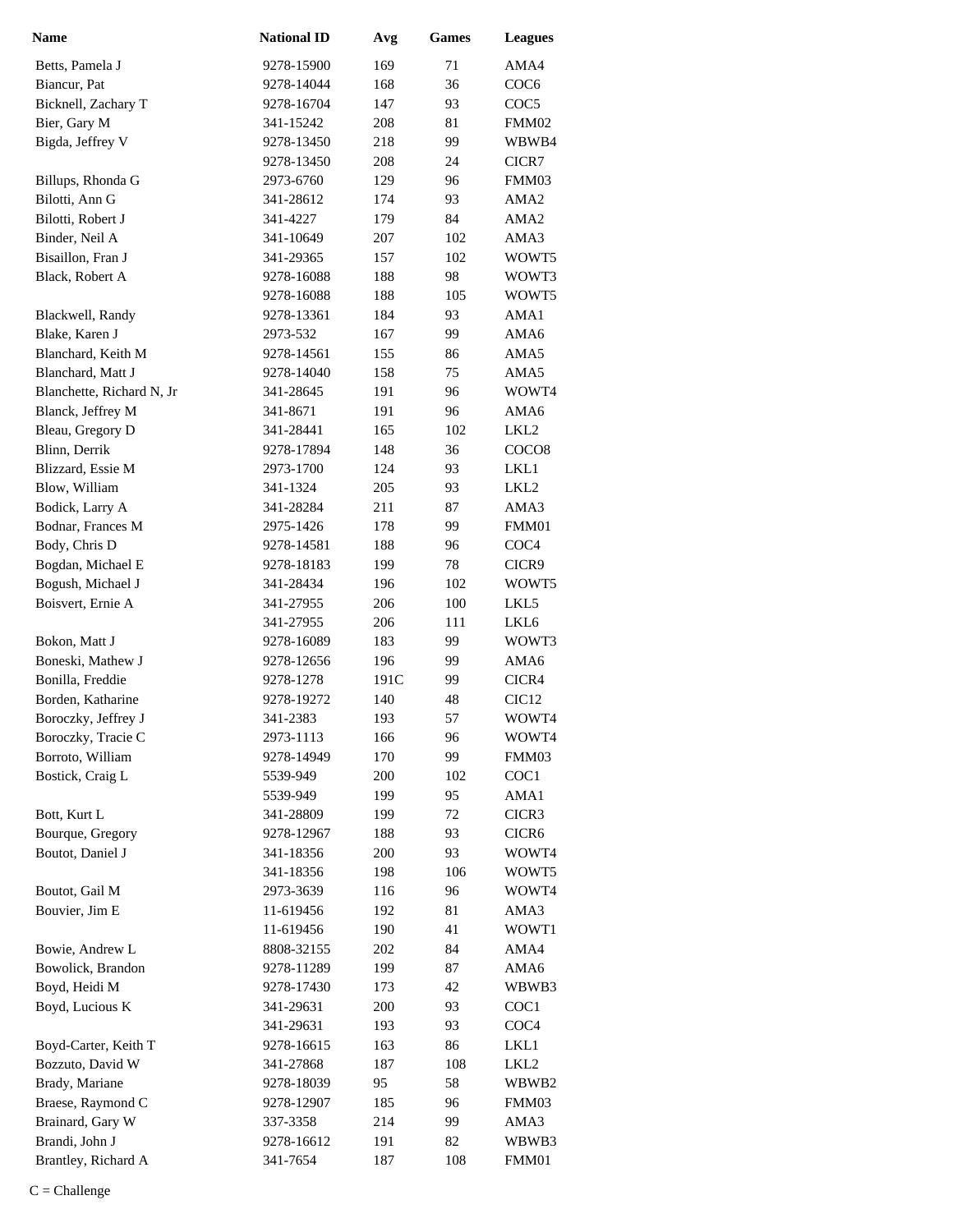| <b>Name</b>               | <b>National ID</b> | Avg  | <b>Games</b> | <b>Leagues</b>    |
|---------------------------|--------------------|------|--------------|-------------------|
| Betts, Pamela J           | 9278-15900         | 169  | 71           | AMA4              |
| Biancur, Pat              | 9278-14044         | 168  | 36           | COC <sub>6</sub>  |
| Bicknell, Zachary T       | 9278-16704         | 147  | 93           | COC <sub>5</sub>  |
| Bier, Gary M              | 341-15242          | 208  | 81           | FMM02             |
| Bigda, Jeffrey V          | 9278-13450         | 218  | 99           | WBWB4             |
|                           | 9278-13450         | 208  | 24           | CICR7             |
| Billups, Rhonda G         | 2973-6760          | 129  | 96           | FMM03             |
| Bilotti, Ann G            | 341-28612          | 174  | 93           | AMA <sub>2</sub>  |
| Bilotti, Robert J         | 341-4227           | 179  | 84           | AMA <sub>2</sub>  |
| Binder, Neil A            | 341-10649          | 207  | 102          | AMA3              |
| Bisaillon, Fran J         | 341-29365          | 157  | 102          | WOWT5             |
| Black, Robert A           | 9278-16088         | 188  | 98           | WOWT3             |
|                           | 9278-16088         | 188  | 105          | WOWT5             |
| Blackwell, Randy          | 9278-13361         | 184  | 93           | AMA1              |
| Blake, Karen J            | 2973-532           | 167  | 99           | AMA6              |
| Blanchard, Keith M        | 9278-14561         | 155  | 86           | AMA5              |
| Blanchard, Matt J         | 9278-14040         | 158  | 75           | AMA5              |
| Blanchette, Richard N, Jr | 341-28645          | 191  | 96           | WOWT4             |
| Blanck, Jeffrey M         | 341-8671           | 191  | 96           | AMA6              |
| Bleau, Gregory D          | 341-28441          | 165  | 102          | LKL <sub>2</sub>  |
| Blinn, Derrik             | 9278-17894         | 148  | 36           | COCO <sub>8</sub> |
| Blizzard, Essie M         | 2973-1700          | 124  | 93           | LKL1              |
| Blow, William             | 341-1324           | 205  | 93           | LKL <sub>2</sub>  |
| Bodick, Larry A           | 341-28284          | 211  | 87           | AMA3              |
| Bodnar, Frances M         | 2975-1426          | 178  | 99           | FMM01             |
| Body, Chris D             | 9278-14581         | 188  | 96           | COC <sub>4</sub>  |
| Bogdan, Michael E         | 9278-18183         | 199  | 78           | CICR9             |
| Bogush, Michael J         | 341-28434          | 196  | 102          | WOWT5             |
| Boisvert, Ernie A         | 341-27955          | 206  | 100          | LKL5              |
|                           | 341-27955          | 206  | 111          | LKL6              |
| Bokon, Matt J             | 9278-16089         | 183  | 99           | WOWT3             |
| Boneski, Mathew J         | 9278-12656         | 196  | 99           | AMA6              |
| Bonilla, Freddie          | 9278-1278          | 191C | 99           | CICR4             |
| Borden, Katharine         | 9278-19272         | 140  | 48           | CIC <sub>12</sub> |
| Boroczky, Jeffrey J       | 341-2383           | 193  | 57           | WOWT4             |
| Boroczky, Tracie C        | 2973-1113          | 166  | 96           | WOWT4             |
| Borroto, William          | 9278-14949         | 170  | 99           | FMM03             |
| Bostick, Craig L          | 5539-949           | 200  | 102          | COC1              |
|                           | 5539-949           | 199  | 95           | AMA1              |
| Bott, Kurt L              | 341-28809          | 199  | 72           | CICR3             |
| Bourque, Gregory          | 9278-12967         | 188  | 93           | CICR <sub>6</sub> |
| Boutot, Daniel J          | 341-18356          | 200  | 93           | WOWT4             |
|                           | 341-18356          | 198  | 106          | WOWT5             |
| Boutot, Gail M            | 2973-3639          | 116  | 96           | WOWT4             |
| Bouvier, Jim E            | 11-619456          | 192  | 81           | AMA3              |
|                           | 11-619456          | 190  | 41           | WOWT1             |
| Bowie, Andrew L           | 8808-32155         | 202  | 84           | AMA4              |
| Bowolick, Brandon         | 9278-11289         | 199  | 87           | AMA6              |
| Boyd, Heidi M             | 9278-17430         | 173  | 42           | WBWB3             |
| Boyd, Lucious K           | 341-29631          | 200  | 93           | COC <sub>1</sub>  |
|                           | 341-29631          | 193  | 93           | COC <sub>4</sub>  |
| Boyd-Carter, Keith T      | 9278-16615         | 163  | 86           | LKL1              |
| Bozzuto, David W          | 341-27868          | 187  | 108          | LKL <sub>2</sub>  |
| Brady, Mariane            | 9278-18039         | 95   | 58           | WBWB2             |
| Braese, Raymond C         | 9278-12907         | 185  | 96           | FMM03             |
| Brainard, Gary W          | 337-3358           | 214  | 99           | AMA3              |
| Brandi, John J            | 9278-16612         | 191  | 82           | WBWB3             |
| Brantley, Richard A       | 341-7654           | 187  | 108          | FMM01             |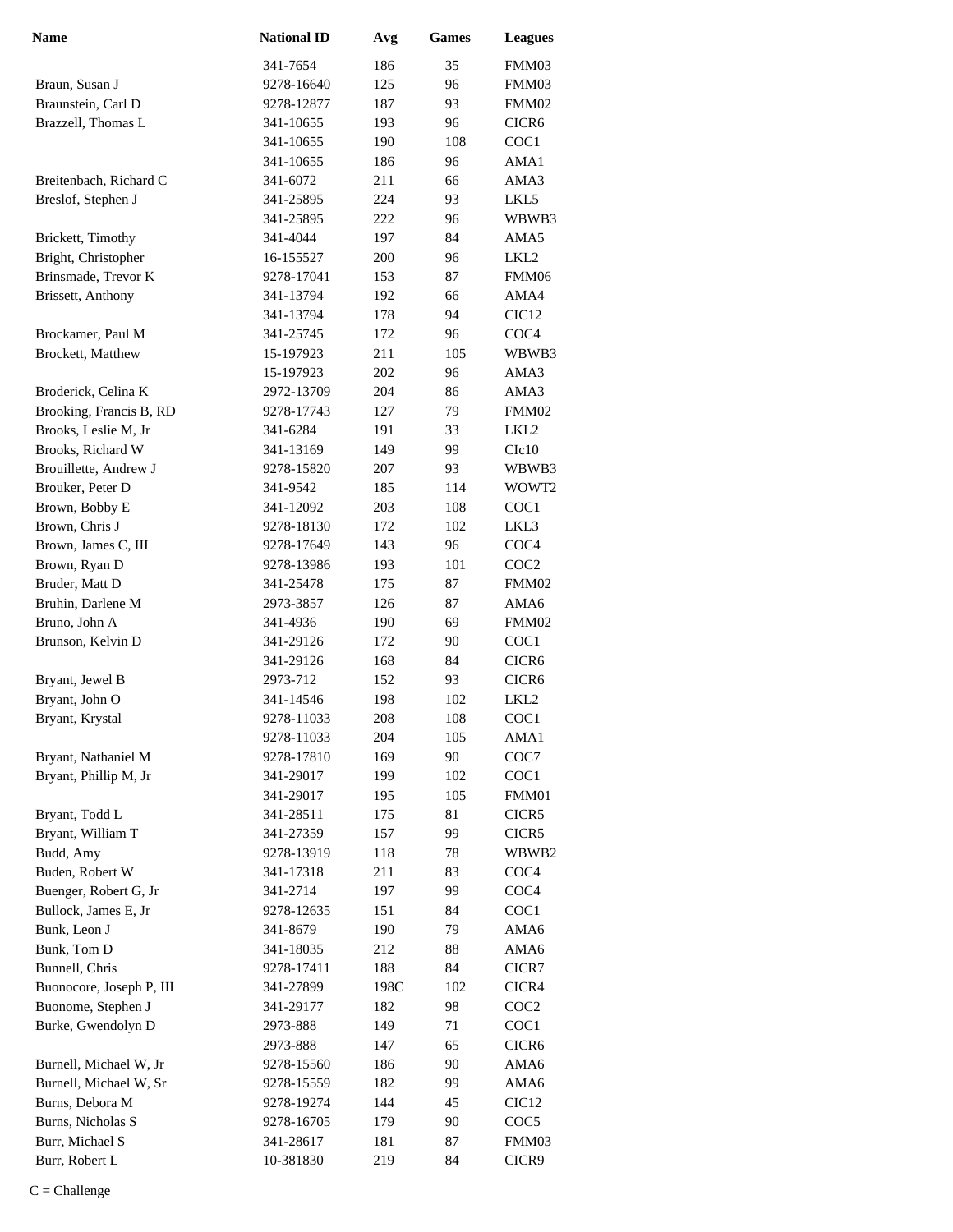| <b>Name</b>              | <b>National ID</b> | Avg  | <b>Games</b> | <b>Leagues</b>    |
|--------------------------|--------------------|------|--------------|-------------------|
|                          | 341-7654           | 186  | 35           | FMM03             |
| Braun, Susan J           | 9278-16640         | 125  | 96           | FMM03             |
| Braunstein, Carl D       | 9278-12877         | 187  | 93           | FMM02             |
| Brazzell, Thomas L       | 341-10655          | 193  | 96           | CICR <sub>6</sub> |
|                          | 341-10655          | 190  | 108          | COC <sub>1</sub>  |
|                          | 341-10655          | 186  | 96           | AMA1              |
| Breitenbach, Richard C   | 341-6072           | 211  | 66           | AMA3              |
| Breslof, Stephen J       | 341-25895          | 224  | 93           | LKL5              |
|                          | 341-25895          | 222  | 96           | WBWB3             |
| Brickett, Timothy        | 341-4044           | 197  | 84           | AMA5              |
| Bright, Christopher      | 16-155527          | 200  | 96           | LKL <sub>2</sub>  |
| Brinsmade, Trevor K      | 9278-17041         | 153  | 87           | FMM06             |
| Brissett, Anthony        | 341-13794          | 192  | 66           | AMA4              |
|                          | 341-13794          | 178  | 94           | CIC <sub>12</sub> |
| Brockamer, Paul M        | 341-25745          | 172  | 96           | COC <sub>4</sub>  |
| Brockett, Matthew        | 15-197923          | 211  | 105          | WBWB3             |
|                          | 15-197923          | 202  | 96           | AMA3              |
| Broderick, Celina K      | 2972-13709         | 204  | 86           | AMA3              |
| Brooking, Francis B, RD  | 9278-17743         | 127  | 79           | FMM02             |
| Brooks, Leslie M, Jr     | 341-6284           | 191  | 33           | LKL <sub>2</sub>  |
| Brooks, Richard W        | 341-13169          | 149  | 99           | Clc10             |
| Brouillette, Andrew J    | 9278-15820         | 207  | 93           | WBWB3             |
| Brouker, Peter D         | 341-9542           | 185  | 114          | WOWT2             |
| Brown, Bobby E           | 341-12092          | 203  | 108          | COC1              |
| Brown, Chris J           | 9278-18130         | 172  | 102          | LKL3              |
| Brown, James C, III      | 9278-17649         | 143  | 96           | COC <sub>4</sub>  |
| Brown, Ryan D            | 9278-13986         | 193  | 101          | COC <sub>2</sub>  |
| Bruder, Matt D           | 341-25478          | 175  | 87           | FMM02             |
| Bruhin, Darlene M        | 2973-3857          | 126  | 87           | AMA6              |
| Bruno, John A            | 341-4936           | 190  | 69           | FMM02             |
| Brunson, Kelvin D        | 341-29126          | 172  | 90           | COC <sub>1</sub>  |
|                          | 341-29126          | 168  | 84           | CICR <sub>6</sub> |
| Bryant, Jewel B          | 2973-712           | 152  | 93           | CICR <sub>6</sub> |
| Bryant, John O           | 341-14546          | 198  | 102          | LKL <sub>2</sub>  |
| Bryant, Krystal          | 9278-11033         | 208  | 108          | COC1              |
|                          | 9278-11033         | 204  | 105          | AMA1              |
| Bryant, Nathaniel M      | 9278-17810         | 169  | 90           | COC7              |
| Bryant, Phillip M, Jr    | 341-29017          | 199  | 102          | COC <sub>1</sub>  |
|                          | 341-29017          | 195  | 105          | FMM01             |
| Bryant, Todd L           | 341-28511          | 175  | 81           | CICR5             |
| Bryant, William T        | 341-27359          | 157  | 99           | CICR5             |
| Budd, Amy                | 9278-13919         | 118  | 78           | WBWB2             |
| Buden, Robert W          | 341-17318          | 211  | 83           | COC <sub>4</sub>  |
| Buenger, Robert G, Jr    | 341-2714           | 197  | 99           | COC <sub>4</sub>  |
| Bullock, James E, Jr     | 9278-12635         | 151  | 84           | COC1              |
| Bunk, Leon J             | 341-8679           | 190  | 79           | AMA6              |
| Bunk, Tom D              | 341-18035          | 212  | 88           | AMA6              |
| Bunnell, Chris           | 9278-17411         | 188  | 84           | CICR7             |
| Buonocore, Joseph P, III | 341-27899          | 198C | 102          | CICR4             |
| Buonome, Stephen J       | 341-29177          | 182  | 98           | COC <sub>2</sub>  |
| Burke, Gwendolyn D       | 2973-888           | 149  | 71           | COC <sub>1</sub>  |
|                          | 2973-888           | 147  | 65           | CICR <sub>6</sub> |
| Burnell, Michael W, Jr   | 9278-15560         | 186  | 90           | AMA6              |
| Burnell, Michael W, Sr   | 9278-15559         | 182  | 99           | AMA6              |
| Burns, Debora M          | 9278-19274         | 144  | 45           | CIC <sub>12</sub> |
| Burns, Nicholas S        | 9278-16705         | 179  | 90           | COC <sub>5</sub>  |
| Burr, Michael S          | 341-28617          | 181  | 87           | FMM03             |
| Burr, Robert L           | 10-381830          | 219  | 84           | CICR9             |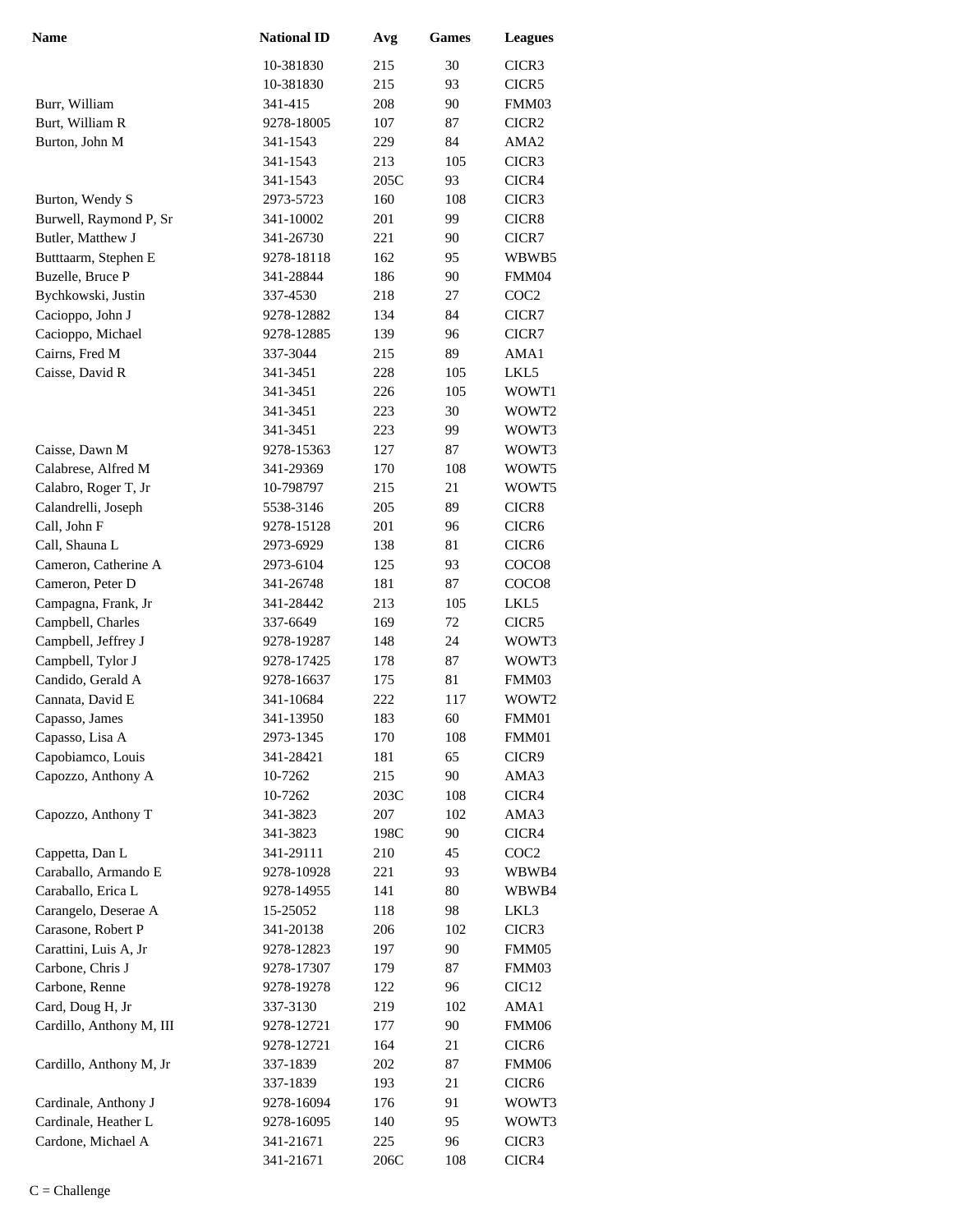| <b>Name</b>                            | <b>National ID</b>      | Avg             | Games     | <b>Leagues</b>    |
|----------------------------------------|-------------------------|-----------------|-----------|-------------------|
|                                        | 10-381830               | 215             | 30        | CICR3             |
|                                        | 10-381830               | 215             | 93        | CICR5             |
| Burr, William                          | 341-415                 | 208             | 90        | FMM03             |
| Burt, William R                        | 9278-18005              | 107             | 87        | CICR <sub>2</sub> |
| Burton, John M                         | 341-1543                | 229             | 84        | AMA <sub>2</sub>  |
|                                        | 341-1543                | 213             | 105       | CICR3             |
|                                        | 341-1543                | 205C            | 93        | CICR4             |
| Burton, Wendy S                        | 2973-5723               | 160             | 108       | CICR3             |
| Burwell, Raymond P, Sr                 | 341-10002               | 201             | 99        | CICR8             |
| Butler, Matthew J                      | 341-26730               | 221             | 90        | CICR7             |
| Butttaarm, Stephen E                   | 9278-18118              | 162             | 95        | WBWB5             |
| Buzelle, Bruce P                       | 341-28844               | 186             | 90        | FMM04             |
| Bychkowski, Justin                     | 337-4530                | 218             | 27        | COC <sub>2</sub>  |
| Cacioppo, John J                       | 9278-12882              | 134             | 84        | CICR7             |
| Cacioppo, Michael                      | 9278-12885              | 139             | 96        | CICR7             |
| Cairns, Fred M                         | 337-3044                | 215             | 89        | AMA1              |
| Caisse, David R                        | 341-3451                | 228             | 105       | LKL5              |
|                                        | 341-3451                | 226             | 105       | WOWT1             |
|                                        | 341-3451                | 223             | 30        | WOWT2             |
|                                        | 341-3451                | 223             | 99        | WOWT3             |
| Caisse, Dawn M                         | 9278-15363              | 127             | 87        | WOWT3             |
| Calabrese, Alfred M                    | 341-29369               | 170             | 108       | WOWT5             |
| Calabro, Roger T, Jr                   | 10-798797               | 215             | 21        | WOWT5             |
| Calandrelli, Joseph                    | 5538-3146               | 205             | 89        | CICR8             |
| Call, John F                           | 9278-15128              | 201             | 96        | CICR <sub>6</sub> |
| Call, Shauna L                         | 2973-6929               | 138             | 81        | CICR <sub>6</sub> |
| Cameron, Catherine A                   | 2973-6104               | 125             | 93        | COCO <sub>8</sub> |
| Cameron, Peter D                       | 341-26748               | 181             | 87        | COCO <sub>8</sub> |
| Campagna, Frank, Jr                    | 341-28442               | 213             | 105       | LKL5              |
| Campbell, Charles                      | 337-6649                | 169             | 72        | CICR5             |
| Campbell, Jeffrey J                    | 9278-19287              | 148             | 24        | WOWT3             |
| Campbell, Tylor J<br>Candido, Gerald A | 9278-17425              | 178             | 87        | WOWT3<br>FMM03    |
| Cannata, David E                       | 9278-16637<br>341-10684 | 175<br>222      | 81<br>117 | WOWT2             |
|                                        | 341-13950               | 183             | 60        | FMM01             |
| Capasso, James<br>Capasso, Lisa A      | 2973-1345               | 170             | 108       | FMM01             |
| Capobiamco, Louis                      | 341-28421               | 181             | 65        | CICR9             |
| Capozzo, Anthony A                     | 10-7262                 | 215             | 90        | AMA3              |
|                                        | 10-7262                 | 203C            | 108       | CICR4             |
| Capozzo, Anthony T                     | 341-3823                | 207             | 102       | AMA3              |
|                                        | 341-3823                | 198C            | 90        | CICR4             |
| Cappetta, Dan L                        | 341-29111               | 210             | 45        | COC <sub>2</sub>  |
| Caraballo, Armando E                   | 9278-10928              | 221             | 93        | WBWB4             |
| Caraballo, Erica L                     | 9278-14955              | 141             | 80        | WBWB4             |
| Carangelo, Deserae A                   | 15-25052                | 118             | 98        | LKL3              |
| Carasone, Robert P                     | 341-20138               | 206             | 102       | CICR3             |
| Carattini, Luis A, Jr                  | 9278-12823              | 197             | 90        | FMM05             |
| Carbone, Chris J                       | 9278-17307              | 179             | 87        | FMM03             |
| Carbone, Renne                         | 9278-19278              | 122             | 96        | CIC <sub>12</sub> |
| Card, Doug H, Jr                       | 337-3130                | 219             | 102       | AMA1              |
| Cardillo, Anthony M, III               | 9278-12721              | 177             | 90        | FMM06             |
|                                        | 9278-12721              | 164             | 21        | CICR <sub>6</sub> |
| Cardillo, Anthony M, Jr                | 337-1839                | 202             | 87        | FMM06             |
|                                        | 337-1839                | 193             | 21        | CICR6             |
| Cardinale, Anthony J                   | 9278-16094              | 176             | 91        | WOWT3             |
| Cardinale, Heather L                   | 9278-16095              | 140             | 95        | WOWT3             |
| Cardone, Michael A                     | 341-21671               | 225             | 96        | CICR3             |
|                                        | 341-21671               | $206\mathrm{C}$ | 108       | CICR4             |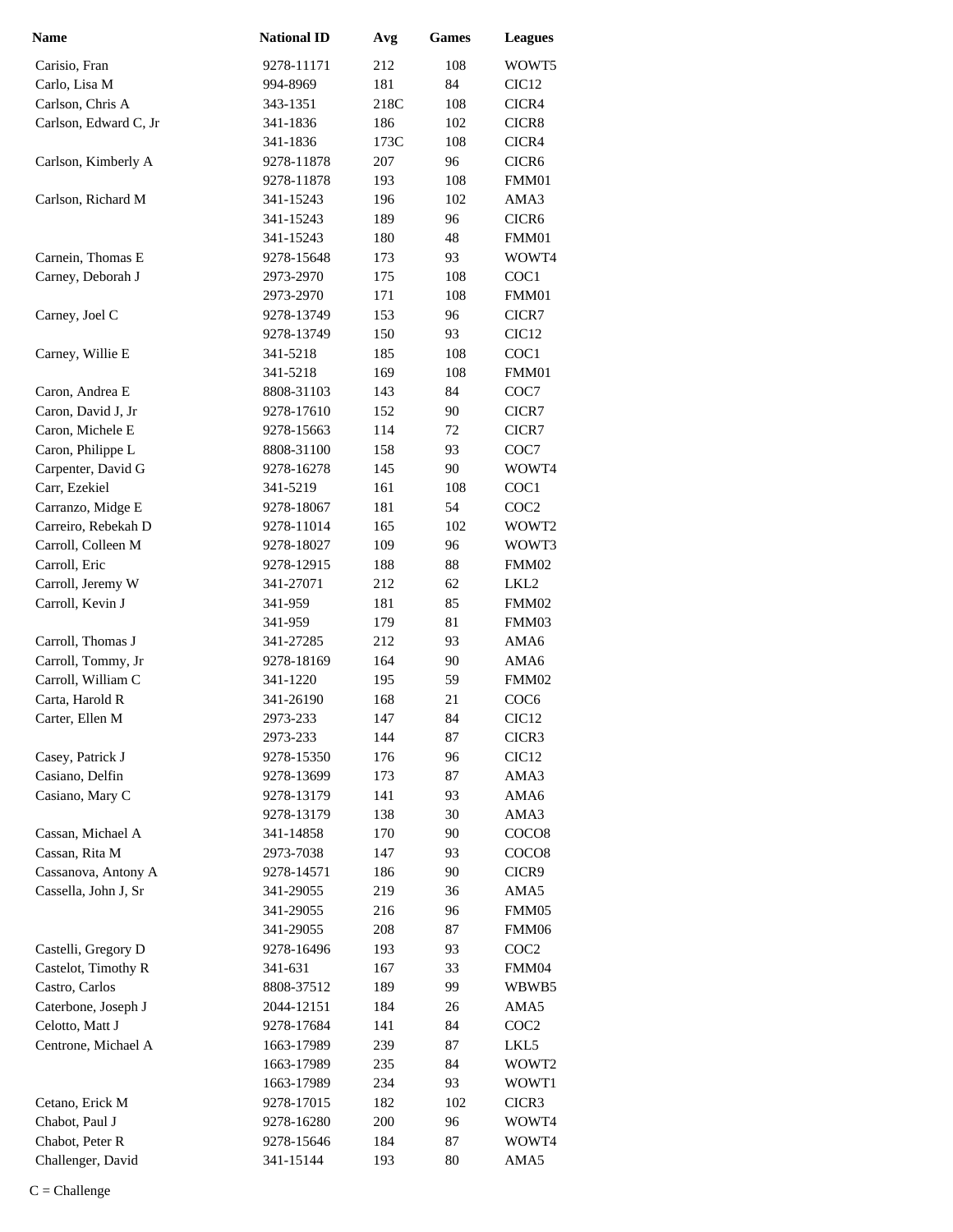| <b>Name</b>                         | <b>National ID</b>     | Avg        | <b>Games</b> | <b>Leagues</b>            |
|-------------------------------------|------------------------|------------|--------------|---------------------------|
| Carisio, Fran                       | 9278-11171             | 212        | 108          | WOWT5                     |
| Carlo, Lisa M                       | 994-8969               | 181        | 84           | CIC <sub>12</sub>         |
| Carlson, Chris A                    | 343-1351               | 218C       | 108          | CICR4                     |
| Carlson, Edward C, Jr               | 341-1836               | 186        | 102          | CICR8                     |
|                                     | 341-1836               | 173C       | 108          | CICR4                     |
| Carlson, Kimberly A                 | 9278-11878             | 207        | 96           | CICR6                     |
|                                     | 9278-11878             | 193        | 108          | FMM01                     |
| Carlson, Richard M                  | 341-15243              | 196        | 102          | AMA3                      |
|                                     | 341-15243              | 189        | 96           | CICR <sub>6</sub>         |
|                                     | 341-15243              | 180        | 48           | FMM01                     |
| Carnein, Thomas E                   | 9278-15648             | 173        | 93           | WOWT4                     |
| Carney, Deborah J                   | 2973-2970              | 175        | 108          | COC1                      |
|                                     | 2973-2970              | 171        | 108          | FMM01                     |
| Carney, Joel C                      | 9278-13749             | 153        | 96           | CICR7                     |
|                                     | 9278-13749             | 150        | 93           | CIC <sub>12</sub>         |
| Carney, Willie E                    | 341-5218               | 185        | 108          | COC1                      |
|                                     | 341-5218               | 169        | 108          | FMM01                     |
| Caron, Andrea E                     | 8808-31103             | 143        | 84           | COC7                      |
| Caron, David J, Jr                  | 9278-17610             | 152        | 90           | CICR7                     |
| Caron, Michele E                    | 9278-15663             | 114        | 72           | CICR7                     |
| Caron, Philippe L                   | 8808-31100             | 158        | 93           | COC7                      |
| Carpenter, David G                  | 9278-16278             | 145        | 90           | WOWT4                     |
| Carr, Ezekiel                       | 341-5219               | 161        | 108          | COC1                      |
| Carranzo, Midge E                   | 9278-18067             | 181        | 54           | COC <sub>2</sub>          |
| Carreiro, Rebekah D                 | 9278-11014             | 165        | 102          | WOWT2                     |
| Carroll, Colleen M                  | 9278-18027             | 109        | 96           | WOWT3                     |
| Carroll, Eric                       | 9278-12915             | 188        | 88           | FMM02                     |
| Carroll, Jeremy W                   | 341-27071              | 212        | 62           | LKL <sub>2</sub>          |
| Carroll, Kevin J                    | 341-959                | 181        | 85           | FMM02                     |
|                                     | 341-959                | 179        | 81           | FMM03                     |
| Carroll, Thomas J                   | 341-27285              | 212        | 93           | AMA6                      |
| Carroll, Tommy, Jr                  | 9278-18169             | 164        | 90           | AMA6                      |
| Carroll, William C                  | 341-1220               | 195        | 59           | FMM02                     |
| Carta, Harold R                     | 341-26190              | 168        | 21           | COC <sub>6</sub>          |
| Carter, Ellen M                     | 2973-233               | 147<br>144 | 84           | CIC <sub>12</sub>         |
|                                     | 2973-233<br>9278-15350 | 176        | 87           | CICR3                     |
| Casey, Patrick J<br>Casiano, Delfin | 9278-13699             | 173        | 96<br>87     | CIC <sub>12</sub><br>AMA3 |
| Casiano, Mary C                     | 9278-13179             | 141        | 93           | AMA6                      |
|                                     | 9278-13179             | 138        | 30           | AMA3                      |
| Cassan, Michael A                   | 341-14858              | 170        | 90           | COCO <sub>8</sub>         |
| Cassan, Rita M                      | 2973-7038              | 147        | 93           | COCO <sub>8</sub>         |
| Cassanova, Antony A                 | 9278-14571             | 186        | 90           | CICR9                     |
| Cassella, John J, Sr                | 341-29055              | 219        | 36           | AMA5                      |
|                                     | 341-29055              | 216        | 96           | FMM05                     |
|                                     | 341-29055              | 208        | 87           | FMM06                     |
| Castelli, Gregory D                 | 9278-16496             | 193        | 93           | COC <sub>2</sub>          |
| Castelot, Timothy R                 | 341-631                | 167        | 33           | FMM04                     |
| Castro, Carlos                      | 8808-37512             | 189        | 99           | WBWB5                     |
| Caterbone, Joseph J                 | 2044-12151             | 184        | 26           | AMA5                      |
| Celotto, Matt J                     | 9278-17684             | 141        | 84           | COC <sub>2</sub>          |
| Centrone, Michael A                 | 1663-17989             | 239        | 87           | LKL5                      |
|                                     | 1663-17989             | 235        | 84           | WOWT2                     |
|                                     | 1663-17989             | 234        | 93           | WOWT1                     |
| Cetano, Erick M                     | 9278-17015             | 182        | 102          | CICR3                     |
| Chabot, Paul J                      | 9278-16280             | 200        | 96           | WOWT4                     |
| Chabot, Peter R                     | 9278-15646             | 184        | 87           | WOWT4                     |
| Challenger, David                   | 341-15144              | 193        | 80           | AMA5                      |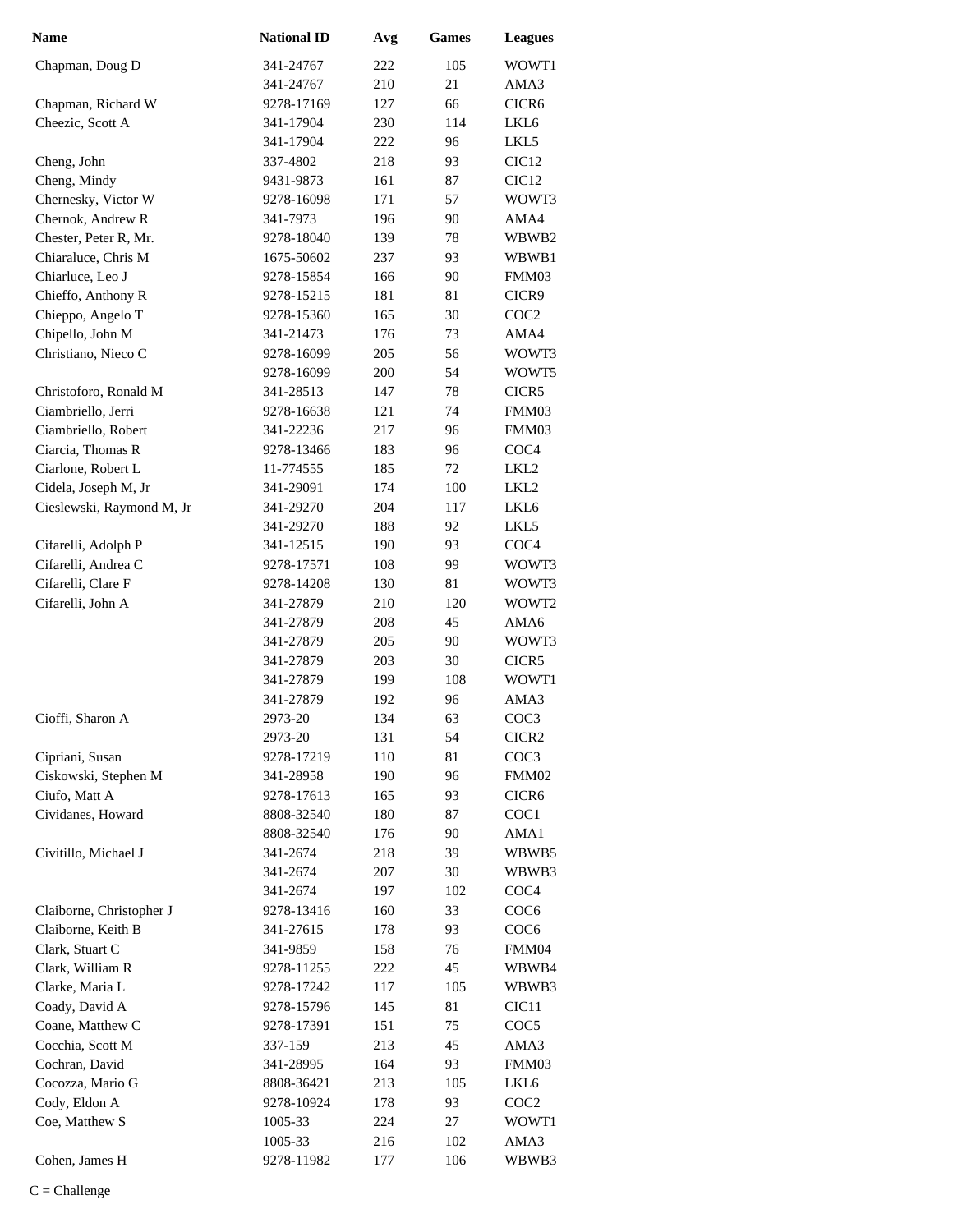| <b>Name</b>               | <b>National ID</b> | Avg | Games | <b>Leagues</b>    |
|---------------------------|--------------------|-----|-------|-------------------|
| Chapman, Doug D           | 341-24767          | 222 | 105   | WOWT1             |
|                           | 341-24767          | 210 | 21    | AMA3              |
| Chapman, Richard W        | 9278-17169         | 127 | 66    | CICR <sub>6</sub> |
| Cheezic, Scott A          | 341-17904          | 230 | 114   | LKL6              |
|                           | 341-17904          | 222 | 96    | LKL5              |
| Cheng, John               | 337-4802           | 218 | 93    | CIC <sub>12</sub> |
| Cheng, Mindy              | 9431-9873          | 161 | 87    | CIC <sub>12</sub> |
| Chernesky, Victor W       | 9278-16098         | 171 | 57    | WOWT3             |
| Chernok, Andrew R         | 341-7973           | 196 | 90    | AMA4              |
| Chester, Peter R, Mr.     | 9278-18040         | 139 | 78    | WBWB2             |
| Chiaraluce, Chris M       | 1675-50602         | 237 | 93    | WBWB1             |
| Chiarluce, Leo J          | 9278-15854         | 166 | 90    | FMM03             |
| Chieffo, Anthony R        | 9278-15215         | 181 | 81    | CICR9             |
| Chieppo, Angelo T         | 9278-15360         | 165 | 30    | COC <sub>2</sub>  |
| Chipello, John M          | 341-21473          | 176 | 73    | AMA4              |
| Christiano, Nieco C       | 9278-16099         | 205 | 56    | WOWT3             |
|                           | 9278-16099         | 200 | 54    | WOWT5             |
| Christoforo, Ronald M     | 341-28513          | 147 | 78    | CICR5             |
| Ciambriello, Jerri        | 9278-16638         | 121 | 74    | FMM03             |
| Ciambriello, Robert       | 341-22236          | 217 | 96    | FMM03             |
| Ciarcia, Thomas R         | 9278-13466         | 183 | 96    | COC <sub>4</sub>  |
| Ciarlone, Robert L        | 11-774555          | 185 | 72    | LKL <sub>2</sub>  |
| Cidela, Joseph M, Jr      | 341-29091          | 174 | 100   | LKL <sub>2</sub>  |
| Cieslewski, Raymond M, Jr | 341-29270          | 204 | 117   | LKL <sub>6</sub>  |
|                           | 341-29270          | 188 | 92    | LKL5              |
| Cifarelli, Adolph P       | 341-12515          | 190 | 93    | COC <sub>4</sub>  |
| Cifarelli, Andrea C       | 9278-17571         | 108 | 99    | WOWT3             |
| Cifarelli, Clare F        | 9278-14208         | 130 | 81    | WOWT3             |
| Cifarelli, John A         | 341-27879          | 210 | 120   | WOWT2             |
|                           | 341-27879          | 208 | 45    | AMA6              |
|                           | 341-27879          | 205 | 90    | WOWT3             |
|                           | 341-27879          | 203 | 30    | CICR <sub>5</sub> |
|                           | 341-27879          | 199 | 108   | WOWT1             |
|                           | 341-27879          | 192 | 96    | AMA3              |
| Cioffi. Sharon A          | 2973-20            | 134 | 63    | COC <sub>3</sub>  |
|                           | 2973-20            | 131 | 54    | CICR <sub>2</sub> |
| Cipriani, Susan           | 9278-17219         | 110 | 81    | COC <sub>3</sub>  |
| Ciskowski, Stephen M      | 341-28958          | 190 | 96    | FMM02             |
| Ciufo, Matt A             | 9278-17613         | 165 | 93    | CICR <sub>6</sub> |
| Cividanes, Howard         | 8808-32540         | 180 | 87    | COC1              |
|                           | 8808-32540         | 176 | 90    | AMA1              |
| Civitillo, Michael J      | 341-2674           | 218 | 39    | WBWB5             |
|                           | 341-2674           | 207 | 30    | WBWB3             |
|                           | 341-2674           | 197 | 102   | COC <sub>4</sub>  |
| Claiborne, Christopher J  | 9278-13416         | 160 | 33    | COC <sub>6</sub>  |
| Claiborne, Keith B        | 341-27615          | 178 | 93    | COC <sub>6</sub>  |
| Clark, Stuart C           | 341-9859           | 158 | 76    | FMM04             |
| Clark, William R          | 9278-11255         | 222 | 45    | WBWB4             |
| Clarke, Maria L           | 9278-17242         | 117 | 105   | WBWB3             |
| Coady, David A            | 9278-15796         | 145 | 81    | CIC <sub>11</sub> |
| Coane, Matthew C          | 9278-17391         | 151 | 75    | COC <sub>5</sub>  |
| Cocchia, Scott M          | 337-159            | 213 | 45    | AMA3              |
| Cochran, David            | 341-28995          | 164 | 93    | FMM03             |
| Cocozza, Mario G          | 8808-36421         | 213 | 105   | LKL6              |
| Cody, Eldon A             | 9278-10924         | 178 | 93    | COC <sub>2</sub>  |
| Coe, Matthew S            | 1005-33            | 224 | 27    | WOWT1             |
|                           | 1005-33            | 216 | 102   | AMA3              |
| Cohen, James H            | 9278-11982         | 177 | 106   | WBWB3             |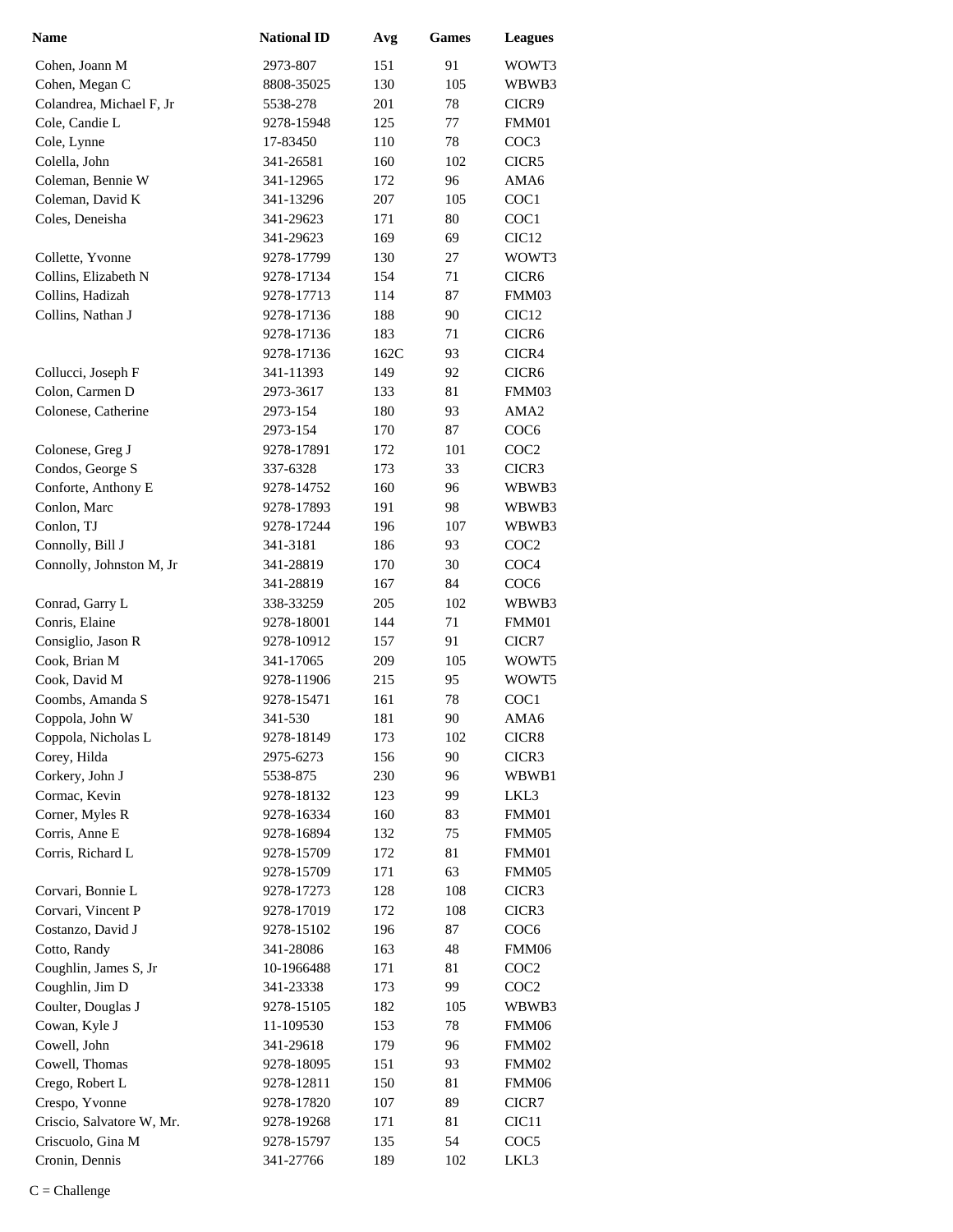| <b>Name</b>               | <b>National ID</b> | Avg  | Games | <b>Leagues</b>    |
|---------------------------|--------------------|------|-------|-------------------|
| Cohen, Joann M            | 2973-807           | 151  | 91    | WOWT3             |
| Cohen, Megan C            | 8808-35025         | 130  | 105   | WBWB3             |
| Colandrea, Michael F, Jr  | 5538-278           | 201  | 78    | CICR9             |
| Cole, Candie L            | 9278-15948         | 125  | 77    | FMM01             |
| Cole, Lynne               | 17-83450           | 110  | 78    | COC <sub>3</sub>  |
| Colella, John             | 341-26581          | 160  | 102   | CICR5             |
| Coleman, Bennie W         | 341-12965          | 172  | 96    | AMA6              |
| Coleman, David K          | 341-13296          | 207  | 105   | COC1              |
| Coles, Deneisha           | 341-29623          | 171  | 80    | COC1              |
|                           | 341-29623          | 169  | 69    | CIC <sub>12</sub> |
| Collette, Yvonne          | 9278-17799         | 130  | 27    | WOWT3             |
| Collins, Elizabeth N      | 9278-17134         | 154  | 71    | CICR <sub>6</sub> |
| Collins, Hadizah          | 9278-17713         | 114  | 87    | FMM03             |
| Collins, Nathan J         | 9278-17136         | 188  | 90    | CIC <sub>12</sub> |
|                           | 9278-17136         | 183  | 71    | CICR <sub>6</sub> |
|                           | 9278-17136         | 162C | 93    | CICR4             |
| Collucci, Joseph F        | 341-11393          | 149  | 92    | CICR <sub>6</sub> |
| Colon, Carmen D           | 2973-3617          | 133  | 81    | FMM03             |
| Colonese, Catherine       | 2973-154           | 180  | 93    | AMA2              |
|                           | 2973-154           | 170  | 87    | COC <sub>6</sub>  |
| Colonese, Greg J          | 9278-17891         | 172  | 101   | COC <sub>2</sub>  |
| Condos, George S          | 337-6328           | 173  | 33    | CICR3             |
| Conforte, Anthony E       | 9278-14752         | 160  | 96    | WBWB3             |
| Conlon, Marc              | 9278-17893         | 191  | 98    | WBWB3             |
| Conlon, TJ                | 9278-17244         | 196  | 107   | WBWB3             |
| Connolly, Bill J          | 341-3181           | 186  | 93    | COC <sub>2</sub>  |
| Connolly, Johnston M, Jr  | 341-28819          | 170  | 30    | COC <sub>4</sub>  |
|                           | 341-28819          | 167  | 84    | COC <sub>6</sub>  |
| Conrad, Garry L           | 338-33259          | 205  | 102   | WBWB3             |
| Conris, Elaine            | 9278-18001         | 144  | 71    | FMM01             |
| Consiglio, Jason R        | 9278-10912         | 157  | 91    | CICR7             |
| Cook, Brian M             | 341-17065          | 209  | 105   | WOWT5             |
| Cook, David M             | 9278-11906         | 215  | 95    | WOWT5             |
| Coombs, Amanda S          | 9278-15471         | 161  | 78    | COC1              |
| Coppola, John W           | 341-530            | 181  | 90    | AMA6              |
| Coppola, Nicholas L       | 9278-18149         | 173  | 102   | CICR8             |
| Corey, Hilda              | 2975-6273          | 156  | 90    | CICR3             |
| Corkery, John J           | 5538-875           | 230  | 96    | WBWB1             |
| Cormac, Kevin             | 9278-18132         | 123  | 99    | LKL3              |
| Corner, Myles R           | 9278-16334         | 160  | 83    | FMM01             |
| Corris, Anne E            | 9278-16894         | 132  | 75    | FMM05             |
| Corris, Richard L         | 9278-15709         | 172  | 81    | FMM01             |
|                           | 9278-15709         | 171  | 63    | FMM05             |
| Corvari, Bonnie L         | 9278-17273         | 128  | 108   | CICR3             |
| Corvari, Vincent P        | 9278-17019         | 172  | 108   | CICR3             |
| Costanzo, David J         | 9278-15102         | 196  | 87    | COC <sub>6</sub>  |
| Cotto, Randy              | 341-28086          | 163  | 48    | FMM06             |
| Coughlin, James S, Jr     | 10-1966488         | 171  | 81    | COC <sub>2</sub>  |
| Coughlin, Jim D           | 341-23338          | 173  | 99    | COC <sub>2</sub>  |
| Coulter, Douglas J        | 9278-15105         | 182  | 105   | WBWB3             |
| Cowan, Kyle J             | 11-109530          | 153  | 78    | FMM06             |
| Cowell, John              | 341-29618          | 179  | 96    | FMM02             |
| Cowell, Thomas            | 9278-18095         | 151  | 93    | FMM02             |
| Crego, Robert L           | 9278-12811         | 150  | 81    | FMM06             |
| Crespo, Yvonne            | 9278-17820         | 107  | 89    | CICR7             |
| Criscio, Salvatore W, Mr. | 9278-19268         | 171  | 81    | CIC <sub>11</sub> |
| Criscuolo, Gina M         | 9278-15797         | 135  | 54    | COC5              |
| Cronin, Dennis            | 341-27766          | 189  | 102   | LKL3              |
|                           |                    |      |       |                   |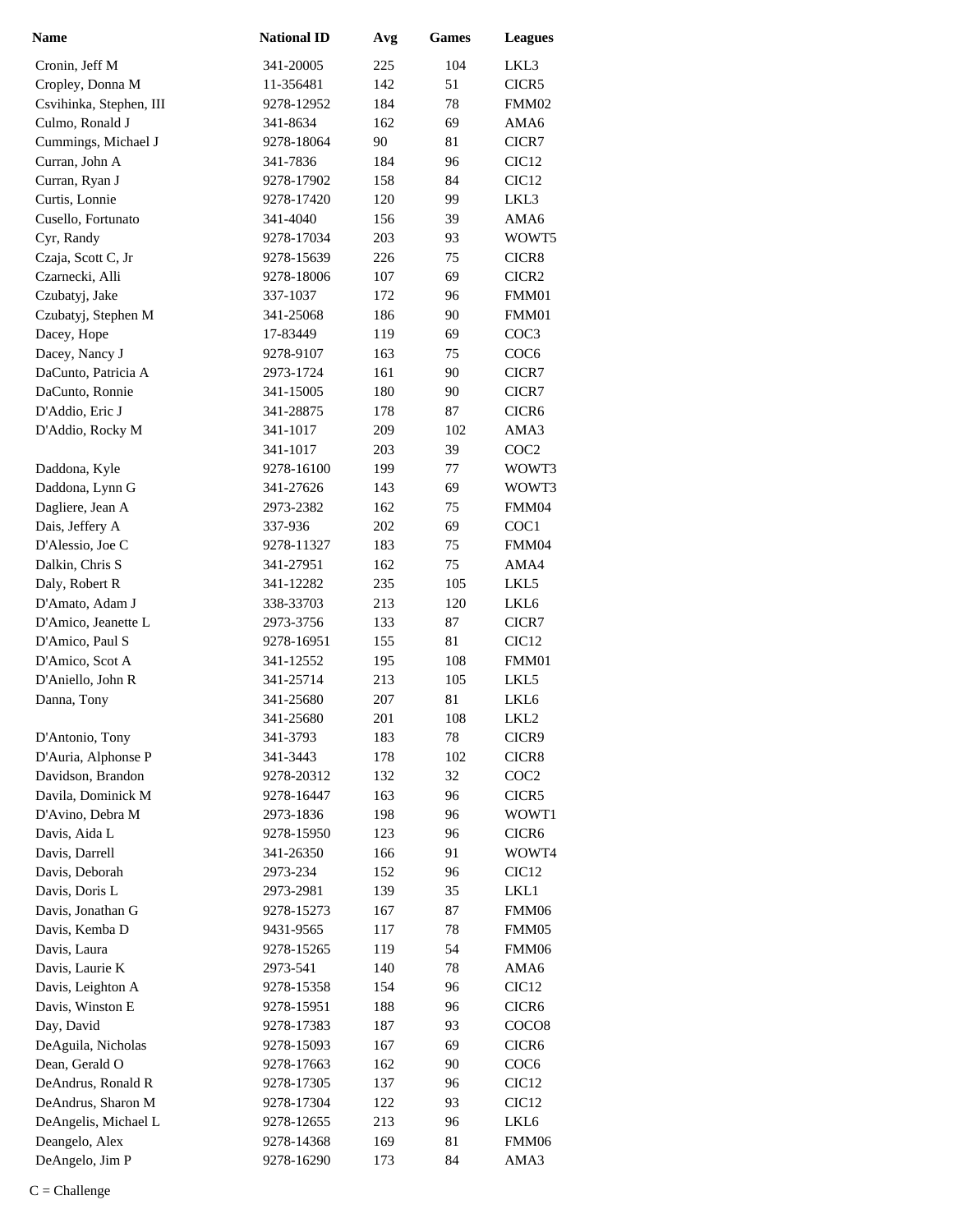| Name                    | <b>National ID</b> | Avg | <b>Games</b> | <b>Leagues</b>    |
|-------------------------|--------------------|-----|--------------|-------------------|
| Cronin, Jeff M          | 341-20005          | 225 | 104          | LKL3              |
| Cropley, Donna M        | 11-356481          | 142 | 51           | CICR5             |
| Csvihinka, Stephen, III | 9278-12952         | 184 | 78           | FMM02             |
| Culmo, Ronald J         | 341-8634           | 162 | 69           | AMA6              |
| Cummings, Michael J     | 9278-18064         | 90  | 81           | CICR7             |
| Curran, John A          | 341-7836           | 184 | 96           | CIC <sub>12</sub> |
| Curran, Ryan J          | 9278-17902         | 158 | 84           | CIC <sub>12</sub> |
| Curtis, Lonnie          | 9278-17420         | 120 | 99           | LKL3              |
| Cusello, Fortunato      | 341-4040           | 156 | 39           | AMA6              |
| Cyr, Randy              | 9278-17034         | 203 | 93           | WOWT5             |
| Czaja, Scott C, Jr      | 9278-15639         | 226 | 75           | CICR8             |
| Czarnecki, Alli         | 9278-18006         | 107 | 69           | CICR <sub>2</sub> |
| Czubatyj, Jake          | 337-1037           | 172 | 96           | FMM01             |
| Czubatyj, Stephen M     | 341-25068          | 186 | 90           | FMM01             |
| Dacey, Hope             | 17-83449           | 119 | 69           | COC <sub>3</sub>  |
| Dacey, Nancy J          | 9278-9107          | 163 | 75           | COC <sub>6</sub>  |
| DaCunto, Patricia A     | 2973-1724          | 161 | 90           | CICR7             |
| DaCunto, Ronnie         | 341-15005          | 180 | 90           | CICR7             |
| D'Addio, Eric J         | 341-28875          | 178 | 87           | CICR6             |
| D'Addio, Rocky M        | 341-1017           | 209 | 102          | AMA3              |
|                         | 341-1017           | 203 | 39           | COC <sub>2</sub>  |
| Daddona, Kyle           | 9278-16100         | 199 | 77           | WOWT3             |
| Daddona, Lynn G         | 341-27626          | 143 | 69           | WOWT3             |
| Dagliere, Jean A        | 2973-2382          | 162 | 75           | FMM04             |
| Dais, Jeffery A         | 337-936            | 202 | 69           | COC1              |
| D'Alessio, Joe C        | 9278-11327         | 183 | 75           | FMM04             |
| Dalkin, Chris S         | 341-27951          | 162 | 75           | AMA4              |
| Daly, Robert R          | 341-12282          | 235 | 105          | LKL5              |
| D'Amato, Adam J         | 338-33703          | 213 | 120          | LKL6              |
| D'Amico, Jeanette L     | 2973-3756          | 133 | 87           | CICR7             |
| D'Amico, Paul S         | 9278-16951         | 155 | 81           | CIC <sub>12</sub> |
| D'Amico, Scot A         | 341-12552          | 195 | 108          | FMM01             |
| D'Aniello, John R       | 341-25714          | 213 | 105          | LKL5              |
| Danna, Tony             | 341-25680          | 207 | 81           | LKL6              |
|                         | 341-25680          | 201 | 108          | LKL <sub>2</sub>  |
| D'Antonio, Tony         | 341-3793           | 183 | 78           | CICR9             |
| D'Auria, Alphonse P     | 341-3443           | 178 | 102          | CICR8             |
| Davidson, Brandon       | 9278-20312         | 132 | 32           | COC <sub>2</sub>  |
| Davila, Dominick M      | 9278-16447         | 163 | 96           | CICR5             |
| D'Avino, Debra M        | 2973-1836          | 198 | 96           | WOWT1             |
| Davis, Aida L           | 9278-15950         | 123 | 96           | CICR <sub>6</sub> |
| Davis, Darrell          | 341-26350          | 166 | 91           | WOWT4             |
| Davis, Deborah          | 2973-234           | 152 | 96           | CIC <sub>12</sub> |
| Davis, Doris L          | 2973-2981          | 139 | 35           | LKL1              |
| Davis, Jonathan G       | 9278-15273         | 167 | 87           | FMM06             |
| Davis, Kemba D          | 9431-9565          | 117 | 78           | FMM05             |
| Davis, Laura            | 9278-15265         | 119 | 54           | FMM06             |
| Davis, Laurie K         | 2973-541           | 140 | 78           | AMA6              |
| Davis, Leighton A       | 9278-15358         | 154 | 96           | CIC <sub>12</sub> |
| Davis, Winston E        | 9278-15951         | 188 | 96           | CICR <sub>6</sub> |
| Day, David              | 9278-17383         | 187 | 93           | COCO <sub>8</sub> |
| DeAguila, Nicholas      | 9278-15093         | 167 | 69           | CICR <sub>6</sub> |
| Dean, Gerald O          | 9278-17663         | 162 | 90           | COC <sub>6</sub>  |
| DeAndrus, Ronald R      | 9278-17305         | 137 | 96           | CIC <sub>12</sub> |
| DeAndrus, Sharon M      | 9278-17304         | 122 | 93           | CIC <sub>12</sub> |
| DeAngelis, Michael L    | 9278-12655         | 213 | 96           | LKL6              |
| Deangelo, Alex          | 9278-14368         | 169 | 81           | FMM06             |
| DeAngelo, Jim P         | 9278-16290         | 173 | 84           | AMA3              |
|                         |                    |     |              |                   |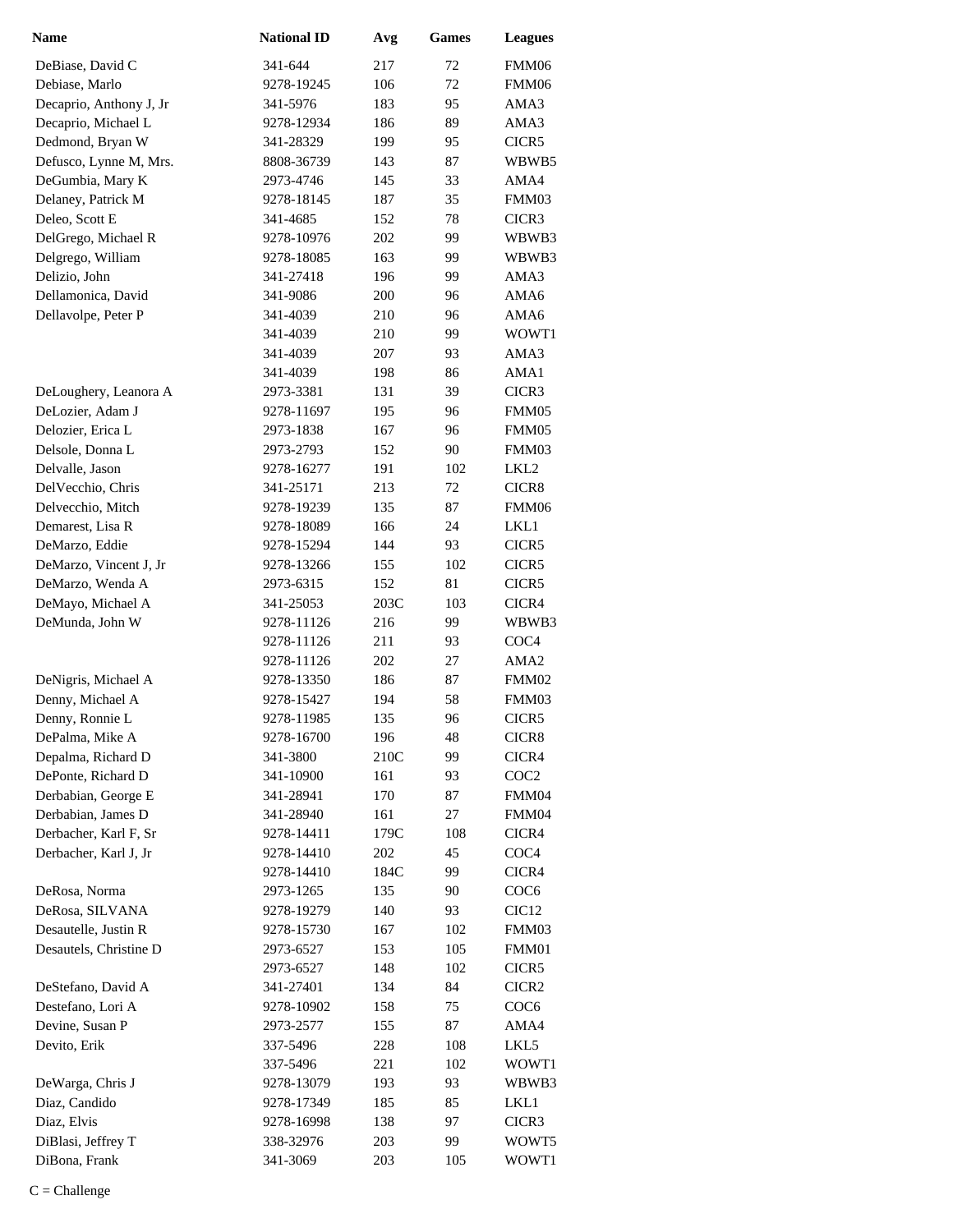| <b>Name</b>                          | <b>National ID</b>     | Avg        | <b>Games</b> | <b>Leagues</b>    |
|--------------------------------------|------------------------|------------|--------------|-------------------|
| DeBiase, David C                     | 341-644                | 217        | 72           | FMM06             |
| Debiase, Marlo                       | 9278-19245             | 106        | 72           | FMM06             |
| Decaprio, Anthony J, Jr              | 341-5976               | 183        | 95           | AMA3              |
| Decaprio, Michael L                  | 9278-12934             | 186        | 89           | AMA3              |
| Dedmond, Bryan W                     | 341-28329              | 199        | 95           | CICR5             |
| Defusco, Lynne M, Mrs.               | 8808-36739             | 143        | 87           | WBWB5             |
| DeGumbia, Mary K                     | 2973-4746              | 145        | 33           | AMA4              |
| Delaney, Patrick M                   | 9278-18145             | 187        | 35           | FMM03             |
| Deleo, Scott E                       | 341-4685               | 152        | 78           | CICR3             |
| DelGrego, Michael R                  | 9278-10976             | 202        | 99           | WBWB3             |
| Delgrego, William                    | 9278-18085             | 163        | 99           | WBWB3             |
| Delizio, John                        | 341-27418              | 196        | 99           | AMA3              |
| Dellamonica, David                   | 341-9086               | 200        | 96           | AMA6              |
| Dellavolpe, Peter P                  | 341-4039               | 210        | 96           | AMA6              |
|                                      | 341-4039               | 210        | 99           | WOWT1             |
|                                      | 341-4039               | 207        | 93           | AMA3              |
|                                      | 341-4039               | 198        | 86           | AMA1              |
| DeLoughery, Leanora A                | 2973-3381              | 131        | 39           | CICR3             |
| DeLozier, Adam J                     | 9278-11697             | 195        | 96           | FMM05             |
| Delozier, Erica L                    | 2973-1838              | 167        | 96           | FMM05             |
| Delsole, Donna L                     | 2973-2793              | 152        | 90           | FMM03             |
| Delvalle, Jason                      | 9278-16277             | 191        | 102          | LKL2              |
| DelVecchio, Chris                    | 341-25171              | 213        | 72           | CICR8             |
| Delvecchio, Mitch                    | 9278-19239             | 135        | 87           | FMM06             |
| Demarest, Lisa R                     | 9278-18089             | 166        | 24           | LKL1              |
| DeMarzo, Eddie                       | 9278-15294             | 144        | 93           | CICR5             |
| DeMarzo, Vincent J, Jr               | 9278-13266             | 155        | 102          | CICR5             |
| DeMarzo, Wenda A                     | 2973-6315              | 152        | 81           | CICR5             |
| DeMayo, Michael A                    | 341-25053              | 203C       | 103          | CICR4             |
| DeMunda, John W                      | 9278-11126             | 216        | 99           | WBWB3             |
|                                      | 9278-11126             | 211        | 93           | COC <sub>4</sub>  |
|                                      | 9278-11126             | 202        | 27           | AMA <sub>2</sub>  |
| DeNigris, Michael A                  | 9278-13350             | 186        | 87           | FMM02             |
| Denny, Michael A                     | 9278-15427             | 194        | 58           | FMM03             |
| Denny, Ronnie L                      | 9278-11985             | 135        | 96           | CICR <sub>5</sub> |
| DePalma, Mike A                      | 9278-16700             | 196        | 48           | CICR8             |
| Depalma, Richard D                   | 341-3800               | 210C       | 99           | CICR4             |
| DePonte, Richard D                   | 341-10900              | 161        | 93           | COC <sub>2</sub>  |
| Derbabian, George E                  | 341-28941              | 170        | 87           | FMM04             |
| Derbabian, James D                   | 341-28940              | 161        | 27           | FMM04             |
| Derbacher, Karl F, Sr                | 9278-14411             | 179C       | 108          | CICR4             |
| Derbacher, Karl J, Jr                | 9278-14410             | 202        | 45           | COC <sub>4</sub>  |
|                                      | 9278-14410             | 184C       | 99           | CICR4             |
| DeRosa, Norma                        | 2973-1265              | 135        | 90           | COC <sub>6</sub>  |
| DeRosa, SILVANA                      | 9278-19279             | 140        | 93           | CIC <sub>12</sub> |
| Desautelle, Justin R                 | 9278-15730             | 167        | 102          | FMM03             |
| Desautels, Christine D               | 2973-6527              | 153        | 105          | FMM01             |
|                                      | 2973-6527              | 148        | 102          | CICR5             |
| DeStefano, David A                   | 341-27401              | 134        | 84           | CICR <sub>2</sub> |
| Destefano, Lori A<br>Devine, Susan P | 9278-10902             | 158        | 75           | COC <sub>6</sub>  |
|                                      | 2973-2577              | 155        | 87           | AMA4              |
| Devito, Erik                         | 337-5496               | 228        | 108          | LKL5              |
| DeWarga, Chris J                     | 337-5496<br>9278-13079 | 221<br>193 | 102<br>93    | WOWT1<br>WBWB3    |
| Diaz, Candido                        | 9278-17349             | 185        | 85           | LKL1              |
| Diaz, Elvis                          | 9278-16998             | 138        | 97           | CICR3             |
| DiBlasi, Jeffrey T                   | 338-32976              | 203        | 99           | WOWT5             |
| DiBona, Frank                        | 341-3069               | 203        | 105          | WOWT1             |
|                                      |                        |            |              |                   |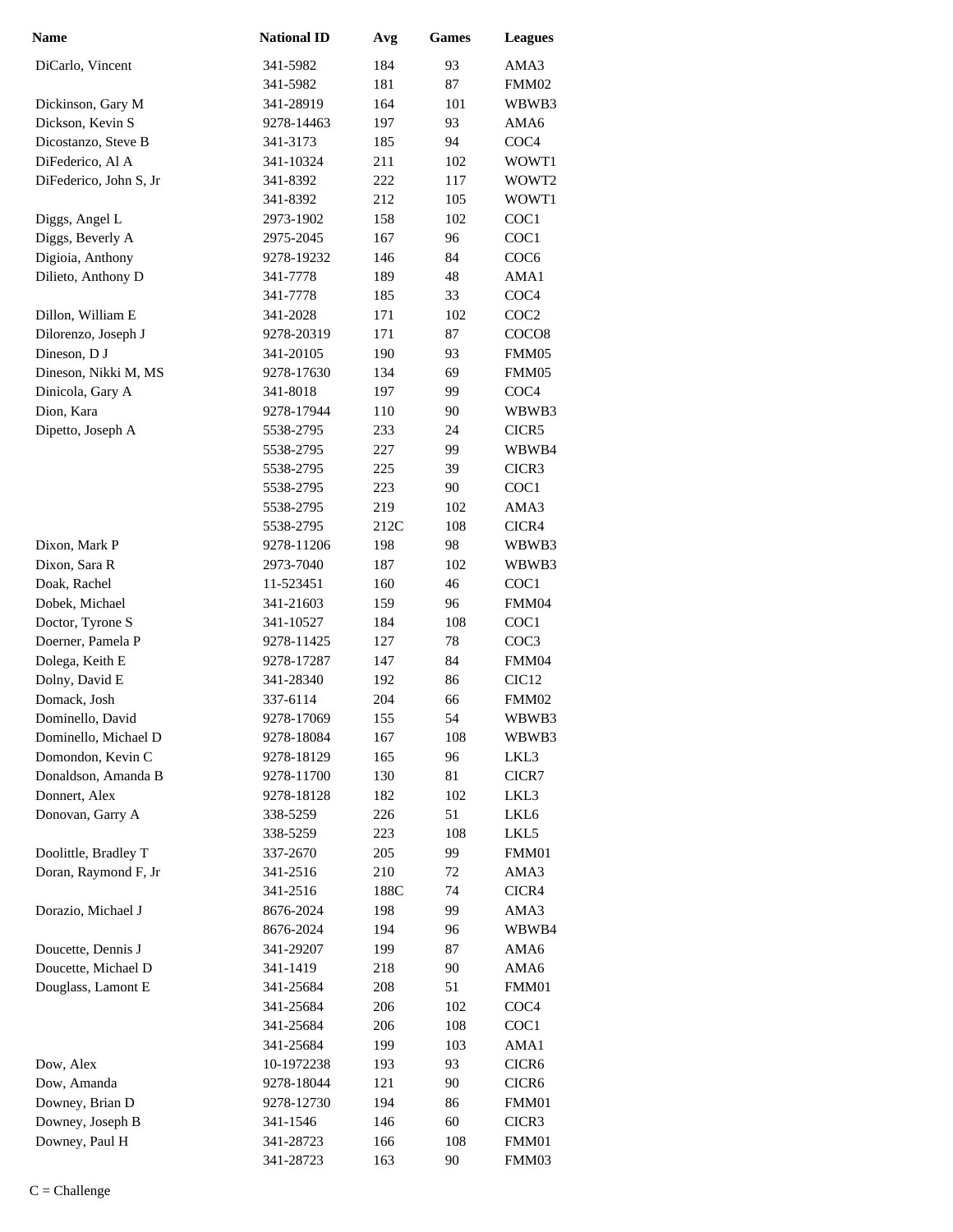| Name                   | <b>National ID</b> | Avg  | <b>Games</b> | <b>Leagues</b>    |
|------------------------|--------------------|------|--------------|-------------------|
| DiCarlo, Vincent       | 341-5982           | 184  | 93           | AMA3              |
|                        | 341-5982           | 181  | 87           | FMM02             |
| Dickinson, Gary M      | 341-28919          | 164  | 101          | WBWB3             |
| Dickson, Kevin S       | 9278-14463         | 197  | 93           | AMA6              |
| Dicostanzo, Steve B    | 341-3173           | 185  | 94           | COC <sub>4</sub>  |
| DiFederico, Al A       | 341-10324          | 211  | 102          | WOWT1             |
| DiFederico, John S, Jr | 341-8392           | 222  | 117          | WOWT2             |
|                        | 341-8392           | 212  | 105          | WOWT1             |
| Diggs, Angel L         | 2973-1902          | 158  | 102          | COC1              |
| Diggs, Beverly A       | 2975-2045          | 167  | 96           | COC1              |
| Digioia, Anthony       | 9278-19232         | 146  | 84           | COC <sub>6</sub>  |
| Dilieto, Anthony D     | 341-7778           | 189  | 48           | AMA1              |
|                        | 341-7778           | 185  | 33           | COC <sub>4</sub>  |
| Dillon, William E      | 341-2028           | 171  | 102          | COC <sub>2</sub>  |
| Dilorenzo, Joseph J    | 9278-20319         | 171  | 87           | COCO <sub>8</sub> |
| Dineson, DJ            | 341-20105          | 190  | 93           | FMM05             |
| Dineson, Nikki M, MS   | 9278-17630         | 134  | 69           | FMM05             |
| Dinicola, Gary A       | 341-8018           | 197  | 99           | COC <sub>4</sub>  |
| Dion, Kara             | 9278-17944         | 110  | 90           | WBWB3             |
| Dipetto, Joseph A      | 5538-2795          | 233  | 24           | CICR5             |
|                        | 5538-2795          | 227  | 99           | WBWB4             |
|                        | 5538-2795          | 225  | 39           | CICR3             |
|                        | 5538-2795          | 223  | 90           | COC1              |
|                        | 5538-2795          | 219  | 102          | AMA3              |
|                        | 5538-2795          | 212C | 108          | CICR4             |
| Dixon, Mark P          | 9278-11206         | 198  | 98           | WBWB3             |
| Dixon, Sara R          | 2973-7040          | 187  | 102          | WBWB3             |
| Doak, Rachel           | 11-523451          | 160  | 46           | COC1              |
| Dobek, Michael         | 341-21603          | 159  | 96           | FMM04             |
| Doctor, Tyrone S       | 341-10527          | 184  | 108          | COC1              |
| Doerner, Pamela P      | 9278-11425         | 127  | 78           | COC3              |
| Dolega, Keith E        | 9278-17287         | 147  | 84           | FMM04             |
| Dolny, David E         | 341-28340          | 192  | 86           | CIC <sub>12</sub> |
| Domack, Josh           | 337-6114           | 204  | 66           | FMM02             |
| Dominello, David       | 9278-17069         | 155  | 54           | WBWB3             |
| Dominello, Michael D   | 9278-18084         | 167  | 108          | WBWB3             |
| Domondon, Kevin C      | 9278-18129         | 165  | 96           | LKL3              |
| Donaldson, Amanda B    | 9278-11700         | 130  | 81           | CICR7             |
| Donnert, Alex          | 9278-18128         | 182  | 102          | LKL3              |
| Donovan, Garry A       | 338-5259           | 226  | 51           | LKL6              |
|                        | 338-5259           | 223  | 108          | LKL5              |
| Doolittle, Bradley T   | 337-2670           | 205  | 99           | FMM01             |
| Doran, Raymond F, Jr   | 341-2516           | 210  | 72           | AMA3              |
|                        | 341-2516           | 188C | 74           | CICR4             |
| Dorazio, Michael J     | 8676-2024          | 198  | 99           | AMA3              |
|                        | 8676-2024          | 194  | 96           | WBWB4             |
| Doucette, Dennis J     | 341-29207          | 199  | 87           | AMA6              |
| Doucette, Michael D    | 341-1419           | 218  | 90           | AMA6              |
| Douglass, Lamont E     | 341-25684          | 208  | 51           | FMM01             |
|                        | 341-25684          | 206  | 102          | COC <sub>4</sub>  |
|                        | 341-25684          | 206  | 108          | COC <sub>1</sub>  |
|                        | 341-25684          | 199  | 103          | AMA1              |
| Dow, Alex              | 10-1972238         | 193  | 93           | CICR6             |
| Dow, Amanda            | 9278-18044         | 121  | 90           | CICR6             |
| Downey, Brian D        | 9278-12730         | 194  | 86           | FMM01             |
| Downey, Joseph B       | 341-1546           | 146  | 60           | CICR3             |
| Downey, Paul H         | 341-28723          | 166  | 108          | FMM01             |
|                        | 341-28723          | 163  | 90           | FMM03             |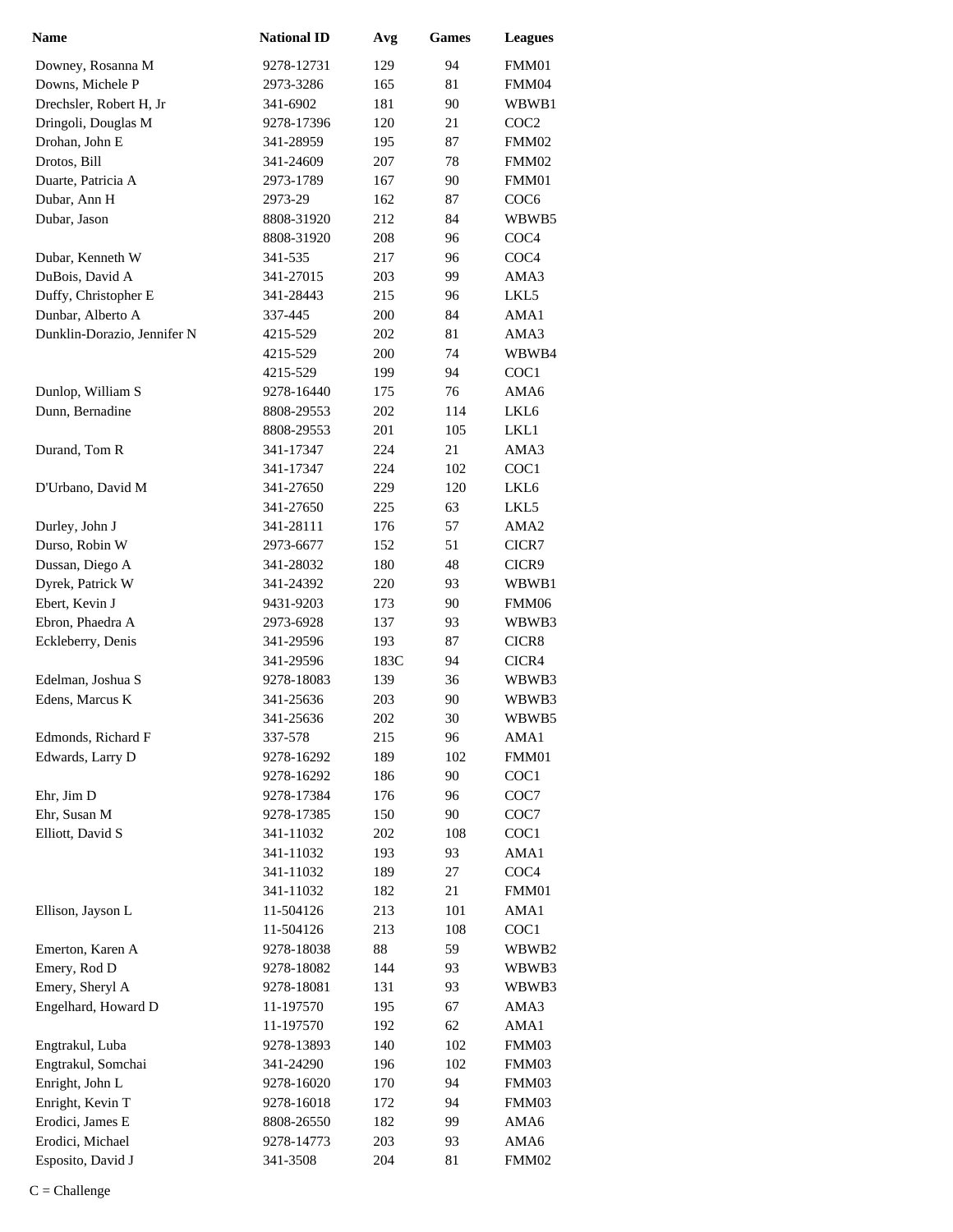| <b>Name</b>                 | <b>National ID</b> | Avg  | <b>Games</b> | <b>Leagues</b>   |
|-----------------------------|--------------------|------|--------------|------------------|
| Downey, Rosanna M           | 9278-12731         | 129  | 94           | FMM01            |
| Downs, Michele P            | 2973-3286          | 165  | 81           | FMM04            |
| Drechsler, Robert H, Jr     | 341-6902           | 181  | 90           | WBWB1            |
| Dringoli, Douglas M         | 9278-17396         | 120  | 21           | COC <sub>2</sub> |
| Drohan, John E              | 341-28959          | 195  | 87           | FMM02            |
| Drotos, Bill                | 341-24609          | 207  | 78           | FMM02            |
| Duarte, Patricia A          | 2973-1789          | 167  | 90           | FMM01            |
| Dubar, Ann H                | 2973-29            | 162  | 87           | COC <sub>6</sub> |
| Dubar, Jason                | 8808-31920         | 212  | 84           | WBWB5            |
|                             | 8808-31920         | 208  | 96           | COC <sub>4</sub> |
| Dubar, Kenneth W            | 341-535            | 217  | 96           | COC <sub>4</sub> |
| DuBois, David A             | 341-27015          | 203  | 99           | AMA3             |
| Duffy, Christopher E        | 341-28443          | 215  | 96           | LKL5             |
| Dunbar, Alberto A           | 337-445            | 200  | 84           | AMA1             |
| Dunklin-Dorazio, Jennifer N | 4215-529           | 202  | 81           | AMA3             |
|                             | 4215-529           | 200  | 74           | WBWB4            |
|                             | 4215-529           | 199  | 94           | COC1             |
| Dunlop, William S           | 9278-16440         | 175  | 76           | AMA6             |
| Dunn, Bernadine             | 8808-29553         | 202  | 114          | LKL6             |
|                             | 8808-29553         | 201  | 105          | LKL1             |
| Durand, Tom R               | 341-17347          | 224  | 21           | AMA3             |
|                             | 341-17347          | 224  | 102          | COC1             |
| D'Urbano, David M           | 341-27650          | 229  | 120          | LKL <sub>6</sub> |
|                             | 341-27650          | 225  | 63           | LKL5             |
| Durley, John J              | 341-28111          | 176  | 57           | AMA <sub>2</sub> |
| Durso, Robin W              | 2973-6677          | 152  | 51           | CICR7            |
| Dussan, Diego A             | 341-28032          | 180  | 48           | CICR9            |
| Dyrek, Patrick W            | 341-24392          | 220  | 93           | WBWB1            |
| Ebert, Kevin J              | 9431-9203          | 173  | 90           | FMM06            |
| Ebron, Phaedra A            | 2973-6928          | 137  | 93           | WBWB3            |
| Eckleberry, Denis           | 341-29596          | 193  | 87           | CICR8            |
|                             | 341-29596          | 183C | 94           | CICR4            |
| Edelman, Joshua S           | 9278-18083         | 139  | 36           | WBWB3            |
| Edens, Marcus K             | 341-25636          | 203  | 90           | WBWB3            |
|                             | 341-25636          | 202  | 30           | WBWB5            |
| Edmonds, Richard F          | 337-578            | 215  | 96           | AMA1             |
| Edwards, Larry D            | 9278-16292         | 189  | 102          | FMM01            |
|                             | 9278-16292         | 186  | 90           | COC1             |
| Ehr, Jim D                  | 9278-17384         | 176  | 96           | COC7             |
| Ehr, Susan M                | 9278-17385         | 150  | 90           | COC7             |
| Elliott, David S            | 341-11032          | 202  | 108          | COC <sub>1</sub> |
|                             | 341-11032          | 193  | 93           | AMA1             |
|                             | 341-11032          | 189  | 27           | COC <sub>4</sub> |
|                             | 341-11032          | 182  | 21           | FMM01            |
| Ellison, Jayson L           | 11-504126          | 213  | 101          | AMA1             |
|                             | 11-504126          | 213  | 108          | COC1             |
| Emerton, Karen A            | 9278-18038         | 88   | 59           | WBWB2            |
| Emery, Rod D                | 9278-18082         | 144  | 93           | WBWB3            |
| Emery, Sheryl A             | 9278-18081         | 131  | 93           | WBWB3            |
| Engelhard, Howard D         | 11-197570          | 195  | 67           | AMA3             |
|                             | 11-197570          | 192  | 62           | AMA1             |
| Engtrakul, Luba             | 9278-13893         | 140  | 102          | FMM03            |
| Engtrakul, Somchai          | 341-24290          | 196  | 102          | FMM03            |
| Enright, John L             | 9278-16020         | 170  | 94           | FMM03            |
| Enright, Kevin T            | 9278-16018         | 172  | 94           | FMM03            |
| Erodici, James E            | 8808-26550         | 182  | 99           | AMA6             |
| Erodici, Michael            | 9278-14773         | 203  | 93           | AMA6             |
| Esposito, David J           | 341-3508           | 204  | 81           | FMM02            |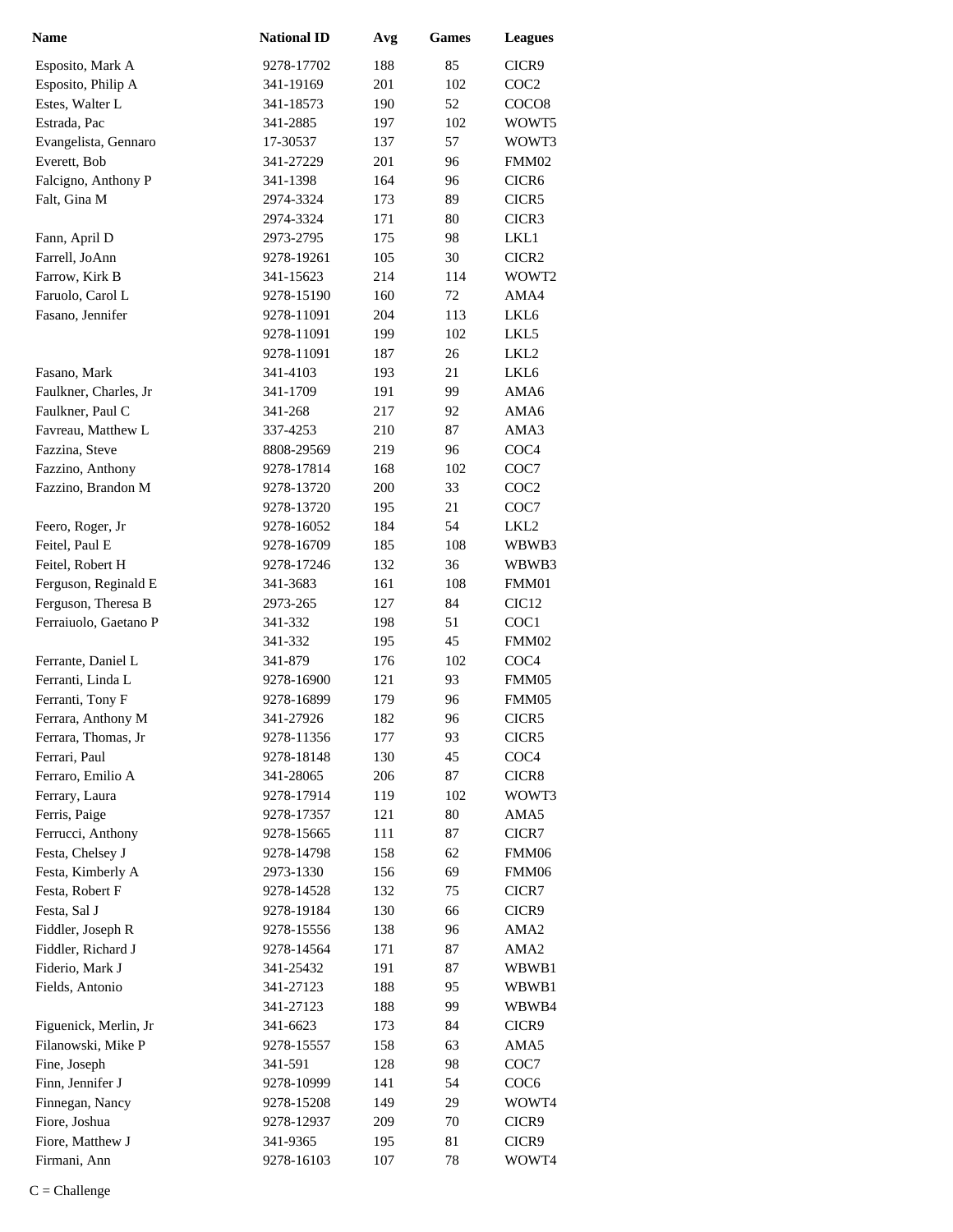| <b>Name</b>           | <b>National ID</b> | Avg | <b>Games</b> | <b>Leagues</b>    |
|-----------------------|--------------------|-----|--------------|-------------------|
| Esposito, Mark A      | 9278-17702         | 188 | 85           | CICR9             |
| Esposito, Philip A    | 341-19169          | 201 | 102          | COC2              |
| Estes, Walter L       | 341-18573          | 190 | 52           | COCO <sub>8</sub> |
| Estrada, Pac          | 341-2885           | 197 | 102          | WOWT5             |
| Evangelista, Gennaro  | 17-30537           | 137 | 57           | WOWT3             |
| Everett, Bob          | 341-27229          | 201 | 96           | FMM02             |
| Falcigno, Anthony P   | 341-1398           | 164 | 96           | CICR <sub>6</sub> |
| Falt, Gina M          | 2974-3324          | 173 | 89           | CICR5             |
|                       | 2974-3324          | 171 | 80           | CICR3             |
| Fann, April D         | 2973-2795          | 175 | 98           | LKL1              |
| Farrell, JoAnn        | 9278-19261         | 105 | 30           | CICR <sub>2</sub> |
| Farrow, Kirk B        | 341-15623          | 214 | 114          | WOWT2             |
| Faruolo, Carol L      | 9278-15190         | 160 | 72           | AMA4              |
| Fasano, Jennifer      | 9278-11091         | 204 | 113          | LKL6              |
|                       | 9278-11091         | 199 | 102          | LKL5              |
|                       | 9278-11091         | 187 | 26           | LKL <sub>2</sub>  |
| Fasano, Mark          | 341-4103           | 193 | 21           | LKL6              |
| Faulkner, Charles, Jr | 341-1709           | 191 | 99           | AMA6              |
| Faulkner, Paul C      | 341-268            | 217 | 92           | AMA6              |
| Favreau, Matthew L    | 337-4253           | 210 | 87           | AMA3              |
| Fazzina, Steve        | 8808-29569         | 219 | 96           | COC <sub>4</sub>  |
| Fazzino, Anthony      | 9278-17814         | 168 | 102          | COC7              |
| Fazzino, Brandon M    | 9278-13720         | 200 | 33           | COC <sub>2</sub>  |
|                       | 9278-13720         | 195 | 21           | COC7              |
| Feero, Roger, Jr      | 9278-16052         | 184 | 54           | LKL <sub>2</sub>  |
| Feitel, Paul E        | 9278-16709         | 185 | 108          | WBWB3             |
| Feitel, Robert H      | 9278-17246         | 132 | 36           | WBWB3             |
| Ferguson, Reginald E  | 341-3683           | 161 | 108          | FMM01             |
| Ferguson, Theresa B   | 2973-265           | 127 | 84           | CIC <sub>12</sub> |
| Ferraiuolo, Gaetano P | 341-332            | 198 | 51           | COC1              |
|                       | 341-332            | 195 | 45           | FMM02             |
| Ferrante, Daniel L    | 341-879            | 176 | 102          | COC <sub>4</sub>  |
| Ferranti, Linda L     | 9278-16900         | 121 | 93           | FMM05             |
| Ferranti, Tony F      | 9278-16899         | 179 | 96           | FMM05             |
| Ferrara, Anthony M    | 341-27926          | 182 | 96           | CICR5             |
| Ferrara, Thomas, Jr   | 9278-11356         | 177 | 93           | CICR5             |
| Ferrari, Paul         | 9278-18148         | 130 | 45           | COC <sub>4</sub>  |
| Ferraro, Emilio A     | 341-28065          | 206 | 87           | CICR8             |
| Ferrary, Laura        | 9278-17914         | 119 | 102          | WOWT3             |
| Ferris, Paige         | 9278-17357         | 121 | 80           | AMA5              |
| Ferrucci, Anthony     | 9278-15665         | 111 | 87           | CICR7             |
| Festa, Chelsey J      | 9278-14798         | 158 | 62           | FMM06             |
| Festa, Kimberly A     | 2973-1330          | 156 | 69           | FMM06             |
| Festa, Robert F       | 9278-14528         | 132 | 75           | CICR7             |
| Festa, Sal J          | 9278-19184         | 130 | 66           | CICR9             |
| Fiddler, Joseph R     | 9278-15556         | 138 | 96           | AMA <sub>2</sub>  |
| Fiddler, Richard J    | 9278-14564         | 171 | 87           | AMA <sub>2</sub>  |
| Fiderio, Mark J       | 341-25432          | 191 | 87           | WBWB1             |
| Fields, Antonio       | 341-27123          | 188 | 95           | WBWB1             |
|                       | 341-27123          | 188 | 99           | WBWB4             |
| Figuenick, Merlin, Jr | 341-6623           | 173 | 84           | CICR9             |
| Filanowski, Mike P    | 9278-15557         | 158 | 63           | AMA5              |
| Fine, Joseph          | 341-591            | 128 | 98           | COC7              |
| Finn, Jennifer J      | 9278-10999         | 141 | 54           | COC <sub>6</sub>  |
| Finnegan, Nancy       | 9278-15208         | 149 | 29           | WOWT4             |
| Fiore, Joshua         | 9278-12937         | 209 | 70           | CICR9             |
| Fiore, Matthew J      | 341-9365           | 195 | 81           | CICR9             |
| Firmani, Ann          | 9278-16103         | 107 | 78           | WOWT4             |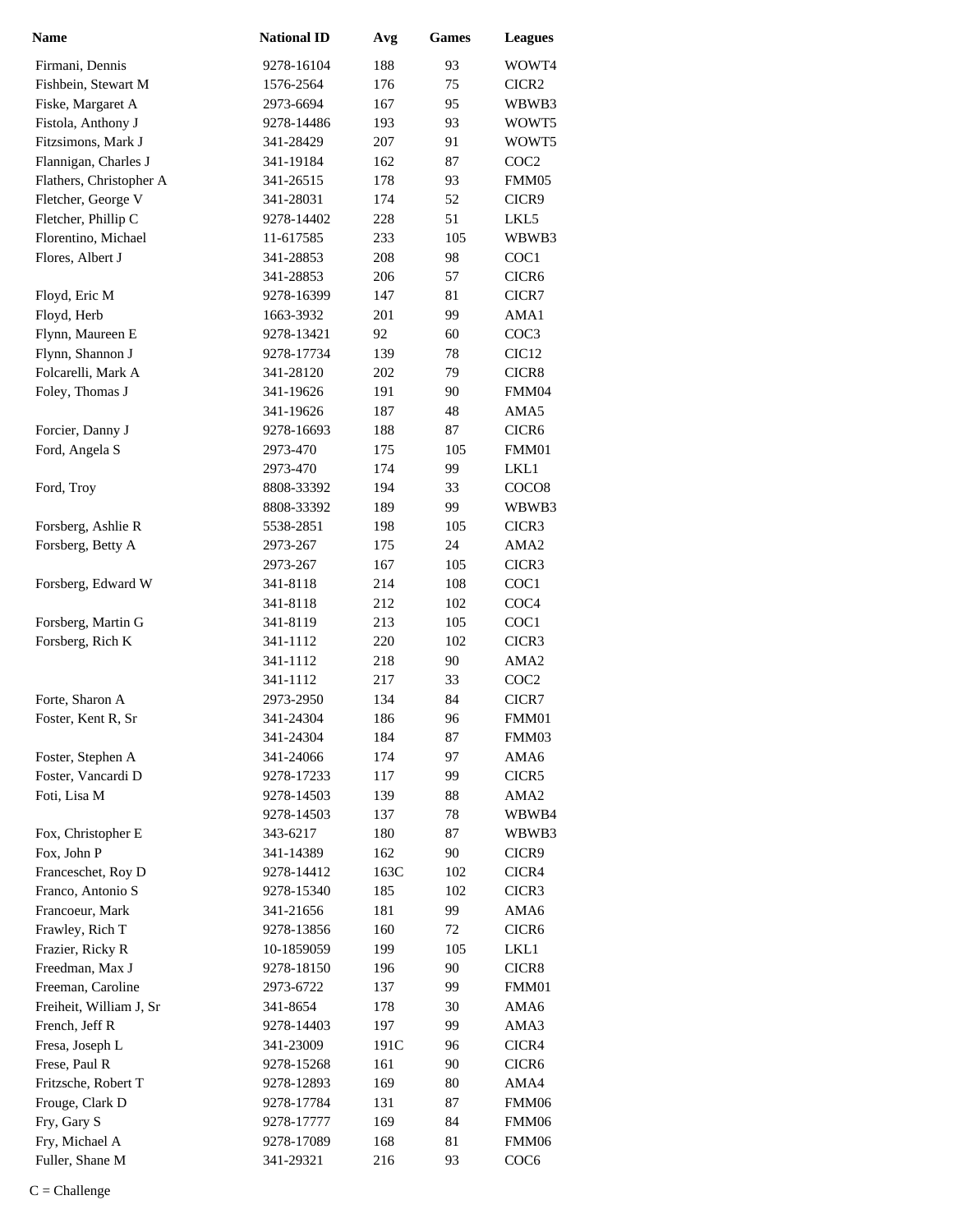| <b>Name</b>             | <b>National ID</b> | Avg  | <b>Games</b> | <b>Leagues</b>    |
|-------------------------|--------------------|------|--------------|-------------------|
| Firmani, Dennis         | 9278-16104         | 188  | 93           | WOWT4             |
| Fishbein, Stewart M     | 1576-2564          | 176  | 75           | CICR2             |
| Fiske, Margaret A       | 2973-6694          | 167  | 95           | WBWB3             |
| Fistola, Anthony J      | 9278-14486         | 193  | 93           | WOWT5             |
| Fitzsimons, Mark J      | 341-28429          | 207  | 91           | WOWT5             |
| Flannigan, Charles J    | 341-19184          | 162  | 87           | COC <sub>2</sub>  |
| Flathers, Christopher A | 341-26515          | 178  | 93           | FMM05             |
| Fletcher, George V      | 341-28031          | 174  | 52           | CICR9             |
| Fletcher, Phillip C     | 9278-14402         | 228  | 51           | LKL5              |
| Florentino, Michael     | 11-617585          | 233  | 105          | WBWB3             |
| Flores, Albert J        | 341-28853          | 208  | 98           | COC1              |
|                         | 341-28853          | 206  | 57           | CICR <sub>6</sub> |
| Floyd, Eric M           | 9278-16399         | 147  | 81           | CICR7             |
| Floyd, Herb             | 1663-3932          | 201  | 99           | AMA1              |
| Flynn, Maureen E        | 9278-13421         | 92   | 60           | COC <sub>3</sub>  |
| Flynn, Shannon J        | 9278-17734         | 139  | 78           | CIC <sub>12</sub> |
| Folcarelli, Mark A      | 341-28120          | 202  | 79           | CICR8             |
| Foley, Thomas J         | 341-19626          | 191  | 90           | FMM04             |
|                         | 341-19626          | 187  | 48           | AMA5              |
| Forcier, Danny J        | 9278-16693         | 188  | 87           | CICR <sub>6</sub> |
| Ford, Angela S          | 2973-470           | 175  | 105          | FMM01             |
|                         | 2973-470           | 174  | 99           | LKL1              |
| Ford, Troy              | 8808-33392         | 194  | 33           | COCO <sub>8</sub> |
|                         | 8808-33392         | 189  | 99           | WBWB3             |
| Forsberg, Ashlie R      | 5538-2851          | 198  | 105          | CICR3             |
| Forsberg, Betty A       | 2973-267           | 175  | 24           | AMA <sub>2</sub>  |
|                         | 2973-267           | 167  | 105          | CICR3             |
| Forsberg, Edward W      | 341-8118           | 214  | 108          | COC1              |
|                         | 341-8118           | 212  | 102          | COC <sub>4</sub>  |
| Forsberg, Martin G      | 341-8119           | 213  | 105          | COC1              |
| Forsberg, Rich K        | 341-1112           | 220  | 102          | CICR3             |
|                         | 341-1112           | 218  | 90           | AMA <sub>2</sub>  |
|                         | 341-1112           | 217  | 33           | COC <sub>2</sub>  |
| Forte, Sharon A         | 2973-2950          | 134  | 84           | CICR7             |
| Foster, Kent R, Sr      | 341-24304          | 186  | 96           | FMM01             |
|                         | 341-24304          | 184  | 87           | FMM03             |
| Foster, Stephen A       | 341-24066          | 174  | 97           | AMA6              |
| Foster, Vancardi D      | 9278-17233         | 117  | 99           | CICR5             |
| Foti, Lisa M            | 9278-14503         | 139  | 88           | AMA <sub>2</sub>  |
|                         | 9278-14503         | 137  | 78           | WBWB4             |
| Fox, Christopher E      | 343-6217           | 180  | 87           | WBWB3             |
| Fox, John P             | 341-14389          | 162  | 90           | CICR9             |
| Franceschet, Roy D      | 9278-14412         | 163C | 102          | CICR4             |
| Franco, Antonio S       | 9278-15340         | 185  | 102          | CICR3             |
| Francoeur, Mark         | 341-21656          | 181  | 99           | AMA6              |
| Frawley, Rich T         | 9278-13856         | 160  | 72           | CICR <sub>6</sub> |
| Frazier, Ricky R        | 10-1859059         | 199  | 105          | LKL1              |
| Freedman, Max J         | 9278-18150         | 196  | 90           | CICR8             |
| Freeman, Caroline       | 2973-6722          | 137  | 99           | FMM01             |
| Freiheit, William J, Sr | 341-8654           | 178  | 30           | AMA6              |
| French, Jeff R          | 9278-14403         | 197  | 99           | AMA3              |
| Fresa, Joseph L         | 341-23009          | 191C | 96           | CICR4             |
| Frese, Paul R           | 9278-15268         | 161  | 90           | CICR <sub>6</sub> |
| Fritzsche, Robert T     | 9278-12893         | 169  | 80           | AMA4              |
| Frouge, Clark D         | 9278-17784         | 131  | 87           | FMM06             |
| Fry, Gary S             | 9278-17777         | 169  | 84           | FMM06             |
| Fry, Michael A          | 9278-17089         | 168  | 81           | FMM06             |
| Fuller, Shane M         | 341-29321          | 216  | 93           | COC <sub>6</sub>  |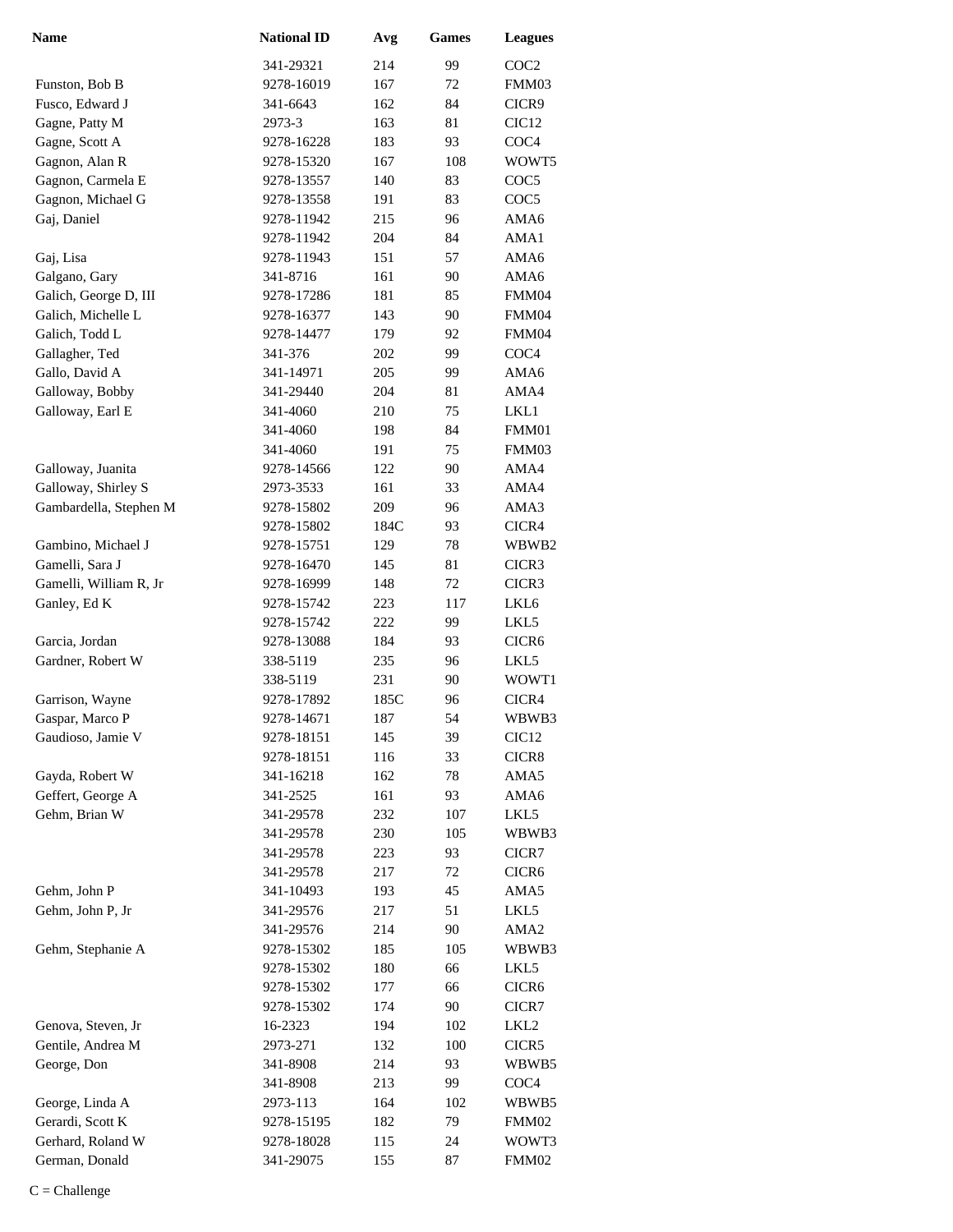| Name                   | <b>National ID</b> | Avg  | <b>Games</b> | <b>Leagues</b>    |
|------------------------|--------------------|------|--------------|-------------------|
|                        | 341-29321          | 214  | 99           | COC <sub>2</sub>  |
| Funston, Bob B         | 9278-16019         | 167  | 72           | FMM03             |
| Fusco, Edward J        | 341-6643           | 162  | 84           | CICR9             |
| Gagne, Patty M         | 2973-3             | 163  | 81           | CIC <sub>12</sub> |
| Gagne, Scott A         | 9278-16228         | 183  | 93           | COC <sub>4</sub>  |
| Gagnon, Alan R         | 9278-15320         | 167  | 108          | WOWT5             |
| Gagnon, Carmela E      | 9278-13557         | 140  | 83           | COC <sub>5</sub>  |
| Gagnon, Michael G      | 9278-13558         | 191  | 83           | COC <sub>5</sub>  |
| Gaj, Daniel            | 9278-11942         | 215  | 96           | AMA6              |
|                        | 9278-11942         | 204  | 84           | AMA1              |
| Gaj, Lisa              | 9278-11943         | 151  | 57           | AMA6              |
| Galgano, Gary          | 341-8716           | 161  | 90           | AMA6              |
| Galich, George D, III  | 9278-17286         | 181  | 85           | FMM04             |
| Galich, Michelle L     | 9278-16377         | 143  | 90           | FMM04             |
| Galich, Todd L         | 9278-14477         | 179  | 92           | FMM04             |
| Gallagher, Ted         | 341-376            | 202  | 99           | COC <sub>4</sub>  |
| Gallo, David A         | 341-14971          | 205  | 99           | AMA6              |
| Galloway, Bobby        | 341-29440          | 204  | 81           | AMA4              |
| Galloway, Earl E       | 341-4060           | 210  | 75           | LKL1              |
|                        | 341-4060           | 198  | 84           | FMM01             |
|                        | 341-4060           | 191  | 75           | FMM03             |
| Galloway, Juanita      | 9278-14566         | 122  | 90           | AMA4              |
| Galloway, Shirley S    | 2973-3533          | 161  | 33           | AMA4              |
| Gambardella, Stephen M | 9278-15802         | 209  | 96           | AMA3              |
|                        | 9278-15802         | 184C | 93           | CICR4             |
| Gambino, Michael J     | 9278-15751         | 129  | 78           | WBWB2             |
| Gamelli, Sara J        | 9278-16470         | 145  | 81           | CICR3             |
| Gamelli, William R, Jr | 9278-16999         | 148  | 72           | CICR3             |
| Ganley, Ed K           | 9278-15742         | 223  | 117          | LKL6              |
|                        | 9278-15742         | 222  | 99           | LKL5              |
| Garcia, Jordan         | 9278-13088         | 184  | 93           | CICR6             |
| Gardner, Robert W      | 338-5119           | 235  | 96           | LKL5              |
|                        | 338-5119           | 231  | 90           | WOWT1             |
| Garrison, Wayne        | 9278-17892         | 185C | 96           | CICR4             |
| Gaspar, Marco P        | 9278-14671         | 187  | 54           | WBWB3             |
| Gaudioso, Jamie V      | 9278-18151         | 145  | 39           | CIC <sub>12</sub> |
|                        | 9278-18151         | 116  | 33           | CICR8             |
| Gayda, Robert W        | 341-16218          | 162  | 78           | AMA5              |
| Geffert, George A      | 341-2525           | 161  | 93           | AMA6              |
| Gehm, Brian W          | 341-29578          | 232  | 107          | LKL5              |
|                        | 341-29578          | 230  | 105          | WBWB3             |
|                        | 341-29578          | 223  | 93           | CICR7             |
|                        | 341-29578          | 217  | 72           | CICR <sub>6</sub> |
| Gehm, John P           | 341-10493          | 193  | 45           | AMA5              |
| Gehm, John P, Jr       | 341-29576          | 217  | 51           | LKL5              |
|                        | 341-29576          | 214  | 90           | AMA <sub>2</sub>  |
| Gehm, Stephanie A      | 9278-15302         | 185  | 105          | WBWB3             |
|                        | 9278-15302         | 180  | 66           | LKL5              |
|                        | 9278-15302         | 177  | 66           | CICR <sub>6</sub> |
|                        | 9278-15302         | 174  | 90           | CICR7             |
| Genova, Steven, Jr     | 16-2323            | 194  | 102          | LKL2              |
| Gentile, Andrea M      | 2973-271           | 132  | 100          | CICR5             |
| George, Don            | 341-8908           | 214  | 93           | WBWB5             |
|                        | 341-8908           | 213  | 99           | COC <sub>4</sub>  |
| George, Linda A        | 2973-113           | 164  | 102          | WBWB5             |
| Gerardi, Scott K       | 9278-15195         | 182  | 79           | FMM02             |
| Gerhard, Roland W      | 9278-18028         | 115  | 24           | WOWT3             |
| German, Donald         | 341-29075          | 155  | 87           | FMM02             |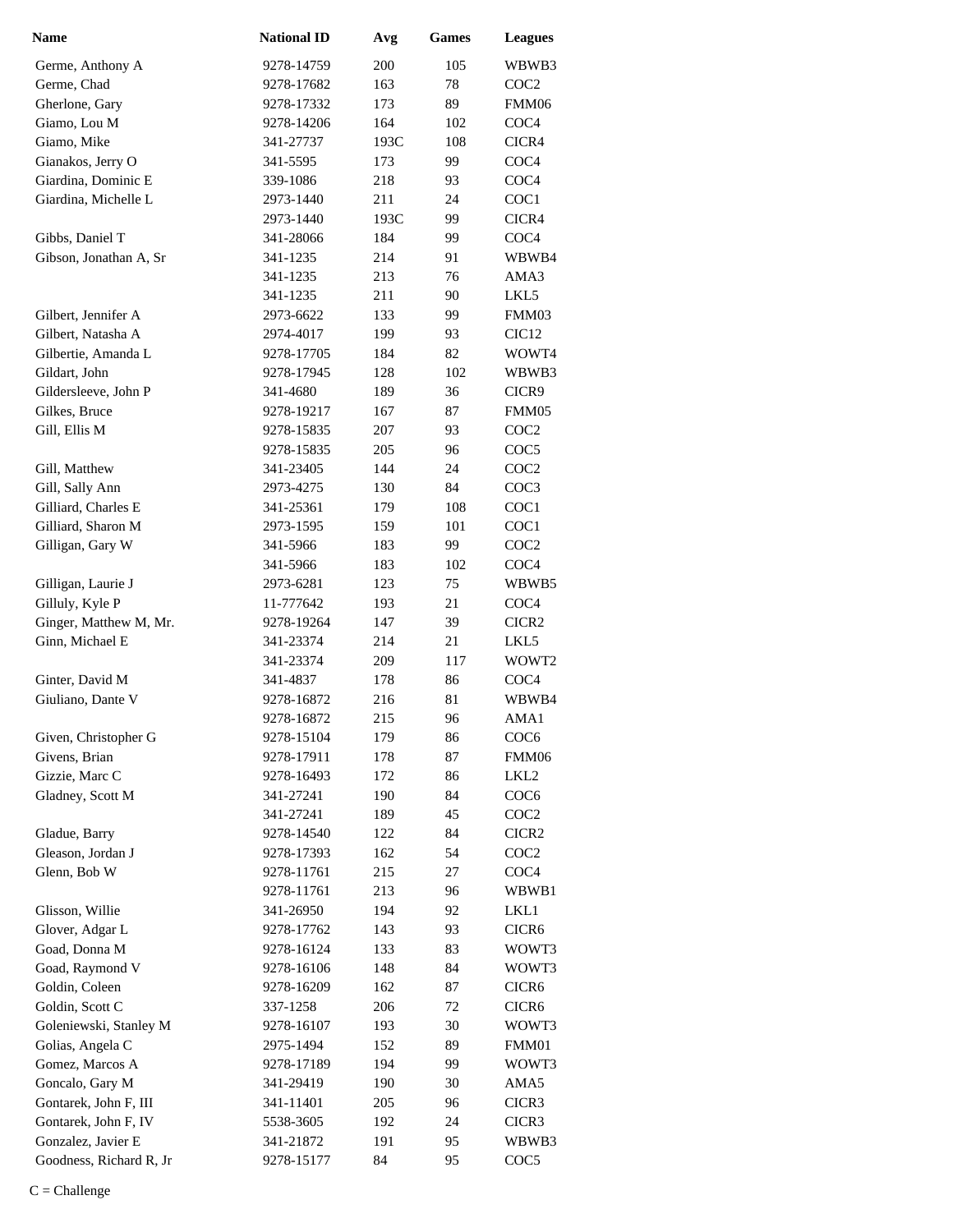| Name                    | <b>National ID</b> | Avg  | <b>Games</b> | <b>Leagues</b>    |
|-------------------------|--------------------|------|--------------|-------------------|
| Germe, Anthony A        | 9278-14759         | 200  | 105          | WBWB3             |
| Germe, Chad             | 9278-17682         | 163  | 78           | COC2              |
| Gherlone, Gary          | 9278-17332         | 173  | 89           | FMM06             |
| Giamo, Lou M            | 9278-14206         | 164  | 102          | COC <sub>4</sub>  |
| Giamo, Mike             | 341-27737          | 193C | 108          | CICR4             |
| Gianakos, Jerry O       | 341-5595           | 173  | 99           | COC <sub>4</sub>  |
| Giardina, Dominic E     | 339-1086           | 218  | 93           | COC <sub>4</sub>  |
| Giardina, Michelle L    | 2973-1440          | 211  | 24           | COC1              |
|                         | 2973-1440          | 193C | 99           | CICR4             |
| Gibbs, Daniel T         | 341-28066          | 184  | 99           | COC <sub>4</sub>  |
| Gibson, Jonathan A, Sr  | 341-1235           | 214  | 91           | WBWB4             |
|                         | 341-1235           | 213  | 76           | AMA3              |
|                         | 341-1235           | 211  | 90           | LKL5              |
| Gilbert, Jennifer A     | 2973-6622          | 133  | 99           | FMM03             |
| Gilbert. Natasha A      | 2974-4017          | 199  | 93           | CIC <sub>12</sub> |
| Gilbertie, Amanda L     | 9278-17705         | 184  | 82           | WOWT4             |
| Gildart, John           | 9278-17945         | 128  | 102          | WBWB3             |
| Gildersleeve, John P    | 341-4680           | 189  | 36           | CICR9             |
| Gilkes, Bruce           | 9278-19217         | 167  | 87           | FMM05             |
| Gill, Ellis M           | 9278-15835         | 207  | 93           | COC <sub>2</sub>  |
|                         | 9278-15835         | 205  | 96           | COC <sub>5</sub>  |
| Gill, Matthew           | 341-23405          | 144  | 24           | COC <sub>2</sub>  |
| Gill, Sally Ann         | 2973-4275          | 130  | 84           | COC <sub>3</sub>  |
| Gilliard, Charles E     | 341-25361          | 179  | 108          | COC1              |
| Gilliard, Sharon M      | 2973-1595          | 159  | 101          | COC1              |
| Gilligan, Gary W        | 341-5966           | 183  | 99           | COC <sub>2</sub>  |
|                         | 341-5966           | 183  | 102          | COC <sub>4</sub>  |
| Gilligan, Laurie J      | 2973-6281          | 123  | 75           | WBWB5             |
| Gilluly, Kyle P         | 11-777642          | 193  | 21           | COC <sub>4</sub>  |
| Ginger, Matthew M, Mr.  | 9278-19264         | 147  | 39           | CICR <sub>2</sub> |
| Ginn, Michael E         | 341-23374          | 214  | 21           | LKL5              |
|                         | 341-23374          | 209  | 117          | WOWT2             |
| Ginter, David M         | 341-4837           | 178  | 86           | COC <sub>4</sub>  |
| Giuliano, Dante V       | 9278-16872         | 216  | 81           | WBWB4             |
|                         | 9278-16872         | 215  | 96           | AMA1              |
| Given, Christopher G    | 9278-15104         | 179  | 86           | COC <sub>6</sub>  |
| Givens, Brian           | 9278-17911         | 178  | 87           | FMM06             |
| Gizzie, Marc C          | 9278-16493         | 172  | 86           | LKL <sub>2</sub>  |
| Gladney, Scott M        | 341-27241          | 190  | 84           | COC <sub>6</sub>  |
|                         | 341-27241          | 189  | 45           | COC <sub>2</sub>  |
| Gladue, Barry           | 9278-14540         | 122  | 84           | CICR2             |
| Gleason, Jordan J       | 9278-17393         | 162  | 54           | COC2              |
| Glenn, Bob W            | 9278-11761         | 215  | 27           | COC <sub>4</sub>  |
|                         | 9278-11761         | 213  | 96           | WBWB1             |
| Glisson, Willie         | 341-26950          | 194  | 92           | LKL1              |
| Glover, Adgar L         | 9278-17762         | 143  | 93           | CICR <sub>6</sub> |
| Goad, Donna M           | 9278-16124         | 133  | 83           | WOWT3             |
| Goad, Raymond V         | 9278-16106         | 148  | 84           | WOWT3             |
| Goldin, Coleen          | 9278-16209         | 162  | 87           | CICR <sub>6</sub> |
| Goldin, Scott C         | 337-1258           | 206  | 72           | CICR <sub>6</sub> |
| Goleniewski, Stanley M  | 9278-16107         | 193  | 30           | WOWT3             |
| Golias, Angela C        | 2975-1494          | 152  | 89           | FMM01             |
| Gomez, Marcos A         | 9278-17189         | 194  | 99           | WOWT3             |
| Goncalo, Gary M         | 341-29419          | 190  | 30           | AMA5              |
| Gontarek, John F, III   | 341-11401          | 205  | 96           | CICR3             |
| Gontarek, John F, IV    | 5538-3605          | 192  | 24           | CICR3             |
| Gonzalez, Javier E      | 341-21872          | 191  | 95           | WBWB3             |
| Goodness, Richard R, Jr | 9278-15177         | 84   | 95           | COC <sub>5</sub>  |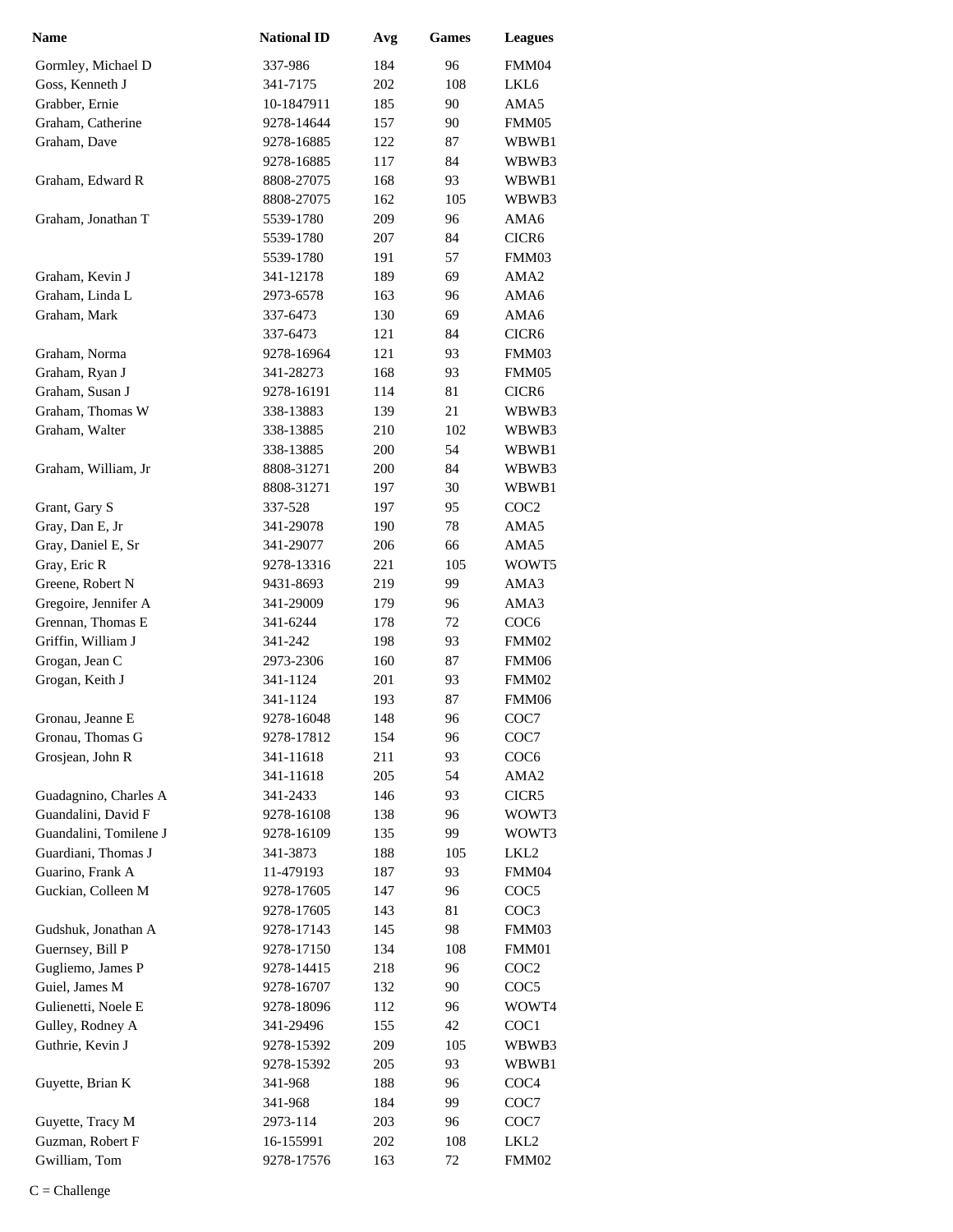| <b>Name</b>                         | <b>National ID</b>       | Avg        | Games    | <b>Leagues</b>            |
|-------------------------------------|--------------------------|------------|----------|---------------------------|
| Gormley, Michael D                  | 337-986                  | 184        | 96       | FMM04                     |
| Goss, Kenneth J                     | 341-7175                 | 202        | 108      | LKL6                      |
| Grabber, Ernie                      | 10-1847911               | 185        | 90       | AMA5                      |
| Graham, Catherine                   | 9278-14644               | 157        | 90       | FMM05                     |
| Graham, Dave                        | 9278-16885               | 122        | 87       | WBWB1                     |
|                                     | 9278-16885               | 117        | 84       | WBWB3                     |
| Graham, Edward R                    | 8808-27075               | 168        | 93       | WBWB1                     |
|                                     | 8808-27075               | 162        | 105      | WBWB3                     |
| Graham, Jonathan T                  | 5539-1780                | 209        | 96       | AMA6                      |
|                                     | 5539-1780                | 207        | 84       | CICR <sub>6</sub>         |
|                                     | 5539-1780                | 191        | 57       | FMM03                     |
| Graham, Kevin J                     | 341-12178                | 189        | 69       | AMA <sub>2</sub>          |
| Graham, Linda L                     | 2973-6578                | 163        | 96       | AMA6                      |
| Graham, Mark                        | 337-6473                 | 130        | 69       | AMA6                      |
|                                     | 337-6473                 | 121        | 84       | CICR <sub>6</sub>         |
| Graham, Norma                       | 9278-16964               | 121        | 93       | FMM03                     |
| Graham, Ryan J                      | 341-28273                | 168        | 93       | FMM05                     |
| Graham, Susan J                     | 9278-16191               | 114        | 81       | CICR <sub>6</sub>         |
| Graham, Thomas W                    | 338-13883                | 139        | 21       | WBWB3                     |
| Graham, Walter                      | 338-13885                | 210        | 102      | WBWB3                     |
|                                     | 338-13885                | 200        | 54       | WBWB1                     |
| Graham, William, Jr                 | 8808-31271               | 200        | 84       | WBWB3                     |
|                                     | 8808-31271               | 197        | 30       | WBWB1                     |
| Grant, Gary S                       | 337-528                  | 197        | 95       | COC <sub>2</sub>          |
| Gray, Dan E, Jr                     | 341-29078                | 190        | 78       | AMA5                      |
| Gray, Daniel E, Sr                  | 341-29077                | 206        | 66       | AMA5                      |
| Gray, Eric R                        | 9278-13316               | 221        | 105      | WOWT5                     |
| Greene, Robert N                    | 9431-8693                | 219        | 99       | AMA3                      |
| Gregoire, Jennifer A                | 341-29009                | 179        | 96       | AMA3                      |
| Grennan, Thomas E                   | 341-6244                 | 178        | 72       | COC <sub>6</sub>          |
| Griffin, William J                  | 341-242                  | 198        | 93       | FMM02                     |
| Grogan, Jean C                      | 2973-2306                | 160        | 87       | FMM06                     |
| Grogan, Keith J                     | 341-1124                 | 201        | 93       | FMM02                     |
|                                     | 341-1124                 | 193        | 87       | FMM06                     |
| Gronau, Jeanne E                    | 9278-16048               | 148        | 96       | COC7                      |
| Gronau, Thomas G                    | 9278-17812               | 154        | 96       | COC7                      |
| Grosjean, John R                    | 341-11618                | 211        | 93       | COC <sub>6</sub>          |
|                                     | 341-11618                | 205        | 54       | AMA <sub>2</sub>          |
| Guadagnino, Charles A               | 341-2433                 | 146        | 93       | CICR5                     |
| Guandalini, David F                 | 9278-16108               | 138        | 96       | WOWT3                     |
| Guandalini, Tomilene J              | 9278-16109               | 135        | 99       | WOWT3                     |
| Guardiani, Thomas J                 | 341-3873                 | 188        | 105      | LKL <sub>2</sub>          |
| Guarino, Frank A                    | 11-479193                | 187        | 93       | FMM04                     |
| Guckian, Colleen M                  | 9278-17605               | 147        | 96       | COC <sub>5</sub>          |
|                                     | 9278-17605               | 143        | 81       | COC3                      |
| Gudshuk, Jonathan A                 | 9278-17143               | 145        | 98       | FMM03                     |
| Guernsey, Bill P                    | 9278-17150               | 134        | 108      | FMM01                     |
| Gugliemo, James P<br>Guiel, James M | 9278-14415               | 218        | 96       | COC <sub>2</sub>          |
| Gulienetti, Noele E                 | 9278-16707<br>9278-18096 | 132<br>112 | 90<br>96 | COC <sub>5</sub><br>WOWT4 |
| Gulley, Rodney A                    | 341-29496                | 155        | 42       | COC <sub>1</sub>          |
| Guthrie, Kevin J                    | 9278-15392               | 209        | 105      | WBWB3                     |
|                                     | 9278-15392               | 205        | 93       | WBWB1                     |
| Guyette, Brian K                    | 341-968                  | 188        | 96       | COC <sub>4</sub>          |
|                                     | 341-968                  | 184        | 99       | COC7                      |
| Guyette, Tracy M                    | 2973-114                 | 203        | 96       | COC7                      |
| Guzman, Robert F                    | 16-155991                | 202        | 108      | LKL2                      |
| Gwilliam, Tom                       | 9278-17576               | 163        | 72       | FMM02                     |
|                                     |                          |            |          |                           |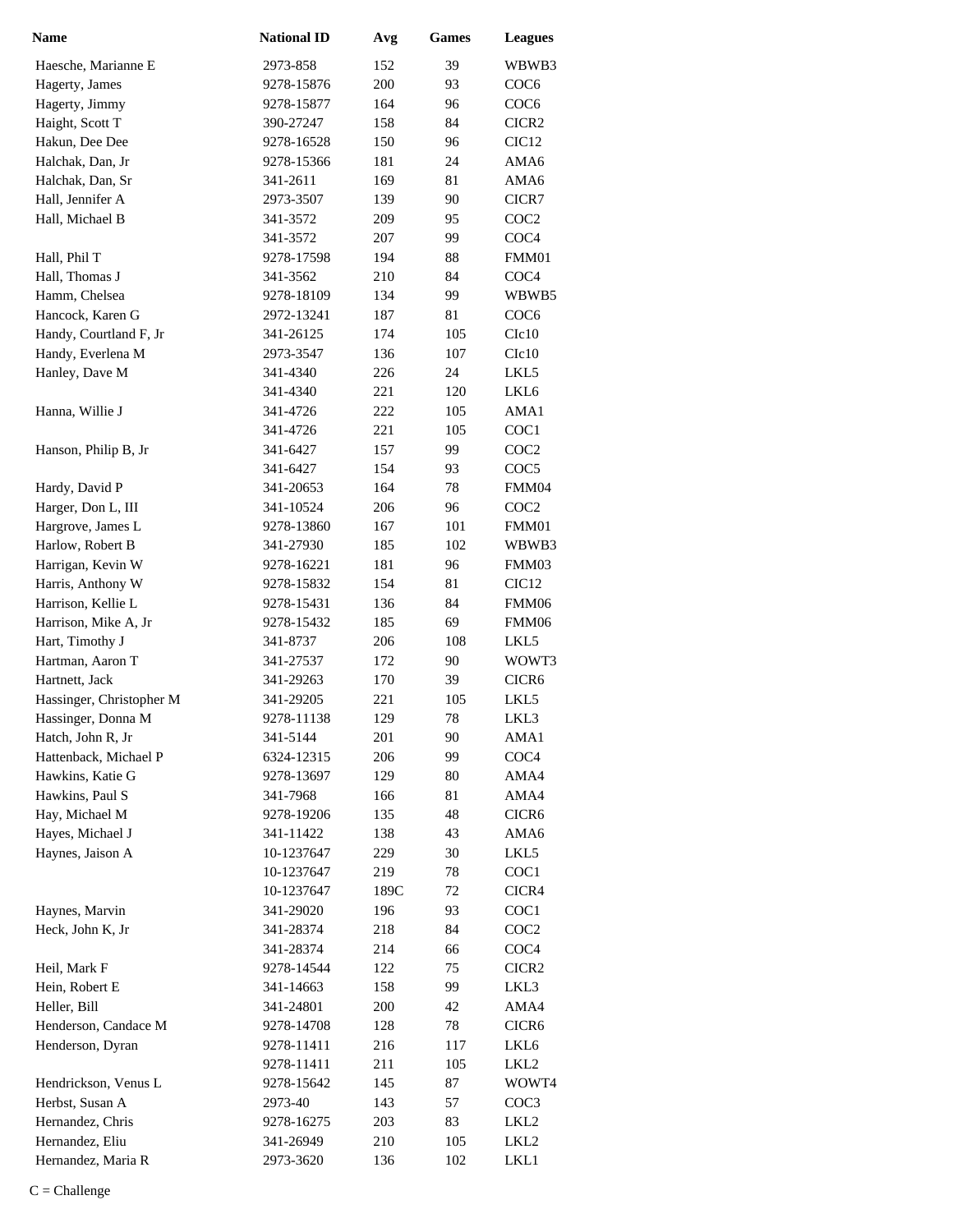| <b>Name</b>              | <b>National ID</b> | Avg  | Games | <b>Leagues</b>    |
|--------------------------|--------------------|------|-------|-------------------|
| Haesche, Marianne E      | 2973-858           | 152  | 39    | WBWB3             |
| Hagerty, James           | 9278-15876         | 200  | 93    | COC <sub>6</sub>  |
| Hagerty, Jimmy           | 9278-15877         | 164  | 96    | COC <sub>6</sub>  |
| Haight, Scott T          | 390-27247          | 158  | 84    | CICR <sub>2</sub> |
| Hakun, Dee Dee           | 9278-16528         | 150  | 96    | CIC <sub>12</sub> |
| Halchak, Dan, Jr         | 9278-15366         | 181  | 24    | AMA6              |
| Halchak, Dan, Sr         | 341-2611           | 169  | 81    | AMA6              |
| Hall, Jennifer A         | 2973-3507          | 139  | 90    | CICR7             |
| Hall, Michael B          | 341-3572           | 209  | 95    | COC <sub>2</sub>  |
|                          | 341-3572           | 207  | 99    | COC <sub>4</sub>  |
| Hall, Phil T             | 9278-17598         | 194  | 88    | FMM01             |
| Hall, Thomas J           | 341-3562           | 210  | 84    | COC <sub>4</sub>  |
| Hamm, Chelsea            | 9278-18109         | 134  | 99    | WBWB5             |
| Hancock, Karen G         | 2972-13241         | 187  | 81    | COC <sub>6</sub>  |
| Handy, Courtland F, Jr   | 341-26125          | 174  | 105   | C1c10             |
| Handy, Everlena M        | 2973-3547          | 136  | 107   | C1c10             |
| Hanley, Dave M           | 341-4340           | 226  | 24    | LKL5              |
|                          | 341-4340           | 221  | 120   | LKL6              |
| Hanna, Willie J          | 341-4726           | 222  | 105   | AMA1              |
|                          | 341-4726           | 221  | 105   | COC1              |
| Hanson, Philip B, Jr     | 341-6427           | 157  | 99    | COC <sub>2</sub>  |
|                          | 341-6427           | 154  | 93    | COC <sub>5</sub>  |
| Hardy, David P           | 341-20653          | 164  | 78    | FMM04             |
| Harger, Don L, III       | 341-10524          | 206  | 96    | COC <sub>2</sub>  |
| Hargrove, James L        | 9278-13860         | 167  | 101   | FMM01             |
| Harlow, Robert B         | 341-27930          | 185  | 102   | WBWB3             |
| Harrigan, Kevin W        | 9278-16221         | 181  | 96    | FMM03             |
| Harris, Anthony W        | 9278-15832         | 154  | 81    | CIC <sub>12</sub> |
| Harrison, Kellie L       | 9278-15431         | 136  | 84    | FMM06             |
| Harrison, Mike A, Jr     | 9278-15432         | 185  | 69    | FMM06             |
| Hart, Timothy J          | 341-8737           | 206  | 108   | LKL5              |
| Hartman, Aaron T         | 341-27537          | 172  | 90    | WOWT3             |
| Hartnett, Jack           | 341-29263          | 170  | 39    | CICR6             |
| Hassinger, Christopher M | 341-29205          | 221  | 105   | LKL5              |
| Hassinger, Donna M       | 9278-11138         | 129  | 78    | LKL3              |
| Hatch, John R, Jr        | 341-5144           | 201  | 90    | AMA1              |
| Hattenback, Michael P    | 6324-12315         | 206  | 99    | COC <sub>4</sub>  |
| Hawkins, Katie G         | 9278-13697         | 129  | 80    | AMA4              |
| Hawkins, Paul S          | 341-7968           | 166  | 81    | AMA4              |
| Hay, Michael M           | 9278-19206         | 135  | 48    | CICR6             |
| Hayes, Michael J         | 341-11422          | 138  | 43    | AMA6              |
| Haynes, Jaison A         | 10-1237647         | 229  | 30    | LKL5              |
|                          | 10-1237647         | 219  | 78    | COC1              |
|                          | 10-1237647         | 189C | 72    | CICR4             |
| Haynes, Marvin           | 341-29020          | 196  | 93    | COC1              |
| Heck, John K, Jr         | 341-28374          | 218  | 84    | COC <sub>2</sub>  |
|                          | 341-28374          | 214  | 66    | COC <sub>4</sub>  |
| Heil, Mark F             | 9278-14544         | 122  | 75    | CICR <sub>2</sub> |
| Hein, Robert E           | 341-14663          | 158  | 99    | LKL3              |
| Heller, Bill             | 341-24801          | 200  | 42    | AMA4              |
| Henderson, Candace M     | 9278-14708         | 128  | 78    | CICR6             |
| Henderson, Dyran         | 9278-11411         | 216  | 117   | LKL6              |
|                          | 9278-11411         | 211  | 105   | LKL2              |
| Hendrickson, Venus L     | 9278-15642         | 145  | 87    | WOWT4             |
| Herbst, Susan A          | 2973-40            | 143  | 57    | COC <sub>3</sub>  |
| Hernandez, Chris         | 9278-16275         | 203  | 83    | LKL2              |
| Hernandez, Eliu          | 341-26949          | 210  | 105   | LKL <sub>2</sub>  |
| Hernandez, Maria R       | 2973-3620          | 136  | 102   | LKL1              |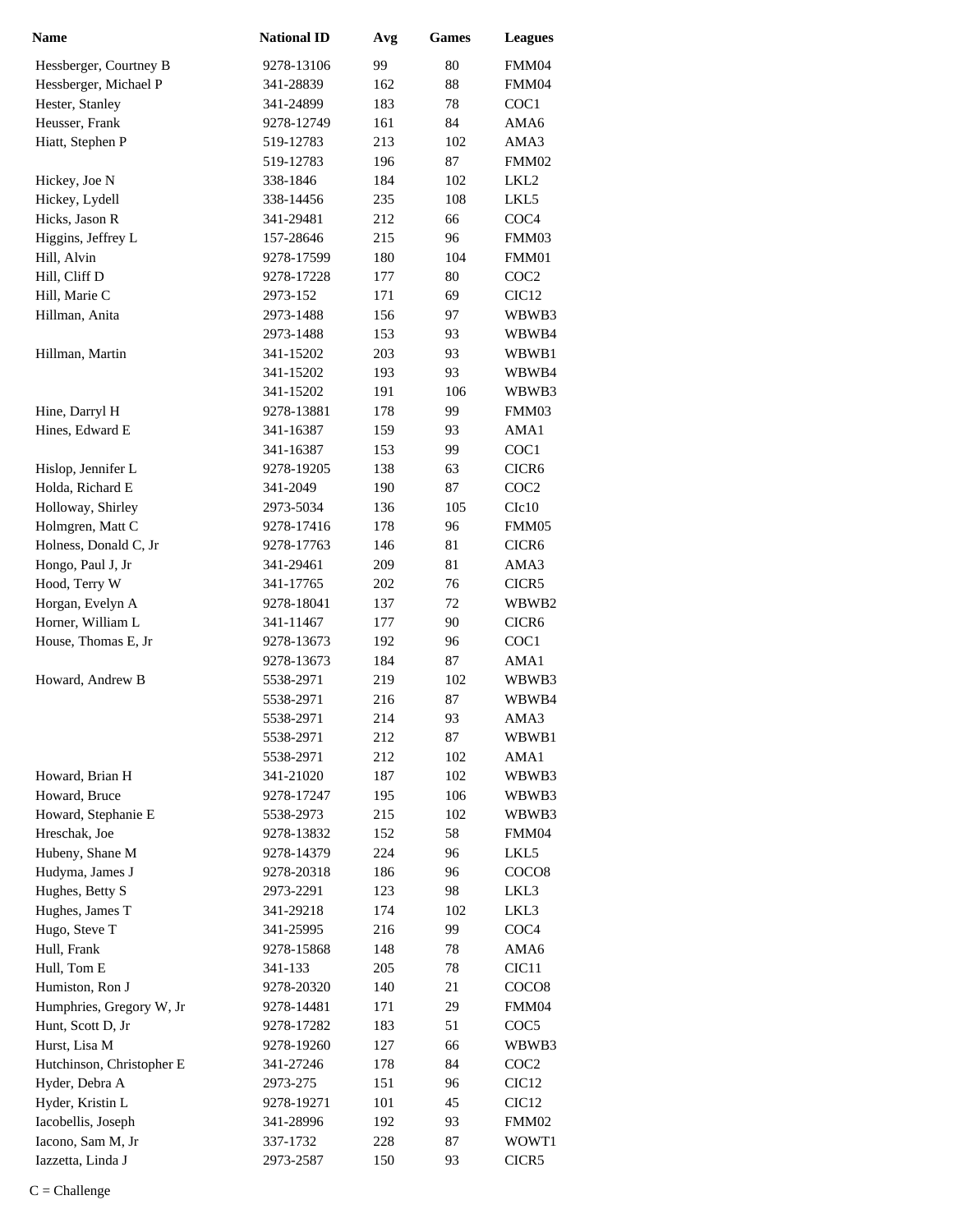| <b>Name</b>               | <b>National ID</b> | Avg | <b>Games</b> | <b>Leagues</b>    |
|---------------------------|--------------------|-----|--------------|-------------------|
| Hessberger, Courtney B    | 9278-13106         | 99  | 80           | FMM04             |
| Hessberger, Michael P     | 341-28839          | 162 | 88           | FMM04             |
| Hester, Stanley           | 341-24899          | 183 | 78           | COC1              |
| Heusser, Frank            | 9278-12749         | 161 | 84           | AMA6              |
| Hiatt, Stephen P          | 519-12783          | 213 | 102          | AMA3              |
|                           | 519-12783          | 196 | 87           | FMM02             |
| Hickey, Joe N             | 338-1846           | 184 | 102          | LKL <sub>2</sub>  |
| Hickey, Lydell            | 338-14456          | 235 | 108          | LKL5              |
| Hicks, Jason R            | 341-29481          | 212 | 66           | COC <sub>4</sub>  |
| Higgins, Jeffrey L        | 157-28646          | 215 | 96           | FMM03             |
| Hill, Alvin               | 9278-17599         | 180 | 104          | FMM01             |
| Hill, Cliff D             | 9278-17228         | 177 | 80           | COC <sub>2</sub>  |
| Hill, Marie C             | 2973-152           | 171 | 69           | CIC <sub>12</sub> |
| Hillman, Anita            | 2973-1488          | 156 | 97           | WBWB3             |
|                           | 2973-1488          | 153 | 93           | WBWB4             |
| Hillman, Martin           | 341-15202          | 203 | 93           | WBWB1             |
|                           | 341-15202          | 193 | 93           | WBWB4             |
|                           | 341-15202          | 191 | 106          | WBWB3             |
| Hine, Darryl H            | 9278-13881         | 178 | 99           | FMM03             |
| Hines, Edward E           | 341-16387          | 159 | 93           | AMA1              |
|                           | 341-16387          | 153 | 99           | COC1              |
| Hislop, Jennifer L        | 9278-19205         | 138 | 63           | CICR <sub>6</sub> |
| Holda, Richard E          | 341-2049           | 190 | 87           | COC <sub>2</sub>  |
| Holloway, Shirley         | 2973-5034          | 136 | 105          | C1c10             |
| Holmgren, Matt C          | 9278-17416         | 178 | 96           | FMM05             |
| Holness, Donald C, Jr     | 9278-17763         | 146 | 81           | CICR <sub>6</sub> |
| Hongo, Paul J, Jr         | 341-29461          | 209 | 81           | AMA3              |
| Hood, Terry W             | 341-17765          | 202 | 76           | CICR5             |
| Horgan, Evelyn A          | 9278-18041         | 137 | 72           | WBWB2             |
| Horner, William L         | 341-11467          | 177 | 90           | CICR <sub>6</sub> |
| House, Thomas E, Jr       | 9278-13673         | 192 | 96           | COC1              |
|                           | 9278-13673         | 184 | 87           | AMA1              |
| Howard, Andrew B          | 5538-2971          | 219 | 102          | WBWB3             |
|                           | 5538-2971          | 216 | 87           | WBWB4             |
|                           | 5538-2971          | 214 | 93           | AMA3              |
|                           | 5538-2971          | 212 | 87           | WBWB1             |
|                           | 5538-2971          | 212 | 102          | AMA1              |
| Howard, Brian H           | 341-21020          | 187 | 102          | WBWB3             |
| Howard, Bruce             | 9278-17247         | 195 | 106          | WBWB3             |
| Howard, Stephanie E       | 5538-2973          | 215 | 102          | WBWB3             |
| Hreschak, Joe             | 9278-13832         | 152 | 58           | FMM04             |
| Hubeny, Shane M           | 9278-14379         | 224 | 96           | LKL5              |
| Hudyma, James J           | 9278-20318         | 186 | 96           | COCO <sub>8</sub> |
| Hughes, Betty S           | 2973-2291          | 123 | 98           | LKL3              |
| Hughes, James T           | 341-29218          | 174 | 102          | LKL3              |
| Hugo, Steve T             | 341-25995          | 216 | 99           | COC <sub>4</sub>  |
| Hull, Frank               | 9278-15868         | 148 | 78           | AMA6              |
| Hull, Tom E               | 341-133            | 205 | 78           | CIC <sub>11</sub> |
| Humiston, Ron J           | 9278-20320         | 140 | 21           | COCO <sub>8</sub> |
| Humphries, Gregory W, Jr  | 9278-14481         | 171 | 29           | FMM04             |
| Hunt, Scott D, Jr         | 9278-17282         | 183 | 51           | COC <sub>5</sub>  |
| Hurst, Lisa M             | 9278-19260         | 127 | 66           | WBWB3             |
| Hutchinson, Christopher E | 341-27246          | 178 | 84           | COC <sub>2</sub>  |
| Hyder, Debra A            | 2973-275           | 151 | 96           | CIC <sub>12</sub> |
| Hyder, Kristin L          | 9278-19271         | 101 | 45           | CIC <sub>12</sub> |
| Iacobellis, Joseph        | 341-28996          | 192 | 93           | FMM02             |
| Iacono, Sam M, Jr         | 337-1732           | 228 | 87           | WOWT1             |
| Iazzetta, Linda J         | 2973-2587          | 150 | 93           | CICR5             |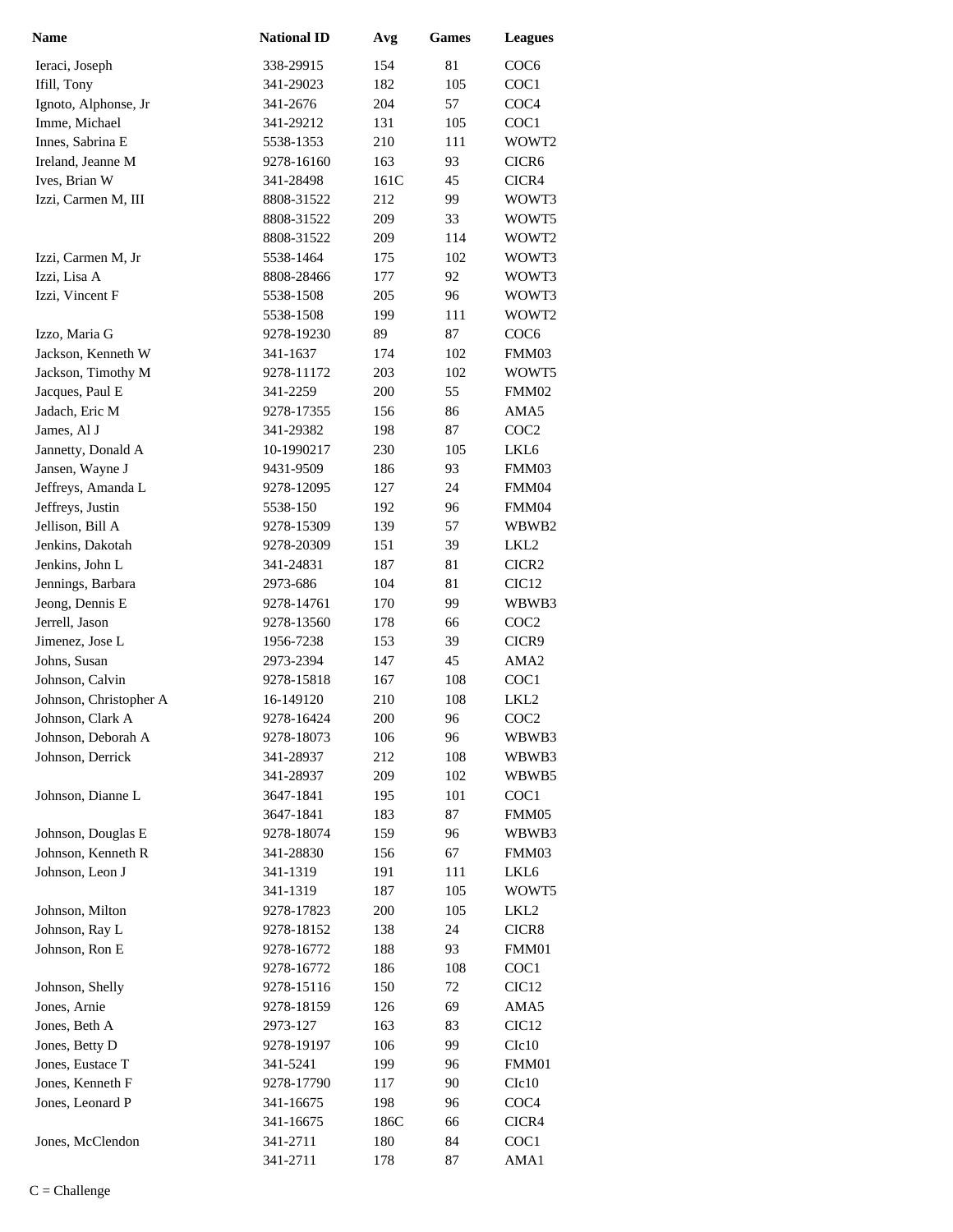| <b>Name</b>            | <b>National ID</b> | Avg  | <b>Games</b> | <b>Leagues</b>    |
|------------------------|--------------------|------|--------------|-------------------|
| Ieraci, Joseph         | 338-29915          | 154  | 81           | COC <sub>6</sub>  |
| Ifill, Tony            | 341-29023          | 182  | 105          | COC1              |
| Ignoto, Alphonse, Jr   | 341-2676           | 204  | 57           | COC <sub>4</sub>  |
| Imme, Michael          | 341-29212          | 131  | 105          | COC1              |
| Innes, Sabrina E       | 5538-1353          | 210  | 111          | WOWT2             |
| Ireland, Jeanne M      | 9278-16160         | 163  | 93           | CICR <sub>6</sub> |
| Ives, Brian W          | 341-28498          | 161C | 45           | CICR4             |
| Izzi, Carmen M, III    | 8808-31522         | 212  | 99           | WOWT3             |
|                        | 8808-31522         | 209  | 33           | WOWT5             |
|                        | 8808-31522         | 209  | 114          | WOWT2             |
| Izzi, Carmen M, Jr     | 5538-1464          | 175  | 102          | WOWT3             |
| Izzi, Lisa A           | 8808-28466         | 177  | 92           | WOWT3             |
| Izzi, Vincent F        | 5538-1508          | 205  | 96           | WOWT3             |
|                        | 5538-1508          | 199  | 111          | WOWT2             |
| Izzo, Maria G          | 9278-19230         | 89   | 87           | COC <sub>6</sub>  |
| Jackson, Kenneth W     | 341-1637           | 174  | 102          | FMM03             |
| Jackson, Timothy M     | 9278-11172         | 203  | 102          | WOWT5             |
| Jacques, Paul E        | 341-2259           | 200  | 55           | FMM02             |
| Jadach, Eric M         | 9278-17355         | 156  | 86           | AMA5              |
| James, Al J            | 341-29382          | 198  | 87           | COC <sub>2</sub>  |
| Jannetty, Donald A     | 10-1990217         | 230  | 105          | LKL <sub>6</sub>  |
| Jansen, Wayne J        | 9431-9509          | 186  | 93           | FMM03             |
| Jeffreys, Amanda L     | 9278-12095         | 127  | 24           | FMM04             |
| Jeffreys, Justin       | 5538-150           | 192  | 96           | FMM04             |
| Jellison, Bill A       | 9278-15309         | 139  | 57           | WBWB2             |
| Jenkins, Dakotah       | 9278-20309         | 151  | 39           | LKL <sub>2</sub>  |
| Jenkins, John L        | 341-24831          | 187  | 81           | CICR <sub>2</sub> |
| Jennings, Barbara      | 2973-686           | 104  | 81           | CIC <sub>12</sub> |
| Jeong, Dennis E        | 9278-14761         | 170  | 99           | WBWB3             |
| Jerrell, Jason         | 9278-13560         | 178  | 66           | COC <sub>2</sub>  |
| Jimenez, Jose L        | 1956-7238          | 153  | 39           | CICR9             |
| Johns, Susan           | 2973-2394          | 147  | 45           | AMA <sub>2</sub>  |
| Johnson, Calvin        | 9278-15818         | 167  | 108          | COC1              |
| Johnson, Christopher A | 16-149120          | 210  | 108          | LKL <sub>2</sub>  |
| Johnson, Clark A       | 9278-16424         | 200  | 96           | COC <sub>2</sub>  |
| Johnson, Deborah A     | 9278-18073         | 106  | 96           | WBWB3             |
| Johnson, Derrick       | 341-28937          | 212  | 108          | WBWB3             |
|                        | 341-28937          | 209  | 102          | WBWB5             |
| Johnson, Dianne L      | 3647-1841          | 195  | 101          | COC <sub>1</sub>  |
|                        | 3647-1841          | 183  | 87           | FMM05             |
| Johnson, Douglas E     | 9278-18074         | 159  | 96           | WBWB3             |
| Johnson, Kenneth R     | 341-28830          | 156  | 67           | FMM03             |
| Johnson, Leon J        | 341-1319           | 191  | 111          | LKL6              |
|                        | 341-1319           | 187  | 105          | WOWT5             |
| Johnson, Milton        | 9278-17823         | 200  | 105          | LKL <sub>2</sub>  |
| Johnson, Ray L         | 9278-18152         | 138  | 24           | CICR8             |
| Johnson, Ron E         | 9278-16772         | 188  | 93           | FMM01             |
|                        | 9278-16772         | 186  | 108          | COC1              |
| Johnson, Shelly        | 9278-15116         | 150  | 72           | CIC <sub>12</sub> |
| Jones, Arnie           | 9278-18159         | 126  | 69           | AMA5              |
| Jones, Beth A          | 2973-127           | 163  | 83           | CIC <sub>12</sub> |
| Jones, Betty D         | 9278-19197         | 106  | 99           | C1c10             |
| Jones, Eustace T       | 341-5241           | 199  | 96           | FMM01             |
| Jones, Kenneth F       | 9278-17790         | 117  | 90           | C1c10             |
| Jones, Leonard P       | 341-16675          | 198  | 96           | COC <sub>4</sub>  |
|                        | 341-16675          | 186C | 66           | CICR4             |
| Jones, McClendon       | 341-2711           | 180  | 84           | COC1              |
|                        | 341-2711           | 178  | 87           | AMA1              |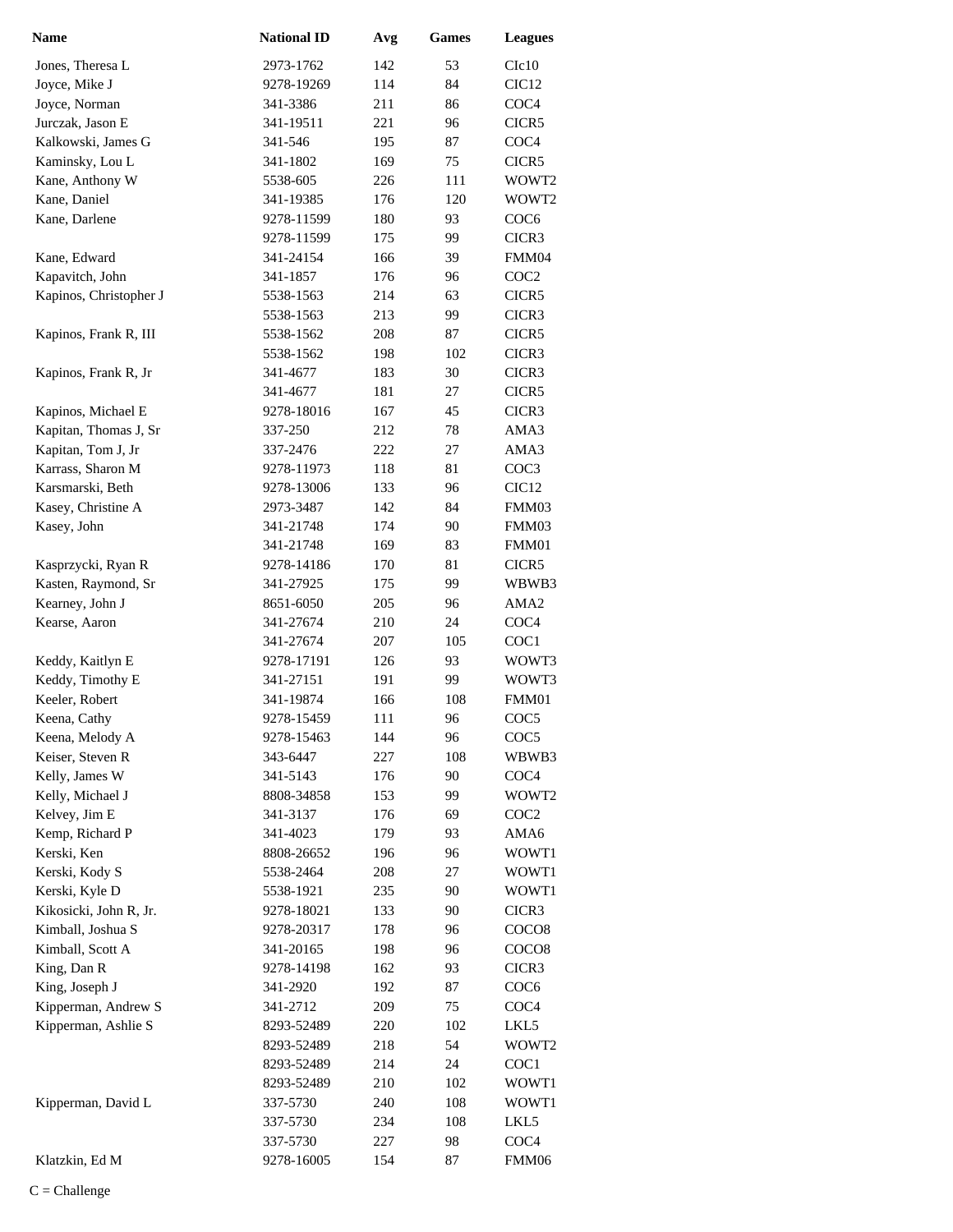| <b>Name</b>            | <b>National ID</b>       | Avg        | <b>Games</b> | <b>Leagues</b>            |
|------------------------|--------------------------|------------|--------------|---------------------------|
| Jones, Theresa L       | 2973-1762                | 142        | 53           | C1c10                     |
| Joyce, Mike J          | 9278-19269               | 114        | 84           | CIC <sub>12</sub>         |
| Joyce, Norman          | 341-3386                 | 211        | 86           | COC <sub>4</sub>          |
| Jurczak, Jason E       | 341-19511                | 221        | 96           | CICR5                     |
| Kalkowski, James G     | 341-546                  | 195        | 87           | COC <sub>4</sub>          |
| Kaminsky, Lou L        | 341-1802                 | 169        | 75           | CICR5                     |
| Kane, Anthony W        | 5538-605                 | 226        | 111          | WOWT2                     |
| Kane, Daniel           | 341-19385                | 176        | 120          | WOWT2                     |
| Kane, Darlene          | 9278-11599               | 180        | 93           | COC <sub>6</sub>          |
|                        | 9278-11599               | 175        | 99           | CICR3                     |
| Kane, Edward           | 341-24154                | 166        | 39           | FMM04                     |
| Kapavitch, John        | 341-1857                 | 176        | 96           | COC <sub>2</sub>          |
| Kapinos, Christopher J | 5538-1563                | 214        | 63           | CICR5                     |
|                        | 5538-1563                | 213        | 99           | CICR3                     |
| Kapinos, Frank R, III  | 5538-1562                | 208        | 87           | CICR5                     |
|                        | 5538-1562                | 198        | 102          | CICR3                     |
| Kapinos, Frank R, Jr   | 341-4677                 | 183        | 30           | CICR3                     |
|                        | 341-4677                 | 181        | 27           | CICR5                     |
| Kapinos, Michael E     | 9278-18016               | 167        | 45           | CICR3                     |
| Kapitan, Thomas J, Sr  | 337-250                  | 212        | 78           | AMA3                      |
| Kapitan, Tom J, Jr     | 337-2476                 | 222        | 27           | AMA3                      |
| Karrass, Sharon M      | 9278-11973               | 118        | 81           | COC3                      |
| Karsmarski, Beth       | 9278-13006               | 133        | 96           | CIC <sub>12</sub>         |
| Kasey, Christine A     | 2973-3487                | 142        | 84           | FMM03                     |
| Kasey, John            | 341-21748                | 174        | 90           | FMM03                     |
|                        | 341-21748                | 169        | 83           | FMM01                     |
| Kasprzycki, Ryan R     | 9278-14186               | 170        | 81           | CICR5                     |
| Kasten, Raymond, Sr    | 341-27925                | 175        | 99           | WBWB3                     |
| Kearney, John J        | 8651-6050                | 205        | 96           | AMA <sub>2</sub>          |
| Kearse, Aaron          | 341-27674                | 210        | 24           | COC <sub>4</sub>          |
|                        | 341-27674                | 207        | 105          | COC1                      |
| Keddy, Kaitlyn E       | 9278-17191               | 126        | 93           | WOWT3                     |
| Keddy, Timothy E       | 341-27151                | 191        | 99           | WOWT3                     |
| Keeler, Robert         | 341-19874                | 166        | 108          | FMM01                     |
| Keena, Cathy           | 9278-15459               | 111        | 96           | COC <sub>5</sub>          |
| Keena, Melody A        | 9278-15463               | 144        | 96           | COC <sub>5</sub>          |
| Keiser, Steven R       | 343-6447                 | 227        | 108          | WBWB3                     |
| Kelly, James W         | 341-5143                 | 176        | 90           | COC <sub>4</sub>          |
| Kelly, Michael J       | 8808-34858               | 153        | 99           | WOWT2                     |
| Kelvey, Jim E          | 341-3137                 | 176        | 69           | COC <sub>2</sub>          |
| Kemp, Richard P        | 341-4023                 | 179        | 93           | AMA6                      |
| Kerski, Ken            | 8808-26652               | 196        | 96           | WOWT1                     |
| Kerski, Kody S         | 5538-2464                | 208        | 27           | WOWT1                     |
| Kerski, Kyle D         | 5538-1921                | 235        | 90           | WOWT1                     |
| Kikosicki, John R, Jr. | 9278-18021               | 133        | 90           | CICR3                     |
| Kimball, Joshua S      | 9278-20317               | 178        | 96           | COCO <sub>8</sub>         |
| Kimball, Scott A       | 341-20165                | 198        | 96           | COCO <sub>8</sub>         |
| King, Dan R            | 9278-14198               | 162        | 93           | CICR3                     |
| King, Joseph J         | 341-2920                 | 192        | 87           | COC <sub>6</sub>          |
| Kipperman, Andrew S    | 341-2712                 | 209        | 75           | COC <sub>4</sub>          |
| Kipperman, Ashlie S    | 8293-52489               | 220        | 102          | LKL5                      |
|                        | 8293-52489               | 218        | 54           | WOWT2                     |
|                        | 8293-52489<br>8293-52489 | 214<br>210 | 24<br>102    | COC <sub>1</sub>          |
| Kipperman, David L     |                          |            |              | WOWT1                     |
|                        | 337-5730                 | 240        | 108          | WOWT1                     |
|                        | 337-5730                 | 234        | 108          | LKL5                      |
| Klatzkin, Ed M         | 337-5730                 | 227<br>154 | 98<br>87     | COC <sub>4</sub><br>FMM06 |
|                        | 9278-16005               |            |              |                           |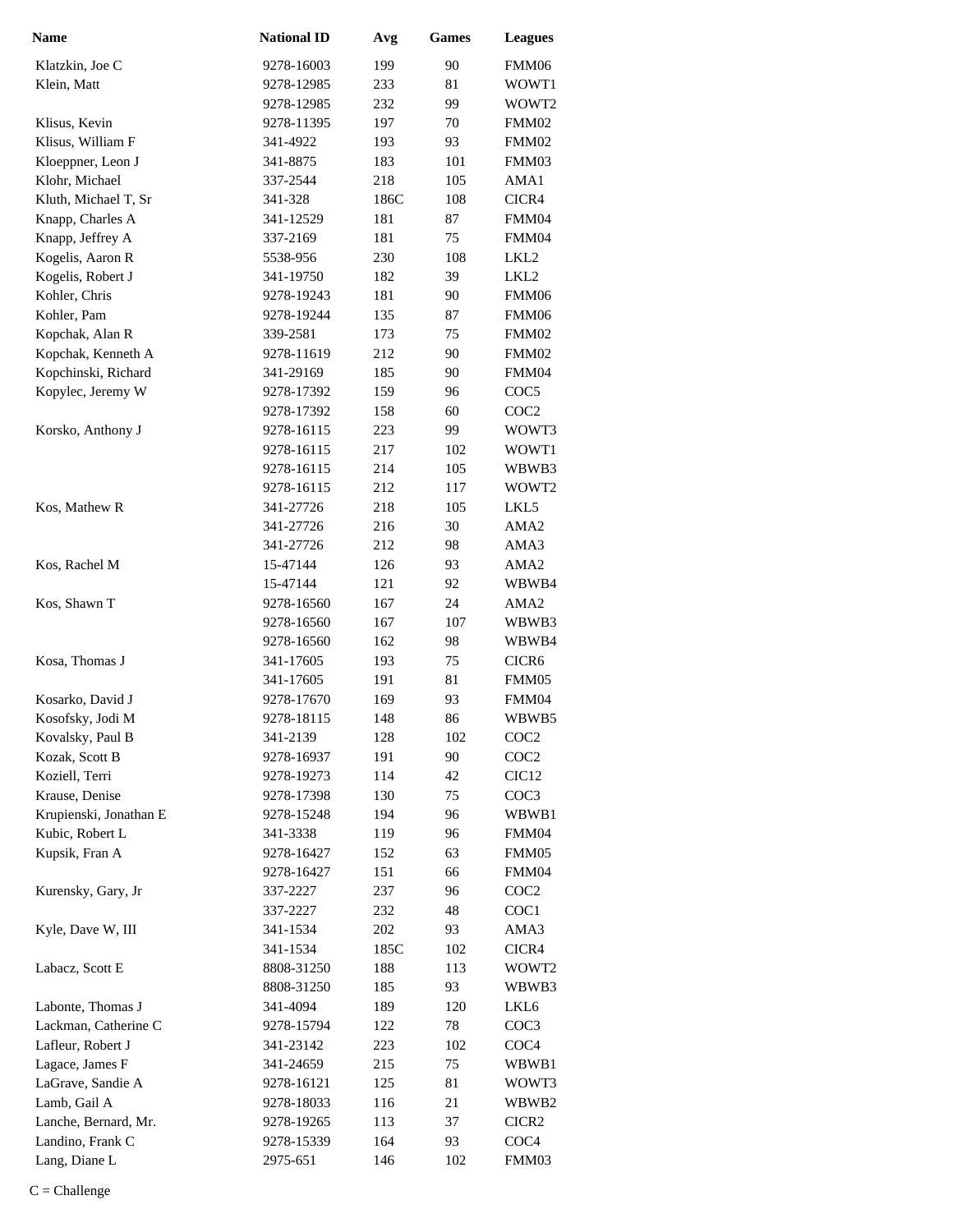| <b>Name</b>            | <b>National ID</b> | Avg  | <b>Games</b> | <b>Leagues</b>    |
|------------------------|--------------------|------|--------------|-------------------|
| Klatzkin, Joe C        | 9278-16003         | 199  | 90           | FMM06             |
| Klein, Matt            | 9278-12985         | 233  | 81           | WOWT1             |
|                        | 9278-12985         | 232  | 99           | WOWT2             |
| Klisus, Kevin          | 9278-11395         | 197  | 70           | FMM02             |
| Klisus, William F      | 341-4922           | 193  | 93           | FMM02             |
| Kloeppner, Leon J      | 341-8875           | 183  | 101          | FMM03             |
| Klohr, Michael         | 337-2544           | 218  | 105          | AMA1              |
| Kluth, Michael T, Sr   | 341-328            | 186C | 108          | CICR4             |
| Knapp, Charles A       | 341-12529          | 181  | 87           | FMM04             |
| Knapp, Jeffrey A       | 337-2169           | 181  | 75           | FMM04             |
| Kogelis, Aaron R       | 5538-956           | 230  | 108          | LKL <sub>2</sub>  |
| Kogelis, Robert J      | 341-19750          | 182  | 39           | LKL2              |
| Kohler, Chris          | 9278-19243         | 181  | 90           | FMM06             |
| Kohler, Pam            | 9278-19244         | 135  | 87           | FMM06             |
| Kopchak, Alan R        | 339-2581           | 173  | 75           | FMM02             |
| Kopchak, Kenneth A     | 9278-11619         | 212  | 90           | FMM02             |
| Kopchinski, Richard    | 341-29169          | 185  | 90           | FMM04             |
| Kopylec, Jeremy W      | 9278-17392         | 159  | 96           | COC <sub>5</sub>  |
|                        | 9278-17392         | 158  | 60           | COC <sub>2</sub>  |
| Korsko, Anthony J      | 9278-16115         | 223  | 99           | WOWT3             |
|                        | 9278-16115         | 217  | 102          | WOWT1             |
|                        | 9278-16115         | 214  | 105          | WBWB3             |
|                        | 9278-16115         | 212  | 117          | WOWT <sub>2</sub> |
| Kos, Mathew R          | 341-27726          | 218  | 105          | LKL5              |
|                        | 341-27726          | 216  | 30           | AMA <sub>2</sub>  |
|                        | 341-27726          | 212  | 98           | AMA3              |
| Kos, Rachel M          | 15-47144           | 126  | 93           | AMA2              |
|                        | 15-47144           | 121  | 92           | WBWB4             |
| Kos, Shawn T           | 9278-16560         | 167  | 24           | AMA <sub>2</sub>  |
|                        | 9278-16560         | 167  | 107          | WBWB3             |
|                        | 9278-16560         | 162  | 98           | WBWB4             |
| Kosa, Thomas J         | 341-17605          | 193  | 75           | CICR <sub>6</sub> |
|                        | 341-17605          | 191  | 81           | FMM05             |
| Kosarko, David J       | 9278-17670         | 169  | 93           | FMM04             |
| Kosofsky, Jodi M       | 9278-18115         | 148  | 86           | WBWB5             |
| Kovalsky, Paul B       | 341-2139           | 128  | 102          | COC <sub>2</sub>  |
| Kozak, Scott B         | 9278-16937         | 191  | 90           | COC <sub>2</sub>  |
| Koziell, Terri         | 9278-19273         | 114  | 42           | CIC <sub>12</sub> |
| Krause, Denise         | 9278-17398         | 130  | 75           | COC <sub>3</sub>  |
| Krupienski, Jonathan E | 9278-15248         | 194  | 96           | WBWB1             |
| Kubic, Robert L        | 341-3338           | 119  | 96           | FMM04             |
| Kupsik, Fran A         | 9278-16427         | 152  | 63           | FMM05             |
|                        | 9278-16427         | 151  | 66           | FMM04             |
| Kurensky, Gary, Jr     | 337-2227           | 237  | 96           | COC <sub>2</sub>  |
|                        | 337-2227           | 232  | 48           | COC1              |
| Kyle, Dave W, III      | 341-1534           | 202  | 93           | AMA3              |
|                        | 341-1534           | 185C | 102          | CICR4             |
| Labacz, Scott E        | 8808-31250         | 188  | 113          | WOWT2             |
|                        | 8808-31250         | 185  | 93           | WBWB3             |
| Labonte, Thomas J      | 341-4094           | 189  | 120          | LKL6              |
| Lackman, Catherine C   | 9278-15794         | 122  | 78           | COC <sub>3</sub>  |
| Lafleur, Robert J      | 341-23142          | 223  | 102          | COC <sub>4</sub>  |
| Lagace, James F        | 341-24659          | 215  | 75           | WBWB1             |
| LaGrave, Sandie A      | 9278-16121         | 125  | 81           | WOWT3             |
| Lamb, Gail A           | 9278-18033         | 116  | 21           | WBWB2             |
| Lanche, Bernard, Mr.   | 9278-19265         | 113  | 37           | CICR <sub>2</sub> |
| Landino, Frank C       | 9278-15339         | 164  | 93           | COC <sub>4</sub>  |
| Lang, Diane L          | 2975-651           | 146  | 102          | FMM03             |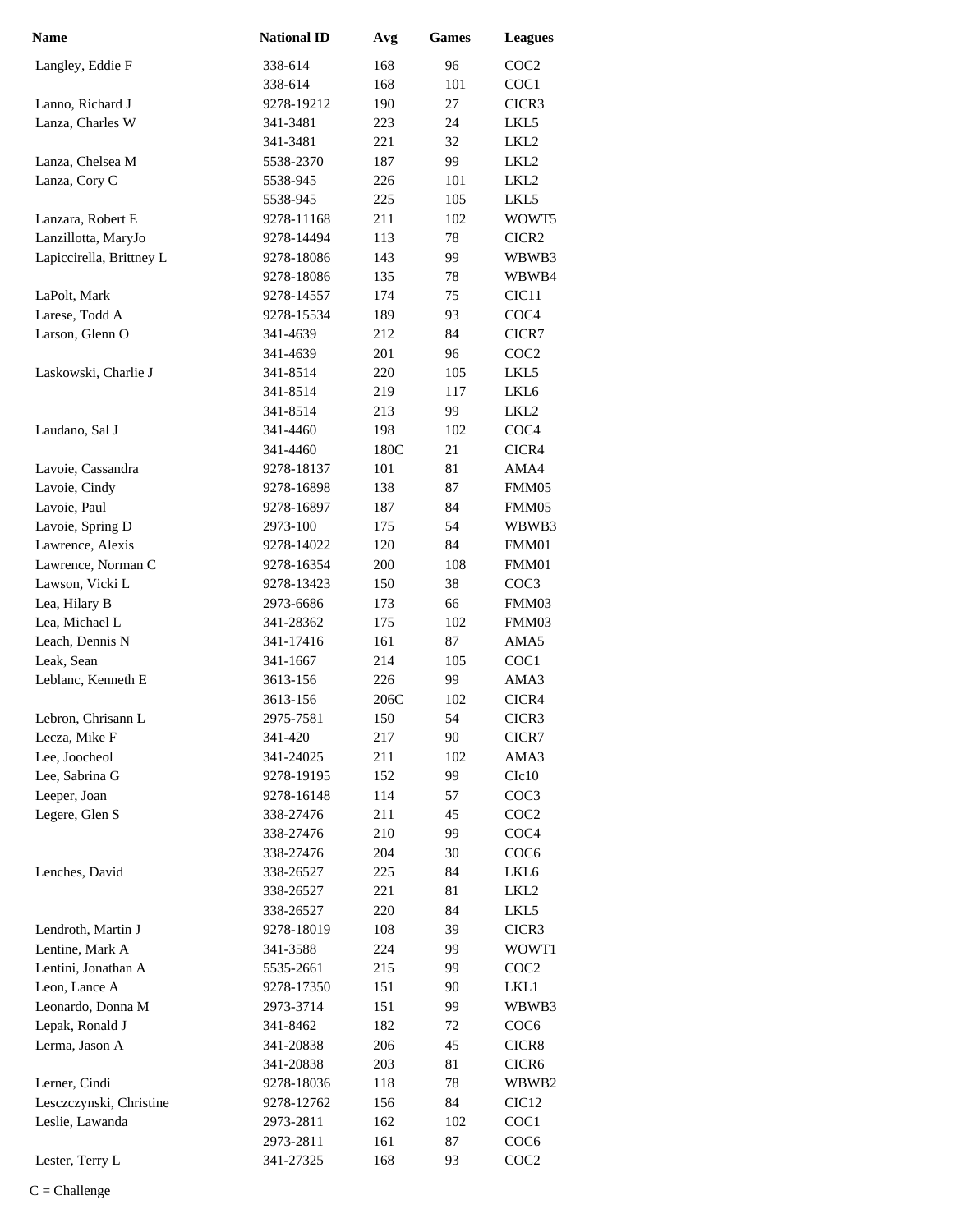| <b>Name</b>              | <b>National ID</b> | Avg  | <b>Games</b> | <b>Leagues</b>    |
|--------------------------|--------------------|------|--------------|-------------------|
| Langley, Eddie F         | 338-614            | 168  | 96           | COC <sub>2</sub>  |
|                          | 338-614            | 168  | 101          | COC1              |
| Lanno, Richard J         | 9278-19212         | 190  | 27           | CICR3             |
| Lanza, Charles W         | 341-3481           | 223  | 24           | LKL5              |
|                          | 341-3481           | 221  | 32           | LKL <sub>2</sub>  |
| Lanza, Chelsea M         | 5538-2370          | 187  | 99           | LKL <sub>2</sub>  |
| Lanza, Cory C            | 5538-945           | 226  | 101          | LKL <sub>2</sub>  |
|                          | 5538-945           | 225  | 105          | LKL5              |
| Lanzara, Robert E        | 9278-11168         | 211  | 102          | WOWT5             |
| Lanzillotta, MaryJo      | 9278-14494         | 113  | 78           | CICR2             |
| Lapiccirella, Brittney L | 9278-18086         | 143  | 99           | WBWB3             |
|                          | 9278-18086         | 135  | 78           | WBWB4             |
| LaPolt, Mark             | 9278-14557         | 174  | 75           | CIC <sub>11</sub> |
| Larese, Todd A           | 9278-15534         | 189  | 93           | COC <sub>4</sub>  |
| Larson, Glenn O          | 341-4639           | 212  | 84           | CICR7             |
|                          | 341-4639           | 201  | 96           | COC <sub>2</sub>  |
| Laskowski, Charlie J     | 341-8514           | 220  | 105          | LKL5              |
|                          | 341-8514           | 219  | 117          | LKL <sub>6</sub>  |
|                          | 341-8514           | 213  | 99           | LKL <sub>2</sub>  |
| Laudano, Sal J           | 341-4460           | 198  | 102          | COC <sub>4</sub>  |
|                          | 341-4460           | 180C | 21           | CICR4             |
| Lavoie, Cassandra        | 9278-18137         | 101  | 81           | AMA4              |
| Lavoie, Cindy            | 9278-16898         | 138  | 87           | FMM05             |
| Lavoie, Paul             | 9278-16897         | 187  | 84           | FMM05             |
| Lavoie, Spring D         | 2973-100           | 175  | 54           | WBWB3             |
| Lawrence, Alexis         | 9278-14022         | 120  | 84           | FMM01             |
| Lawrence, Norman C       | 9278-16354         | 200  | 108          | FMM01             |
| Lawson, Vicki L          | 9278-13423         | 150  | 38           | COC <sub>3</sub>  |
| Lea, Hilary B            | 2973-6686          | 173  | 66           | FMM03             |
| Lea, Michael L           | 341-28362          | 175  | 102          | FMM03             |
| Leach, Dennis N          | 341-17416          | 161  | 87           | AMA5              |
| Leak, Sean               | 341-1667           | 214  | 105          | COC1              |
| Leblanc, Kenneth E       | 3613-156           | 226  | 99           | AMA3              |
|                          | 3613-156           | 206C | 102          | CICR4             |
| Lebron, Chrisann L       | 2975-7581          | 150  | 54           | CICR3             |
| Lecza, Mike F            | 341-420            | 217  | 90           | CICR7             |
| Lee, Joocheol            | 341-24025          | 211  | 102          | AMA3              |
| Lee, Sabrina G           | 9278-19195         | 152  | 99           | C1c10             |
| Leeper, Joan             | 9278-16148         | 114  | 57           | COC <sub>3</sub>  |
| Legere, Glen S           | 338-27476          | 211  | 45           | COC <sub>2</sub>  |
|                          | 338-27476          | 210  | 99           | COC <sub>4</sub>  |
|                          | 338-27476          | 204  | 30           | COC <sub>6</sub>  |
| Lenches, David           | 338-26527          | 225  | 84           | LKL6              |
|                          | 338-26527          | 221  | 81           | LKL <sub>2</sub>  |
|                          | 338-26527          | 220  | 84           | LKL5              |
| Lendroth, Martin J       | 9278-18019         | 108  | 39           | CICR3             |
| Lentine, Mark A          | 341-3588           | 224  | 99           | WOWT1             |
| Lentini, Jonathan A      | 5535-2661          | 215  | 99           | COC <sub>2</sub>  |
| Leon, Lance A            | 9278-17350         | 151  | 90           | LKL1              |
| Leonardo, Donna M        | 2973-3714          | 151  | 99           | WBWB3             |
| Lepak, Ronald J          | 341-8462           | 182  | 72           | COC <sub>6</sub>  |
| Lerma, Jason A           | 341-20838          | 206  | 45           | CICR8             |
|                          | 341-20838          | 203  | 81           | CICR <sub>6</sub> |
| Lerner, Cindi            | 9278-18036         | 118  | 78           | WBWB2             |
| Lesczczynski, Christine  | 9278-12762         | 156  | 84           | CIC <sub>12</sub> |
| Leslie, Lawanda          | 2973-2811          | 162  | 102          | COC <sub>1</sub>  |
|                          | 2973-2811          | 161  | 87           | COC <sub>6</sub>  |
| Lester, Terry L          | 341-27325          | 168  | 93           | COC <sub>2</sub>  |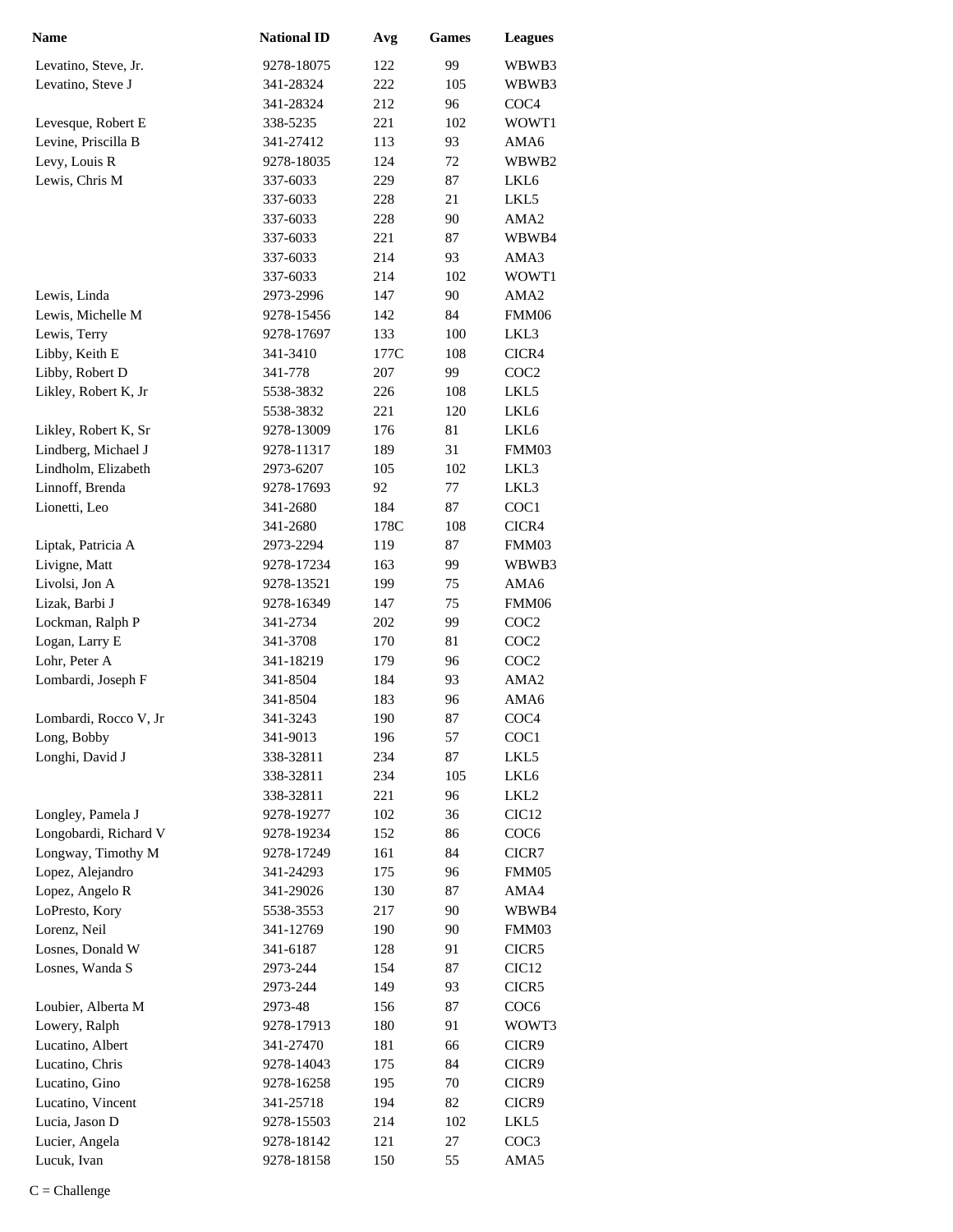| <b>Name</b>           | <b>National ID</b> | Avg  | Games | <b>Leagues</b>    |
|-----------------------|--------------------|------|-------|-------------------|
| Levatino, Steve, Jr.  | 9278-18075         | 122  | 99    | WBWB3             |
| Levatino, Steve J     | 341-28324          | 222  | 105   | WBWB3             |
|                       | 341-28324          | 212  | 96    | COC <sub>4</sub>  |
| Levesque, Robert E    | 338-5235           | 221  | 102   | WOWT1             |
| Levine, Priscilla B   | 341-27412          | 113  | 93    | AMA6              |
| Levy, Louis R         | 9278-18035         | 124  | 72    | WBWB2             |
| Lewis, Chris M        | 337-6033           | 229  | 87    | LKL <sub>6</sub>  |
|                       | 337-6033           | 228  | 21    | LKL5              |
|                       | 337-6033           | 228  | 90    | AMA <sub>2</sub>  |
|                       | 337-6033           | 221  | 87    | WBWB4             |
|                       | 337-6033           | 214  | 93    | AMA3              |
|                       | 337-6033           | 214  | 102   | WOWT1             |
| Lewis, Linda          | 2973-2996          | 147  | 90    | AMA <sub>2</sub>  |
| Lewis, Michelle M     | 9278-15456         | 142  | 84    | FMM06             |
| Lewis, Terry          | 9278-17697         | 133  | 100   | LKL3              |
| Libby, Keith E        | 341-3410           | 177C | 108   | CICR4             |
| Libby, Robert D       | 341-778            | 207  | 99    | COC <sub>2</sub>  |
| Likley, Robert K, Jr  | 5538-3832          | 226  | 108   | LKL5              |
|                       | 5538-3832          | 221  | 120   | LKL6              |
| Likley, Robert K, Sr  | 9278-13009         | 176  | 81    | LKL6              |
| Lindberg, Michael J   | 9278-11317         | 189  | 31    | FMM03             |
| Lindholm, Elizabeth   | 2973-6207          | 105  | 102   | LKL3              |
| Linnoff, Brenda       | 9278-17693         | 92   | 77    | LKL3              |
| Lionetti, Leo         | 341-2680           | 184  | 87    | COC1              |
|                       | 341-2680           | 178C | 108   | CICR4             |
| Liptak, Patricia A    | 2973-2294          | 119  | 87    | FMM03             |
| Livigne, Matt         | 9278-17234         | 163  | 99    | WBWB3             |
| Livolsi, Jon A        | 9278-13521         | 199  | 75    | AMA6              |
| Lizak, Barbi J        | 9278-16349         | 147  | 75    | FMM06             |
| Lockman, Ralph P      | 341-2734           | 202  | 99    | COC <sub>2</sub>  |
| Logan, Larry E        | 341-3708           | 170  | 81    | COC <sub>2</sub>  |
| Lohr, Peter A         | 341-18219          | 179  | 96    | COC <sub>2</sub>  |
| Lombardi, Joseph F    | 341-8504           | 184  | 93    | AMA <sub>2</sub>  |
|                       | 341-8504           | 183  | 96    | AMA6              |
| Lombardi, Rocco V, Jr | 341-3243           | 190  | 87    | COC <sub>4</sub>  |
| Long, Bobby           | 341-9013           | 196  | 57    | COC1              |
| Longhi, David J       | 338-32811          | 234  | 87    | LKL5              |
|                       | 338-32811          | 234  | 105   | LKL6              |
|                       | 338-32811          | 221  | 96    | LKL <sub>2</sub>  |
| Longley, Pamela J     | 9278-19277         | 102  | 36    | CIC <sub>12</sub> |
| Longobardi, Richard V | 9278-19234         | 152  | 86    | COC <sub>6</sub>  |
| Longway, Timothy M    | 9278-17249         | 161  | 84    | CICR7             |
| Lopez, Alejandro      | 341-24293          | 175  | 96    | FMM05             |
| Lopez, Angelo R       | 341-29026          | 130  | 87    | AMA4              |
| LoPresto, Kory        | 5538-3553          | 217  | 90    | WBWB4             |
| Lorenz, Neil          | 341-12769          | 190  | 90    | FMM03             |
| Losnes, Donald W      | 341-6187           | 128  | 91    | CICR5             |
| Losnes, Wanda S       | 2973-244           | 154  | 87    | CIC <sub>12</sub> |
|                       | 2973-244           | 149  | 93    | CICR5             |
| Loubier, Alberta M    | 2973-48            | 156  | 87    | COC <sub>6</sub>  |
| Lowery, Ralph         | 9278-17913         | 180  | 91    | WOWT3             |
| Lucatino, Albert      | 341-27470          | 181  | 66    | CICR9             |
| Lucatino, Chris       | 9278-14043         | 175  | 84    | CICR9             |
| Lucatino, Gino        | 9278-16258         | 195  | 70    | CICR9             |
| Lucatino, Vincent     | 341-25718          | 194  | 82    | CICR9             |
| Lucia, Jason D        | 9278-15503         | 214  | 102   | LKL5              |
| Lucier, Angela        | 9278-18142         | 121  | 27    | COC3              |
| Lucuk, Ivan           | 9278-18158         | 150  | 55    | AMA5              |
|                       |                    |      |       |                   |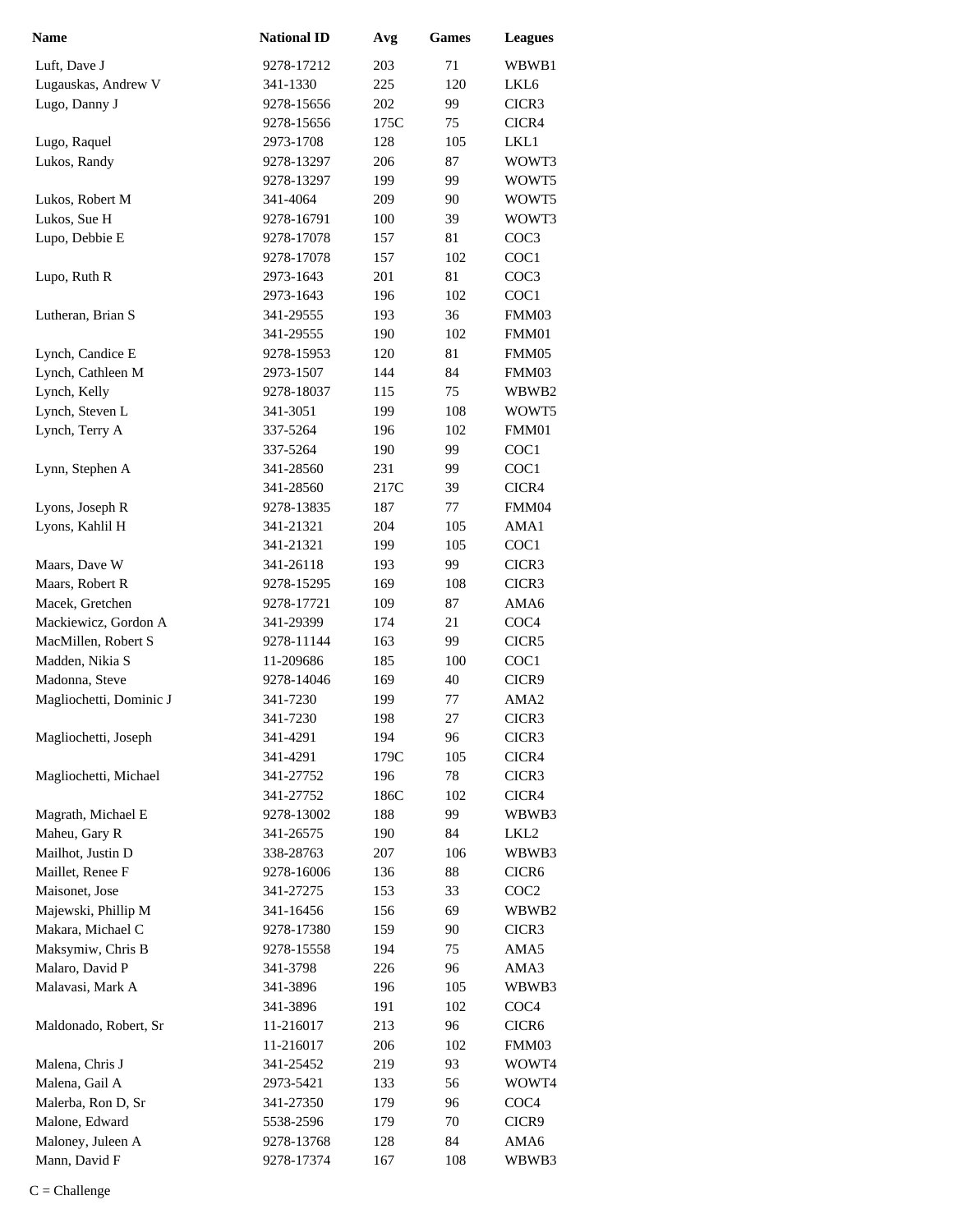| <b>Name</b>             | <b>National ID</b> | Avg  | Games | <b>Leagues</b>    |
|-------------------------|--------------------|------|-------|-------------------|
| Luft, Dave J            | 9278-17212         | 203  | 71    | WBWB1             |
| Lugauskas, Andrew V     | 341-1330           | 225  | 120   | LKL6              |
| Lugo, Danny J           | 9278-15656         | 202  | 99    | CICR3             |
|                         | 9278-15656         | 175C | 75    | CICR4             |
| Lugo, Raquel            | 2973-1708          | 128  | 105   | LKL1              |
| Lukos, Randy            | 9278-13297         | 206  | 87    | WOWT3             |
|                         | 9278-13297         | 199  | 99    | WOWT5             |
| Lukos, Robert M         | 341-4064           | 209  | 90    | WOWT5             |
| Lukos, Sue H            | 9278-16791         | 100  | 39    | WOWT3             |
| Lupo, Debbie E          | 9278-17078         | 157  | 81    | COC3              |
|                         | 9278-17078         | 157  | 102   | COC1              |
| Lupo, Ruth R            | 2973-1643          | 201  | 81    | COC <sub>3</sub>  |
|                         | 2973-1643          | 196  | 102   | COC1              |
| Lutheran, Brian S       | 341-29555          | 193  | 36    | FMM03             |
|                         | 341-29555          | 190  | 102   | FMM01             |
| Lynch, Candice E        | 9278-15953         | 120  | 81    | FMM05             |
| Lynch, Cathleen M       | 2973-1507          | 144  | 84    | FMM03             |
| Lynch, Kelly            | 9278-18037         | 115  | 75    | WBWB2             |
| Lynch, Steven L         | 341-3051           | 199  | 108   | WOWT5             |
| Lynch, Terry A          | 337-5264           | 196  | 102   | FMM01             |
|                         | 337-5264           | 190  | 99    | COC1              |
| Lynn, Stephen A         | 341-28560          | 231  | 99    | COC1              |
|                         | 341-28560          | 217C | 39    | CICR4             |
| Lyons, Joseph R         | 9278-13835         | 187  | 77    | FMM04             |
| Lyons, Kahlil H         | 341-21321          | 204  | 105   | AMA1              |
|                         | 341-21321          | 199  | 105   | COC1              |
| Maars, Dave W           | 341-26118          | 193  | 99    | CICR3             |
| Maars, Robert R         | 9278-15295         | 169  | 108   | CICR3             |
| Macek, Gretchen         | 9278-17721         | 109  | 87    | AMA6              |
| Mackiewicz, Gordon A    | 341-29399          | 174  | 21    | COC <sub>4</sub>  |
| MacMillen, Robert S     | 9278-11144         | 163  | 99    | CICR5             |
| Madden, Nikia S         | 11-209686          | 185  | 100   | COC1              |
| Madonna, Steve          | 9278-14046         | 169  | 40    | CICR9             |
| Magliochetti, Dominic J | 341-7230           | 199  | 77    | AMA <sub>2</sub>  |
|                         | 341-7230           | 198  | 27    | CICR3             |
| Magliochetti, Joseph    | 341-4291           | 194  | 96    | CICR3             |
|                         | 341-4291           | 179C | 105   | CICR4             |
| Magliochetti, Michael   | 341-27752          | 196  | 78    | CICR3             |
|                         | 341-27752          | 186C | 102   | CICR4             |
| Magrath, Michael E      | 9278-13002         | 188  | 99    | WBWB3             |
| Maheu, Gary R           | 341-26575          | 190  | 84    | LKL <sub>2</sub>  |
| Mailhot, Justin D       | 338-28763          | 207  | 106   | WBWB3             |
| Maillet, Renee F        | 9278-16006         | 136  | 88    | CICR <sub>6</sub> |
| Maisonet, Jose          | 341-27275          | 153  | 33    | COC <sub>2</sub>  |
| Majewski, Phillip M     | 341-16456          | 156  | 69    | WBWB2             |
| Makara, Michael C       | 9278-17380         | 159  | 90    | CICR3             |
| Maksymiw, Chris B       | 9278-15558         | 194  | 75    | AMA5              |
| Malaro, David P         | 341-3798           | 226  | 96    | AMA3              |
| Malavasi, Mark A        | 341-3896           | 196  | 105   | WBWB3             |
|                         | 341-3896           | 191  | 102   | COC <sub>4</sub>  |
| Maldonado, Robert, Sr   | 11-216017          | 213  | 96    | CICR <sub>6</sub> |
|                         | 11-216017          | 206  | 102   | FMM03             |
| Malena, Chris J         | 341-25452          | 219  | 93    | WOWT4             |
| Malena, Gail A          | 2973-5421          | 133  | 56    | WOWT4             |
| Malerba, Ron D, Sr      | 341-27350          | 179  | 96    | COC <sub>4</sub>  |
| Malone, Edward          | 5538-2596          | 179  | 70    | CICR9             |
| Maloney, Juleen A       | 9278-13768         | 128  | 84    | AMA6              |
| Mann, David F           | 9278-17374         | 167  | 108   | WBWB3             |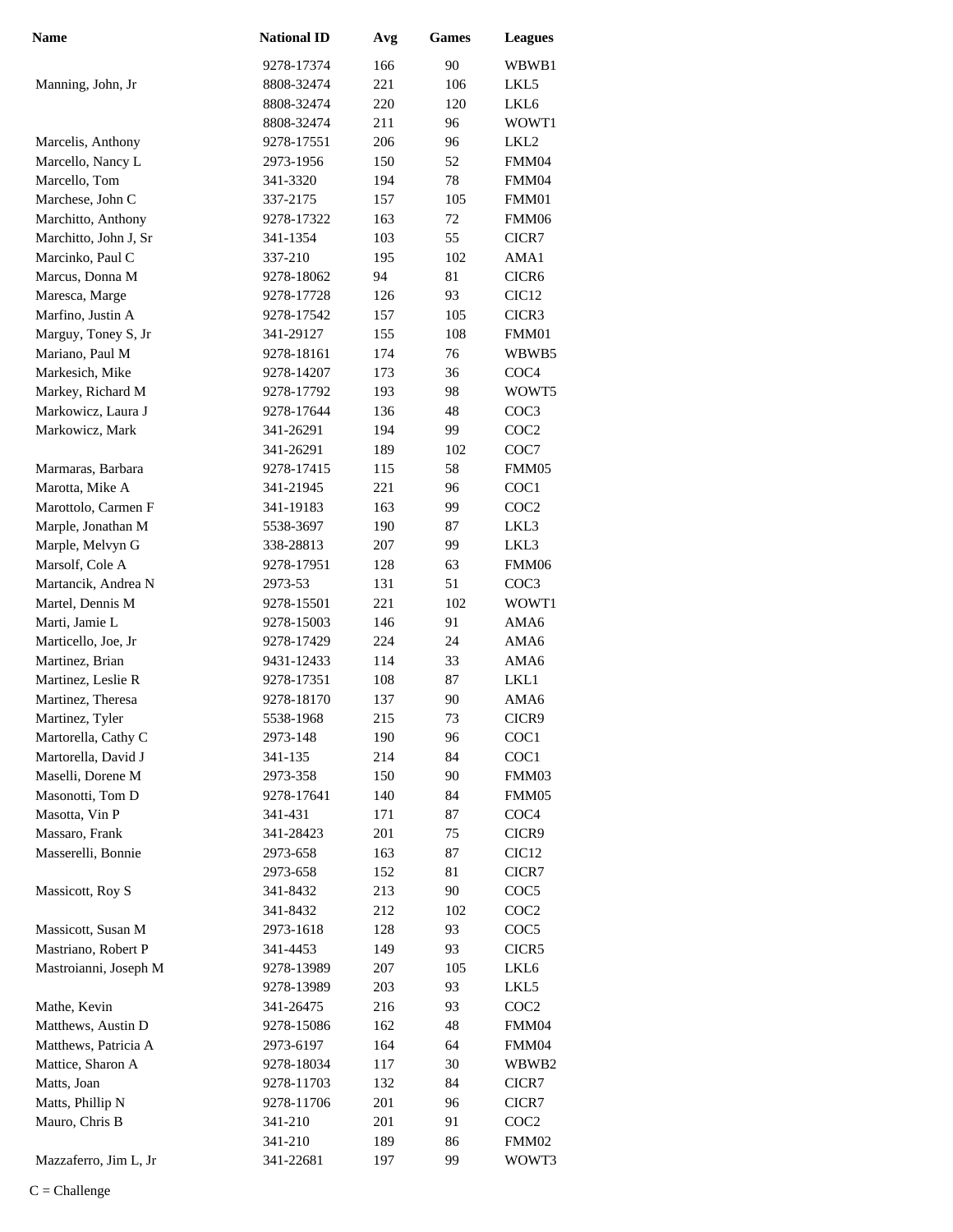| <b>Name</b>           | <b>National ID</b>   | Avg        | <b>Games</b> | <b>Leagues</b>    |
|-----------------------|----------------------|------------|--------------|-------------------|
|                       | 9278-17374           | 166        | 90           | WBWB1             |
| Manning, John, Jr     | 8808-32474           | 221        | 106          | LKL5              |
|                       | 8808-32474           | 220        | 120          | LKL6              |
|                       | 8808-32474           | 211        | 96           | WOWT1             |
| Marcelis, Anthony     | 9278-17551           | 206        | 96           | LKL <sub>2</sub>  |
| Marcello, Nancy L     | 2973-1956            | 150        | 52           | FMM04             |
| Marcello, Tom         | 341-3320             | 194        | 78           | FMM04             |
| Marchese, John C      | 337-2175             | 157        | 105          | FMM01             |
| Marchitto, Anthony    | 9278-17322           | 163        | 72           | FMM06             |
| Marchitto, John J, Sr | 341-1354             | 103        | 55           | CICR7             |
| Marcinko, Paul C      | 337-210              | 195        | 102          | AMA1              |
| Marcus, Donna M       | 9278-18062           | 94         | 81           | CICR <sub>6</sub> |
| Maresca, Marge        | 9278-17728           | 126        | 93           | CIC <sub>12</sub> |
| Marfino, Justin A     | 9278-17542           | 157        | 105          | CICR3             |
| Marguy, Toney S, Jr   | 341-29127            | 155        | 108          | FMM01             |
| Mariano, Paul M       | 9278-18161           | 174        | 76           | WBWB5             |
| Markesich, Mike       | 9278-14207           | 173        | 36           | COC <sub>4</sub>  |
| Markey, Richard M     | 9278-17792           | 193        | 98           | WOWT5             |
| Markowicz, Laura J    | 9278-17644           | 136        | 48           | COC <sub>3</sub>  |
| Markowicz, Mark       | 341-26291            | 194        | 99           | COC <sub>2</sub>  |
|                       | 341-26291            | 189        | 102          | COC7              |
| Marmaras, Barbara     | 9278-17415           | 115        | 58           | FMM05             |
| Marotta, Mike A       | 341-21945            | 221        | 96           | COC1              |
| Marottolo, Carmen F   | 341-19183            | 163        | 99           | COC <sub>2</sub>  |
| Marple, Jonathan M    | 5538-3697            | 190        | 87           | LKL3              |
| Marple, Melvyn G      | 338-28813            | 207        | 99           | LKL3              |
| Marsolf, Cole A       | 9278-17951           | 128        | 63           | FMM06             |
| Martancik, Andrea N   | 2973-53              | 131        | 51           | COC3              |
| Martel, Dennis M      | 9278-15501           | 221        | 102          | WOWT1             |
| Marti, Jamie L        | 9278-15003           | 146        | 91           | AMA6              |
| Marticello, Joe, Jr   | 9278-17429           | 224        | 24           | AMA6              |
| Martinez, Brian       | 9431-12433           | 114        | 33           | AMA6              |
| Martinez, Leslie R    | 9278-17351           | 108        | 87           | LKL1              |
| Martinez, Theresa     | 9278-18170           | 137        | 90           | AMA6              |
| Martinez, Tyler       | 5538-1968            | 215        | 73           | CICR9             |
| Martorella, Cathy C   | 2973-148             | 190        | 96           | COC <sub>1</sub>  |
| Martorella, David J   | 341-135              | 214        | 84           | COC1              |
| Maselli, Dorene M     | 2973-358             | 150        | 90           | FMM03             |
| Masonotti, Tom D      | 9278-17641           | 140        | 84           | FMM05             |
| Masotta, Vin P        | 341-431              | 171        | 87           | COC <sub>4</sub>  |
| Massaro, Frank        | 341-28423            | 201        | 75           | CICR9             |
| Masserelli, Bonnie    | 2973-658             | 163        | 87           | CIC <sub>12</sub> |
|                       | 2973-658             | 152        | 81           | CICR7             |
| Massicott, Roy S      | 341-8432             | 213        | 90           | COC5              |
|                       | 341-8432             | 212        | 102          | COC <sub>2</sub>  |
| Massicott, Susan M    | 2973-1618            | 128        | 93           | COC5              |
| Mastriano, Robert P   | 341-4453             | 149        | 93           | CICR5             |
| Mastroianni, Joseph M | 9278-13989           | 207        | 105          | LKL6              |
|                       | 9278-13989           | 203        | 93           | LKL5              |
| Mathe, Kevin          | 341-26475            | 216        | 93           | COC <sub>2</sub>  |
| Matthews, Austin D    | 9278-15086           | 162        | 48           | FMM04             |
| Matthews, Patricia A  | 2973-6197            | 164        | 64           | FMM04             |
| Mattice, Sharon A     | 9278-18034           | 117        | 30           | WBWB2             |
| Matts, Joan           | 9278-11703           | 132        | 84           | CICR7             |
| Matts, Phillip N      | 9278-11706           | 201        | 96           | CICR7             |
| Mauro, Chris B        | 341-210              | 201        | 91           | COC2              |
| Mazzaferro, Jim L, Jr | 341-210<br>341-22681 | 189<br>197 | 86<br>99     | FMM02             |
|                       |                      |            |              | WOWT3             |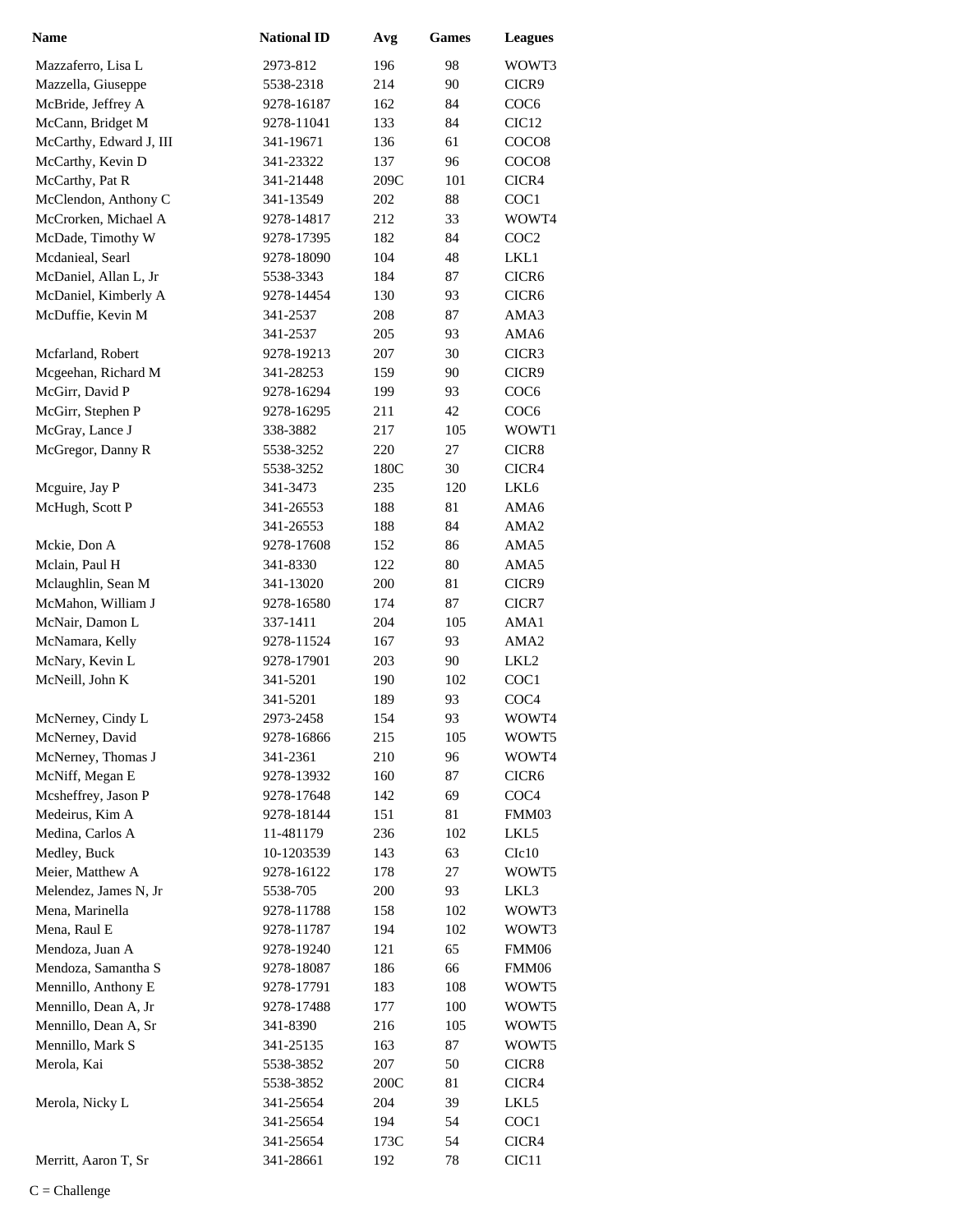| <b>Name</b>             | <b>National ID</b> | Avg  | <b>Games</b> | <b>Leagues</b>    |
|-------------------------|--------------------|------|--------------|-------------------|
| Mazzaferro, Lisa L      | 2973-812           | 196  | 98           | WOWT3             |
| Mazzella, Giuseppe      | 5538-2318          | 214  | 90           | CICR9             |
| McBride, Jeffrey A      | 9278-16187         | 162  | 84           | COC <sub>6</sub>  |
| McCann, Bridget M       | 9278-11041         | 133  | 84           | CIC <sub>12</sub> |
| McCarthy, Edward J, III | 341-19671          | 136  | 61           | COCO <sub>8</sub> |
| McCarthy, Kevin D       | 341-23322          | 137  | 96           | COCO <sub>8</sub> |
| McCarthy, Pat R         | 341-21448          | 209C | 101          | CICR4             |
| McClendon, Anthony C    | 341-13549          | 202  | 88           | COC1              |
| McCrorken, Michael A    | 9278-14817         | 212  | 33           | WOWT4             |
| McDade, Timothy W       | 9278-17395         | 182  | 84           | COC <sub>2</sub>  |
| Mcdanieal, Searl        | 9278-18090         | 104  | 48           | LKL1              |
| McDaniel, Allan L, Jr   | 5538-3343          | 184  | 87           | CICR <sub>6</sub> |
| McDaniel, Kimberly A    | 9278-14454         | 130  | 93           | CICR <sub>6</sub> |
| McDuffie, Kevin M       | 341-2537           | 208  | 87           | AMA3              |
|                         | 341-2537           | 205  | 93           | AMA6              |
| Mcfarland, Robert       | 9278-19213         | 207  | 30           | CICR3             |
| Mcgeehan, Richard M     | 341-28253          | 159  | 90           | CICR9             |
| McGirr, David P         | 9278-16294         | 199  | 93           | COC <sub>6</sub>  |
| McGirr, Stephen P       | 9278-16295         | 211  | 42           | COC <sub>6</sub>  |
| McGray, Lance J         | 338-3882           | 217  | 105          | WOWT1             |
| McGregor, Danny R       | 5538-3252          | 220  | 27           | CICR8             |
|                         | 5538-3252          | 180C | 30           | CICR4             |
| Mcguire, Jay P          | 341-3473           | 235  | 120          | LKL6              |
| McHugh, Scott P         | 341-26553          | 188  | 81           | AMA6              |
|                         | 341-26553          | 188  | 84           | AMA <sub>2</sub>  |
| Mckie, Don A            | 9278-17608         | 152  | 86           | AMA5              |
| Mclain, Paul H          | 341-8330           | 122  | 80           | AMA5              |
| Mclaughlin, Sean M      | 341-13020          | 200  | 81           | CICR9             |
| McMahon, William J      | 9278-16580         | 174  | 87           | CICR7             |
| McNair, Damon L         | 337-1411           | 204  | 105          | AMA1              |
| McNamara, Kelly         | 9278-11524         | 167  | 93           | AMA <sub>2</sub>  |
| McNary, Kevin L         | 9278-17901         | 203  | 90           | LKL2              |
| McNeill, John K         | 341-5201           | 190  | 102          | COC1              |
|                         | 341-5201           | 189  | 93           | COC <sub>4</sub>  |
| McNerney, Cindy L       | 2973-2458          | 154  | 93           | WOWT4             |
| McNerney, David         | 9278-16866         | 215  | 105          | WOWT5             |
| McNerney, Thomas J      | 341-2361           | 210  | 96           | WOWT4             |
| McNiff, Megan E         | 9278-13932         | 160  | 87           | CICR <sub>6</sub> |
| Mcsheffrey, Jason P     | 9278-17648         | 142  | 69           | COC <sub>4</sub>  |
| Medeirus, Kim A         | 9278-18144         | 151  | 81           | FMM03             |
| Medina, Carlos A        | 11-481179          | 236  | 102          | LKL5              |
| Medley, Buck            | 10-1203539         | 143  | 63           | C1c10             |
| Meier, Matthew A        | 9278-16122         | 178  | 27           | WOWT5             |
| Melendez, James N, Jr   | 5538-705           | 200  | 93           | LKL3              |
| Mena, Marinella         | 9278-11788         | 158  | 102          | WOWT3             |
| Mena, Raul E            | 9278-11787         | 194  | 102          | WOWT3             |
| Mendoza, Juan A         | 9278-19240         | 121  | 65           | FMM06             |
| Mendoza, Samantha S     | 9278-18087         | 186  | 66           | FMM06             |
| Mennillo, Anthony E     | 9278-17791         | 183  | 108          | WOWT5             |
| Mennillo, Dean A, Jr    | 9278-17488         | 177  | 100          | WOWT5             |
| Mennillo, Dean A, Sr    | 341-8390           | 216  | 105          | WOWT5             |
| Mennillo, Mark S        | 341-25135          | 163  | 87           | WOWT5             |
| Merola, Kai             | 5538-3852          | 207  | 50           | CICR8             |
|                         | 5538-3852          | 200C | 81           | CICR4             |
| Merola, Nicky L         | 341-25654          | 204  | 39           | LKL5              |
|                         | 341-25654          | 194  | 54           | COC <sub>1</sub>  |
|                         | 341-25654          | 173C | 54           | CICR4             |
| Merritt, Aaron T, Sr    | 341-28661          | 192  | 78           | CIC11             |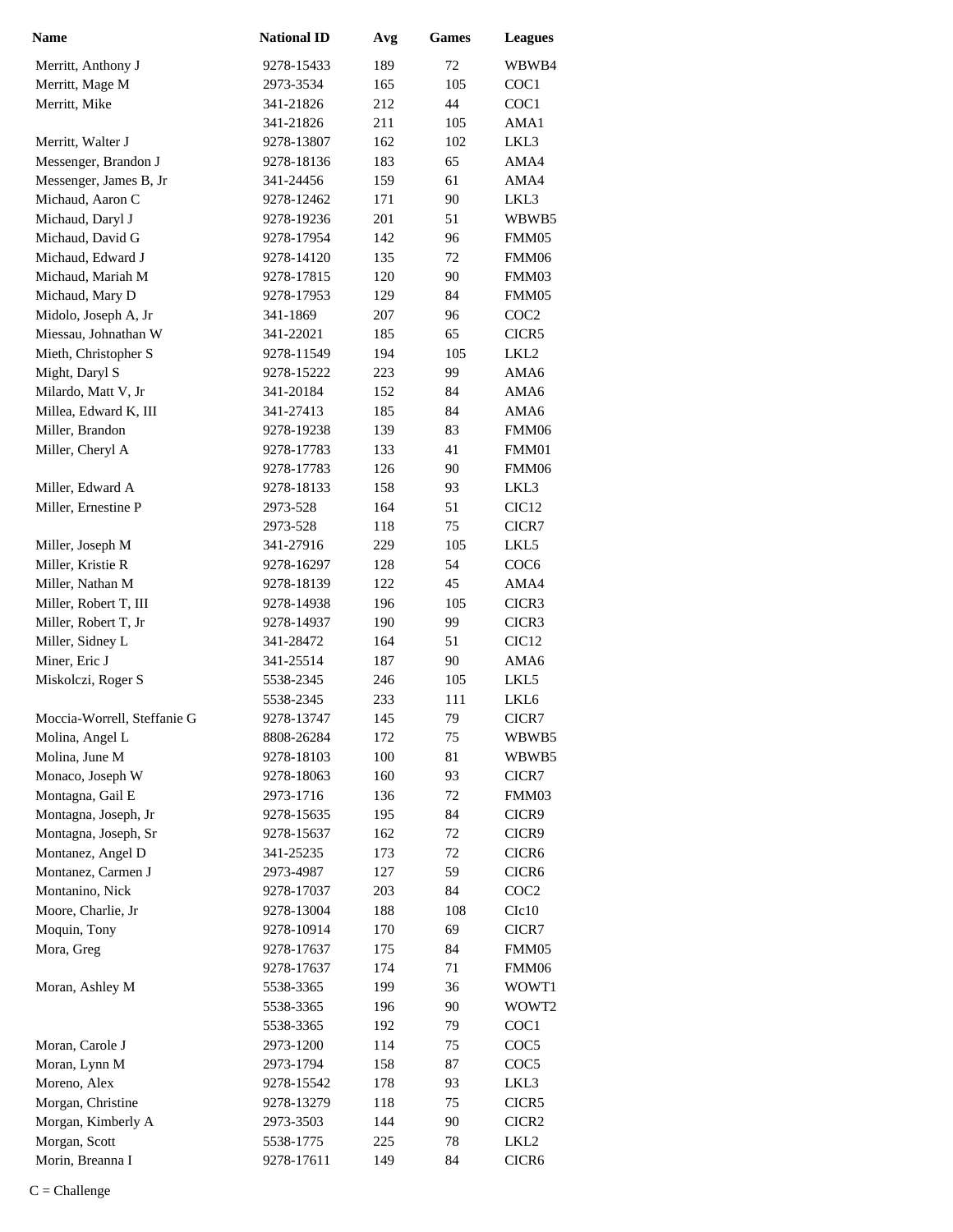| Name                        | <b>National ID</b> | Avg | <b>Games</b> | <b>Leagues</b>                        |
|-----------------------------|--------------------|-----|--------------|---------------------------------------|
| Merritt, Anthony J          | 9278-15433         | 189 | 72           | WBWB4                                 |
| Merritt, Mage M             | 2973-3534          | 165 | 105          | COC1                                  |
| Merritt, Mike               | 341-21826          | 212 | 44           | COC1                                  |
|                             | 341-21826          | 211 | 105          | AMA1                                  |
| Merritt, Walter J           | 9278-13807         | 162 | 102          | LKL3                                  |
| Messenger, Brandon J        | 9278-18136         | 183 | 65           | AMA4                                  |
| Messenger, James B, Jr      | 341-24456          | 159 | 61           | AMA4                                  |
| Michaud, Aaron C            | 9278-12462         | 171 | 90           | LKL3                                  |
| Michaud, Daryl J            | 9278-19236         | 201 | 51           | WBWB5                                 |
| Michaud, David G            | 9278-17954         | 142 | 96           | FMM05                                 |
| Michaud, Edward J           | 9278-14120         | 135 | 72           | FMM06                                 |
| Michaud, Mariah M           | 9278-17815         | 120 | 90           | FMM03                                 |
| Michaud, Mary D             | 9278-17953         | 129 | 84           | FMM05                                 |
| Midolo, Joseph A, Jr        | 341-1869           | 207 | 96           | COC <sub>2</sub>                      |
| Miessau, Johnathan W        | 341-22021          | 185 | 65           | CICR5                                 |
| Mieth, Christopher S        | 9278-11549         | 194 | 105          | LKL <sub>2</sub>                      |
| Might, Daryl S              | 9278-15222         | 223 | 99           | AMA6                                  |
| Milardo, Matt V, Jr         | 341-20184          | 152 | 84           | AMA6                                  |
| Millea, Edward K, III       | 341-27413          | 185 | 84           | AMA6                                  |
| Miller, Brandon             | 9278-19238         | 139 | 83           | FMM06                                 |
| Miller, Cheryl A            | 9278-17783         | 133 | 41           | FMM01                                 |
|                             | 9278-17783         | 126 | 90           | FMM06                                 |
| Miller, Edward A            | 9278-18133         | 158 | 93           | LKL3                                  |
| Miller, Ernestine P         | 2973-528           | 164 | 51           | CIC <sub>12</sub>                     |
|                             | 2973-528           | 118 | 75           | CICR7                                 |
| Miller, Joseph M            | 341-27916          | 229 | 105          | LKL5                                  |
| Miller, Kristie R           | 9278-16297         | 128 | 54           | COC <sub>6</sub>                      |
| Miller, Nathan M            | 9278-18139         | 122 | 45           | AMA4                                  |
| Miller, Robert T, III       | 9278-14938         | 196 | 105          | CICR3                                 |
| Miller, Robert T, Jr        | 9278-14937         | 190 | 99           | CICR3                                 |
| Miller, Sidney L            | 341-28472          | 164 | 51           | CIC <sub>12</sub>                     |
| Miner, Eric J               | 341-25514          | 187 | 90           | AMA6                                  |
| Miskolczi, Roger S          | 5538-2345          | 246 | 105          | LKL5                                  |
|                             | 5538-2345          | 233 | 111          | LKL <sub>6</sub>                      |
| Moccia-Worrell, Steffanie G | 9278-13747         | 145 | 79           | CICR7                                 |
| Molina, Angel L             | 8808-26284         | 172 | 75           | WBWB5                                 |
| Molina, June M              | 9278-18103         | 100 | 81           | WBWB5                                 |
| Monaco, Joseph W            | 9278-18063         | 160 | 93           | CICR7                                 |
| Montagna, Gail E            | 2973-1716          | 136 | 72           | FMM03                                 |
| Montagna, Joseph, Jr        | 9278-15635         | 195 | 84           | CICR9                                 |
| Montagna, Joseph, Sr        | 9278-15637         | 162 | 72           | CICR9                                 |
| Montanez, Angel D           | 341-25235          | 173 | 72           | CICR <sub>6</sub>                     |
| Montanez, Carmen J          | 2973-4987          | 127 | 59           | CICR <sub>6</sub>                     |
| Montanino, Nick             | 9278-17037         | 203 | 84           | COC <sub>2</sub>                      |
| Moore, Charlie, Jr          | 9278-13004         | 188 | 108          | C1c10                                 |
| Moquin, Tony                | 9278-10914         | 170 | 69           | CICR7                                 |
| Mora, Greg                  | 9278-17637         | 175 | 84           | FMM05                                 |
|                             | 9278-17637         | 174 | 71           | FMM06                                 |
| Moran, Ashley M             | 5538-3365          | 199 | 36           | WOWT1                                 |
|                             | 5538-3365          | 196 | 90           | WOWT <sub>2</sub>                     |
|                             | 5538-3365          | 192 | 79           | COC <sub>1</sub>                      |
| Moran, Carole J             | 2973-1200          | 114 | 75           | COC <sub>5</sub>                      |
| Moran, Lynn M               | 2973-1794          | 158 | 87           | COC <sub>5</sub>                      |
| Moreno, Alex                | 9278-15542         | 178 | 93           | LKL3                                  |
| Morgan, Christine           | 9278-13279         | 118 | 75           | CICR5                                 |
| Morgan, Kimberly A          | 2973-3503          | 144 | 90           |                                       |
| Morgan, Scott               | 5538-1775          | 225 | 78           | CICR <sub>2</sub><br>LKL <sub>2</sub> |
| Morin, Breanna I            | 9278-17611         | 149 | 84           | CICR <sub>6</sub>                     |
|                             |                    |     |              |                                       |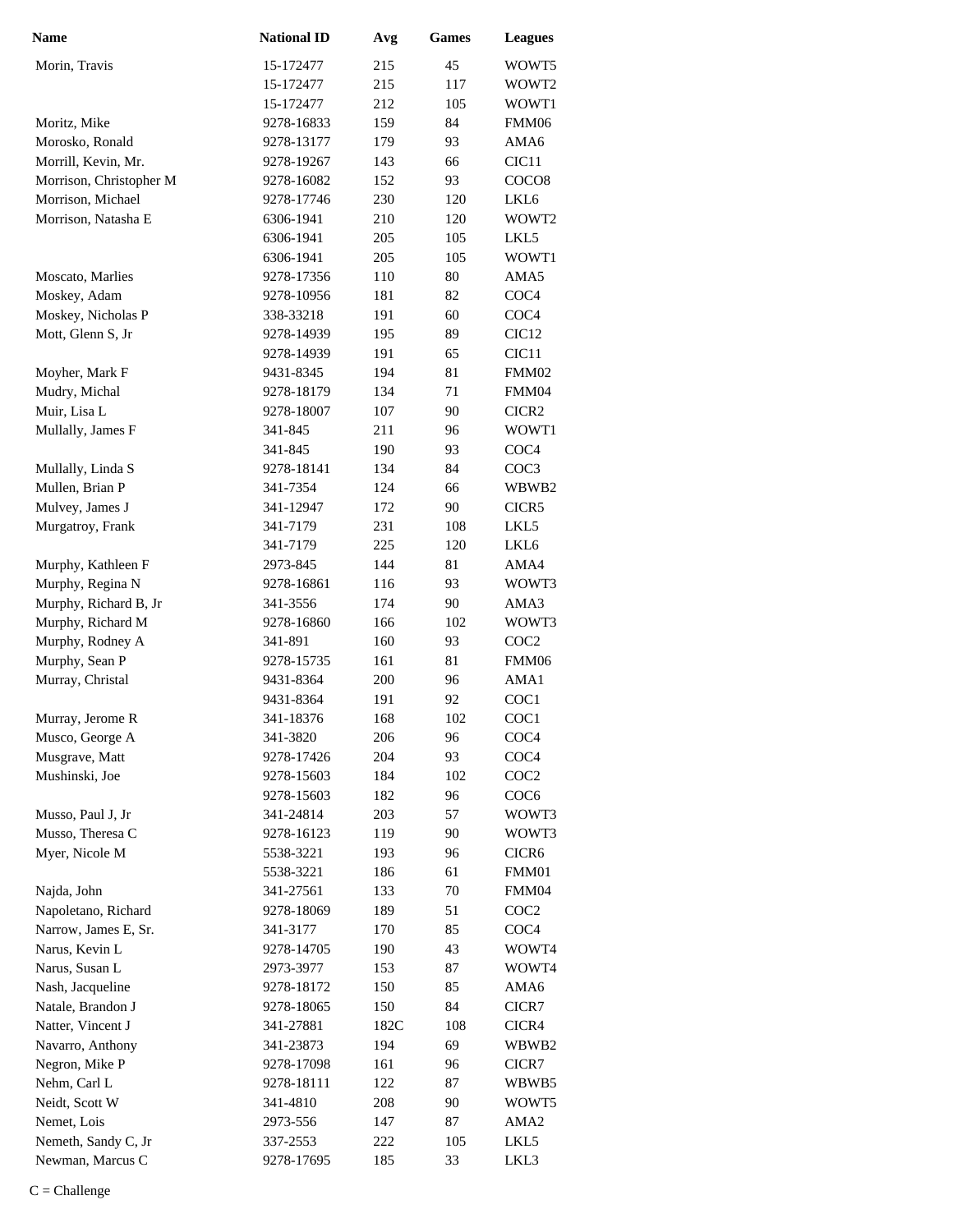| <b>Name</b>                        | <b>National ID</b>       | Avg  | <b>Games</b> | <b>Leagues</b>    |
|------------------------------------|--------------------------|------|--------------|-------------------|
| Morin, Travis                      | 15-172477                | 215  | 45           | WOWT5             |
|                                    | 15-172477                | 215  | 117          | WOWT2             |
|                                    | 15-172477                | 212  | 105          | WOWT1             |
| Moritz, Mike                       | 9278-16833               | 159  | 84           | FMM06             |
| Morosko, Ronald                    | 9278-13177               | 179  | 93           | AMA6              |
| Morrill, Kevin, Mr.                | 9278-19267               | 143  | 66           | CIC <sub>11</sub> |
| Morrison, Christopher M            | 9278-16082               | 152  | 93           | COCO <sub>8</sub> |
| Morrison, Michael                  | 9278-17746               | 230  | 120          | LKL <sub>6</sub>  |
| Morrison, Natasha E                | 6306-1941                | 210  | 120          | WOWT2             |
|                                    | 6306-1941                | 205  | 105          | LKL5              |
|                                    | 6306-1941                | 205  | 105          | WOWT1             |
| Moscato, Marlies                   | 9278-17356               | 110  | 80           | AMA5              |
| Moskey, Adam                       | 9278-10956               | 181  | 82           | COC <sub>4</sub>  |
| Moskey, Nicholas P                 | 338-33218                | 191  | 60           | COC <sub>4</sub>  |
| Mott, Glenn S, Jr                  | 9278-14939               | 195  | 89           | CIC <sub>12</sub> |
|                                    | 9278-14939               | 191  | 65           | CIC <sub>11</sub> |
| Moyher, Mark F                     | 9431-8345                | 194  | 81           | FMM02             |
| Mudry, Michal                      | 9278-18179               | 134  | 71           | FMM04             |
| Muir, Lisa L                       | 9278-18007               | 107  | 90           | CICR <sub>2</sub> |
| Mullally, James F                  | 341-845                  | 211  | 96           | WOWT1             |
|                                    | 341-845                  | 190  | 93           | COC <sub>4</sub>  |
| Mullally, Linda S                  | 9278-18141               | 134  | 84           | COC3              |
| Mullen, Brian P                    | 341-7354                 | 124  | 66           | WBWB2             |
| Mulvey, James J                    | 341-12947                | 172  | 90           | CICR5             |
| Murgatroy, Frank                   | 341-7179                 | 231  | 108          | LKL5              |
|                                    | 341-7179                 | 225  | 120          | LKL6              |
| Murphy, Kathleen F                 | 2973-845                 | 144  | 81           | AMA4              |
| Murphy, Regina N                   | 9278-16861               | 116  | 93           | WOWT3             |
| Murphy, Richard B, Jr              | 341-3556                 | 174  | 90           | AMA3              |
| Murphy, Richard M                  | 9278-16860               | 166  | 102          | WOWT3             |
| Murphy, Rodney A                   | 341-891                  | 160  | 93           | COC <sub>2</sub>  |
| Murphy, Sean P                     | 9278-15735               | 161  | 81           | FMM06             |
| Murray, Christal                   | 9431-8364                | 200  | 96           | AMA1              |
|                                    | 9431-8364                | 191  | 92           | COC1              |
|                                    | 341-18376                | 168  | 102          | COC1              |
| Murray, Jerome R                   | 341-3820                 | 206  | 96           | COC <sub>4</sub>  |
| Musco, George A                    |                          |      |              | COC <sub>4</sub>  |
| Musgrave, Matt<br>Mushinski, Joe   | 9278-17426<br>9278-15603 | 204  | 93           |                   |
|                                    | 9278-15603               | 184  | 102          | COC <sub>2</sub>  |
|                                    |                          | 182  | 96<br>57     | COC <sub>6</sub>  |
| Musso, Paul J, Jr                  | 341-24814                | 203  | 90           | WOWT3<br>WOWT3    |
| Musso, Theresa C<br>Myer, Nicole M | 9278-16123               | 119  |              |                   |
|                                    | 5538-3221                | 193  | 96           | CICR <sub>6</sub> |
|                                    | 5538-3221                | 186  | 61           | FMM01             |
| Najda, John                        | 341-27561                | 133  | 70           | FMM04             |
| Napoletano, Richard                | 9278-18069               | 189  | 51           | COC <sub>2</sub>  |
| Narrow, James E, Sr.               | 341-3177                 | 170  | 85           | COC <sub>4</sub>  |
| Narus, Kevin L                     | 9278-14705               | 190  | 43           | WOWT4             |
| Narus, Susan L                     | 2973-3977                | 153  | 87           | WOWT4             |
| Nash, Jacqueline                   | 9278-18172               | 150  | 85           | AMA6              |
| Natale, Brandon J                  | 9278-18065               | 150  | 84           | CICR7             |
| Natter, Vincent J                  | 341-27881                | 182C | 108          | CICR4             |
| Navarro, Anthony                   | 341-23873                | 194  | 69           | WBWB2             |
| Negron, Mike P                     | 9278-17098               | 161  | 96           | CICR7             |
| Nehm, Carl L                       | 9278-18111               | 122  | 87           | WBWB5             |
| Neidt, Scott W                     | 341-4810                 | 208  | 90           | WOWT5             |
| Nemet, Lois                        | 2973-556                 | 147  | 87           | AMA <sub>2</sub>  |
| Nemeth, Sandy C, Jr                | 337-2553                 | 222  | 105          | LKL5              |
| Newman, Marcus C                   | 9278-17695               | 185  | 33           | LKL3              |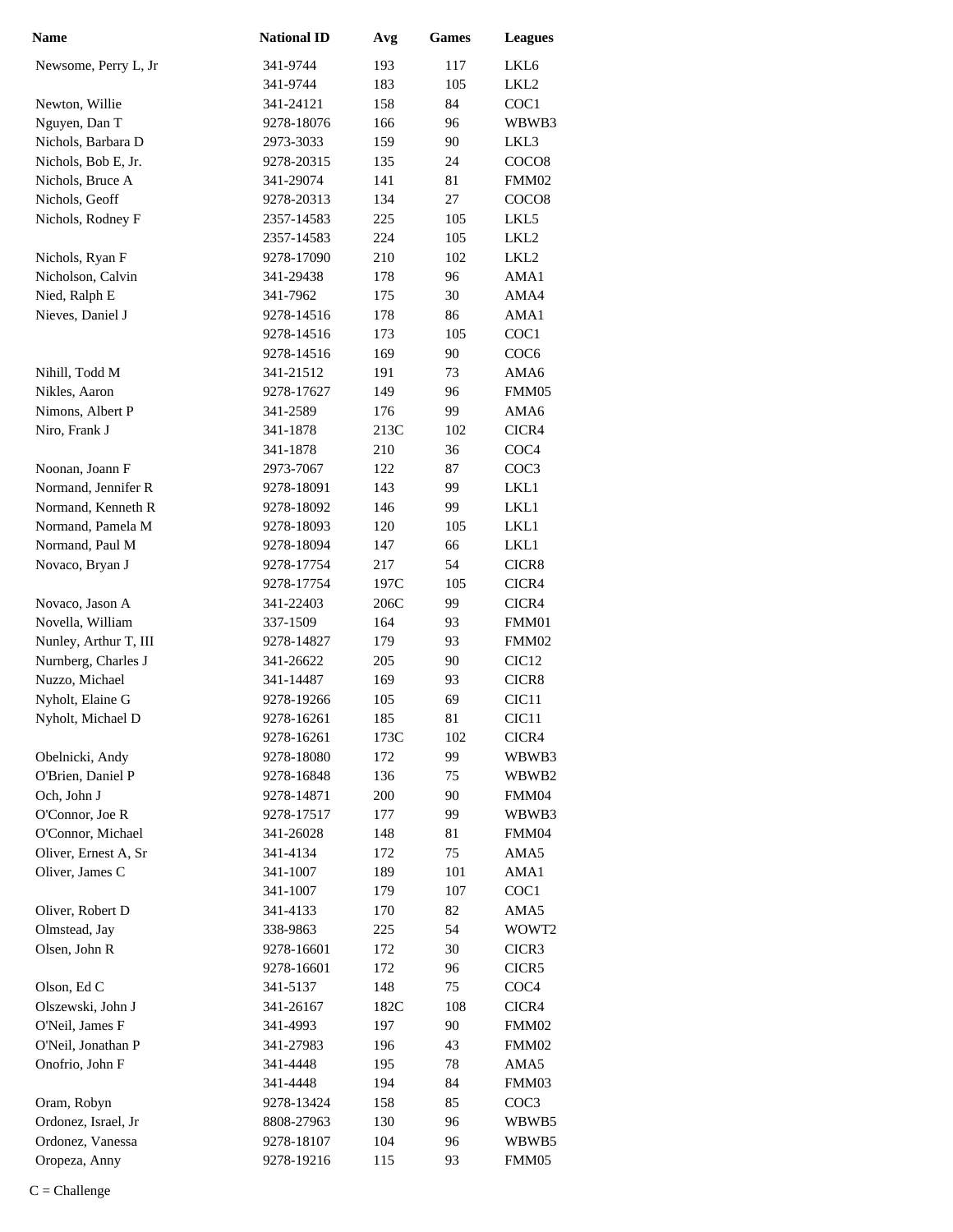| <b>Name</b>           | <b>National ID</b> | Avg  | <b>Games</b> | <b>Leagues</b>    |
|-----------------------|--------------------|------|--------------|-------------------|
| Newsome, Perry L, Jr  | 341-9744           | 193  | 117          | LKL6              |
|                       | 341-9744           | 183  | 105          | LKL <sub>2</sub>  |
| Newton, Willie        | 341-24121          | 158  | 84           | COC1              |
| Nguyen, Dan T         | 9278-18076         | 166  | 96           | WBWB3             |
| Nichols, Barbara D    | 2973-3033          | 159  | 90           | LKL3              |
| Nichols, Bob E, Jr.   | 9278-20315         | 135  | 24           | COCO <sub>8</sub> |
| Nichols, Bruce A      | 341-29074          | 141  | 81           | FMM02             |
| Nichols, Geoff        | 9278-20313         | 134  | 27           | COCO <sub>8</sub> |
| Nichols, Rodney F     | 2357-14583         | 225  | 105          | LKL5              |
|                       | 2357-14583         | 224  | 105          | LKL <sub>2</sub>  |
| Nichols, Ryan F       | 9278-17090         | 210  | 102          | LKL <sub>2</sub>  |
| Nicholson, Calvin     | 341-29438          | 178  | 96           | AMA1              |
| Nied, Ralph E         | 341-7962           | 175  | 30           | AMA4              |
| Nieves, Daniel J      | 9278-14516         | 178  | 86           | AMA1              |
|                       | 9278-14516         | 173  | 105          | COC1              |
|                       | 9278-14516         | 169  | 90           | COC <sub>6</sub>  |
| Nihill, Todd M        | 341-21512          | 191  | 73           | AMA6              |
| Nikles, Aaron         | 9278-17627         | 149  | 96           | FMM05             |
| Nimons, Albert P      | 341-2589           | 176  | 99           | AMA6              |
| Niro, Frank J         | 341-1878           | 213C | 102          | CICR4             |
|                       | 341-1878           | 210  | 36           | COC <sub>4</sub>  |
| Noonan, Joann F       | 2973-7067          | 122  | 87           | COC <sub>3</sub>  |
| Normand, Jennifer R   | 9278-18091         | 143  | 99           | LKL1              |
| Normand, Kenneth R    | 9278-18092         | 146  | 99           | LKL1              |
| Normand, Pamela M     | 9278-18093         | 120  | 105          | LKL1              |
| Normand, Paul M       | 9278-18094         | 147  | 66           | LKL1              |
| Novaco, Bryan J       | 9278-17754         | 217  | 54           | CICR8             |
|                       | 9278-17754         | 197C | 105          | CICR4             |
| Novaco, Jason A       | 341-22403          | 206C | 99           | CICR4             |
| Novella, William      | 337-1509           | 164  | 93           | FMM01             |
| Nunley, Arthur T, III | 9278-14827         | 179  | 93           | FMM02             |
| Nurnberg, Charles J   | 341-26622          | 205  | 90           | CIC <sub>12</sub> |
| Nuzzo, Michael        | 341-14487          | 169  | 93           | CICR8             |
| Nyholt, Elaine G      | 9278-19266         | 105  | 69           | CIC <sub>11</sub> |
| Nyholt, Michael D     | 9278-16261         | 185  | 81           | CIC <sub>11</sub> |
|                       | 9278-16261         | 173C | 102          | CICR4             |
| Obelnicki, Andy       | 9278-18080         | 172  | 99           | WBWB3             |
| O'Brien, Daniel P     | 9278-16848         | 136  | 75           | WBWB2             |
| Och, John J           | 9278-14871         | 200  | 90           | FMM04             |
| O'Connor, Joe R       | 9278-17517         | 177  | 99           | WBWB3             |
| O'Connor, Michael     | 341-26028          | 148  | 81           | FMM04             |
| Oliver, Ernest A, Sr  | 341-4134           | 172  | 75           | AMA5              |
| Oliver, James C       | 341-1007           | 189  | 101          | AMA1              |
|                       | 341-1007           | 179  | 107          | COC1              |
| Oliver, Robert D      | 341-4133           | 170  | 82           | AMA5              |
| Olmstead, Jay         | 338-9863           | 225  | 54           | WOWT2             |
| Olsen, John R         | 9278-16601         | 172  | 30           | CICR3             |
|                       | 9278-16601         | 172  | 96           | CICR5             |
| Olson, Ed C           | 341-5137           | 148  | 75           | COC <sub>4</sub>  |
| Olszewski, John J     | 341-26167          | 182C | 108          | CICR4             |
| O'Neil, James F       | 341-4993           | 197  | 90           | FMM02             |
| O'Neil, Jonathan P    | 341-27983          | 196  | 43           | FMM02             |
| Onofrio, John F       | 341-4448           | 195  | 78           | AMA5              |
|                       | 341-4448           | 194  | 84           | FMM03             |
| Oram, Robyn           | 9278-13424         | 158  | 85           | COC <sub>3</sub>  |
| Ordonez, Israel, Jr   | 8808-27963         | 130  | 96           | WBWB5             |
| Ordonez, Vanessa      | 9278-18107         | 104  | 96           | WBWB5             |
| Oropeza, Anny         | 9278-19216         | 115  | 93           | FMM05             |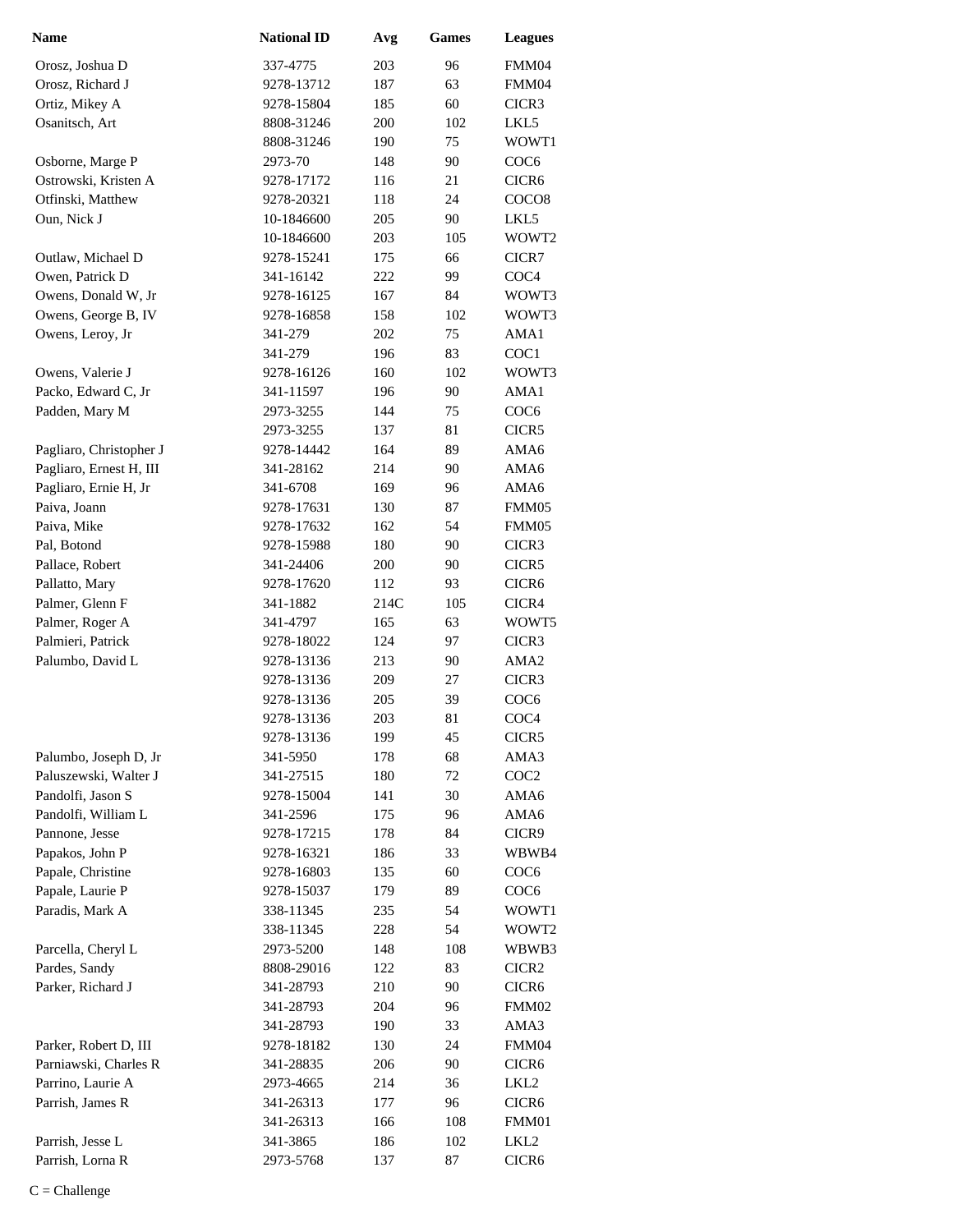| <b>Name</b>             | <b>National ID</b> | Avg  | <b>Games</b> | <b>Leagues</b>    |
|-------------------------|--------------------|------|--------------|-------------------|
| Orosz, Joshua D         | 337-4775           | 203  | 96           | FMM04             |
| Orosz, Richard J        | 9278-13712         | 187  | 63           | FMM04             |
| Ortiz, Mikey A          | 9278-15804         | 185  | 60           | CICR3             |
| Osanitsch, Art          | 8808-31246         | 200  | 102          | LKL5              |
|                         | 8808-31246         | 190  | 75           | WOWT1             |
| Osborne, Marge P        | 2973-70            | 148  | 90           | COC <sub>6</sub>  |
| Ostrowski, Kristen A    | 9278-17172         | 116  | 21           | CICR <sub>6</sub> |
| Otfinski, Matthew       | 9278-20321         | 118  | 24           | COCO <sub>8</sub> |
| Oun, Nick J             | 10-1846600         | 205  | 90           | LKL5              |
|                         | 10-1846600         | 203  | 105          | WOWT2             |
| Outlaw, Michael D       | 9278-15241         | 175  | 66           | CICR7             |
| Owen, Patrick D         | 341-16142          | 222  | 99           | COC <sub>4</sub>  |
| Owens, Donald W, Jr     | 9278-16125         | 167  | 84           | WOWT3             |
| Owens, George B, IV     | 9278-16858         | 158  | 102          | WOWT3             |
| Owens, Leroy, Jr        | 341-279            | 202  | 75           | AMA1              |
|                         | 341-279            | 196  | 83           | COC1              |
| Owens, Valerie J        | 9278-16126         | 160  | 102          | WOWT3             |
| Packo, Edward C, Jr     | 341-11597          | 196  | 90           | AMA1              |
| Padden, Mary M          | 2973-3255          | 144  | 75           | COC <sub>6</sub>  |
|                         | 2973-3255          | 137  | 81           | CICR5             |
| Pagliaro, Christopher J | 9278-14442         | 164  | 89           | AMA6              |
| Pagliaro, Ernest H, III | 341-28162          | 214  | 90           | AMA6              |
| Pagliaro, Ernie H, Jr   | 341-6708           | 169  | 96           | AMA6              |
| Paiva, Joann            | 9278-17631         | 130  | 87           | FMM05             |
| Paiva, Mike             | 9278-17632         | 162  | 54           | FMM05             |
| Pal, Botond             | 9278-15988         | 180  | 90           | CICR3             |
| Pallace, Robert         | 341-24406          | 200  | 90           | CICR5             |
| Pallatto, Mary          | 9278-17620         | 112  | 93           | CICR <sub>6</sub> |
| Palmer, Glenn F         | 341-1882           | 214C | 105          | CICR4             |
| Palmer, Roger A         | 341-4797           | 165  | 63           | WOWT5             |
| Palmieri, Patrick       | 9278-18022         | 124  | 97           | CICR3             |
| Palumbo, David L        | 9278-13136         | 213  | 90           | AMA <sub>2</sub>  |
|                         | 9278-13136         | 209  | 27           | CICR3             |
|                         | 9278-13136         | 205  | 39           | COC <sub>6</sub>  |
|                         | 9278-13136         | 203  | 81           | COC <sub>4</sub>  |
|                         | 9278-13136         | 199  | 45           | CICR5             |
| Palumbo, Joseph D, Jr   | 341-5950           | 178  | 68           | AMA3              |
| Paluszewski, Walter J   | 341-27515          | 180  | 72           | COC <sub>2</sub>  |
| Pandolfi, Jason S       | 9278-15004         | 141  | 30           | AMA6              |
| Pandolfi, William L     | 341-2596           | 175  | 96           | AMA6              |
| Pannone, Jesse          | 9278-17215         | 178  | 84           | CICR9             |
| Papakos, John P         | 9278-16321         | 186  | 33           | WBWB4             |
| Papale, Christine       | 9278-16803         | 135  | 60           | COC <sub>6</sub>  |
| Papale, Laurie P        | 9278-15037         | 179  | 89           | COC <sub>6</sub>  |
| Paradis, Mark A         | 338-11345          | 235  | 54           | WOWT1             |
|                         | 338-11345          | 228  | 54           | WOWT <sub>2</sub> |
| Parcella, Cheryl L      | 2973-5200          | 148  | 108          | WBWB3             |
| Pardes, Sandy           | 8808-29016         | 122  | 83           | CICR <sub>2</sub> |
| Parker, Richard J       | 341-28793          | 210  | 90           | CICR <sub>6</sub> |
|                         | 341-28793          | 204  | 96           | FMM02             |
|                         | 341-28793          | 190  | 33           | AMA3              |
| Parker, Robert D, III   | 9278-18182         | 130  | 24           | FMM04             |
| Parniawski, Charles R   | 341-28835          | 206  | 90           | CICR <sub>6</sub> |
| Parrino, Laurie A       | 2973-4665          | 214  | 36           | LKL2              |
| Parrish, James R        | 341-26313          | 177  | 96           | CICR <sub>6</sub> |
|                         | 341-26313          | 166  | 108          | FMM01             |
| Parrish, Jesse L        | 341-3865           | 186  | 102          | LKL2              |
| Parrish, Lorna R        | 2973-5768          | 137  | 87           | CICR <sub>6</sub> |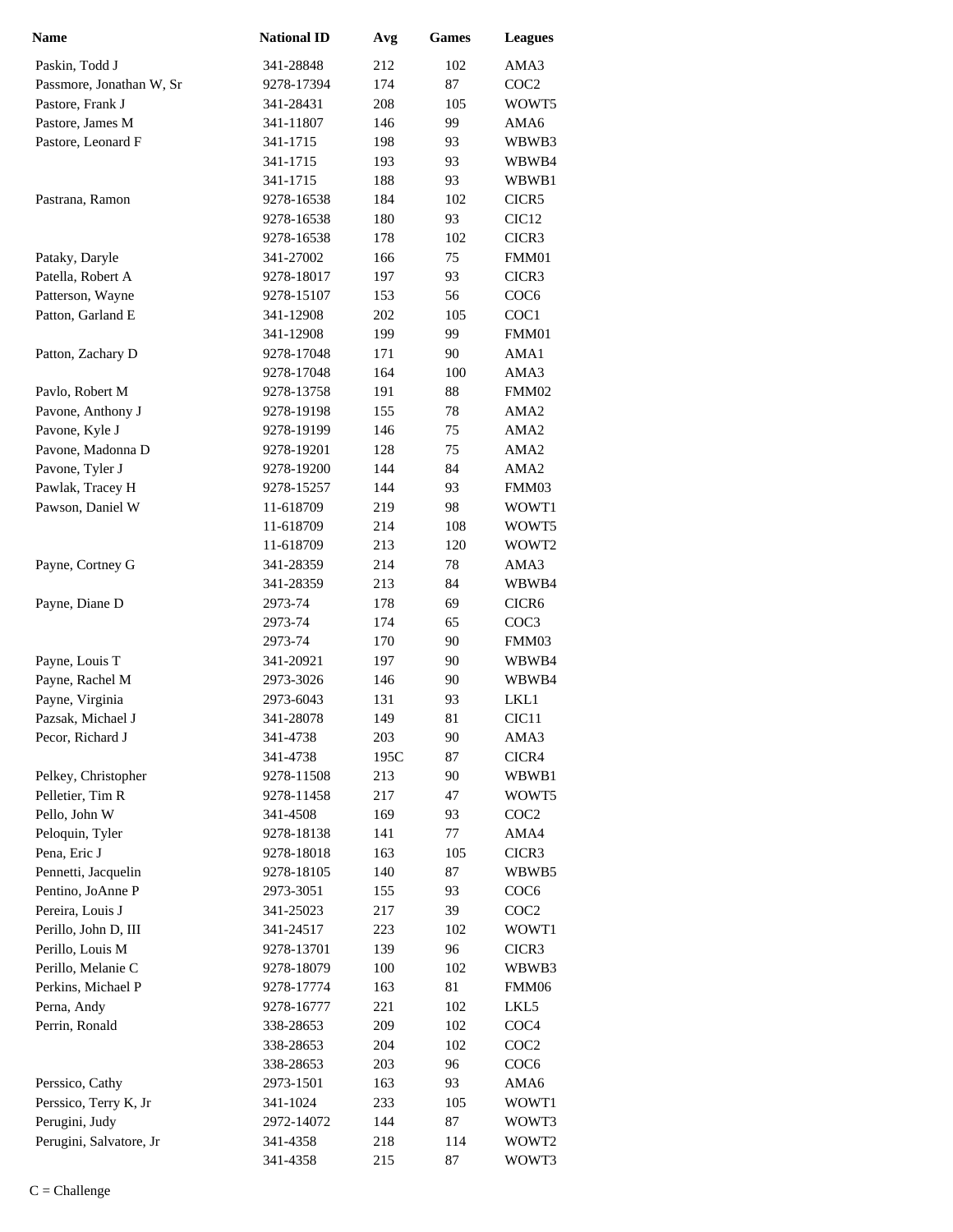| <b>Name</b>                           | <b>National ID</b>    | Avg        | Games    | <b>Leagues</b>            |
|---------------------------------------|-----------------------|------------|----------|---------------------------|
| Paskin, Todd J                        | 341-28848             | 212        | 102      | AMA3                      |
| Passmore, Jonathan W, Sr              | 9278-17394            | 174        | 87       | COC <sub>2</sub>          |
| Pastore, Frank J                      | 341-28431             | 208        | 105      | WOWT5                     |
| Pastore, James M                      | 341-11807             | 146        | 99       | AMA6                      |
| Pastore, Leonard F                    | 341-1715              | 198        | 93       | WBWB3                     |
|                                       | 341-1715              | 193        | 93       | WBWB4                     |
|                                       | 341-1715              | 188        | 93       | WBWB1                     |
| Pastrana, Ramon                       | 9278-16538            | 184        | 102      | CICR5                     |
|                                       | 9278-16538            | 180        | 93       | CIC <sub>12</sub>         |
|                                       | 9278-16538            | 178        | 102      | CICR3                     |
| Pataky, Daryle                        | 341-27002             | 166        | $75\,$   | FMM01                     |
| Patella, Robert A                     | 9278-18017            | 197        | 93       | CICR3                     |
| Patterson, Wayne                      | 9278-15107            | 153        | 56       | COC <sub>6</sub>          |
| Patton, Garland E                     | 341-12908             | 202        | 105      | COC1                      |
|                                       | 341-12908             | 199        | 99       | FMM01                     |
| Patton, Zachary D                     | 9278-17048            | 171        | 90       | AMA1                      |
|                                       | 9278-17048            | 164        | 100      | AMA3                      |
| Pavlo, Robert M                       | 9278-13758            | 191        | 88       | FMM02                     |
| Pavone, Anthony J                     | 9278-19198            | 155        | 78       | AMA <sub>2</sub>          |
| Pavone, Kyle J                        | 9278-19199            | 146        | 75       | AMA <sub>2</sub>          |
| Pavone, Madonna D                     | 9278-19201            | 128        | 75       | AMA <sub>2</sub>          |
| Pavone, Tyler J                       | 9278-19200            | 144        | 84       | AMA <sub>2</sub>          |
| Pawlak, Tracey H                      | 9278-15257            | 144        | 93       | FMM03                     |
| Pawson, Daniel W                      | 11-618709             | 219        | 98       | WOWT1                     |
|                                       | 11-618709             | 214        | 108      | WOWT5                     |
|                                       | 11-618709             | 213        | 120      | WOWT2                     |
| Payne, Cortney G                      | 341-28359             | 214        | 78       | AMA3                      |
|                                       | 341-28359             | 213        | 84       | WBWB4                     |
| Payne, Diane D                        | 2973-74               | 178        | 69       | CICR <sub>6</sub>         |
|                                       | 2973-74               | 174        | 65       | COC <sub>3</sub>          |
|                                       | 2973-74               | 170        | 90       | FMM03                     |
| Payne, Louis T                        | 341-20921             | 197        | 90       | WBWB4                     |
| Payne, Rachel M<br>Payne, Virginia    | 2973-3026             | 146        | 90       | WBWB4                     |
|                                       | 2973-6043             | 131        | 93<br>81 | LKL1                      |
| Pazsak, Michael J<br>Pecor, Richard J | 341-28078<br>341-4738 | 149<br>203 | 90       | CIC <sub>11</sub><br>AMA3 |
|                                       | 341-4738              | 195C       | 87       | CICR4                     |
| Pelkey, Christopher                   | 9278-11508            | 213        | 90       | WBWB1                     |
| Pelletier, Tim R                      | 9278-11458            | 217        | 47       | WOWT5                     |
| Pello, John W                         | 341-4508              | 169        | 93       | COC <sub>2</sub>          |
| Peloquin, Tyler                       | 9278-18138            | 141        | 77       | AMA4                      |
| Pena, Eric J                          | 9278-18018            | 163        | 105      | CICR3                     |
| Pennetti, Jacquelin                   | 9278-18105            | 140        | 87       | WBWB5                     |
| Pentino, JoAnne P                     | 2973-3051             | 155        | 93       | COC <sub>6</sub>          |
| Pereira, Louis J                      | 341-25023             | 217        | 39       | COC <sub>2</sub>          |
| Perillo, John D, III                  | 341-24517             | 223        | 102      | WOWT1                     |
| Perillo, Louis M                      | 9278-13701            | 139        | 96       | CICR3                     |
| Perillo, Melanie C                    | 9278-18079            | 100        | 102      | WBWB3                     |
| Perkins, Michael P                    | 9278-17774            | 163        | 81       | FMM06                     |
| Perna, Andy                           | 9278-16777            | 221        | 102      | LKL5                      |
| Perrin, Ronald                        | 338-28653             | 209        | 102      | COC <sub>4</sub>          |
|                                       | 338-28653             | 204        | 102      | COC <sub>2</sub>          |
|                                       | 338-28653             | 203        | 96       | COC <sub>6</sub>          |
| Perssico, Cathy                       | 2973-1501             | 163        | 93       | AMA6                      |
| Perssico, Terry K, Jr                 | 341-1024              | 233        | 105      | WOWT1                     |
| Perugini, Judy                        | 2972-14072            | 144        | 87       | WOWT3                     |
| Perugini, Salvatore, Jr               | 341-4358              | 218        | 114      | WOWT2                     |
|                                       | 341-4358              | 215        | 87       | WOWT3                     |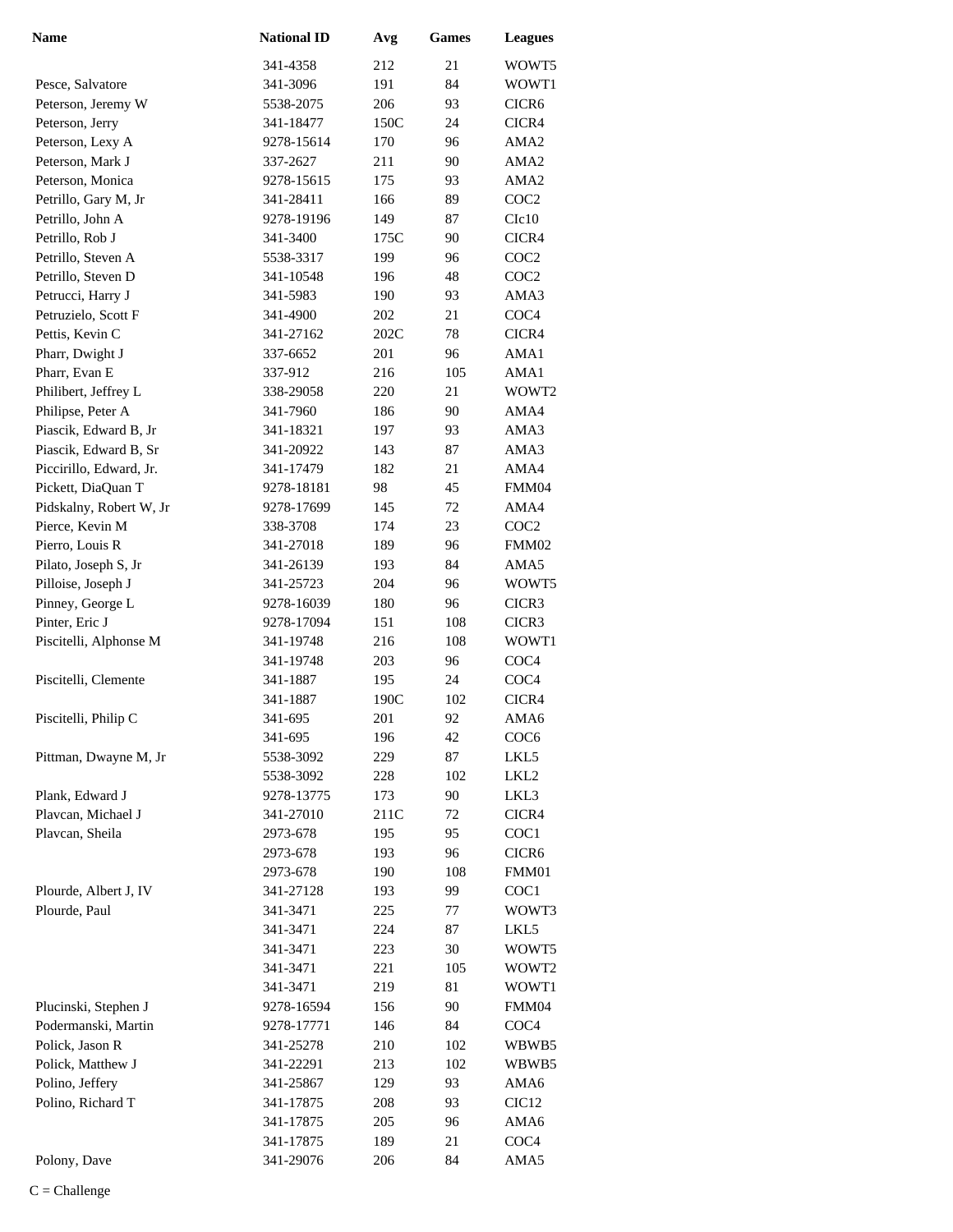| <b>Name</b>             | <b>National ID</b> | Avg  | Games | <b>Leagues</b>    |
|-------------------------|--------------------|------|-------|-------------------|
|                         | 341-4358           | 212  | 21    | WOWT5             |
| Pesce, Salvatore        | 341-3096           | 191  | 84    | WOWT1             |
| Peterson, Jeremy W      | 5538-2075          | 206  | 93    | CICR <sub>6</sub> |
| Peterson, Jerry         | 341-18477          | 150C | 24    | CICR4             |
| Peterson, Lexy A        | 9278-15614         | 170  | 96    | AMA2              |
| Peterson, Mark J        | 337-2627           | 211  | 90    | AMA <sub>2</sub>  |
| Peterson, Monica        | 9278-15615         | 175  | 93    | AMA <sub>2</sub>  |
| Petrillo, Gary M, Jr    | 341-28411          | 166  | 89    | COC <sub>2</sub>  |
| Petrillo, John A        | 9278-19196         | 149  | 87    | C1c10             |
| Petrillo, Rob J         | 341-3400           | 175C | 90    | CICR4             |
| Petrillo, Steven A      | 5538-3317          | 199  | 96    | COC <sub>2</sub>  |
| Petrillo, Steven D      | 341-10548          | 196  | 48    | COC <sub>2</sub>  |
| Petrucci, Harry J       | 341-5983           | 190  | 93    | AMA3              |
| Petruzielo, Scott F     | 341-4900           | 202  | 21    | COC <sub>4</sub>  |
| Pettis, Kevin C         | 341-27162          | 202C | 78    | CICR4             |
| Pharr, Dwight J         | 337-6652           | 201  | 96    | AMA1              |
| Pharr, Evan E           | 337-912            | 216  | 105   | AMA1              |
| Philibert, Jeffrey L    | 338-29058          | 220  | 21    | WOWT2             |
| Philipse, Peter A       | 341-7960           | 186  | 90    | AMA4              |
| Piascik, Edward B, Jr   | 341-18321          | 197  | 93    | AMA3              |
| Piascik, Edward B, Sr   | 341-20922          | 143  | 87    | AMA3              |
| Piccirillo, Edward, Jr. | 341-17479          | 182  | 21    | AMA4              |
| Pickett, DiaQuan T      | 9278-18181         | 98   | 45    | FMM04             |
| Pidskalny, Robert W, Jr | 9278-17699         | 145  | 72    | AMA4              |
| Pierce, Kevin M         | 338-3708           | 174  | 23    | COC <sub>2</sub>  |
| Pierro, Louis R         | 341-27018          | 189  | 96    | FMM02             |
| Pilato, Joseph S, Jr    | 341-26139          | 193  | 84    | AMA5              |
| Pilloise, Joseph J      | 341-25723          | 204  | 96    | WOWT5             |
| Pinney, George L        | 9278-16039         | 180  | 96    | CICR3             |
| Pinter, Eric J          | 9278-17094         | 151  | 108   | CICR3             |
| Piscitelli, Alphonse M  | 341-19748          | 216  | 108   | WOWT1             |
|                         | 341-19748          | 203  | 96    | COC <sub>4</sub>  |
| Piscitelli, Clemente    | 341-1887           | 195  | 24    | COC <sub>4</sub>  |
|                         | 341-1887           | 190C | 102   | CICR4             |
| Piscitelli, Philip C    | 341-695            | 201  | 92    | AMA6              |
|                         | 341-695            | 196  | 42    | COC <sub>6</sub>  |
| Pittman, Dwayne M, Jr   | 5538-3092          | 229  | 87    | LKL5              |
|                         | 5538-3092          | 228  | 102   | LKL2              |
| Plank, Edward J         | 9278-13775         | 173  | 90    | LKL3              |
| Plavcan, Michael J      | 341-27010          | 211C | 72    | CICR4             |
| Plavcan, Sheila         | 2973-678           | 195  | 95    | COC <sub>1</sub>  |
|                         | 2973-678           | 193  | 96    | CICR <sub>6</sub> |
|                         | 2973-678           | 190  | 108   | FMM01             |
| Plourde, Albert J, IV   | 341-27128          | 193  | 99    | COC1              |
| Plourde, Paul           | 341-3471           | 225  | 77    | WOWT3             |
|                         | 341-3471           | 224  | 87    | LKL5              |
|                         | 341-3471           | 223  | 30    | WOWT5             |
|                         | 341-3471           | 221  | 105   | WOWT <sub>2</sub> |
|                         | 341-3471           | 219  | 81    | WOWT1             |
| Plucinski, Stephen J    | 9278-16594         | 156  | 90    | FMM04             |
| Podermanski, Martin     | 9278-17771         | 146  | 84    | COC <sub>4</sub>  |
| Polick, Jason R         | 341-25278          | 210  | 102   | WBWB5             |
| Polick, Matthew J       | 341-22291          | 213  | 102   | WBWB5             |
| Polino, Jeffery         | 341-25867          | 129  | 93    | AMA6              |
| Polino, Richard T       | 341-17875          | 208  | 93    | CIC <sub>12</sub> |
|                         | 341-17875          | 205  | 96    | AMA6              |
|                         | 341-17875          | 189  | 21    | COC <sub>4</sub>  |
| Polony, Dave            | 341-29076          | 206  | 84    | AMA5              |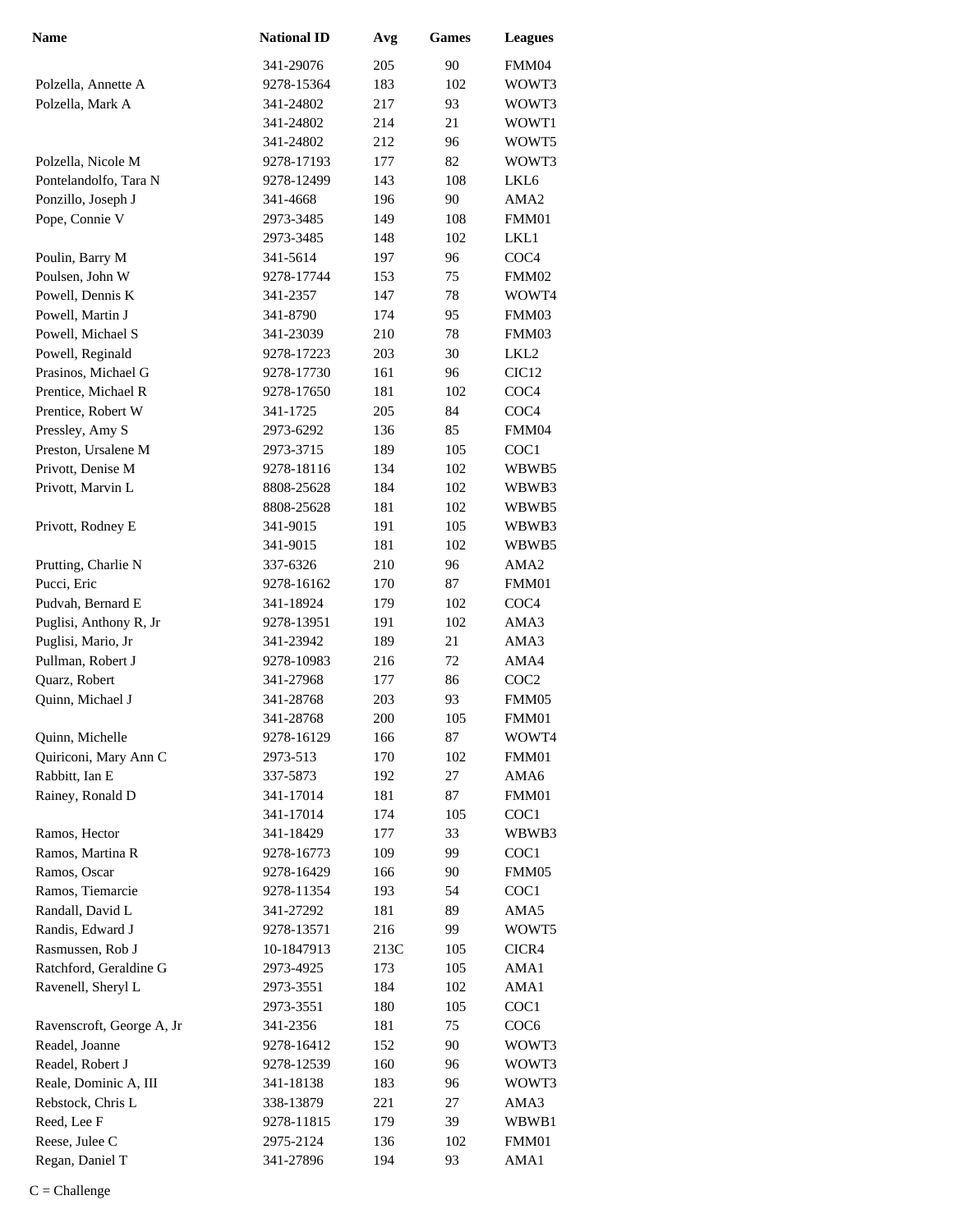| <b>Name</b>               | <b>National ID</b> | Avg  | <b>Games</b> | <b>Leagues</b>    |
|---------------------------|--------------------|------|--------------|-------------------|
|                           | 341-29076          | 205  | 90           | FMM04             |
| Polzella, Annette A       | 9278-15364         | 183  | 102          | WOWT3             |
| Polzella, Mark A          | 341-24802          | 217  | 93           | WOWT3             |
|                           | 341-24802          | 214  | 21           | WOWT1             |
|                           | 341-24802          | 212  | 96           | WOWT5             |
| Polzella, Nicole M        | 9278-17193         | 177  | 82           | WOWT3             |
| Pontelandolfo, Tara N     | 9278-12499         | 143  | 108          | LKL6              |
| Ponzillo, Joseph J        | 341-4668           | 196  | 90           | AMA <sub>2</sub>  |
| Pope, Connie V            | 2973-3485          | 149  | 108          | FMM01             |
|                           | 2973-3485          | 148  | 102          | LKL1              |
| Poulin, Barry M           | 341-5614           | 197  | 96           | COC <sub>4</sub>  |
| Poulsen, John W           | 9278-17744         | 153  | 75           | FMM02             |
| Powell, Dennis K          | 341-2357           | 147  | 78           | WOWT4             |
| Powell, Martin J          | 341-8790           | 174  | 95           | FMM03             |
| Powell, Michael S         | 341-23039          | 210  | 78           | FMM03             |
| Powell, Reginald          | 9278-17223         | 203  | 30           | LKL <sub>2</sub>  |
| Prasinos, Michael G       | 9278-17730         | 161  | 96           | CIC <sub>12</sub> |
| Prentice, Michael R       | 9278-17650         | 181  | 102          | COC <sub>4</sub>  |
| Prentice, Robert W        | 341-1725           | 205  | 84           | COC <sub>4</sub>  |
| Pressley, Amy S           | 2973-6292          | 136  | 85           | FMM04             |
| Preston, Ursalene M       | 2973-3715          | 189  | 105          | COC <sub>1</sub>  |
| Privott, Denise M         | 9278-18116         | 134  | 102          | WBWB5             |
| Privott, Marvin L         | 8808-25628         | 184  | 102          | WBWB3             |
|                           | 8808-25628         | 181  | 102          | WBWB5             |
| Privott, Rodney E         | 341-9015           | 191  | 105          | WBWB3             |
|                           | 341-9015           | 181  | 102          | WBWB5             |
| Prutting, Charlie N       | 337-6326           | 210  | 96           | AMA <sub>2</sub>  |
| Pucci, Eric               | 9278-16162         | 170  | 87           | FMM01             |
| Pudvah, Bernard E         | 341-18924          | 179  | 102          | COC <sub>4</sub>  |
| Puglisi, Anthony R, Jr    | 9278-13951         | 191  | 102          | AMA3              |
| Puglisi, Mario, Jr        | 341-23942          | 189  | 21           | AMA3              |
| Pullman, Robert J         | 9278-10983         | 216  | 72           | AMA4              |
| Quarz, Robert             | 341-27968          | 177  | 86           | COC <sub>2</sub>  |
| Quinn, Michael J          | 341-28768          | 203  | 93           | FMM05             |
|                           | 341-28768          | 200  | 105          | FMM01             |
| Quinn, Michelle           | 9278-16129         | 166  | 87           | WOWT4             |
| Quiriconi, Mary Ann C     | 2973-513           | 170  | 102          | FMM01             |
| Rabbitt, Ian E            | 337-5873           | 192  | 27           | AMA6              |
| Rainey, Ronald D          | 341-17014          | 181  | 87           | FMM01             |
|                           | 341-17014          | 174  | 105          | COC1              |
| Ramos, Hector             | 341-18429          | 177  | 33           | WBWB3             |
| Ramos, Martina R          | 9278-16773         | 109  | 99           | COC1              |
| Ramos, Oscar              | 9278-16429         | 166  | 90           | FMM05             |
| Ramos, Tiemarcie          | 9278-11354         | 193  | 54           | COC1              |
| Randall, David L          | 341-27292          | 181  | 89           | AMA5              |
| Randis, Edward J          | 9278-13571         | 216  | 99           | WOWT5             |
| Rasmussen, Rob J          | 10-1847913         | 213C | 105          | CICR4             |
| Ratchford, Geraldine G    | 2973-4925          | 173  | 105          | AMA1              |
| Ravenell, Sheryl L        | 2973-3551          | 184  | 102          | AMA1              |
|                           | 2973-3551          | 180  | 105          | COC1              |
| Ravenscroft, George A, Jr | 341-2356           | 181  | 75           | COC <sub>6</sub>  |
| Readel, Joanne            | 9278-16412         | 152  | 90           | WOWT3             |
| Readel, Robert J          | 9278-12539         | 160  | 96           | WOWT3             |
| Reale, Dominic A, III     | 341-18138          | 183  | 96           | WOWT3             |
| Rebstock, Chris L         | 338-13879          | 221  | 27           | AMA3              |
| Reed, Lee F               | 9278-11815         | 179  | 39           | WBWB1             |
| Reese, Julee C            | 2975-2124          | 136  | 102          | FMM01             |
| Regan, Daniel T           | 341-27896          | 194  | 93           | AMA1              |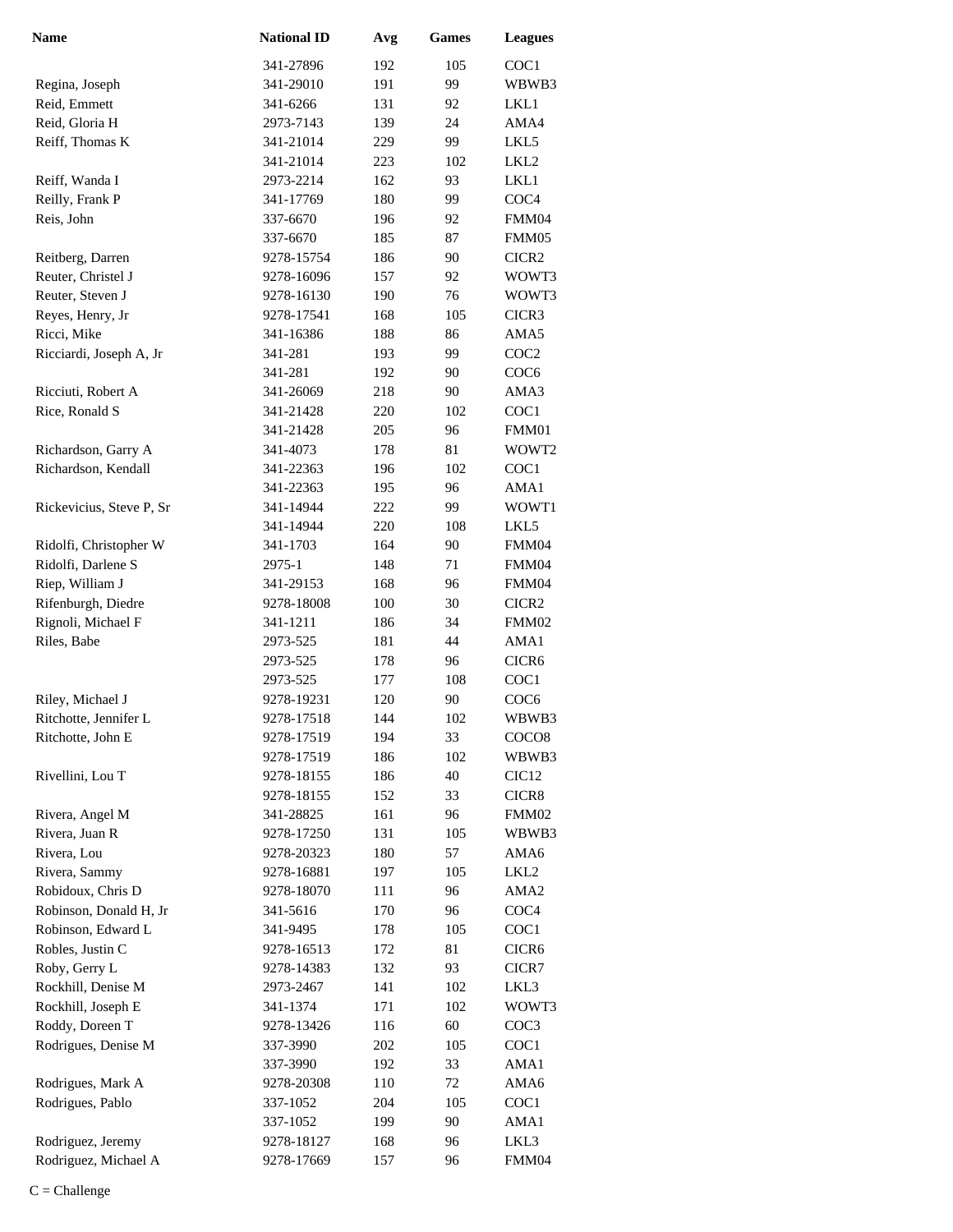| <b>Name</b>              | <b>National ID</b> | Avg | <b>Games</b> | <b>Leagues</b>    |
|--------------------------|--------------------|-----|--------------|-------------------|
|                          | 341-27896          | 192 | 105          | COC1              |
| Regina, Joseph           | 341-29010          | 191 | 99           | WBWB3             |
| Reid, Emmett             | 341-6266           | 131 | 92           | LKL1              |
| Reid, Gloria H           | 2973-7143          | 139 | 24           | AMA4              |
| Reiff, Thomas K          | 341-21014          | 229 | 99           | LKL5              |
|                          | 341-21014          | 223 | 102          | LKL <sub>2</sub>  |
| Reiff, Wanda I           | 2973-2214          | 162 | 93           | LKL1              |
| Reilly, Frank P          | 341-17769          | 180 | 99           | COC <sub>4</sub>  |
| Reis, John               | 337-6670           | 196 | 92           | FMM04             |
|                          | 337-6670           | 185 | 87           | FMM05             |
| Reitberg, Darren         | 9278-15754         | 186 | 90           | CICR2             |
| Reuter, Christel J       | 9278-16096         | 157 | 92           | WOWT3             |
| Reuter, Steven J         | 9278-16130         | 190 | 76           | WOWT3             |
| Reyes, Henry, Jr         | 9278-17541         | 168 | 105          | CICR3             |
| Ricci, Mike              | 341-16386          | 188 | 86           | AMA5              |
| Ricciardi, Joseph A, Jr  | 341-281            | 193 | 99           | COC <sub>2</sub>  |
|                          | 341-281            | 192 | 90           | COC <sub>6</sub>  |
| Ricciuti, Robert A       | 341-26069          | 218 | 90           | AMA3              |
| Rice, Ronald S           | 341-21428          | 220 | 102          | COC1              |
|                          | 341-21428          | 205 | 96           | FMM01             |
| Richardson, Garry A      | 341-4073           | 178 | 81           | WOWT2             |
| Richardson, Kendall      | 341-22363          | 196 | 102          | COC1              |
|                          | 341-22363          | 195 | 96           | AMA1              |
| Rickevicius, Steve P, Sr | 341-14944          | 222 | 99           | WOWT1             |
|                          | 341-14944          | 220 | 108          | LKL5              |
| Ridolfi, Christopher W   | 341-1703           | 164 | 90           | FMM04             |
| Ridolfi, Darlene S       | 2975-1             | 148 | 71           | FMM04             |
| Riep, William J          | 341-29153          | 168 | 96           | FMM04             |
| Rifenburgh, Diedre       | 9278-18008         | 100 | 30           | CICR <sub>2</sub> |
| Rignoli, Michael F       | 341-1211           | 186 | 34           | FMM02             |
| Riles, Babe              | 2973-525           | 181 | 44           | AMA1              |
|                          | 2973-525           | 178 | 96           | CICR <sub>6</sub> |
|                          | 2973-525           | 177 | 108          | COC1              |
| Riley, Michael J         | 9278-19231         | 120 | 90           | COC <sub>6</sub>  |
| Ritchotte, Jennifer L    | 9278-17518         | 144 | 102          | WBWB3             |
| Ritchotte, John E        | 9278-17519         | 194 | 33           | COCO <sub>8</sub> |
|                          | 9278-17519         | 186 | 102          | WBWB3             |
| Rivellini, Lou T         | 9278-18155         | 186 | 40           | CIC <sub>12</sub> |
|                          | 9278-18155         | 152 | 33           | CICR8             |
| Rivera, Angel M          | 341-28825          | 161 | 96           | FMM02             |
| Rivera, Juan R           | 9278-17250         | 131 | 105          | WBWB3             |
| Rivera, Lou              | 9278-20323         | 180 | 57           | AMA6              |
| Rivera, Sammy            | 9278-16881         | 197 | 105          | LKL <sub>2</sub>  |
| Robidoux, Chris D        | 9278-18070         | 111 | 96           | AMA <sub>2</sub>  |
| Robinson, Donald H, Jr   | 341-5616           | 170 | 96           | COC <sub>4</sub>  |
| Robinson, Edward L       | 341-9495           | 178 | 105          | COC1              |
| Robles, Justin C         | 9278-16513         | 172 | 81           | CICR <sub>6</sub> |
| Roby, Gerry L            | 9278-14383         | 132 | 93           | CICR7             |
| Rockhill, Denise M       | 2973-2467          | 141 | 102          | LKL3              |
| Rockhill, Joseph E       | 341-1374           | 171 | 102          | WOWT3             |
| Roddy, Doreen T          | 9278-13426         | 116 | 60           | COC <sub>3</sub>  |
| Rodrigues, Denise M      | 337-3990           | 202 | 105          | COC1              |
|                          | 337-3990           | 192 | 33           | AMA1              |
| Rodrigues, Mark A        | 9278-20308         | 110 | 72           | AMA6              |
| Rodrigues, Pablo         | 337-1052           | 204 | 105          | COC1              |
|                          | 337-1052           | 199 | 90           | AMA1              |
| Rodriguez, Jeremy        | 9278-18127         | 168 | 96           | LKL3              |
| Rodriguez, Michael A     | 9278-17669         | 157 | 96           | FMM04             |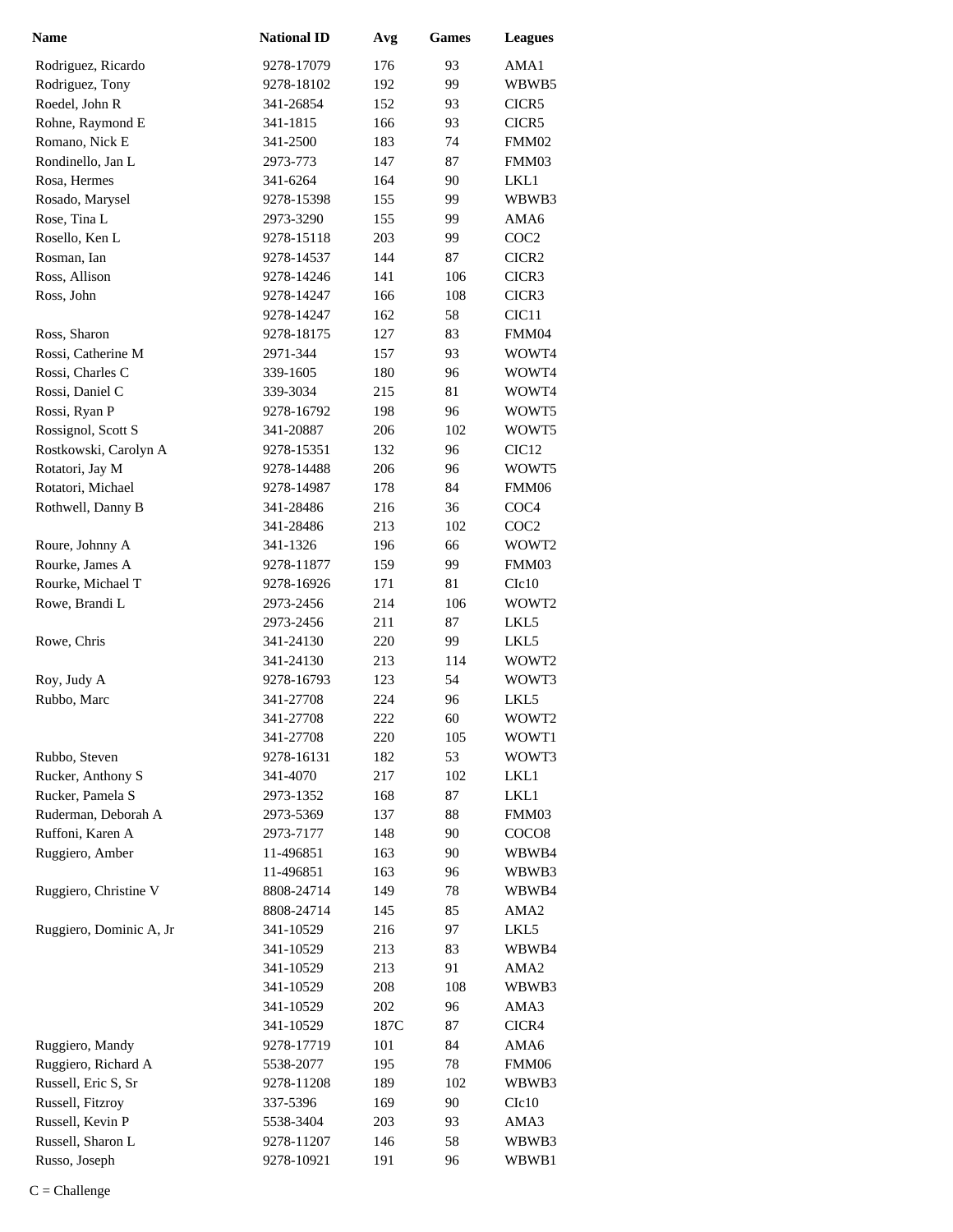| Name                    | <b>National ID</b> | Avg  | <b>Games</b> | <b>Leagues</b>    |
|-------------------------|--------------------|------|--------------|-------------------|
| Rodriguez, Ricardo      | 9278-17079         | 176  | 93           | AMA1              |
| Rodriguez, Tony         | 9278-18102         | 192  | 99           | WBWB5             |
| Roedel, John R          | 341-26854          | 152  | 93           | CICR5             |
| Rohne, Raymond E        | 341-1815           | 166  | 93           | CICR5             |
| Romano, Nick E          | 341-2500           | 183  | 74           | FMM02             |
| Rondinello, Jan L       | 2973-773           | 147  | 87           | FMM03             |
| Rosa, Hermes            | 341-6264           | 164  | 90           | LKL1              |
| Rosado, Marysel         | 9278-15398         | 155  | 99           | WBWB3             |
| Rose, Tina L            | 2973-3290          | 155  | 99           | AMA6              |
| Rosello, Ken L          | 9278-15118         | 203  | 99           | COC <sub>2</sub>  |
| Rosman, Ian             | 9278-14537         | 144  | 87           | CICR2             |
| Ross, Allison           | 9278-14246         | 141  | 106          | CICR3             |
| Ross, John              | 9278-14247         | 166  | 108          | CICR3             |
|                         | 9278-14247         | 162  | 58           | CIC <sub>11</sub> |
| Ross, Sharon            | 9278-18175         | 127  | 83           | FMM04             |
| Rossi, Catherine M      | 2971-344           | 157  | 93           | WOWT4             |
| Rossi, Charles C        | 339-1605           | 180  | 96           | WOWT4             |
| Rossi, Daniel C         | 339-3034           | 215  | 81           | WOWT4             |
| Rossi, Ryan P           | 9278-16792         | 198  | 96           | WOWT5             |
| Rossignol, Scott S      | 341-20887          | 206  | 102          | WOWT5             |
| Rostkowski, Carolyn A   | 9278-15351         | 132  | 96           | CIC <sub>12</sub> |
| Rotatori, Jay M         | 9278-14488         | 206  | 96           | WOWT5             |
| Rotatori, Michael       | 9278-14987         | 178  | 84           | FMM06             |
| Rothwell, Danny B       | 341-28486          | 216  | 36           | COC <sub>4</sub>  |
|                         | 341-28486          | 213  | 102          | COC <sub>2</sub>  |
| Roure, Johnny A         | 341-1326           | 196  | 66           | WOWT2             |
| Rourke, James A         | 9278-11877         | 159  | 99           | FMM03             |
| Rourke, Michael T       | 9278-16926         | 171  | 81           | C1c10             |
| Rowe, Brandi L          | 2973-2456          | 214  | 106          | WOWT2             |
|                         | 2973-2456          | 211  | 87           | LKL5              |
| Rowe, Chris             | 341-24130          | 220  | 99           | LKL5              |
|                         | 341-24130          | 213  | 114          | WOWT <sub>2</sub> |
| Roy, Judy A             | 9278-16793         | 123  | 54           | WOWT3             |
| Rubbo, Marc             | 341-27708          | 224  | 96           | LKL5              |
|                         | 341-27708          | 222  | 60           | WOWT2             |
|                         | 341-27708          | 220  | 105          | WOWT1             |
| Rubbo, Steven           | 9278-16131         | 182  | 53           | WOWT3             |
| Rucker, Anthony S       | 341-4070           | 217  | 102          | LKL1              |
| Rucker, Pamela S        | 2973-1352          | 168  | 87           | LKL1              |
| Ruderman, Deborah A     | 2973-5369          | 137  | 88           | FMM03             |
| Ruffoni, Karen A        | 2973-7177          | 148  | 90           | COCO <sub>8</sub> |
| Ruggiero, Amber         | 11-496851          | 163  | 90           | WBWB4             |
|                         | 11-496851          | 163  | 96           | WBWB3             |
| Ruggiero, Christine V   | 8808-24714         | 149  | 78           | WBWB4             |
|                         | 8808-24714         | 145  | 85           | AMA <sub>2</sub>  |
| Ruggiero, Dominic A, Jr | 341-10529          | 216  | 97           | LKL5              |
|                         | 341-10529          | 213  | 83           | WBWB4             |
|                         | 341-10529          | 213  | 91           | AMA2              |
|                         | 341-10529          | 208  | 108          | WBWB3             |
|                         | 341-10529          | 202  | 96           | AMA3              |
|                         | 341-10529          | 187C | 87           | CICR4             |
| Ruggiero, Mandy         | 9278-17719         | 101  | 84           | AMA6              |
| Ruggiero, Richard A     | 5538-2077          | 195  | 78           | FMM06             |
| Russell, Eric S, Sr     | 9278-11208         | 189  | 102          | WBWB3             |
| Russell, Fitzroy        | 337-5396           | 169  | 90           | C1c10             |
| Russell, Kevin P        | 5538-3404          | 203  | 93           | AMA3              |
| Russell, Sharon L       | 9278-11207         | 146  | 58           | WBWB3             |
| Russo, Joseph           | 9278-10921         | 191  | 96           | WBWB1             |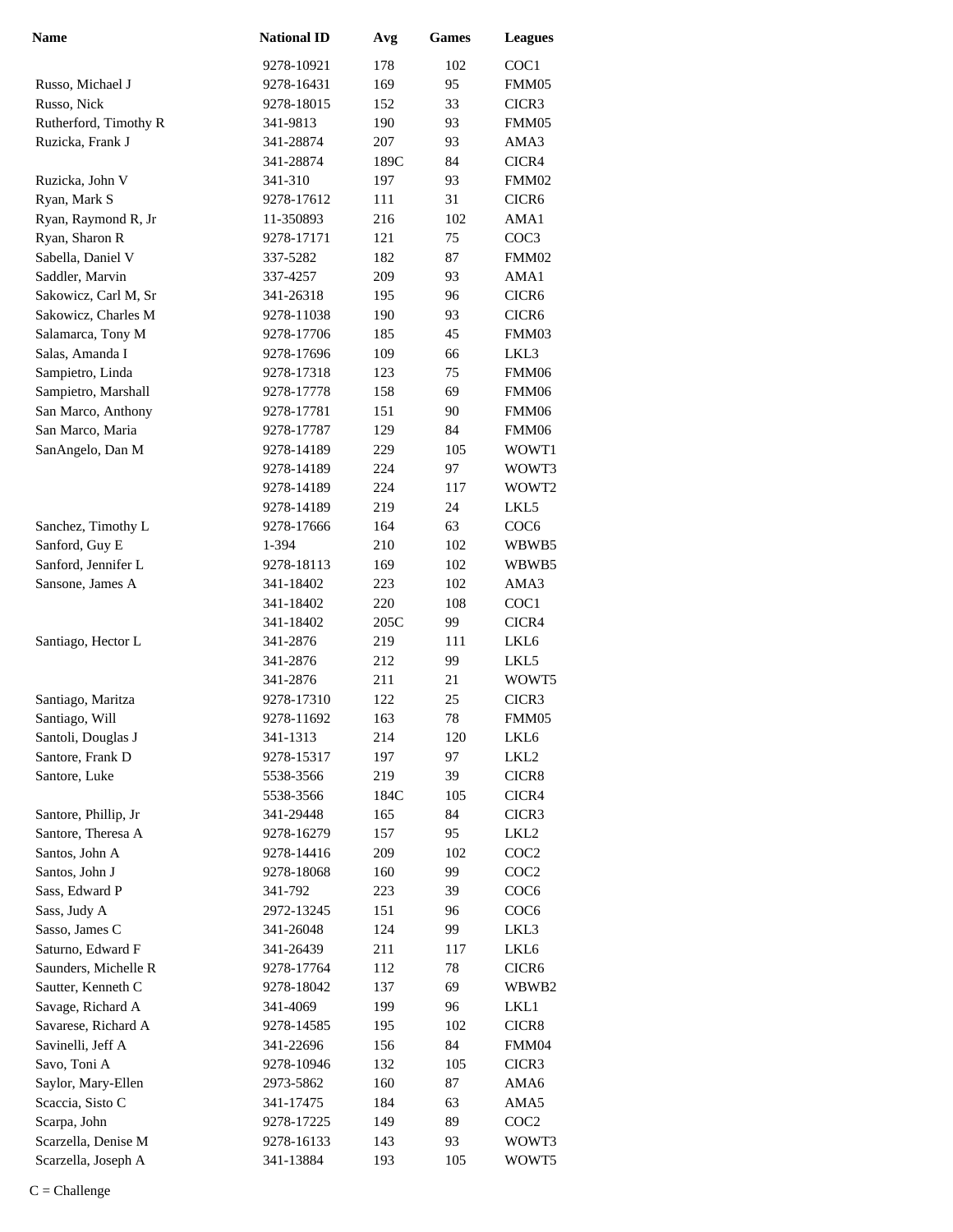| Name                  | <b>National ID</b> | Avg  | <b>Games</b> | <b>Leagues</b>    |
|-----------------------|--------------------|------|--------------|-------------------|
|                       | 9278-10921         | 178  | 102          | COC1              |
| Russo, Michael J      | 9278-16431         | 169  | 95           | FMM05             |
| Russo, Nick           | 9278-18015         | 152  | 33           | CICR3             |
| Rutherford, Timothy R | 341-9813           | 190  | 93           | FMM05             |
| Ruzicka, Frank J      | 341-28874          | 207  | 93           | AMA3              |
|                       | 341-28874          | 189C | 84           | CICR4             |
| Ruzicka, John V       | 341-310            | 197  | 93           | FMM02             |
| Ryan, Mark S          | 9278-17612         | 111  | 31           | CICR <sub>6</sub> |
| Ryan, Raymond R, Jr   | 11-350893          | 216  | 102          | AMA1              |
| Ryan, Sharon R        | 9278-17171         | 121  | 75           | COC <sub>3</sub>  |
| Sabella, Daniel V     | 337-5282           | 182  | 87           | FMM02             |
| Saddler, Marvin       | 337-4257           | 209  | 93           | AMA1              |
| Sakowicz, Carl M, Sr  | 341-26318          | 195  | 96           | CICR <sub>6</sub> |
| Sakowicz, Charles M   | 9278-11038         | 190  | 93           | CICR6             |
| Salamarca, Tony M     | 9278-17706         | 185  | 45           | FMM03             |
| Salas, Amanda I       | 9278-17696         | 109  | 66           | LKL3              |
| Sampietro, Linda      | 9278-17318         | 123  | 75           | FMM06             |
| Sampietro, Marshall   | 9278-17778         | 158  | 69           | FMM06             |
| San Marco, Anthony    | 9278-17781         | 151  | 90           | FMM06             |
| San Marco, Maria      | 9278-17787         | 129  | 84           | FMM06             |
| SanAngelo, Dan M      | 9278-14189         | 229  | 105          | WOWT1             |
|                       | 9278-14189         | 224  | 97           | WOWT3             |
|                       | 9278-14189         | 224  | 117          | WOWT2             |
|                       | 9278-14189         | 219  | 24           | LKL5              |
| Sanchez, Timothy L    | 9278-17666         | 164  | 63           | COC <sub>6</sub>  |
| Sanford, Guy E        | 1-394              | 210  | 102          | WBWB5             |
| Sanford, Jennifer L   | 9278-18113         | 169  | 102          | WBWB5             |
| Sansone, James A      | 341-18402          | 223  | 102          | AMA3              |
|                       | 341-18402          | 220  | 108          | COC1              |
|                       | 341-18402          | 205C | 99           | CICR4             |
| Santiago, Hector L    | 341-2876           | 219  | 111          | LKL6              |
|                       | 341-2876           | 212  | 99           | LKL5              |
|                       | 341-2876           | 211  | 21           | WOWT5             |
| Santiago, Maritza     | 9278-17310         | 122  | 25           | CICR3             |
| Santiago, Will        | 9278-11692         | 163  | 78           | FMM05             |
| Santoli, Douglas J    | 341-1313           | 214  | 120          | LKL <sub>6</sub>  |
| Santore, Frank D      | 9278-15317         | 197  | 97           | LKL <sub>2</sub>  |
| Santore, Luke         | 5538-3566          | 219  | 39           | CICR8             |
|                       | 5538-3566          | 184C | 105          | CICR4             |
| Santore, Phillip, Jr  | 341-29448          | 165  | 84           | CICR3             |
| Santore, Theresa A    | 9278-16279         | 157  | 95           | LKL2              |
| Santos, John A        | 9278-14416         | 209  | 102          | COC <sub>2</sub>  |
| Santos, John J        | 9278-18068         | 160  | 99           | COC <sub>2</sub>  |
| Sass, Edward P        | 341-792            | 223  | 39           | COC <sub>6</sub>  |
| Sass, Judy A          | 2972-13245         | 151  | 96           | COC <sub>6</sub>  |
| Sasso, James C        | 341-26048          | 124  | 99           | LKL3              |
| Saturno, Edward F     | 341-26439          | 211  | 117          | LKL6              |
| Saunders, Michelle R  | 9278-17764         | 112  | 78           | CICR <sub>6</sub> |
| Sautter, Kenneth C    | 9278-18042         | 137  | 69           | WBWB2             |
| Savage, Richard A     | 341-4069           | 199  | 96           | LKL1              |
| Savarese, Richard A   | 9278-14585         | 195  | 102          | CICR8             |
| Savinelli, Jeff A     | 341-22696          | 156  | 84           | FMM04             |
| Savo, Toni A          | 9278-10946         | 132  | 105          | CICR3             |
| Saylor, Mary-Ellen    | 2973-5862          | 160  | 87           | AMA6              |
| Scaccia, Sisto C      | 341-17475          | 184  | 63           | AMA5              |
| Scarpa, John          | 9278-17225         | 149  | 89           | COC <sub>2</sub>  |
| Scarzella, Denise M   | 9278-16133         | 143  | 93           | WOWT3             |
| Scarzella, Joseph A   | 341-13884          | 193  | 105          | WOWT5             |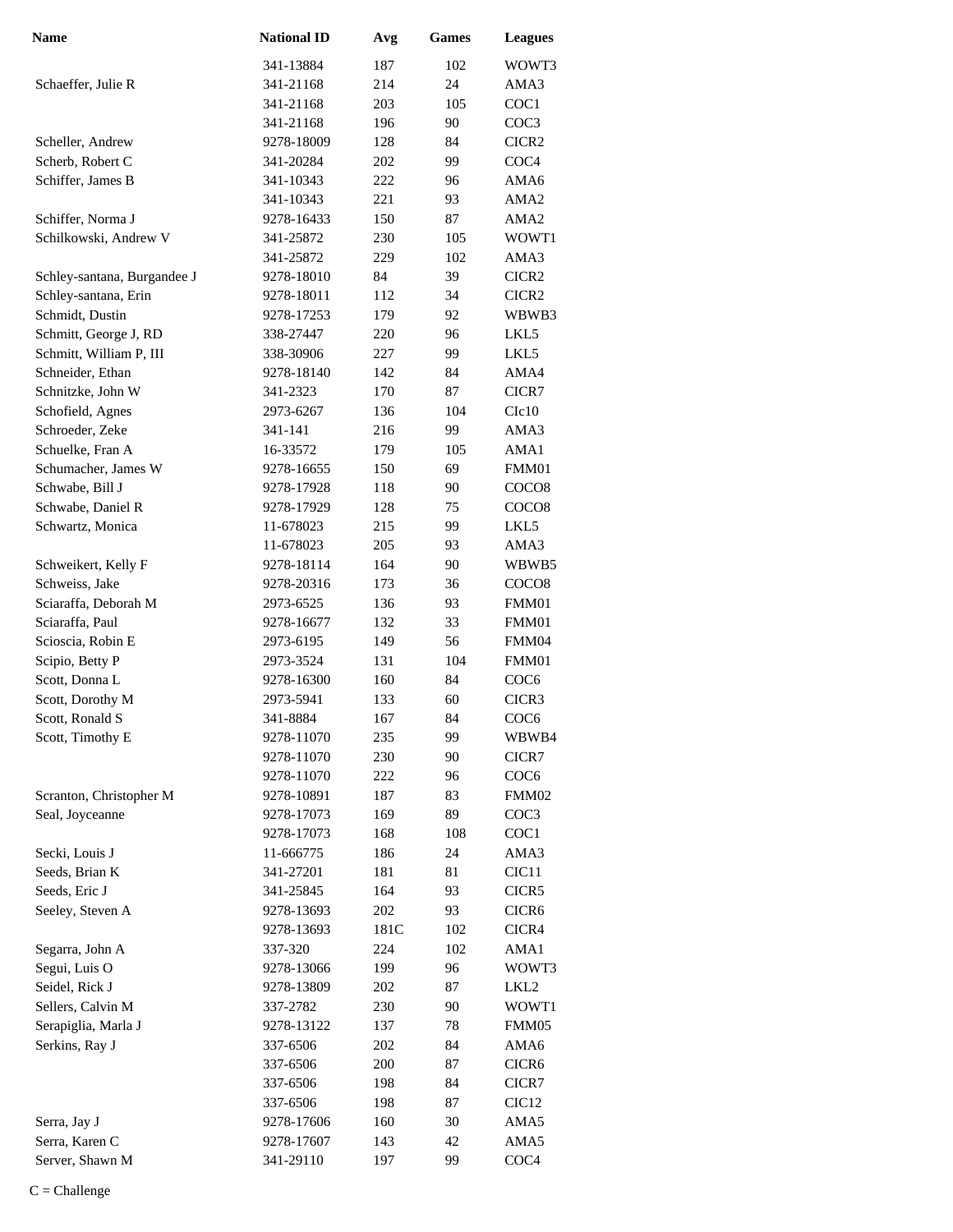| <b>Name</b>                      | <b>National ID</b>       | Avg        | <b>Games</b> | <b>Leagues</b>            |
|----------------------------------|--------------------------|------------|--------------|---------------------------|
|                                  | 341-13884                | 187        | 102          | WOWT3                     |
| Schaeffer, Julie R               | 341-21168                | 214        | 24           | AMA3                      |
|                                  | 341-21168                | 203        | 105          | COC1                      |
|                                  | 341-21168                | 196        | 90           | COC <sub>3</sub>          |
| Scheller, Andrew                 | 9278-18009               | 128        | 84           | CICR <sub>2</sub>         |
| Scherb, Robert C                 | 341-20284                | 202        | 99           | COC4                      |
| Schiffer, James B                | 341-10343                | 222        | 96           | AMA6                      |
|                                  | 341-10343                | 221        | 93           | AMA <sub>2</sub>          |
| Schiffer, Norma J                | 9278-16433               | 150        | 87           | AMA <sub>2</sub>          |
| Schilkowski, Andrew V            | 341-25872                | 230        | 105          | WOWT1                     |
|                                  | 341-25872                | 229        | 102          | AMA3                      |
| Schley-santana, Burgandee J      | 9278-18010               | 84         | 39           | CICR <sub>2</sub>         |
| Schley-santana, Erin             | 9278-18011               | 112        | 34           | CICR <sub>2</sub>         |
| Schmidt, Dustin                  | 9278-17253               | 179        | 92           | WBWB3                     |
| Schmitt, George J, RD            | 338-27447                | 220        | 96           | LKL5                      |
| Schmitt, William P, III          | 338-30906                | 227        | 99           | LKL5                      |
| Schneider, Ethan                 | 9278-18140               | 142        | 84           | AMA4                      |
| Schnitzke, John W                | 341-2323                 | 170        | 87           | CICR7                     |
| Schofield, Agnes                 | 2973-6267                | 136        | 104          | C1c10                     |
| Schroeder, Zeke                  | 341-141                  | 216        | 99           | AMA3                      |
| Schuelke, Fran A                 | 16-33572                 | 179        | 105          | AMA1                      |
| Schumacher, James W              | 9278-16655               | 150        | 69           | FMM01                     |
| Schwabe, Bill J                  | 9278-17928               | 118        | 90           | COCO <sub>8</sub>         |
| Schwabe, Daniel R                | 9278-17929               | 128        | 75           | COCO <sub>8</sub>         |
| Schwartz, Monica                 | 11-678023                | 215        | 99           | LKL5                      |
|                                  | 11-678023                | 205        | 93           | AMA3                      |
| Schweikert, Kelly F              | 9278-18114               | 164        | 90           | WBWB5                     |
| Schweiss, Jake                   | 9278-20316               | 173        | 36           | COCO8                     |
| Sciaraffa, Deborah M             | 2973-6525                | 136        | 93           | FMM01                     |
| Sciaraffa, Paul                  | 9278-16677               | 132        | 33           | FMM01                     |
| Scioscia, Robin E                | 2973-6195                | 149        | 56           | FMM04                     |
| Scipio, Betty P                  | 2973-3524                | 131        | 104          | FMM01                     |
| Scott, Donna L                   | 9278-16300               | 160        | 84           | COC <sub>6</sub>          |
| Scott, Dorothy M                 | 2973-5941                | 133        | 60           | CICR3                     |
| Scott, Ronald S                  | 341-8884                 | 167        | 84           | COC <sub>6</sub>          |
| Scott, Timothy E                 | 9278-11070               | 235        | 99           | WBWB4                     |
|                                  | 9278-11070               | 230        | 90           | CICR7                     |
|                                  | 9278-11070               | 222        | 96           | COC <sub>6</sub>          |
| Scranton, Christopher M          | 9278-10891               | 187        | 83           | FMM02                     |
| Seal, Joyceanne                  | 9278-17073               | 169        | 89           | COC <sub>3</sub>          |
|                                  | 9278-17073               | 168        | 108          | COC <sub>1</sub>          |
| Secki, Louis J                   | 11-666775                | 186        | 24           | AMA3                      |
| Seeds, Brian K                   | 341-27201                | 181        | 81           | CIC <sub>11</sub>         |
| Seeds, Eric J                    | 341-25845                | 164        | 93           | CICR5                     |
| Seeley, Steven A                 | 9278-13693               | 202        | 93           | CICR <sub>6</sub>         |
|                                  | 9278-13693               | 181C       | 102          | CICR4                     |
| Segarra, John A<br>Segui, Luis O | 337-320                  | 224        | 102          | AMA1                      |
| Seidel, Rick J                   | 9278-13066<br>9278-13809 | 199<br>202 | 96<br>87     | WOWT3<br>LKL <sub>2</sub> |
| Sellers, Calvin M                | 337-2782                 |            | 90           | WOWT1                     |
| Serapiglia, Marla J              | 9278-13122               | 230<br>137 | 78           | FMM05                     |
| Serkins, Ray J                   | 337-6506                 | 202        | 84           | AMA6                      |
|                                  | 337-6506                 | 200        | 87           | CICR <sub>6</sub>         |
|                                  | 337-6506                 | 198        | 84           | CICR7                     |
|                                  | 337-6506                 | 198        | 87           | CIC <sub>12</sub>         |
| Serra, Jay J                     | 9278-17606               | 160        | 30           | AMA5                      |
| Serra, Karen C                   | 9278-17607               | 143        | 42           | AMA5                      |
| Server, Shawn M                  | 341-29110                | 197        | 99           | COC <sub>4</sub>          |
|                                  |                          |            |              |                           |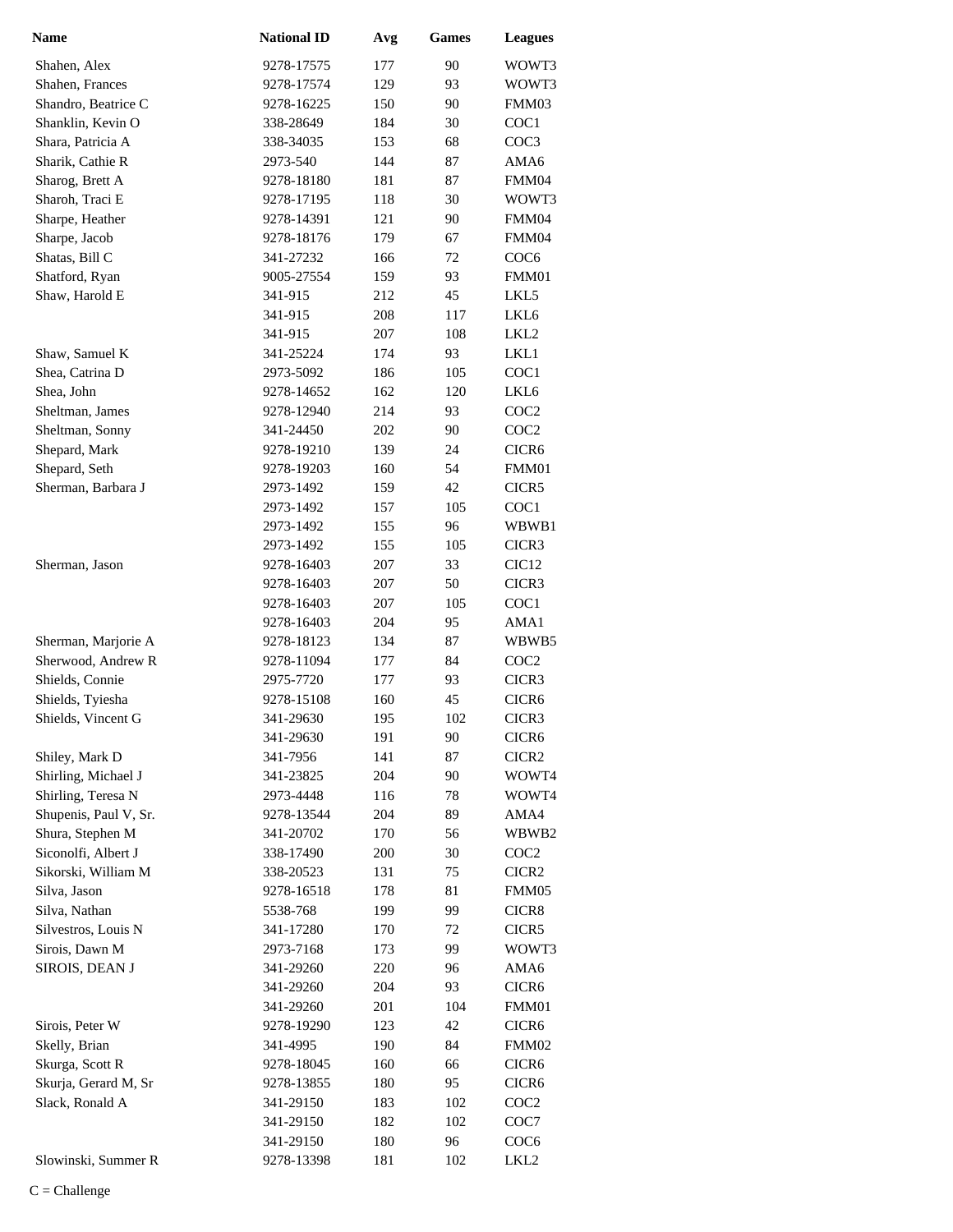| <b>Name</b>           | <b>National ID</b> | Avg | <b>Games</b> | <b>Leagues</b>    |
|-----------------------|--------------------|-----|--------------|-------------------|
| Shahen, Alex          | 9278-17575         | 177 | 90           | WOWT3             |
| Shahen, Frances       | 9278-17574         | 129 | 93           | WOWT3             |
| Shandro, Beatrice C   | 9278-16225         | 150 | 90           | FMM03             |
| Shanklin, Kevin O     | 338-28649          | 184 | 30           | COC1              |
| Shara, Patricia A     | 338-34035          | 153 | 68           | COC3              |
| Sharik, Cathie R      | 2973-540           | 144 | 87           | AMA6              |
| Sharog, Brett A       | 9278-18180         | 181 | 87           | FMM04             |
| Sharoh, Traci E       | 9278-17195         | 118 | 30           | WOWT3             |
| Sharpe, Heather       | 9278-14391         | 121 | 90           | FMM04             |
| Sharpe, Jacob         | 9278-18176         | 179 | 67           | FMM04             |
| Shatas, Bill C        | 341-27232          | 166 | 72           | COC <sub>6</sub>  |
| Shatford, Ryan        | 9005-27554         | 159 | 93           | FMM01             |
| Shaw, Harold E        | 341-915            | 212 | 45           | LKL5              |
|                       | 341-915            | 208 | 117          | LKL6              |
|                       | 341-915            | 207 | 108          | LKL2              |
| Shaw, Samuel K        | 341-25224          | 174 | 93           | LKL1              |
| Shea, Catrina D       | 2973-5092          | 186 | 105          | COC1              |
| Shea, John            | 9278-14652         | 162 | 120          | LKL <sub>6</sub>  |
| Sheltman, James       | 9278-12940         | 214 | 93           | COC <sub>2</sub>  |
| Sheltman, Sonny       | 341-24450          | 202 | 90           | COC <sub>2</sub>  |
| Shepard, Mark         | 9278-19210         | 139 | 24           | CICR <sub>6</sub> |
| Shepard, Seth         | 9278-19203         | 160 | 54           | FMM01             |
| Sherman, Barbara J    | 2973-1492          | 159 | 42           | CICR5             |
|                       | 2973-1492          | 157 | 105          | COC1              |
|                       | 2973-1492          | 155 | 96           | WBWB1             |
|                       | 2973-1492          | 155 | 105          | CICR3             |
| Sherman, Jason        | 9278-16403         | 207 | 33           | CIC <sub>12</sub> |
|                       | 9278-16403         | 207 | 50           | CICR3             |
|                       | 9278-16403         | 207 | 105          | COC1              |
|                       | 9278-16403         | 204 | 95           | AMA1              |
| Sherman, Marjorie A   | 9278-18123         | 134 | 87           | WBWB5             |
| Sherwood, Andrew R    | 9278-11094         | 177 | 84           | COC <sub>2</sub>  |
| Shields, Connie       | 2975-7720          | 177 | 93           | CICR3             |
| Shields, Tyiesha      | 9278-15108         | 160 | 45           | CICR <sub>6</sub> |
| Shields, Vincent G    | 341-29630          | 195 | 102          | CICR3             |
|                       | 341-29630          | 191 | 90           | CICR <sub>6</sub> |
| Shiley, Mark D        | 341-7956           | 141 | 87           | CICR <sub>2</sub> |
| Shirling, Michael J   | 341-23825          | 204 | 90           | WOWT4             |
| Shirling, Teresa N    | 2973-4448          | 116 | 78           | WOWT4             |
| Shupenis, Paul V, Sr. | 9278-13544         | 204 | 89           | AMA4              |
| Shura, Stephen M      | 341-20702          | 170 | 56           | WBWB2             |
| Siconolfi, Albert J   | 338-17490          | 200 | 30           | COC <sub>2</sub>  |
| Sikorski, William M   | 338-20523          | 131 | 75           | CICR <sub>2</sub> |
| Silva, Jason          | 9278-16518         | 178 | 81           | FMM05             |
| Silva, Nathan         | 5538-768           | 199 | 99           | CICR8             |
| Silvestros, Louis N   | 341-17280          | 170 | 72           | CICR5             |
| Sirois, Dawn M        | 2973-7168          | 173 | 99           | WOWT3             |
| SIROIS, DEAN J        | 341-29260          | 220 | 96           | AMA6              |
|                       | 341-29260          | 204 | 93           | CICR <sub>6</sub> |
|                       | 341-29260          | 201 | 104          | FMM01             |
| Sirois, Peter W       | 9278-19290         | 123 | 42           | CICR <sub>6</sub> |
| Skelly, Brian         | 341-4995           | 190 | 84           | FMM02             |
| Skurga, Scott R       | 9278-18045         | 160 | 66           | CICR <sub>6</sub> |
| Skurja, Gerard M, Sr  | 9278-13855         | 180 | 95           | CICR <sub>6</sub> |
| Slack, Ronald A       | 341-29150          | 183 | 102          | COC <sub>2</sub>  |
|                       | 341-29150          | 182 | 102          | COC7              |
|                       | 341-29150          | 180 | 96           | COC <sub>6</sub>  |
| Slowinski, Summer R   | 9278-13398         | 181 | 102          | LKL <sub>2</sub>  |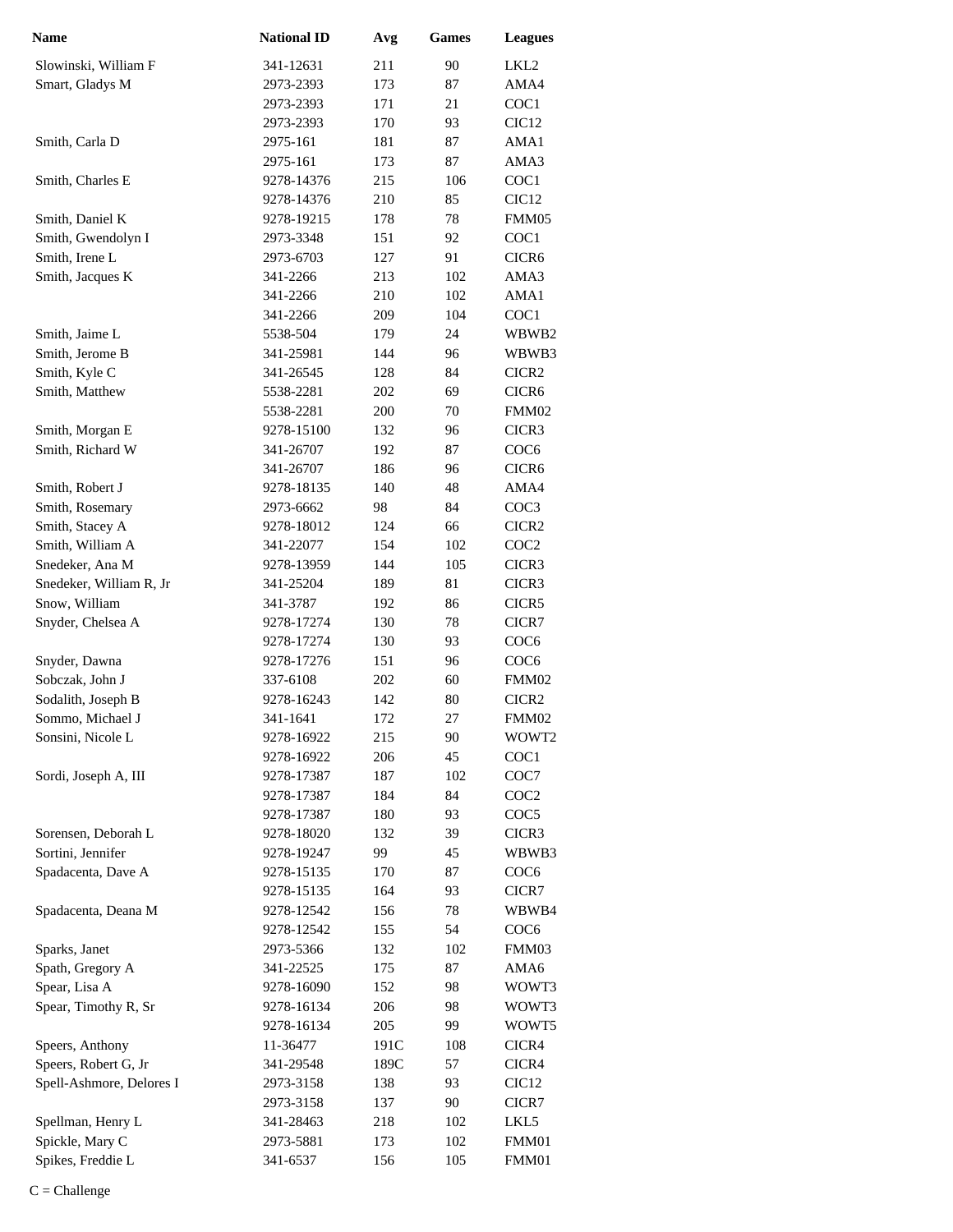| <b>Name</b>                              | <b>National ID</b>      | Avg        | <b>Games</b> | <b>Leagues</b>                        |
|------------------------------------------|-------------------------|------------|--------------|---------------------------------------|
| Slowinski, William F                     | 341-12631               | 211        | 90           | LKL <sub>2</sub>                      |
| Smart, Gladys M                          | 2973-2393               | 173        | 87           | AMA4                                  |
|                                          | 2973-2393               | 171        | 21           | COC1                                  |
|                                          | 2973-2393               | 170        | 93           | CIC <sub>12</sub>                     |
| Smith, Carla D                           | 2975-161                | 181        | 87           | AMA1                                  |
|                                          | 2975-161                | 173        | 87           | AMA3                                  |
| Smith, Charles E                         | 9278-14376              | 215        | 106          | COC1                                  |
|                                          | 9278-14376              | 210        | 85           | CIC <sub>12</sub>                     |
| Smith, Daniel K                          | 9278-19215              | 178        | 78           | FMM05                                 |
| Smith, Gwendolyn I                       | 2973-3348               | 151        | 92           | COC1                                  |
| Smith, Irene L                           | 2973-6703               | 127        | 91           | CICR <sub>6</sub>                     |
| Smith, Jacques K                         | 341-2266                | 213        | 102          | AMA3                                  |
|                                          | 341-2266                | 210        | 102          | AMA1                                  |
|                                          | 341-2266                | 209        | 104          | COC1                                  |
| Smith, Jaime L                           | 5538-504                | 179        | 24           | WBWB2                                 |
| Smith, Jerome B                          | 341-25981               | 144        | 96           | WBWB3                                 |
| Smith, Kyle C                            | 341-26545               | 128        | 84           | CICR <sub>2</sub>                     |
|                                          | 5538-2281               | 202        | 69           | CICR <sub>6</sub>                     |
| Smith, Matthew                           | 5538-2281               |            | 70           |                                       |
|                                          |                         | 200        |              | FMM02<br>CICR3                        |
| Smith, Morgan E                          | 9278-15100              | 132        | 96           |                                       |
| Smith, Richard W                         | 341-26707               | 192        | 87           | COC <sub>6</sub><br>CICR <sub>6</sub> |
|                                          | 341-26707               | 186        | 96           |                                       |
| Smith, Robert J                          | 9278-18135              | 140        | 48<br>84     | AMA4                                  |
| Smith, Rosemary                          | 2973-6662               | 98<br>124  | 66           | COC <sub>3</sub><br>CICR <sub>2</sub> |
| Smith, Stacey A<br>Smith, William A      | 9278-18012<br>341-22077 | 154        | 102          | COC <sub>2</sub>                      |
| Snedeker, Ana M                          |                         | 144        |              |                                       |
|                                          | 9278-13959              |            | 105<br>81    | CICR3                                 |
| Snedeker, William R, Jr<br>Snow, William | 341-25204<br>341-3787   | 189<br>192 | 86           | CICR3<br>CICR5                        |
| Snyder, Chelsea A                        | 9278-17274              | 130        | 78           | CICR7                                 |
|                                          | 9278-17274              | 130        | 93           | COC <sub>6</sub>                      |
| Snyder, Dawna                            | 9278-17276              | 151        | 96           | COC <sub>6</sub>                      |
| Sobczak, John J                          | 337-6108                | 202        | 60           | FMM02                                 |
| Sodalith, Joseph B                       | 9278-16243              | 142        | 80           | CICR <sub>2</sub>                     |
| Sommo, Michael J                         | 341-1641                | 172        | 27           | FMM02                                 |
| Sonsini, Nicole L                        | 9278-16922              | 215        | 90           | WOWT2                                 |
|                                          | 9278-16922              | 206        | 45           | COC1                                  |
| Sordi, Joseph A, III                     | 9278-17387              | 187        | 102          | COC7                                  |
|                                          | 9278-17387              | 184        | 84           | COC <sub>2</sub>                      |
|                                          | 9278-17387              | 180        | 93           | COC <sub>5</sub>                      |
| Sorensen, Deborah L                      | 9278-18020              | 132        | 39           | CICR3                                 |
| Sortini, Jennifer                        | 9278-19247              | 99         | 45           | WBWB3                                 |
| Spadacenta, Dave A                       | 9278-15135              | 170        | 87           | COC <sub>6</sub>                      |
|                                          | 9278-15135              | 164        | 93           | CICR7                                 |
| Spadacenta, Deana M                      | 9278-12542              | 156        | 78           | WBWB4                                 |
|                                          | 9278-12542              | 155        | 54           | COC <sub>6</sub>                      |
| Sparks, Janet                            | 2973-5366               | 132        | 102          | FMM03                                 |
| Spath, Gregory A                         | 341-22525               | 175        | 87           | AMA6                                  |
| Spear, Lisa A                            | 9278-16090              | 152        | 98           | WOWT3                                 |
| Spear, Timothy R, Sr                     | 9278-16134              | 206        | 98           | WOWT3                                 |
|                                          | 9278-16134              | 205        | 99           | WOWT5                                 |
| Speers, Anthony                          | 11-36477                | 191C       | 108          | CICR4                                 |
| Speers, Robert G, Jr                     | 341-29548               | 189C       | 57           | CICR4                                 |
| Spell-Ashmore, Delores I                 | 2973-3158               | 138        | 93           | CIC <sub>12</sub>                     |
|                                          | 2973-3158               | 137        | 90           | CICR7                                 |
| Spellman, Henry L                        | 341-28463               | 218        | 102          | LKL5                                  |
| Spickle, Mary C                          | 2973-5881               | 173        | 102          | FMM01                                 |
| Spikes, Freddie L                        | 341-6537                | 156        | 105          | FMM01                                 |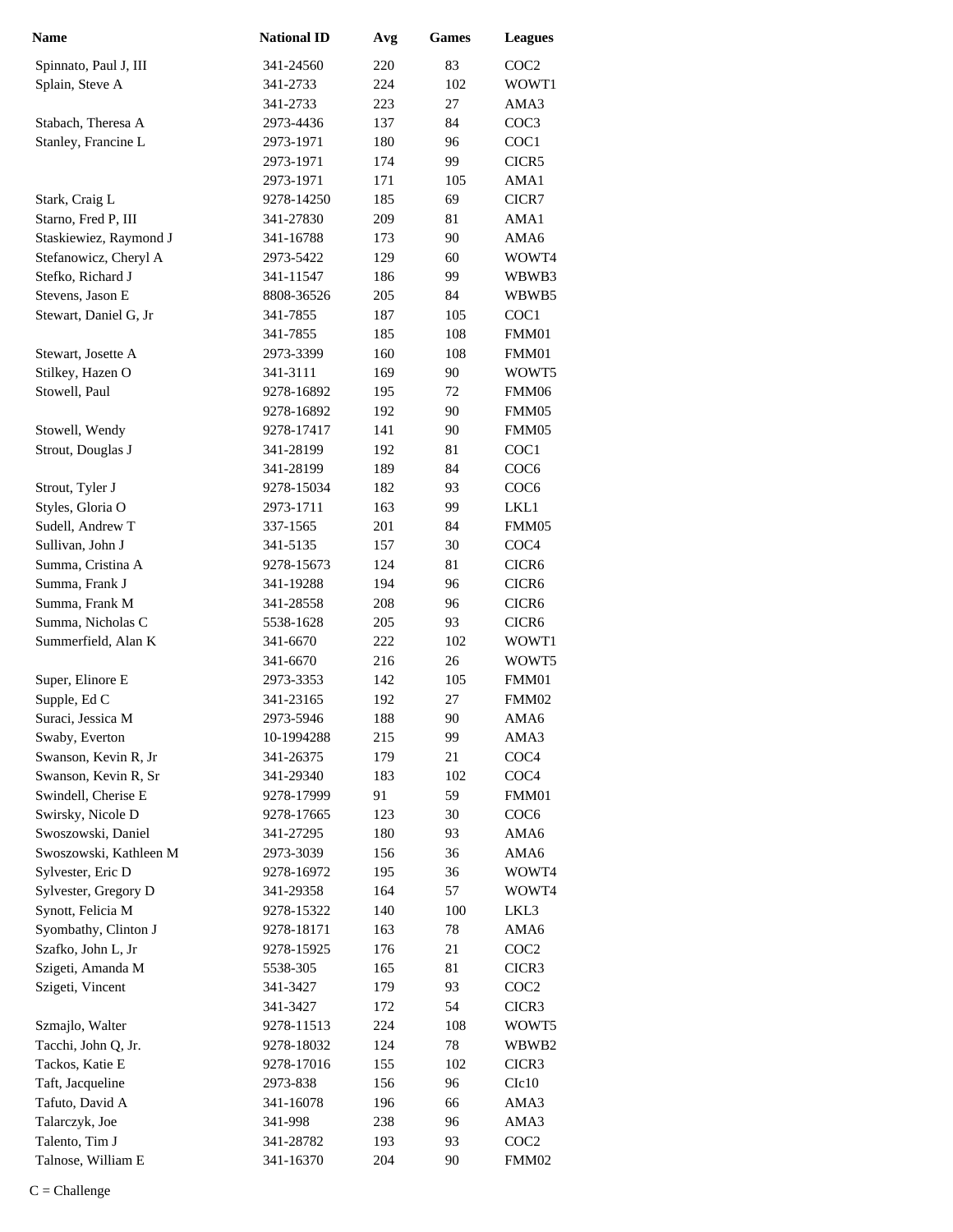| <b>Name</b>            | <b>National ID</b>   | Avg | <b>Games</b> | <b>Leagues</b>    |
|------------------------|----------------------|-----|--------------|-------------------|
| Spinnato, Paul J, III  | 341-24560            | 220 | 83           | COC <sub>2</sub>  |
| Splain, Steve A        | 341-2733             | 224 | 102          | WOWT1             |
|                        | 341-2733             | 223 | 27           | AMA3              |
| Stabach, Theresa A     | 2973-4436            | 137 | 84           | COC3              |
| Stanley, Francine L    | 2973-1971            | 180 | 96           | COC1              |
|                        | 2973-1971            | 174 | 99           | CICR5             |
|                        | 2973-1971            | 171 | 105          | AMA1              |
| Stark, Craig L         | 9278-14250           | 185 | 69           | CICR7             |
| Starno, Fred P, III    | 341-27830            | 209 | 81           | AMA1              |
| Staskiewiez, Raymond J | 341-16788            | 173 | 90           | AMA6              |
| Stefanowicz, Cheryl A  | 2973-5422            | 129 | 60           | WOWT4             |
| Stefko, Richard J      | 341-11547            | 186 | 99           | WBWB3             |
| Stevens, Jason E       | 8808-36526           | 205 | 84           | WBWB5             |
| Stewart, Daniel G, Jr  | 341-7855             | 187 | 105          | COC1              |
|                        | 341-7855             | 185 | 108          | FMM01             |
| Stewart, Josette A     | 2973-3399            | 160 | 108          | FMM01             |
| Stilkey, Hazen O       | 341-3111             | 169 | 90           | WOWT5             |
| Stowell, Paul          | 9278-16892           | 195 | 72           | FMM06             |
|                        | 9278-16892           | 192 | 90           | FMM05             |
| Stowell, Wendy         | 9278-17417           | 141 | 90           | FMM05             |
| Strout, Douglas J      | 341-28199            | 192 | 81           | COC1              |
|                        | 341-28199            | 189 | 84           | COC <sub>6</sub>  |
| Strout, Tyler J        | 9278-15034           | 182 | 93           | COC <sub>6</sub>  |
| Styles, Gloria O       | 2973-1711            | 163 | 99           | LKL1              |
| Sudell, Andrew T       | 337-1565             | 201 | 84           | FMM05             |
| Sullivan, John J       | 341-5135             | 157 | 30           | COC <sub>4</sub>  |
| Summa, Cristina A      | 9278-15673           | 124 | 81           | CICR <sub>6</sub> |
| Summa, Frank J         | 341-19288            | 194 | 96           | CICR <sub>6</sub> |
| Summa, Frank M         | 341-28558            | 208 | 96           | CICR <sub>6</sub> |
| Summa, Nicholas C      | 5538-1628            | 205 | 93           | CICR <sub>6</sub> |
| Summerfield, Alan K    | 341-6670             | 222 | 102          | WOWT1             |
|                        | 341-6670             | 216 | 26           | WOWT5             |
| Super, Elinore E       | 2973-3353            | 142 | 105          | FMM01             |
| Supple, Ed C           | 341-23165            | 192 | 27           | FMM02             |
| Suraci, Jessica M      | 2973-5946            | 188 | 90           | AMA6              |
| Swaby, Everton         | 10-1994288           | 215 | 99           | AMA3              |
| Swanson, Kevin R, Jr   | 341-26375            | 179 | 21           | COC <sub>4</sub>  |
| Swanson, Kevin R, Sr   | 341-29340            | 183 | 102          | COC <sub>4</sub>  |
| Swindell, Cherise E    | 9278-17999           | 91  | 59           | FMM01             |
| Swirsky, Nicole D      | 9278-17665           | 123 | 30           | COC <sub>6</sub>  |
| Swoszowski, Daniel     | 341-27295            | 180 | 93           | AMA6              |
| Swoszowski, Kathleen M | 2973-3039            | 156 | 36           | AMA6              |
| Sylvester, Eric D      | 9278-16972           | 195 | 36           | WOWT4             |
| Sylvester, Gregory D   | 341-29358            | 164 | 57           | WOWT4             |
| Synott, Felicia M      | 9278-15322           | 140 | 100          | LKL3              |
| Syombathy, Clinton J   | 9278-18171           | 163 | 78           | AMA6              |
| Szafko, John L, Jr     | 9278-15925           | 176 | 21           | COC <sub>2</sub>  |
| Szigeti, Amanda M      | 5538-305             | 165 | 81           | CICR3             |
| Szigeti, Vincent       | 341-3427             | 179 | 93           | COC <sub>2</sub>  |
|                        | 341-3427             | 172 | 54           | CICR3             |
| Szmajlo, Walter        | 9278-11513           | 224 | 108          | WOWT5             |
| Tacchi, John Q, Jr.    | 9278-18032           | 124 | $78\,$       | WBWB2             |
| Tackos, Katie E        | 9278-17016           | 155 | 102          | CICR <sub>3</sub> |
| Taft, Jacqueline       | 2973-838             | 156 | 96           | C1c10             |
| Tafuto, David A        | 341-16078            | 196 | 66           | AMA3              |
| Talarczyk, Joe         |                      |     | 96           | AMA3              |
| Talento, Tim J         | 341-998<br>341-28782 | 238 | 93           | COC <sub>2</sub>  |
| Talnose, William E     |                      | 193 |              |                   |
|                        | 341-16370            | 204 | 90           | FMM02             |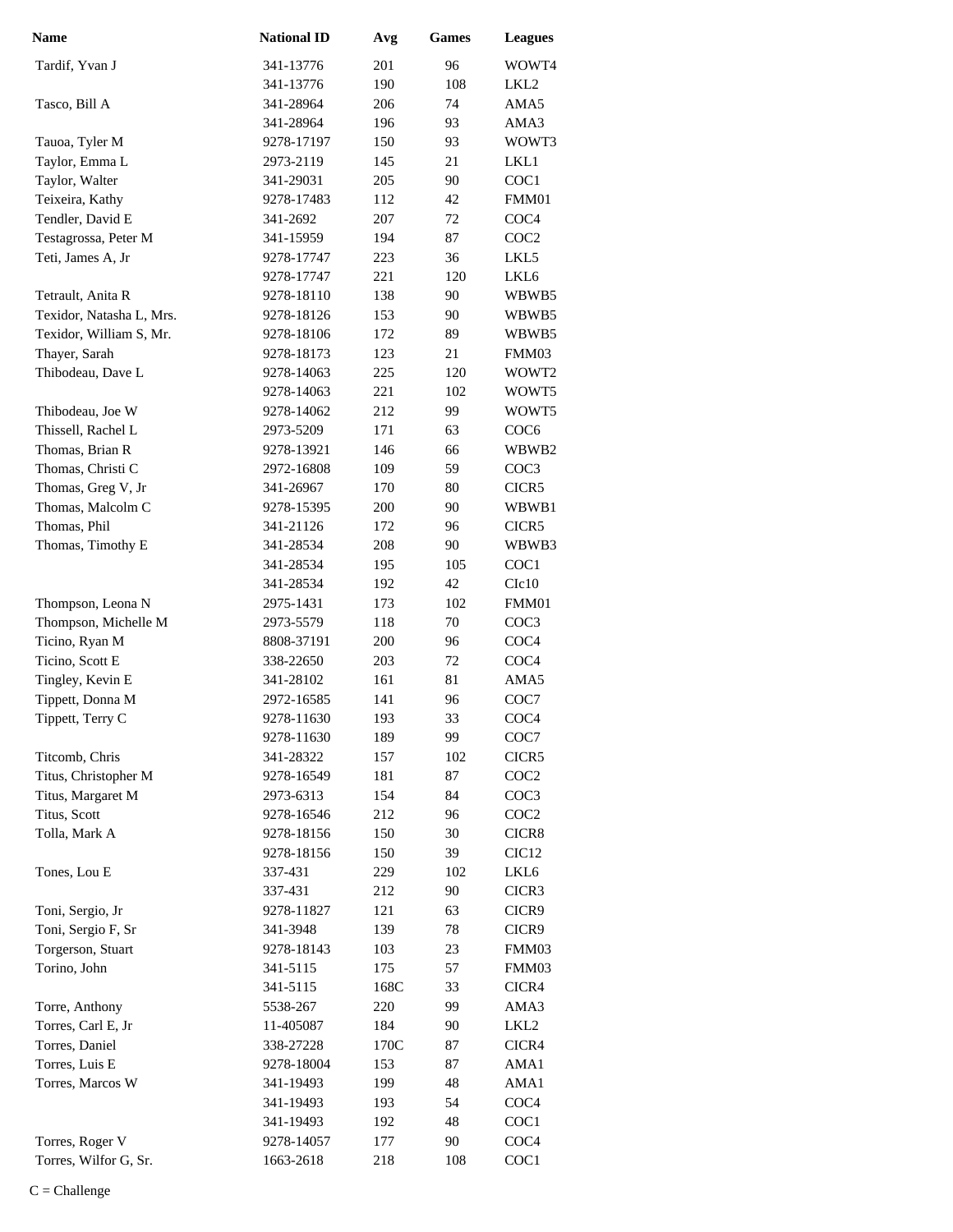| Name                     | <b>National ID</b> | Avg  | <b>Games</b> | <b>Leagues</b>    |
|--------------------------|--------------------|------|--------------|-------------------|
| Tardif, Yvan J           | 341-13776          | 201  | 96           | WOWT4             |
|                          | 341-13776          | 190  | 108          | LKL2              |
| Tasco, Bill A            | 341-28964          | 206  | 74           | AMA5              |
|                          | 341-28964          | 196  | 93           | AMA3              |
| Tauoa, Tyler M           | 9278-17197         | 150  | 93           | WOWT3             |
| Taylor, Emma L           | 2973-2119          | 145  | 21           | LKL1              |
| Taylor, Walter           | 341-29031          | 205  | 90           | COC1              |
| Teixeira, Kathy          | 9278-17483         | 112  | 42           | FMM01             |
| Tendler, David E         | 341-2692           | 207  | 72           | COC <sub>4</sub>  |
| Testagrossa, Peter M     | 341-15959          | 194  | 87           | COC2              |
| Teti, James A, Jr        | 9278-17747         | 223  | 36           | LKL5              |
|                          | 9278-17747         | 221  | 120          | LKL <sub>6</sub>  |
| Tetrault, Anita R        | 9278-18110         | 138  | 90           | WBWB5             |
| Texidor, Natasha L, Mrs. | 9278-18126         | 153  | 90           | WBWB5             |
| Texidor, William S, Mr.  | 9278-18106         | 172  | 89           | WBWB5             |
| Thayer, Sarah            | 9278-18173         | 123  | 21           | FMM03             |
| Thibodeau, Dave L        | 9278-14063         | 225  | 120          | WOWT2             |
|                          | 9278-14063         | 221  | 102          | WOWT5             |
| Thibodeau, Joe W         | 9278-14062         | 212  | 99           | WOWT5             |
| Thissell, Rachel L       | 2973-5209          | 171  | 63           | COC <sub>6</sub>  |
| Thomas, Brian R          | 9278-13921         | 146  | 66           | WBWB2             |
| Thomas, Christi C        | 2972-16808         | 109  | 59           | COC3              |
| Thomas, Greg V, Jr       | 341-26967          | 170  | 80           | CICR5             |
| Thomas, Malcolm C        | 9278-15395         | 200  | 90           | WBWB1             |
| Thomas, Phil             | 341-21126          | 172  | 96           | CICR5             |
| Thomas, Timothy E        | 341-28534          | 208  | 90           | WBWB3             |
|                          | 341-28534          | 195  | 105          | COC1              |
|                          | 341-28534          | 192  | 42           | C1c10             |
| Thompson, Leona N        | 2975-1431          | 173  | 102          | FMM01             |
| Thompson, Michelle M     | 2973-5579          | 118  | 70           | COC <sub>3</sub>  |
| Ticino, Ryan M           | 8808-37191         | 200  | 96           | COC4              |
| Ticino, Scott E          | 338-22650          | 203  | 72           | COC <sub>4</sub>  |
| Tingley, Kevin E         | 341-28102          | 161  | 81           | AMA5              |
| Tippett, Donna M         | 2972-16585         | 141  | 96           | COC7              |
| Tippett, Terry C         | 9278-11630         | 193  | 33           | COC <sub>4</sub>  |
|                          | 9278-11630         | 189  | 99           | COC7              |
| Titcomb, Chris           | 341-28322          | 157  | 102          | CICR5             |
| Titus, Christopher M     | 9278-16549         | 181  | 87           | COC <sub>2</sub>  |
| Titus, Margaret M        | 2973-6313          | 154  | 84           | COC <sub>3</sub>  |
| Titus, Scott             | 9278-16546         | 212  | 96           | COC <sub>2</sub>  |
| Tolla, Mark A            | 9278-18156         | 150  | 30           | CICR8             |
|                          | 9278-18156         | 150  | 39           | CIC <sub>12</sub> |
| Tones, Lou E             | 337-431            | 229  | 102          | LKL6              |
|                          | 337-431            | 212  | 90           | CICR3             |
| Toni, Sergio, Jr         | 9278-11827         | 121  | 63           | CICR9             |
| Toni, Sergio F, Sr       | 341-3948           | 139  | 78           | CICR9             |
| Torgerson, Stuart        | 9278-18143         | 103  | 23           | FMM03             |
| Torino, John             | 341-5115           | 175  | 57           | FMM03             |
|                          | 341-5115           | 168C | 33           | CICR4             |
| Torre, Anthony           | 5538-267           | 220  | 99           | AMA3              |
| Torres, Carl E, Jr       | 11-405087          | 184  | 90           | LKL <sub>2</sub>  |
| Torres, Daniel           | 338-27228          | 170C | 87           | CICR4             |
| Torres, Luis E           | 9278-18004         | 153  | 87           | AMA1              |
| Torres, Marcos W         | 341-19493          | 199  | 48           | AMA1              |
|                          | 341-19493          | 193  | 54           | COC <sub>4</sub>  |
|                          | 341-19493          | 192  | 48           | COC1              |
| Torres, Roger V          | 9278-14057         | 177  | 90           | COC <sub>4</sub>  |
| Torres, Wilfor G, Sr.    | 1663-2618          | 218  | 108          | COC1              |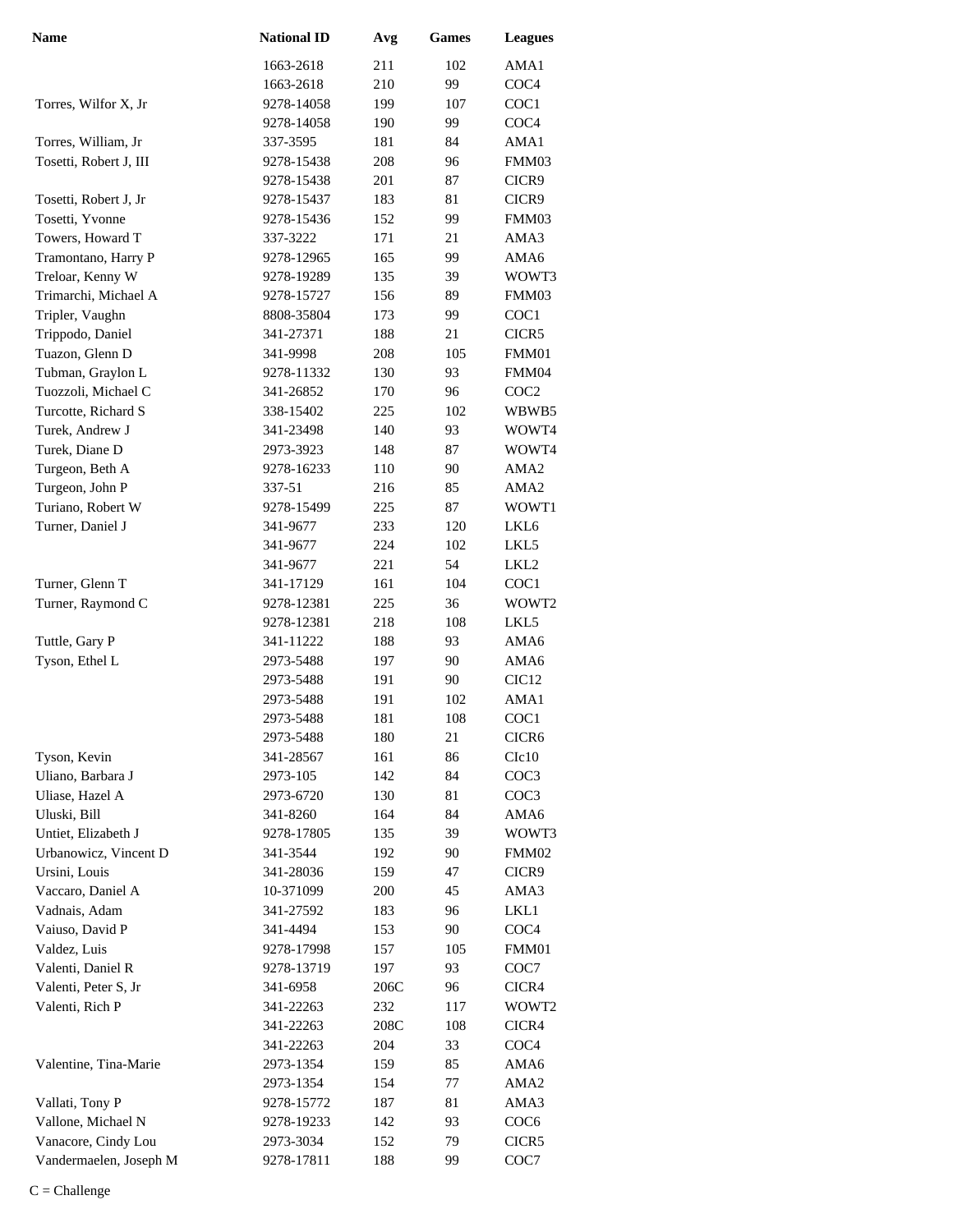| 1663-2618<br>211<br>102<br>AMA1<br>210<br>99<br>COC <sub>4</sub><br>1663-2618<br>199<br>107<br>COC1<br>Torres, Wilfor X, Jr<br>9278-14058<br>99<br>COC <sub>4</sub><br>9278-14058<br>190<br>Torres, William, Jr<br>337-3595<br>181<br>84<br>AMA1<br>Tosetti, Robert J, III<br>208<br>96<br>FMM03<br>9278-15438<br>201<br>87<br>9278-15438<br>CICR9<br>183<br>81<br>Tosetti, Robert J, Jr<br>9278-15437<br>CICR9<br>Tosetti, Yvonne<br>152<br>99<br>9278-15436<br>FMM03<br>Towers, Howard T<br>337-3222<br>171<br>21<br>AMA3<br>Tramontano, Harry P<br>9278-12965<br>165<br>99<br>AMA6<br>Treloar, Kenny W<br>9278-19289<br>135<br>39<br>WOWT3<br>Trimarchi, Michael A<br>9278-15727<br>156<br>89<br>FMM03<br>Tripler, Vaughn<br>8808-35804<br>173<br>99<br>COC1<br>Trippodo, Daniel<br>341-27371<br>188<br>21<br>CICR5<br>Tuazon, Glenn D<br>208<br>FMM01<br>341-9998<br>105<br>Tubman, Graylon L<br>130<br>93<br>FMM04<br>9278-11332<br>Tuozzoli, Michael C<br>341-26852<br>96<br>COC <sub>2</sub><br>170<br>Turcotte, Richard S<br>338-15402<br>225<br>102<br>WBWB5<br>Turek, Andrew J<br>140<br>93<br>341-23498<br>WOWT4<br>Turek, Diane D<br>148<br>87<br>2973-3923<br>WOWT4<br>Turgeon, Beth A<br>9278-16233<br>110<br>90<br>AMA <sub>2</sub><br>Turgeon, John P<br>337-51<br>216<br>85<br>AMA <sub>2</sub><br>Turiano, Robert W<br>9278-15499<br>225<br>87<br>WOWT1<br>Turner, Daniel J<br>341-9677<br>120<br>233<br>LKL6<br>224<br>102<br>341-9677<br>LKL5<br>221<br>54<br>LKL <sub>2</sub><br>341-9677<br>Turner, Glenn T<br>161<br>104<br>COC1<br>341-17129<br>Turner, Raymond C<br>225<br>WOWT2<br>9278-12381<br>36<br>218<br>LKL5<br>9278-12381<br>108<br>Tuttle, Gary P<br>93<br>AMA6<br>341-11222<br>188<br>Tyson, Ethel L<br>90<br>AMA6<br>2973-5488<br>197<br>90<br>CIC <sub>12</sub><br>2973-5488<br>191<br>AMA1<br>2973-5488<br>191<br>102<br>2973-5488<br>181<br>COC1<br>108<br>21<br>180<br>CICR <sub>6</sub><br>2973-5488<br>Tyson, Kevin<br>161<br>C1c10<br>341-28567<br>86<br>Uliano, Barbara J<br>142<br>84<br>2973-105<br>COC <sub>3</sub><br>Uliase, Hazel A<br>81<br>2973-6720<br>130<br>COC <sub>3</sub><br>Uluski, Bill<br>341-8260<br>164<br>84<br>AMA6<br>Untiet, Elizabeth J<br>135<br>39<br>WOWT3<br>9278-17805<br>Urbanowicz, Vincent D<br>341-3544<br>192<br>90<br>FMM02<br>Ursini, Louis<br>341-28036<br>159<br>47<br>CICR9<br>Vaccaro, Daniel A<br>10-371099<br>200<br>45<br>AMA3<br>Vadnais, Adam<br>183<br>LKL1<br>341-27592<br>96<br>Vaiuso, David P<br>90<br>COC <sub>4</sub><br>341-4494<br>153<br>Valdez, Luis<br>FMM01<br>9278-17998<br>157<br>105<br>Valenti, Daniel R<br>197<br>93<br>COC7<br>9278-13719<br>Valenti, Peter S, Jr<br>341-6958<br>206C<br>96<br>CICR4<br>Valenti, Rich P<br>341-22263<br>232<br>117<br>WOWT2<br>341-22263<br>208C<br>108<br>CICR4<br>204<br>341-22263<br>33<br>COC <sub>4</sub><br>Valentine, Tina-Marie<br>2973-1354<br>159<br>85<br>AMA6<br>AMA <sub>2</sub><br>2973-1354<br>77<br>154<br>Vallati, Tony P<br>AMA3<br>9278-15772<br>81<br>187<br>Vallone, Michael N<br>9278-19233<br>142<br>93<br>COC <sub>6</sub><br>Vanacore, Cindy Lou<br>2973-3034<br>152<br>79<br>CICR5 | <b>Name</b>            | <b>National ID</b> | Avg | <b>Games</b> | <b>Leagues</b> |
|----------------------------------------------------------------------------------------------------------------------------------------------------------------------------------------------------------------------------------------------------------------------------------------------------------------------------------------------------------------------------------------------------------------------------------------------------------------------------------------------------------------------------------------------------------------------------------------------------------------------------------------------------------------------------------------------------------------------------------------------------------------------------------------------------------------------------------------------------------------------------------------------------------------------------------------------------------------------------------------------------------------------------------------------------------------------------------------------------------------------------------------------------------------------------------------------------------------------------------------------------------------------------------------------------------------------------------------------------------------------------------------------------------------------------------------------------------------------------------------------------------------------------------------------------------------------------------------------------------------------------------------------------------------------------------------------------------------------------------------------------------------------------------------------------------------------------------------------------------------------------------------------------------------------------------------------------------------------------------------------------------------------------------------------------------------------------------------------------------------------------------------------------------------------------------------------------------------------------------------------------------------------------------------------------------------------------------------------------------------------------------------------------------------------------------------------------------------------------------------------------------------------------------------------------------------------------------------------------------------------------------------------------------------------------------------------------------------------------------------------------------------------------------------------------------------------------------------------------------------------------------------------------------------------------------------------------------------------------------------------------------------------------------------------------------------------------------------------------------------------------------------------------------|------------------------|--------------------|-----|--------------|----------------|
|                                                                                                                                                                                                                                                                                                                                                                                                                                                                                                                                                                                                                                                                                                                                                                                                                                                                                                                                                                                                                                                                                                                                                                                                                                                                                                                                                                                                                                                                                                                                                                                                                                                                                                                                                                                                                                                                                                                                                                                                                                                                                                                                                                                                                                                                                                                                                                                                                                                                                                                                                                                                                                                                                                                                                                                                                                                                                                                                                                                                                                                                                                                                                          |                        |                    |     |              |                |
|                                                                                                                                                                                                                                                                                                                                                                                                                                                                                                                                                                                                                                                                                                                                                                                                                                                                                                                                                                                                                                                                                                                                                                                                                                                                                                                                                                                                                                                                                                                                                                                                                                                                                                                                                                                                                                                                                                                                                                                                                                                                                                                                                                                                                                                                                                                                                                                                                                                                                                                                                                                                                                                                                                                                                                                                                                                                                                                                                                                                                                                                                                                                                          |                        |                    |     |              |                |
|                                                                                                                                                                                                                                                                                                                                                                                                                                                                                                                                                                                                                                                                                                                                                                                                                                                                                                                                                                                                                                                                                                                                                                                                                                                                                                                                                                                                                                                                                                                                                                                                                                                                                                                                                                                                                                                                                                                                                                                                                                                                                                                                                                                                                                                                                                                                                                                                                                                                                                                                                                                                                                                                                                                                                                                                                                                                                                                                                                                                                                                                                                                                                          |                        |                    |     |              |                |
|                                                                                                                                                                                                                                                                                                                                                                                                                                                                                                                                                                                                                                                                                                                                                                                                                                                                                                                                                                                                                                                                                                                                                                                                                                                                                                                                                                                                                                                                                                                                                                                                                                                                                                                                                                                                                                                                                                                                                                                                                                                                                                                                                                                                                                                                                                                                                                                                                                                                                                                                                                                                                                                                                                                                                                                                                                                                                                                                                                                                                                                                                                                                                          |                        |                    |     |              |                |
|                                                                                                                                                                                                                                                                                                                                                                                                                                                                                                                                                                                                                                                                                                                                                                                                                                                                                                                                                                                                                                                                                                                                                                                                                                                                                                                                                                                                                                                                                                                                                                                                                                                                                                                                                                                                                                                                                                                                                                                                                                                                                                                                                                                                                                                                                                                                                                                                                                                                                                                                                                                                                                                                                                                                                                                                                                                                                                                                                                                                                                                                                                                                                          |                        |                    |     |              |                |
|                                                                                                                                                                                                                                                                                                                                                                                                                                                                                                                                                                                                                                                                                                                                                                                                                                                                                                                                                                                                                                                                                                                                                                                                                                                                                                                                                                                                                                                                                                                                                                                                                                                                                                                                                                                                                                                                                                                                                                                                                                                                                                                                                                                                                                                                                                                                                                                                                                                                                                                                                                                                                                                                                                                                                                                                                                                                                                                                                                                                                                                                                                                                                          |                        |                    |     |              |                |
|                                                                                                                                                                                                                                                                                                                                                                                                                                                                                                                                                                                                                                                                                                                                                                                                                                                                                                                                                                                                                                                                                                                                                                                                                                                                                                                                                                                                                                                                                                                                                                                                                                                                                                                                                                                                                                                                                                                                                                                                                                                                                                                                                                                                                                                                                                                                                                                                                                                                                                                                                                                                                                                                                                                                                                                                                                                                                                                                                                                                                                                                                                                                                          |                        |                    |     |              |                |
|                                                                                                                                                                                                                                                                                                                                                                                                                                                                                                                                                                                                                                                                                                                                                                                                                                                                                                                                                                                                                                                                                                                                                                                                                                                                                                                                                                                                                                                                                                                                                                                                                                                                                                                                                                                                                                                                                                                                                                                                                                                                                                                                                                                                                                                                                                                                                                                                                                                                                                                                                                                                                                                                                                                                                                                                                                                                                                                                                                                                                                                                                                                                                          |                        |                    |     |              |                |
|                                                                                                                                                                                                                                                                                                                                                                                                                                                                                                                                                                                                                                                                                                                                                                                                                                                                                                                                                                                                                                                                                                                                                                                                                                                                                                                                                                                                                                                                                                                                                                                                                                                                                                                                                                                                                                                                                                                                                                                                                                                                                                                                                                                                                                                                                                                                                                                                                                                                                                                                                                                                                                                                                                                                                                                                                                                                                                                                                                                                                                                                                                                                                          |                        |                    |     |              |                |
|                                                                                                                                                                                                                                                                                                                                                                                                                                                                                                                                                                                                                                                                                                                                                                                                                                                                                                                                                                                                                                                                                                                                                                                                                                                                                                                                                                                                                                                                                                                                                                                                                                                                                                                                                                                                                                                                                                                                                                                                                                                                                                                                                                                                                                                                                                                                                                                                                                                                                                                                                                                                                                                                                                                                                                                                                                                                                                                                                                                                                                                                                                                                                          |                        |                    |     |              |                |
|                                                                                                                                                                                                                                                                                                                                                                                                                                                                                                                                                                                                                                                                                                                                                                                                                                                                                                                                                                                                                                                                                                                                                                                                                                                                                                                                                                                                                                                                                                                                                                                                                                                                                                                                                                                                                                                                                                                                                                                                                                                                                                                                                                                                                                                                                                                                                                                                                                                                                                                                                                                                                                                                                                                                                                                                                                                                                                                                                                                                                                                                                                                                                          |                        |                    |     |              |                |
|                                                                                                                                                                                                                                                                                                                                                                                                                                                                                                                                                                                                                                                                                                                                                                                                                                                                                                                                                                                                                                                                                                                                                                                                                                                                                                                                                                                                                                                                                                                                                                                                                                                                                                                                                                                                                                                                                                                                                                                                                                                                                                                                                                                                                                                                                                                                                                                                                                                                                                                                                                                                                                                                                                                                                                                                                                                                                                                                                                                                                                                                                                                                                          |                        |                    |     |              |                |
|                                                                                                                                                                                                                                                                                                                                                                                                                                                                                                                                                                                                                                                                                                                                                                                                                                                                                                                                                                                                                                                                                                                                                                                                                                                                                                                                                                                                                                                                                                                                                                                                                                                                                                                                                                                                                                                                                                                                                                                                                                                                                                                                                                                                                                                                                                                                                                                                                                                                                                                                                                                                                                                                                                                                                                                                                                                                                                                                                                                                                                                                                                                                                          |                        |                    |     |              |                |
|                                                                                                                                                                                                                                                                                                                                                                                                                                                                                                                                                                                                                                                                                                                                                                                                                                                                                                                                                                                                                                                                                                                                                                                                                                                                                                                                                                                                                                                                                                                                                                                                                                                                                                                                                                                                                                                                                                                                                                                                                                                                                                                                                                                                                                                                                                                                                                                                                                                                                                                                                                                                                                                                                                                                                                                                                                                                                                                                                                                                                                                                                                                                                          |                        |                    |     |              |                |
|                                                                                                                                                                                                                                                                                                                                                                                                                                                                                                                                                                                                                                                                                                                                                                                                                                                                                                                                                                                                                                                                                                                                                                                                                                                                                                                                                                                                                                                                                                                                                                                                                                                                                                                                                                                                                                                                                                                                                                                                                                                                                                                                                                                                                                                                                                                                                                                                                                                                                                                                                                                                                                                                                                                                                                                                                                                                                                                                                                                                                                                                                                                                                          |                        |                    |     |              |                |
|                                                                                                                                                                                                                                                                                                                                                                                                                                                                                                                                                                                                                                                                                                                                                                                                                                                                                                                                                                                                                                                                                                                                                                                                                                                                                                                                                                                                                                                                                                                                                                                                                                                                                                                                                                                                                                                                                                                                                                                                                                                                                                                                                                                                                                                                                                                                                                                                                                                                                                                                                                                                                                                                                                                                                                                                                                                                                                                                                                                                                                                                                                                                                          |                        |                    |     |              |                |
|                                                                                                                                                                                                                                                                                                                                                                                                                                                                                                                                                                                                                                                                                                                                                                                                                                                                                                                                                                                                                                                                                                                                                                                                                                                                                                                                                                                                                                                                                                                                                                                                                                                                                                                                                                                                                                                                                                                                                                                                                                                                                                                                                                                                                                                                                                                                                                                                                                                                                                                                                                                                                                                                                                                                                                                                                                                                                                                                                                                                                                                                                                                                                          |                        |                    |     |              |                |
|                                                                                                                                                                                                                                                                                                                                                                                                                                                                                                                                                                                                                                                                                                                                                                                                                                                                                                                                                                                                                                                                                                                                                                                                                                                                                                                                                                                                                                                                                                                                                                                                                                                                                                                                                                                                                                                                                                                                                                                                                                                                                                                                                                                                                                                                                                                                                                                                                                                                                                                                                                                                                                                                                                                                                                                                                                                                                                                                                                                                                                                                                                                                                          |                        |                    |     |              |                |
|                                                                                                                                                                                                                                                                                                                                                                                                                                                                                                                                                                                                                                                                                                                                                                                                                                                                                                                                                                                                                                                                                                                                                                                                                                                                                                                                                                                                                                                                                                                                                                                                                                                                                                                                                                                                                                                                                                                                                                                                                                                                                                                                                                                                                                                                                                                                                                                                                                                                                                                                                                                                                                                                                                                                                                                                                                                                                                                                                                                                                                                                                                                                                          |                        |                    |     |              |                |
|                                                                                                                                                                                                                                                                                                                                                                                                                                                                                                                                                                                                                                                                                                                                                                                                                                                                                                                                                                                                                                                                                                                                                                                                                                                                                                                                                                                                                                                                                                                                                                                                                                                                                                                                                                                                                                                                                                                                                                                                                                                                                                                                                                                                                                                                                                                                                                                                                                                                                                                                                                                                                                                                                                                                                                                                                                                                                                                                                                                                                                                                                                                                                          |                        |                    |     |              |                |
|                                                                                                                                                                                                                                                                                                                                                                                                                                                                                                                                                                                                                                                                                                                                                                                                                                                                                                                                                                                                                                                                                                                                                                                                                                                                                                                                                                                                                                                                                                                                                                                                                                                                                                                                                                                                                                                                                                                                                                                                                                                                                                                                                                                                                                                                                                                                                                                                                                                                                                                                                                                                                                                                                                                                                                                                                                                                                                                                                                                                                                                                                                                                                          |                        |                    |     |              |                |
|                                                                                                                                                                                                                                                                                                                                                                                                                                                                                                                                                                                                                                                                                                                                                                                                                                                                                                                                                                                                                                                                                                                                                                                                                                                                                                                                                                                                                                                                                                                                                                                                                                                                                                                                                                                                                                                                                                                                                                                                                                                                                                                                                                                                                                                                                                                                                                                                                                                                                                                                                                                                                                                                                                                                                                                                                                                                                                                                                                                                                                                                                                                                                          |                        |                    |     |              |                |
|                                                                                                                                                                                                                                                                                                                                                                                                                                                                                                                                                                                                                                                                                                                                                                                                                                                                                                                                                                                                                                                                                                                                                                                                                                                                                                                                                                                                                                                                                                                                                                                                                                                                                                                                                                                                                                                                                                                                                                                                                                                                                                                                                                                                                                                                                                                                                                                                                                                                                                                                                                                                                                                                                                                                                                                                                                                                                                                                                                                                                                                                                                                                                          |                        |                    |     |              |                |
|                                                                                                                                                                                                                                                                                                                                                                                                                                                                                                                                                                                                                                                                                                                                                                                                                                                                                                                                                                                                                                                                                                                                                                                                                                                                                                                                                                                                                                                                                                                                                                                                                                                                                                                                                                                                                                                                                                                                                                                                                                                                                                                                                                                                                                                                                                                                                                                                                                                                                                                                                                                                                                                                                                                                                                                                                                                                                                                                                                                                                                                                                                                                                          |                        |                    |     |              |                |
|                                                                                                                                                                                                                                                                                                                                                                                                                                                                                                                                                                                                                                                                                                                                                                                                                                                                                                                                                                                                                                                                                                                                                                                                                                                                                                                                                                                                                                                                                                                                                                                                                                                                                                                                                                                                                                                                                                                                                                                                                                                                                                                                                                                                                                                                                                                                                                                                                                                                                                                                                                                                                                                                                                                                                                                                                                                                                                                                                                                                                                                                                                                                                          |                        |                    |     |              |                |
|                                                                                                                                                                                                                                                                                                                                                                                                                                                                                                                                                                                                                                                                                                                                                                                                                                                                                                                                                                                                                                                                                                                                                                                                                                                                                                                                                                                                                                                                                                                                                                                                                                                                                                                                                                                                                                                                                                                                                                                                                                                                                                                                                                                                                                                                                                                                                                                                                                                                                                                                                                                                                                                                                                                                                                                                                                                                                                                                                                                                                                                                                                                                                          |                        |                    |     |              |                |
|                                                                                                                                                                                                                                                                                                                                                                                                                                                                                                                                                                                                                                                                                                                                                                                                                                                                                                                                                                                                                                                                                                                                                                                                                                                                                                                                                                                                                                                                                                                                                                                                                                                                                                                                                                                                                                                                                                                                                                                                                                                                                                                                                                                                                                                                                                                                                                                                                                                                                                                                                                                                                                                                                                                                                                                                                                                                                                                                                                                                                                                                                                                                                          |                        |                    |     |              |                |
|                                                                                                                                                                                                                                                                                                                                                                                                                                                                                                                                                                                                                                                                                                                                                                                                                                                                                                                                                                                                                                                                                                                                                                                                                                                                                                                                                                                                                                                                                                                                                                                                                                                                                                                                                                                                                                                                                                                                                                                                                                                                                                                                                                                                                                                                                                                                                                                                                                                                                                                                                                                                                                                                                                                                                                                                                                                                                                                                                                                                                                                                                                                                                          |                        |                    |     |              |                |
|                                                                                                                                                                                                                                                                                                                                                                                                                                                                                                                                                                                                                                                                                                                                                                                                                                                                                                                                                                                                                                                                                                                                                                                                                                                                                                                                                                                                                                                                                                                                                                                                                                                                                                                                                                                                                                                                                                                                                                                                                                                                                                                                                                                                                                                                                                                                                                                                                                                                                                                                                                                                                                                                                                                                                                                                                                                                                                                                                                                                                                                                                                                                                          |                        |                    |     |              |                |
|                                                                                                                                                                                                                                                                                                                                                                                                                                                                                                                                                                                                                                                                                                                                                                                                                                                                                                                                                                                                                                                                                                                                                                                                                                                                                                                                                                                                                                                                                                                                                                                                                                                                                                                                                                                                                                                                                                                                                                                                                                                                                                                                                                                                                                                                                                                                                                                                                                                                                                                                                                                                                                                                                                                                                                                                                                                                                                                                                                                                                                                                                                                                                          |                        |                    |     |              |                |
|                                                                                                                                                                                                                                                                                                                                                                                                                                                                                                                                                                                                                                                                                                                                                                                                                                                                                                                                                                                                                                                                                                                                                                                                                                                                                                                                                                                                                                                                                                                                                                                                                                                                                                                                                                                                                                                                                                                                                                                                                                                                                                                                                                                                                                                                                                                                                                                                                                                                                                                                                                                                                                                                                                                                                                                                                                                                                                                                                                                                                                                                                                                                                          |                        |                    |     |              |                |
|                                                                                                                                                                                                                                                                                                                                                                                                                                                                                                                                                                                                                                                                                                                                                                                                                                                                                                                                                                                                                                                                                                                                                                                                                                                                                                                                                                                                                                                                                                                                                                                                                                                                                                                                                                                                                                                                                                                                                                                                                                                                                                                                                                                                                                                                                                                                                                                                                                                                                                                                                                                                                                                                                                                                                                                                                                                                                                                                                                                                                                                                                                                                                          |                        |                    |     |              |                |
|                                                                                                                                                                                                                                                                                                                                                                                                                                                                                                                                                                                                                                                                                                                                                                                                                                                                                                                                                                                                                                                                                                                                                                                                                                                                                                                                                                                                                                                                                                                                                                                                                                                                                                                                                                                                                                                                                                                                                                                                                                                                                                                                                                                                                                                                                                                                                                                                                                                                                                                                                                                                                                                                                                                                                                                                                                                                                                                                                                                                                                                                                                                                                          |                        |                    |     |              |                |
|                                                                                                                                                                                                                                                                                                                                                                                                                                                                                                                                                                                                                                                                                                                                                                                                                                                                                                                                                                                                                                                                                                                                                                                                                                                                                                                                                                                                                                                                                                                                                                                                                                                                                                                                                                                                                                                                                                                                                                                                                                                                                                                                                                                                                                                                                                                                                                                                                                                                                                                                                                                                                                                                                                                                                                                                                                                                                                                                                                                                                                                                                                                                                          |                        |                    |     |              |                |
|                                                                                                                                                                                                                                                                                                                                                                                                                                                                                                                                                                                                                                                                                                                                                                                                                                                                                                                                                                                                                                                                                                                                                                                                                                                                                                                                                                                                                                                                                                                                                                                                                                                                                                                                                                                                                                                                                                                                                                                                                                                                                                                                                                                                                                                                                                                                                                                                                                                                                                                                                                                                                                                                                                                                                                                                                                                                                                                                                                                                                                                                                                                                                          |                        |                    |     |              |                |
|                                                                                                                                                                                                                                                                                                                                                                                                                                                                                                                                                                                                                                                                                                                                                                                                                                                                                                                                                                                                                                                                                                                                                                                                                                                                                                                                                                                                                                                                                                                                                                                                                                                                                                                                                                                                                                                                                                                                                                                                                                                                                                                                                                                                                                                                                                                                                                                                                                                                                                                                                                                                                                                                                                                                                                                                                                                                                                                                                                                                                                                                                                                                                          |                        |                    |     |              |                |
|                                                                                                                                                                                                                                                                                                                                                                                                                                                                                                                                                                                                                                                                                                                                                                                                                                                                                                                                                                                                                                                                                                                                                                                                                                                                                                                                                                                                                                                                                                                                                                                                                                                                                                                                                                                                                                                                                                                                                                                                                                                                                                                                                                                                                                                                                                                                                                                                                                                                                                                                                                                                                                                                                                                                                                                                                                                                                                                                                                                                                                                                                                                                                          |                        |                    |     |              |                |
|                                                                                                                                                                                                                                                                                                                                                                                                                                                                                                                                                                                                                                                                                                                                                                                                                                                                                                                                                                                                                                                                                                                                                                                                                                                                                                                                                                                                                                                                                                                                                                                                                                                                                                                                                                                                                                                                                                                                                                                                                                                                                                                                                                                                                                                                                                                                                                                                                                                                                                                                                                                                                                                                                                                                                                                                                                                                                                                                                                                                                                                                                                                                                          |                        |                    |     |              |                |
|                                                                                                                                                                                                                                                                                                                                                                                                                                                                                                                                                                                                                                                                                                                                                                                                                                                                                                                                                                                                                                                                                                                                                                                                                                                                                                                                                                                                                                                                                                                                                                                                                                                                                                                                                                                                                                                                                                                                                                                                                                                                                                                                                                                                                                                                                                                                                                                                                                                                                                                                                                                                                                                                                                                                                                                                                                                                                                                                                                                                                                                                                                                                                          |                        |                    |     |              |                |
|                                                                                                                                                                                                                                                                                                                                                                                                                                                                                                                                                                                                                                                                                                                                                                                                                                                                                                                                                                                                                                                                                                                                                                                                                                                                                                                                                                                                                                                                                                                                                                                                                                                                                                                                                                                                                                                                                                                                                                                                                                                                                                                                                                                                                                                                                                                                                                                                                                                                                                                                                                                                                                                                                                                                                                                                                                                                                                                                                                                                                                                                                                                                                          |                        |                    |     |              |                |
|                                                                                                                                                                                                                                                                                                                                                                                                                                                                                                                                                                                                                                                                                                                                                                                                                                                                                                                                                                                                                                                                                                                                                                                                                                                                                                                                                                                                                                                                                                                                                                                                                                                                                                                                                                                                                                                                                                                                                                                                                                                                                                                                                                                                                                                                                                                                                                                                                                                                                                                                                                                                                                                                                                                                                                                                                                                                                                                                                                                                                                                                                                                                                          |                        |                    |     |              |                |
|                                                                                                                                                                                                                                                                                                                                                                                                                                                                                                                                                                                                                                                                                                                                                                                                                                                                                                                                                                                                                                                                                                                                                                                                                                                                                                                                                                                                                                                                                                                                                                                                                                                                                                                                                                                                                                                                                                                                                                                                                                                                                                                                                                                                                                                                                                                                                                                                                                                                                                                                                                                                                                                                                                                                                                                                                                                                                                                                                                                                                                                                                                                                                          |                        |                    |     |              |                |
|                                                                                                                                                                                                                                                                                                                                                                                                                                                                                                                                                                                                                                                                                                                                                                                                                                                                                                                                                                                                                                                                                                                                                                                                                                                                                                                                                                                                                                                                                                                                                                                                                                                                                                                                                                                                                                                                                                                                                                                                                                                                                                                                                                                                                                                                                                                                                                                                                                                                                                                                                                                                                                                                                                                                                                                                                                                                                                                                                                                                                                                                                                                                                          |                        |                    |     |              |                |
|                                                                                                                                                                                                                                                                                                                                                                                                                                                                                                                                                                                                                                                                                                                                                                                                                                                                                                                                                                                                                                                                                                                                                                                                                                                                                                                                                                                                                                                                                                                                                                                                                                                                                                                                                                                                                                                                                                                                                                                                                                                                                                                                                                                                                                                                                                                                                                                                                                                                                                                                                                                                                                                                                                                                                                                                                                                                                                                                                                                                                                                                                                                                                          |                        |                    |     |              |                |
|                                                                                                                                                                                                                                                                                                                                                                                                                                                                                                                                                                                                                                                                                                                                                                                                                                                                                                                                                                                                                                                                                                                                                                                                                                                                                                                                                                                                                                                                                                                                                                                                                                                                                                                                                                                                                                                                                                                                                                                                                                                                                                                                                                                                                                                                                                                                                                                                                                                                                                                                                                                                                                                                                                                                                                                                                                                                                                                                                                                                                                                                                                                                                          |                        |                    |     |              |                |
|                                                                                                                                                                                                                                                                                                                                                                                                                                                                                                                                                                                                                                                                                                                                                                                                                                                                                                                                                                                                                                                                                                                                                                                                                                                                                                                                                                                                                                                                                                                                                                                                                                                                                                                                                                                                                                                                                                                                                                                                                                                                                                                                                                                                                                                                                                                                                                                                                                                                                                                                                                                                                                                                                                                                                                                                                                                                                                                                                                                                                                                                                                                                                          |                        |                    |     |              |                |
|                                                                                                                                                                                                                                                                                                                                                                                                                                                                                                                                                                                                                                                                                                                                                                                                                                                                                                                                                                                                                                                                                                                                                                                                                                                                                                                                                                                                                                                                                                                                                                                                                                                                                                                                                                                                                                                                                                                                                                                                                                                                                                                                                                                                                                                                                                                                                                                                                                                                                                                                                                                                                                                                                                                                                                                                                                                                                                                                                                                                                                                                                                                                                          |                        |                    |     |              |                |
|                                                                                                                                                                                                                                                                                                                                                                                                                                                                                                                                                                                                                                                                                                                                                                                                                                                                                                                                                                                                                                                                                                                                                                                                                                                                                                                                                                                                                                                                                                                                                                                                                                                                                                                                                                                                                                                                                                                                                                                                                                                                                                                                                                                                                                                                                                                                                                                                                                                                                                                                                                                                                                                                                                                                                                                                                                                                                                                                                                                                                                                                                                                                                          |                        |                    |     |              |                |
|                                                                                                                                                                                                                                                                                                                                                                                                                                                                                                                                                                                                                                                                                                                                                                                                                                                                                                                                                                                                                                                                                                                                                                                                                                                                                                                                                                                                                                                                                                                                                                                                                                                                                                                                                                                                                                                                                                                                                                                                                                                                                                                                                                                                                                                                                                                                                                                                                                                                                                                                                                                                                                                                                                                                                                                                                                                                                                                                                                                                                                                                                                                                                          |                        |                    |     |              |                |
|                                                                                                                                                                                                                                                                                                                                                                                                                                                                                                                                                                                                                                                                                                                                                                                                                                                                                                                                                                                                                                                                                                                                                                                                                                                                                                                                                                                                                                                                                                                                                                                                                                                                                                                                                                                                                                                                                                                                                                                                                                                                                                                                                                                                                                                                                                                                                                                                                                                                                                                                                                                                                                                                                                                                                                                                                                                                                                                                                                                                                                                                                                                                                          |                        |                    |     |              |                |
|                                                                                                                                                                                                                                                                                                                                                                                                                                                                                                                                                                                                                                                                                                                                                                                                                                                                                                                                                                                                                                                                                                                                                                                                                                                                                                                                                                                                                                                                                                                                                                                                                                                                                                                                                                                                                                                                                                                                                                                                                                                                                                                                                                                                                                                                                                                                                                                                                                                                                                                                                                                                                                                                                                                                                                                                                                                                                                                                                                                                                                                                                                                                                          |                        |                    |     |              |                |
|                                                                                                                                                                                                                                                                                                                                                                                                                                                                                                                                                                                                                                                                                                                                                                                                                                                                                                                                                                                                                                                                                                                                                                                                                                                                                                                                                                                                                                                                                                                                                                                                                                                                                                                                                                                                                                                                                                                                                                                                                                                                                                                                                                                                                                                                                                                                                                                                                                                                                                                                                                                                                                                                                                                                                                                                                                                                                                                                                                                                                                                                                                                                                          |                        |                    |     |              |                |
|                                                                                                                                                                                                                                                                                                                                                                                                                                                                                                                                                                                                                                                                                                                                                                                                                                                                                                                                                                                                                                                                                                                                                                                                                                                                                                                                                                                                                                                                                                                                                                                                                                                                                                                                                                                                                                                                                                                                                                                                                                                                                                                                                                                                                                                                                                                                                                                                                                                                                                                                                                                                                                                                                                                                                                                                                                                                                                                                                                                                                                                                                                                                                          |                        |                    |     |              |                |
|                                                                                                                                                                                                                                                                                                                                                                                                                                                                                                                                                                                                                                                                                                                                                                                                                                                                                                                                                                                                                                                                                                                                                                                                                                                                                                                                                                                                                                                                                                                                                                                                                                                                                                                                                                                                                                                                                                                                                                                                                                                                                                                                                                                                                                                                                                                                                                                                                                                                                                                                                                                                                                                                                                                                                                                                                                                                                                                                                                                                                                                                                                                                                          |                        |                    |     |              |                |
|                                                                                                                                                                                                                                                                                                                                                                                                                                                                                                                                                                                                                                                                                                                                                                                                                                                                                                                                                                                                                                                                                                                                                                                                                                                                                                                                                                                                                                                                                                                                                                                                                                                                                                                                                                                                                                                                                                                                                                                                                                                                                                                                                                                                                                                                                                                                                                                                                                                                                                                                                                                                                                                                                                                                                                                                                                                                                                                                                                                                                                                                                                                                                          |                        |                    |     |              |                |
|                                                                                                                                                                                                                                                                                                                                                                                                                                                                                                                                                                                                                                                                                                                                                                                                                                                                                                                                                                                                                                                                                                                                                                                                                                                                                                                                                                                                                                                                                                                                                                                                                                                                                                                                                                                                                                                                                                                                                                                                                                                                                                                                                                                                                                                                                                                                                                                                                                                                                                                                                                                                                                                                                                                                                                                                                                                                                                                                                                                                                                                                                                                                                          |                        |                    |     |              |                |
|                                                                                                                                                                                                                                                                                                                                                                                                                                                                                                                                                                                                                                                                                                                                                                                                                                                                                                                                                                                                                                                                                                                                                                                                                                                                                                                                                                                                                                                                                                                                                                                                                                                                                                                                                                                                                                                                                                                                                                                                                                                                                                                                                                                                                                                                                                                                                                                                                                                                                                                                                                                                                                                                                                                                                                                                                                                                                                                                                                                                                                                                                                                                                          | Vandermaelen, Joseph M | 9278-17811         | 188 | 99           | COC7           |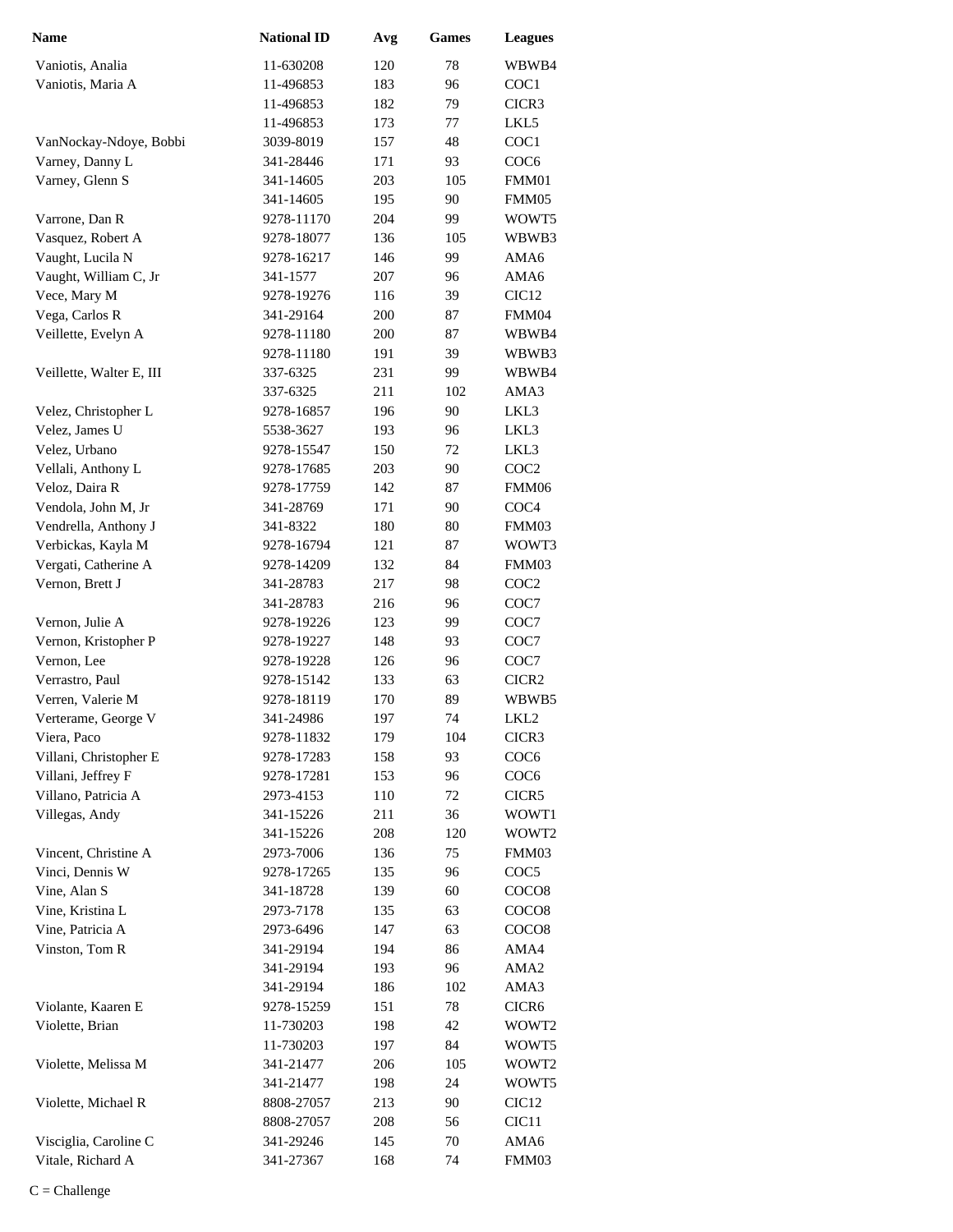| <b>Name</b>                             | <b>National ID</b>      | Avg        | <b>Games</b> | <b>Leagues</b>             |
|-----------------------------------------|-------------------------|------------|--------------|----------------------------|
| Vaniotis, Analia                        | 11-630208               | 120        | 78           | WBWB4                      |
| Vaniotis, Maria A                       | 11-496853               | 183        | 96           | COC1                       |
|                                         | 11-496853               | 182        | 79           | CICR3                      |
|                                         | 11-496853               | 173        | 77           | LKL5                       |
| VanNockay-Ndoye, Bobbi                  | 3039-8019               | 157        | 48           | COC1                       |
| Varney, Danny L                         | 341-28446               | 171        | 93           | COC <sub>6</sub>           |
| Varney, Glenn S                         | 341-14605               | 203        | 105          | FMM01                      |
|                                         | 341-14605               | 195        | 90           | FMM05                      |
| Varrone, Dan R                          | 9278-11170              | 204        | 99           | WOWT5                      |
| Vasquez, Robert A                       | 9278-18077              | 136        | 105          | WBWB3                      |
| Vaught, Lucila N                        | 9278-16217              | 146        | 99           | AMA6                       |
| Vaught, William C, Jr                   | 341-1577                | 207        | 96           | AMA6                       |
| Vece, Mary M                            | 9278-19276              | 116        | 39           | CIC <sub>12</sub>          |
| Vega, Carlos R                          | 341-29164               | 200        | 87           | FMM04                      |
| Veillette, Evelyn A                     | 9278-11180              | 200        | 87           | WBWB4                      |
|                                         | 9278-11180              | 191        | 39           | WBWB3                      |
| Veillette, Walter E, III                | 337-6325                | 231        | 99           | WBWB4                      |
|                                         | 337-6325                | 211        | 102          | AMA3                       |
| Velez, Christopher L                    | 9278-16857              | 196        | 90           | LKL3                       |
| Velez, James U                          | 5538-3627               | 193        | 96           | LKL3                       |
| Velez, Urbano                           | 9278-15547              | 150        | 72           | LKL3                       |
| Vellali, Anthony L                      | 9278-17685              | 203        | 90           | COC <sub>2</sub>           |
| Veloz, Daira R                          | 9278-17759              | 142        | 87           | FMM06                      |
| Vendola, John M, Jr                     | 341-28769               | 171        | 90           | COC <sub>4</sub>           |
| Vendrella, Anthony J                    | 341-8322                | 180        | 80           | FMM03                      |
| Verbickas, Kayla M                      | 9278-16794              | 121        | 87           | WOWT3                      |
| Vergati, Catherine A                    | 9278-14209              | 132        | 84           | FMM03                      |
| Vernon, Brett J                         | 341-28783               | 217        | 98           | COC <sub>2</sub>           |
|                                         | 341-28783               | 216        | 96           | COC7                       |
| Vernon, Julie A                         | 9278-19226              | 123        | 99           | COC7                       |
| Vernon, Kristopher P                    | 9278-19227              | 148        | 93           | COC7                       |
| Vernon, Lee                             | 9278-19228              | 126        | 96           | COC7                       |
| Verrastro, Paul                         | 9278-15142              | 133        | 63           | CICR <sub>2</sub>          |
| Verren, Valerie M                       | 9278-18119              | 170        | 89           | WBWB5                      |
| Verterame, George V                     | 341-24986               | 197        | 74           | LKL <sub>2</sub>           |
| Viera, Paco                             | 9278-11832              | 179        | 104          | CICR3                      |
| Villani, Christopher E                  | 9278-17283              | 158        | 93           | COC <sub>6</sub>           |
| Villani, Jeffrey F                      | 9278-17281              | 153        | 96           | COC <sub>6</sub>           |
| Villano, Patricia A                     | 2973-4153               | 110        | 72           | CICR5                      |
| Villegas, Andy                          | 341-15226               | 211        | 36           | WOWT1                      |
|                                         | 341-15226<br>2973-7006  | 208        | 120          | WOWT2                      |
| Vincent, Christine A<br>Vinci, Dennis W |                         | 136        | 75           | FMM03                      |
| Vine, Alan S                            | 9278-17265<br>341-18728 | 135<br>139 | 96<br>60     | COC <sub>5</sub>           |
| Vine, Kristina L                        | 2973-7178               | 135        | 63           | COCO <sub>8</sub><br>COCO8 |
| Vine, Patricia A                        | 2973-6496               | 147        | 63           | COCO <sub>8</sub>          |
| Vinston, Tom R                          | 341-29194               | 194        | 86           | AMA4                       |
|                                         | 341-29194               | 193        | 96           | AMA <sub>2</sub>           |
|                                         | 341-29194               | 186        | 102          | AMA3                       |
| Violante, Kaaren E                      | 9278-15259              | 151        | 78           | CICR6                      |
| Violette, Brian                         | 11-730203               | 198        | 42           | WOWT2                      |
|                                         | 11-730203               | 197        | 84           | WOWT5                      |
| Violette, Melissa M                     | 341-21477               | 206        | 105          | WOWT <sub>2</sub>          |
|                                         | 341-21477               | 198        | 24           | WOWT5                      |
| Violette, Michael R                     | 8808-27057              | 213        | 90           | CIC <sub>12</sub>          |
|                                         | 8808-27057              | 208        | 56           | CIC <sub>11</sub>          |
| Visciglia, Caroline C                   | 341-29246               | 145        | 70           | AMA6                       |
| Vitale, Richard A                       | 341-27367               | 168        | 74           | FMM03                      |
|                                         |                         |            |              |                            |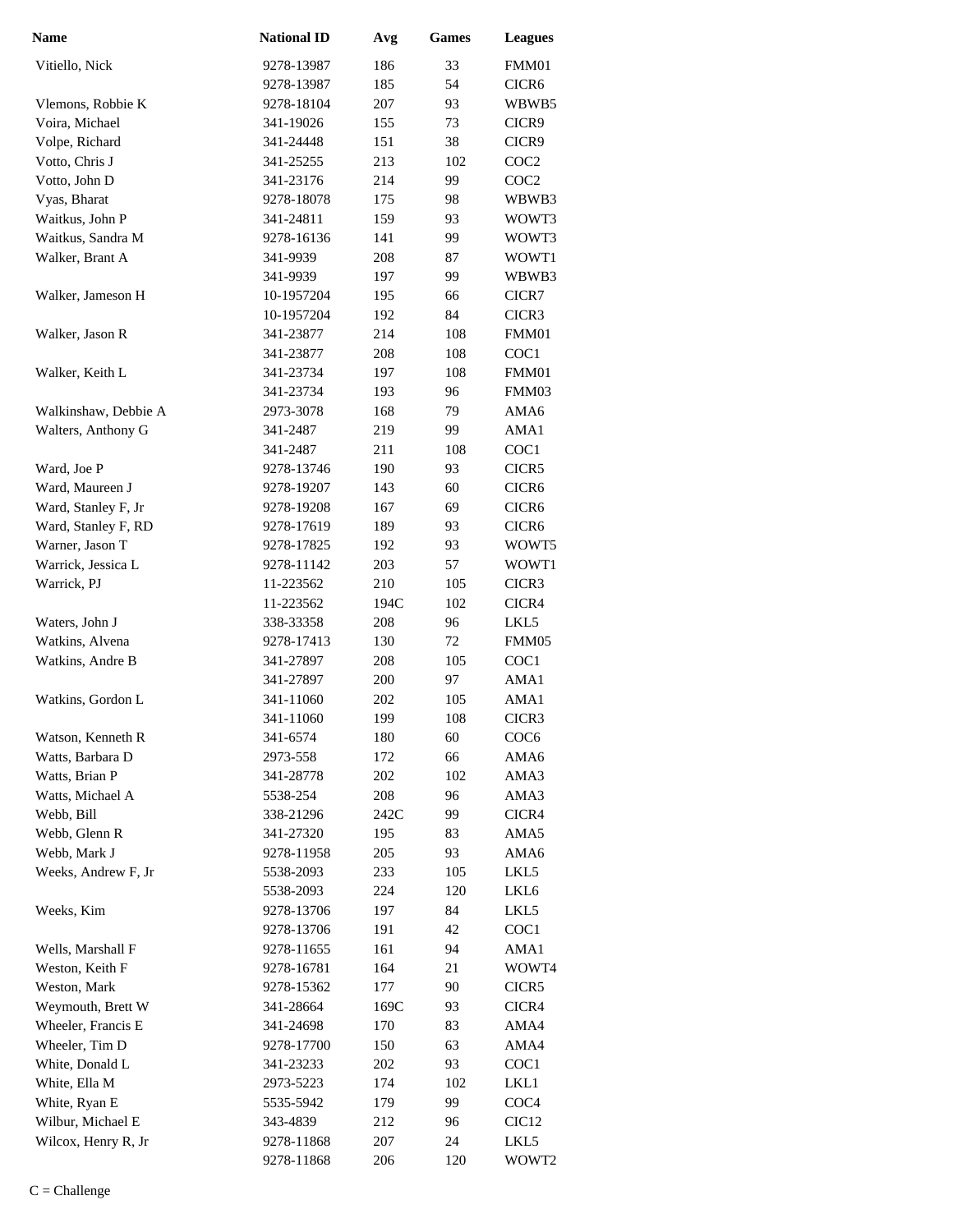| <b>Name</b>          | <b>National ID</b> | Avg  | <b>Games</b> | <b>Leagues</b>    |
|----------------------|--------------------|------|--------------|-------------------|
| Vitiello, Nick       | 9278-13987         | 186  | 33           | FMM01             |
|                      | 9278-13987         | 185  | 54           | CICR6             |
| Vlemons, Robbie K    | 9278-18104         | 207  | 93           | WBWB5             |
| Voira, Michael       | 341-19026          | 155  | 73           | CICR9             |
| Volpe, Richard       | 341-24448          | 151  | 38           | CICR9             |
| Votto, Chris J       | 341-25255          | 213  | 102          | COC <sub>2</sub>  |
| Votto, John D        | 341-23176          | 214  | 99           | COC <sub>2</sub>  |
| Vyas, Bharat         | 9278-18078         | 175  | 98           | WBWB3             |
| Waitkus, John P      | 341-24811          | 159  | 93           | WOWT3             |
| Waitkus, Sandra M    | 9278-16136         | 141  | 99           | WOWT3             |
| Walker, Brant A      | 341-9939           | 208  | 87           | WOWT1             |
|                      | 341-9939           | 197  | 99           | WBWB3             |
| Walker, Jameson H    | 10-1957204         | 195  | 66           | CICR7             |
|                      | 10-1957204         | 192  | 84           | CICR3             |
| Walker, Jason R      | 341-23877          | 214  | 108          | FMM01             |
|                      | 341-23877          | 208  | 108          | COC1              |
| Walker, Keith L      | 341-23734          | 197  | 108          | FMM01             |
|                      | 341-23734          | 193  | 96           | FMM03             |
| Walkinshaw, Debbie A | 2973-3078          | 168  | 79           | AMA6              |
| Walters, Anthony G   | 341-2487           | 219  | 99           | AMA1              |
|                      | 341-2487           | 211  | 108          | COC1              |
| Ward, Joe P          | 9278-13746         | 190  | 93           | CICR5             |
| Ward, Maureen J      | 9278-19207         | 143  | 60           | CICR <sub>6</sub> |
| Ward, Stanley F, Jr  | 9278-19208         | 167  | 69           | CICR <sub>6</sub> |
| Ward, Stanley F, RD  | 9278-17619         | 189  | 93           | CICR <sub>6</sub> |
| Warner, Jason T      | 9278-17825         | 192  | 93           | WOWT5             |
| Warrick, Jessica L   | 9278-11142         | 203  | 57           | WOWT1             |
| Warrick, PJ          | 11-223562          | 210  | 105          | CICR3             |
|                      | 11-223562          | 194C | 102          | CICR4             |
| Waters, John J       | 338-33358          | 208  | 96           | LKL5              |
| Watkins, Alvena      | 9278-17413         | 130  | 72           | FMM05             |
| Watkins, Andre B     | 341-27897          | 208  | 105          | COC1              |
|                      | 341-27897          | 200  | 97           | AMA1              |
| Watkins, Gordon L    | 341-11060          | 202  | 105          | AMA1              |
|                      | 341-11060          | 199  | 108          | CICR3             |
| Watson, Kenneth R    | 341-6574           | 180  | 60           | COC <sub>6</sub>  |
| Watts, Barbara D     | 2973-558           | 172  | 66           | AMA6              |
| Watts, Brian P       | 341-28778          | 202  | 102          | AMA3              |
| Watts, Michael A     | 5538-254           | 208  | 96           | AMA3              |
| Webb, Bill           | 338-21296          | 242C | 99           | CICR4             |
| Webb, Glenn R        | 341-27320          | 195  | 83           | AMA5              |
| Webb, Mark J         | 9278-11958         | 205  | 93           | AMA6              |
| Weeks, Andrew F, Jr  | 5538-2093          | 233  | 105          | LKL5              |
|                      | 5538-2093          | 224  | 120          | LKL6              |
| Weeks, Kim           | 9278-13706         | 197  | 84           | LKL5              |
|                      | 9278-13706         | 191  | 42           | COC <sub>1</sub>  |
| Wells, Marshall F    | 9278-11655         | 161  | 94           | AMA1              |
| Weston, Keith F      | 9278-16781         | 164  | 21           | WOWT4             |
| Weston, Mark         | 9278-15362         | 177  | 90           | CICR5             |
| Weymouth, Brett W    | 341-28664          | 169C | 93           | CICR4             |
| Wheeler, Francis E   | 341-24698          | 170  | 83           | AMA4              |
| Wheeler, Tim D       | 9278-17700         | 150  | 63           | AMA4              |
| White, Donald L      | 341-23233          | 202  | 93           | COC <sub>1</sub>  |
| White, Ella M        | 2973-5223          | 174  | 102          | LKL1              |
| White, Ryan E        | 5535-5942          | 179  | 99           | COC <sub>4</sub>  |
| Wilbur, Michael E    | 343-4839           | 212  | 96           | CIC <sub>12</sub> |
| Wilcox, Henry R, Jr  | 9278-11868         | 207  | 24           | LKL5              |
|                      | 9278-11868         | 206  | 120          | WOWT2             |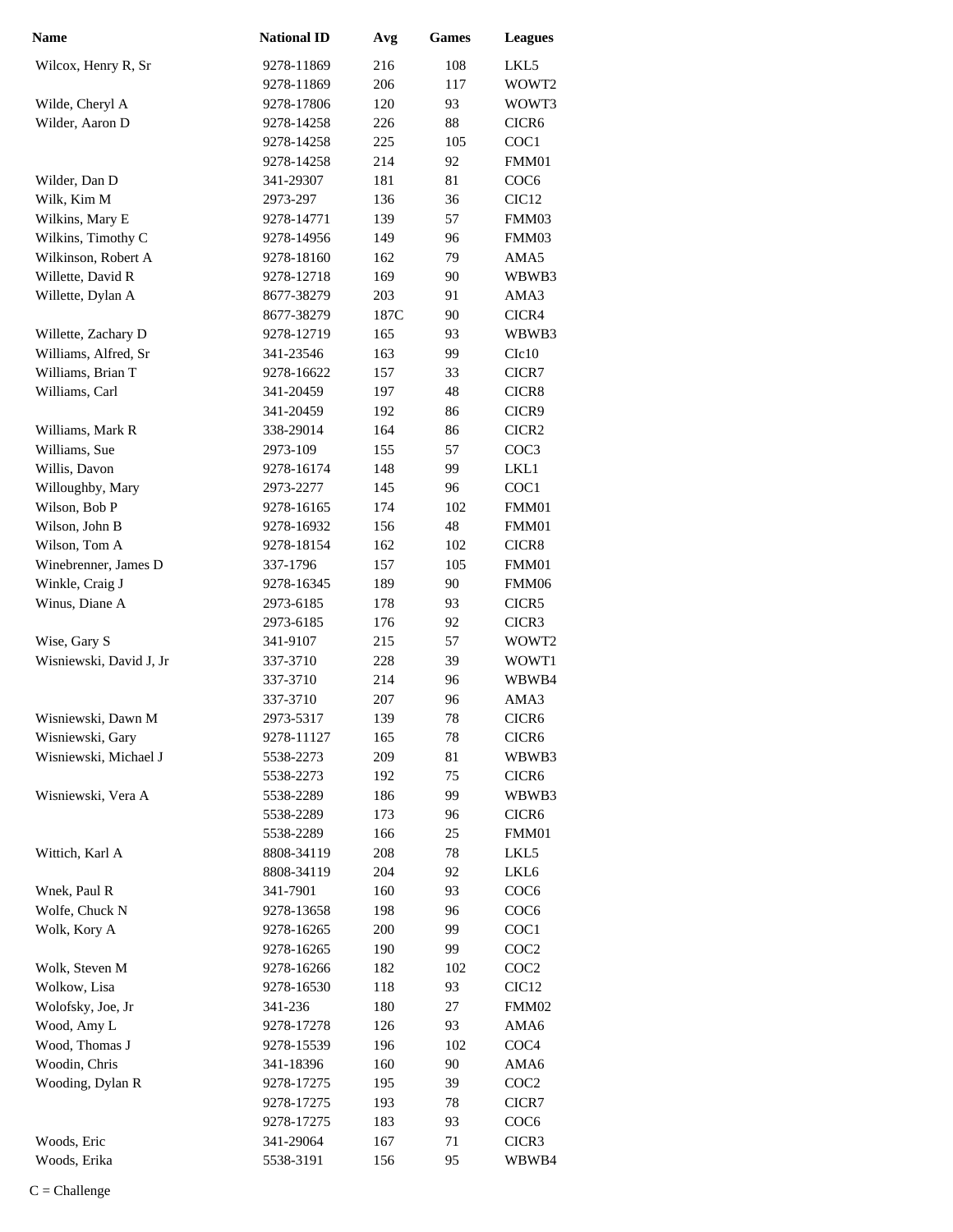| <b>Name</b>                     | <b>National ID</b> | Avg  | <b>Games</b> | <b>Leagues</b>    |
|---------------------------------|--------------------|------|--------------|-------------------|
| Wilcox, Henry R, Sr             | 9278-11869         | 216  | 108          | LKL5              |
|                                 | 9278-11869         | 206  | 117          | WOWT <sub>2</sub> |
| Wilde, Cheryl A                 | 9278-17806         | 120  | 93           | WOWT3             |
| Wilder, Aaron D                 | 9278-14258         | 226  | 88           | CICR <sub>6</sub> |
|                                 | 9278-14258         | 225  | 105          | COC1              |
|                                 | 9278-14258         | 214  | 92           | FMM01             |
| Wilder, Dan D                   | 341-29307          | 181  | 81           | COC <sub>6</sub>  |
| Wilk, Kim M                     | 2973-297           | 136  | 36           | CIC <sub>12</sub> |
| Wilkins, Mary E                 | 9278-14771         | 139  | 57           | FMM03             |
| Wilkins, Timothy C              | 9278-14956         | 149  | 96           | FMM03             |
| Wilkinson, Robert A             | 9278-18160         | 162  | 79           | AMA5              |
| Willette, David R               | 9278-12718         | 169  | 90           | WBWB3             |
| Willette, Dylan A               | 8677-38279         | 203  | 91           | AMA3              |
|                                 | 8677-38279         | 187C | 90           | CICR4             |
| Willette, Zachary D             | 9278-12719         | 165  | 93           | WBWB3             |
| Williams, Alfred, Sr            | 341-23546          | 163  | 99           | C1c10             |
| Williams, Brian T               | 9278-16622         | 157  | 33           | CICR7             |
| Williams, Carl                  | 341-20459          | 197  | 48           | CICR8             |
|                                 | 341-20459          | 192  | 86           | CICR9             |
| Williams, Mark R                | 338-29014          | 164  | 86           | CICR <sub>2</sub> |
| Williams, Sue                   | 2973-109           | 155  | 57           | COC <sub>3</sub>  |
| Willis, Davon                   | 9278-16174         | 148  | 99           | LKL1              |
| Willoughby, Mary                | 2973-2277          | 145  | 96           | COC1              |
| Wilson, Bob P                   | 9278-16165         | 174  | 102          | FMM01             |
| Wilson, John B                  | 9278-16932         | 156  | 48           | FMM01             |
| Wilson, Tom A                   | 9278-18154         | 162  | 102          | CICR8             |
| Winebrenner, James D            | 337-1796           | 157  | 105          | FMM01             |
| Winkle, Craig J                 | 9278-16345         | 189  | 90           | FMM06             |
| Winus, Diane A                  | 2973-6185          | 178  | 93           | CICR5             |
|                                 | 2973-6185          | 176  | 92           | CICR3             |
| Wise, Gary S                    | 341-9107           | 215  | 57           | WOWT2             |
| Wisniewski, David J, Jr         | 337-3710           | 228  | 39           | WOWT1             |
|                                 | 337-3710           | 214  | 96           | WBWB4             |
|                                 | 337-3710           | 207  | 96           | AMA3              |
| Wisniewski, Dawn M              | 2973-5317          | 139  | 78           | CICR <sub>6</sub> |
| Wisniewski, Gary                | 9278-11127         | 165  | 78           | CICR <sub>6</sub> |
| Wisniewski, Michael J           | 5538-2273          | 209  | 81           | WBWB3             |
|                                 | 5538-2273          | 192  | 75           | CICR <sub>6</sub> |
| Wisniewski, Vera A              | 5538-2289          | 186  | 99           | WBWB3             |
|                                 | 5538-2289          | 173  | 96           | CICR6             |
|                                 | 5538-2289          | 166  | 25           | FMM01             |
| Wittich, Karl A                 | 8808-34119         | 208  | 78           | LKL5              |
|                                 | 8808-34119         | 204  | 92           | LKL6              |
| Wnek, Paul R                    | 341-7901           | 160  | 93           | COC <sub>6</sub>  |
| Wolfe, Chuck N                  | 9278-13658         | 198  | 96           | COC <sub>6</sub>  |
| Wolk, Kory A                    | 9278-16265         | 200  | 99           | COC1              |
|                                 | 9278-16265         | 190  | 99           | COC <sub>2</sub>  |
| Wolk, Steven M                  | 9278-16266         | 182  | 102          | COC <sub>2</sub>  |
| Wolkow, Lisa                    | 9278-16530         | 118  | 93           | CIC <sub>12</sub> |
| Wolofsky, Joe, Jr               | 341-236            | 180  | 27           | FMM02             |
| Wood, Amy L                     | 9278-17278         | 126  | 93           | AMA6              |
|                                 |                    |      |              |                   |
| Wood, Thomas J<br>Woodin, Chris | 9278-15539         | 196  | 102          | COC <sub>4</sub>  |
|                                 | 341-18396          | 160  | 90           | AMA6              |
| Wooding, Dylan R                | 9278-17275         | 195  | 39           | COC <sub>2</sub>  |
|                                 | 9278-17275         | 193  | 78           | CICR7             |
|                                 | 9278-17275         | 183  | 93           | COC <sub>6</sub>  |
| Woods, Eric                     | 341-29064          | 167  | 71           | CICR3             |
| Woods, Erika                    | 5538-3191          | 156  | 95           | WBWB4             |